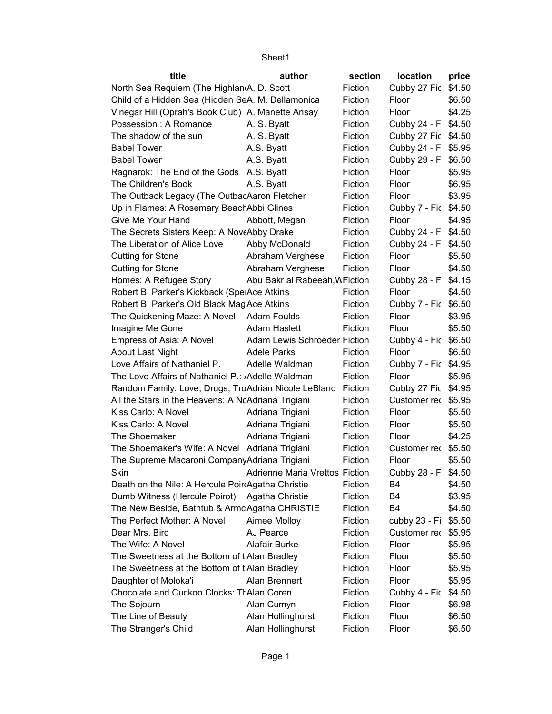| title                                                 | author                                | section | location             | price  |
|-------------------------------------------------------|---------------------------------------|---------|----------------------|--------|
| North Sea Requiem (The Highlan <sub>(A.D.</sub> Scott |                                       | Fiction | Cubby 27 Fic         | \$4.50 |
| Child of a Hidden Sea (Hidden SeA. M. Dellamonica     |                                       | Fiction | Floor                | \$6.50 |
| Vinegar Hill (Oprah's Book Club) A. Manette Ansay     |                                       | Fiction | Floor                | \$4.25 |
| Possession: A Romance                                 | A. S. Byatt                           | Fiction | Cubby 24 - F         | \$4.50 |
| The shadow of the sun                                 | A. S. Byatt                           | Fiction | Cubby 27 Fic \$4.50  |        |
| <b>Babel Tower</b>                                    | A.S. Byatt                            | Fiction | Cubby 24 - F \$5.95  |        |
| <b>Babel Tower</b>                                    | A.S. Byatt                            | Fiction | Cubby 29 - F \$6.50  |        |
| Ragnarok: The End of the Gods A.S. Byatt              |                                       | Fiction | Floor                | \$5.95 |
| The Children's Book                                   | A.S. Byatt                            | Fiction | Floor                | \$6.95 |
| The Outback Legacy (The OutbacAaron Fletcher          |                                       | Fiction | Floor                | \$3.95 |
| Up in Flames: A Rosemary BeachAbbi Glines             |                                       | Fiction | Cubby 7 - Fic \$4.50 |        |
| Give Me Your Hand                                     | Abbott, Megan                         | Fiction | Floor                | \$4.95 |
| The Secrets Sisters Keep: A NoveAbby Drake            |                                       | Fiction | Cubby 24 - F         | \$4.50 |
| The Liberation of Alice Love                          | Abby McDonald                         | Fiction | Cubby 24 - F \$4.50  |        |
| <b>Cutting for Stone</b>                              | Abraham Verghese                      | Fiction | Floor                | \$5.50 |
| <b>Cutting for Stone</b>                              | Abraham Verghese                      | Fiction | Floor                | \$4.50 |
| Homes: A Refugee Story                                | Abu Bakr al Rabeeah, WFiction         |         | Cubby 28 - F \$4.15  |        |
| Robert B. Parker's Kickback (SpelAce Atkins           |                                       | Fiction | Floor                | \$4.50 |
| Robert B. Parker's Old Black Mag Ace Atkins           |                                       | Fiction | Cubby 7 - Fic \$6.50 |        |
| The Quickening Maze: A Novel Adam Foulds              |                                       | Fiction | Floor                | \$3.95 |
| Imagine Me Gone                                       | <b>Adam Haslett</b>                   | Fiction | Floor                | \$5.50 |
| Empress of Asia: A Novel                              | Adam Lewis Schroeder Fiction          |         | Cubby 4 - Fic \$6.50 |        |
| <b>About Last Night</b>                               | <b>Adele Parks</b>                    | Fiction | Floor                | \$6.50 |
| Love Affairs of Nathaniel P.                          | Adelle Waldman                        | Fiction | Cubby 7 - Fic \$4.95 |        |
| The Love Affairs of Nathaniel P.: Adelle Waldman      |                                       | Fiction | Floor                | \$5.95 |
| Random Family: Love, Drugs, TroAdrian Nicole LeBlanc  |                                       | Fiction | Cubby 27 Fic \$4.95  |        |
| All the Stars in the Heavens: A NcAdriana Trigiani    |                                       | Fiction | Customer rec \$5.95  |        |
| Kiss Carlo: A Novel                                   | Adriana Trigiani                      | Fiction | Floor                | \$5.50 |
| Kiss Carlo: A Novel                                   | Adriana Trigiani                      | Fiction | Floor                | \$5.50 |
| The Shoemaker                                         | Adriana Trigiani                      | Fiction | Floor                | \$4.25 |
| The Shoemaker's Wife: A Novel Adriana Trigiani        |                                       | Fiction | Customer rec \$5.50  |        |
| The Supreme Macaroni Company Adriana Trigiani         |                                       | Fiction | Floor                | \$5.50 |
| Skin                                                  | <b>Adrienne Maria Vrettos Fiction</b> |         | Cubby 28 - F \$4.50  |        |
| Death on the Nile: A Hercule Poir Agatha Christie     |                                       | Fiction | B4                   | \$4.50 |
| Dumb Witness (Hercule Poirot)                         | Agatha Christie                       | Fiction | B4                   | \$3.95 |
| The New Beside, Bathtub & ArmcAgatha CHRISTIE         |                                       | Fiction | B4                   | \$4.50 |
| The Perfect Mother: A Novel                           | Aimee Molloy                          | Fiction | cubby 23 - Fi        | \$5.50 |
| Dear Mrs. Bird                                        | AJ Pearce                             | Fiction | Customer rec         | \$5.95 |
| The Wife: A Novel                                     | Alafair Burke                         | Fiction | Floor                | \$5.95 |
| The Sweetness at the Bottom of tIAlan Bradley         |                                       | Fiction | Floor                | \$5.50 |
| The Sweetness at the Bottom of tIAlan Bradley         |                                       | Fiction | Floor                | \$5.95 |
| Daughter of Moloka'i                                  | Alan Brennert                         | Fiction | Floor                | \$5.95 |
| Chocolate and Cuckoo Clocks: TrAlan Coren             |                                       | Fiction | Cubby 4 - Fic        | \$4.50 |
| The Sojourn                                           | Alan Cumyn                            | Fiction | Floor                | \$6.98 |
| The Line of Beauty                                    | Alan Hollinghurst                     | Fiction | Floor                | \$6.50 |
| The Stranger's Child                                  | Alan Hollinghurst                     | Fiction | Floor                | \$6.50 |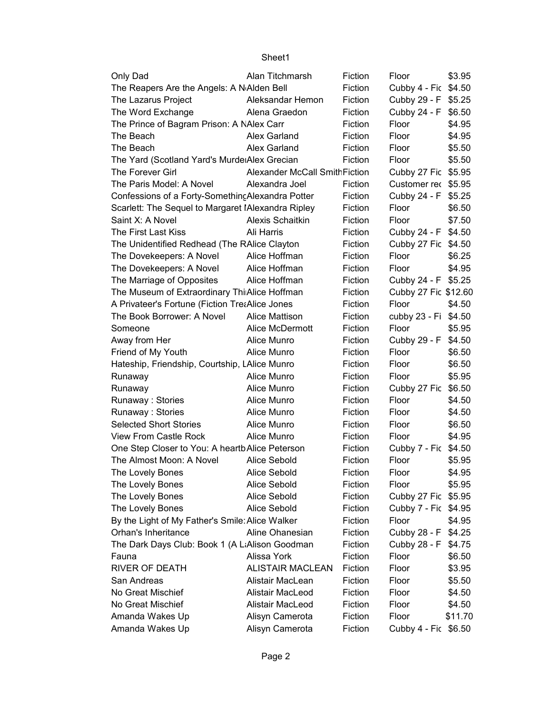| Only Dad                                           | Alan Titchmarsh                      | Fiction | Floor                | \$3.95  |
|----------------------------------------------------|--------------------------------------|---------|----------------------|---------|
| The Reapers Are the Angels: A N Alden Bell         |                                      | Fiction | Cubby 4 - Fic \$4.50 |         |
| The Lazarus Project                                | Aleksandar Hemon                     | Fiction | Cubby 29 - F \$5.25  |         |
| The Word Exchange                                  | Alena Graedon                        | Fiction | Cubby 24 - F \$6.50  |         |
| The Prince of Bagram Prison: A NAlex Carr          |                                      | Fiction | Floor                | \$4.95  |
| The Beach                                          | Alex Garland                         | Fiction | Floor                | \$4.95  |
| The Beach                                          | Alex Garland                         | Fiction | Floor                | \$5.50  |
| The Yard (Scotland Yard's Murde Alex Grecian       |                                      | Fiction | Floor                | \$5.50  |
| The Forever Girl                                   | <b>Alexander McCall SmithFiction</b> |         | Cubby 27 Fic \$5.95  |         |
| The Paris Model: A Novel                           | Alexandra Joel                       | Fiction | Customer rec \$5.95  |         |
| Confessions of a Forty-Something Alexandra Potter  |                                      | Fiction | Cubby 24 - F \$5.25  |         |
| Scarlett: The Sequel to Margaret IAlexandra Ripley |                                      | Fiction | Floor                | \$6.50  |
| Saint X: A Novel                                   | <b>Alexis Schaitkin</b>              | Fiction | Floor                | \$7.50  |
| The First Last Kiss                                | Ali Harris                           | Fiction | Cubby 24 - F         | \$4.50  |
| The Unidentified Redhead (The RAlice Clayton       |                                      | Fiction | Cubby 27 Fic \$4.50  |         |
| The Dovekeepers: A Novel                           | Alice Hoffman                        | Fiction | Floor                | \$6.25  |
| The Dovekeepers: A Novel                           | Alice Hoffman                        | Fiction | Floor                | \$4.95  |
| The Marriage of Opposites                          | Alice Hoffman                        | Fiction | Cubby 24 - F \$5.25  |         |
| The Museum of Extraordinary Thi Alice Hoffman      |                                      | Fiction | Cubby 27 Fic \$12.60 |         |
| A Privateer's Fortune (Fiction TreaAlice Jones     |                                      | Fiction | Floor                | \$4.50  |
| The Book Borrower: A Novel                         | Alice Mattison                       | Fiction | cubby 23 - Fi \$4.50 |         |
| Someone                                            | Alice McDermott                      | Fiction | Floor                | \$5.95  |
| Away from Her                                      | Alice Munro                          | Fiction | Cubby 29 - F         | \$4.50  |
| Friend of My Youth                                 | Alice Munro                          | Fiction | Floor                | \$6.50  |
| Hateship, Friendship, Courtship, LAlice Munro      |                                      | Fiction | Floor                | \$6.50  |
| Runaway                                            | Alice Munro                          | Fiction | Floor                | \$5.95  |
| Runaway                                            | Alice Munro                          | Fiction | Cubby 27 Fic         | \$6.50  |
| Runaway: Stories                                   | Alice Munro                          | Fiction | Floor                | \$4.50  |
| Runaway: Stories                                   | Alice Munro                          | Fiction | Floor                | \$4.50  |
| <b>Selected Short Stories</b>                      | Alice Munro                          | Fiction | Floor                | \$6.50  |
| <b>View From Castle Rock</b>                       | Alice Munro                          | Fiction | Floor                | \$4.95  |
| One Step Closer to You: A heartb Alice Peterson    |                                      | Fiction | Cubby 7 - Fic \$4.50 |         |
| The Almost Moon: A Novel                           | Alice Sebold                         | Fiction | Floor                | \$5.95  |
| The Lovely Bones                                   | Alice Sebold                         | Fiction | Floor                | \$4.95  |
| The Lovely Bones                                   | Alice Sebold                         | Fiction | Floor                | \$5.95  |
| The Lovely Bones                                   | Alice Sebold                         | Fiction | Cubby 27 Fic \$5.95  |         |
| The Lovely Bones                                   | Alice Sebold                         | Fiction | Cubby 7 - Fic \$4.95 |         |
| By the Light of My Father's Smile: Alice Walker    |                                      | Fiction | Floor                | \$4.95  |
| Orhan's Inheritance                                | Aline Ohanesian                      | Fiction | Cubby 28 - F \$4.25  |         |
| The Dark Days Club: Book 1 (A LiAlison Goodman     |                                      | Fiction | Cubby 28 - F \$4.75  |         |
| Fauna                                              | Alissa York                          | Fiction | Floor                | \$6.50  |
| <b>RIVER OF DEATH</b>                              | <b>ALISTAIR MACLEAN</b>              | Fiction | Floor                | \$3.95  |
| San Andreas                                        | Alistair MacLean                     | Fiction | Floor                | \$5.50  |
| No Great Mischief                                  | Alistair MacLeod                     | Fiction | Floor                | \$4.50  |
| No Great Mischief                                  | Alistair MacLeod                     | Fiction | Floor                | \$4.50  |
| Amanda Wakes Up                                    | Alisyn Camerota                      | Fiction | Floor                | \$11.70 |
| Amanda Wakes Up                                    | Alisyn Camerota                      | Fiction | Cubby 4 - Fic \$6.50 |         |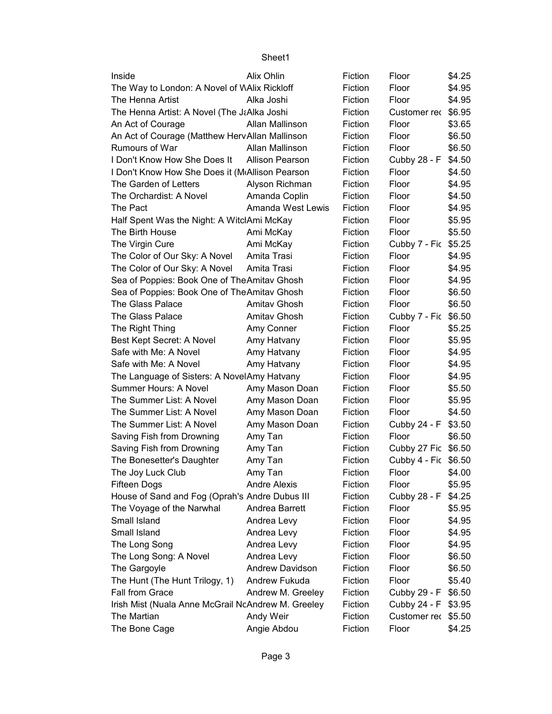| Inside                                             | Alix Ohlin             | Fiction | Floor                | \$4.25 |
|----------------------------------------------------|------------------------|---------|----------------------|--------|
| The Way to London: A Novel of WAlix Rickloff       |                        | Fiction | Floor                | \$4.95 |
| The Henna Artist                                   | Alka Joshi             | Fiction | Floor                | \$4.95 |
| The Henna Artist: A Novel (The J&Alka Joshi        |                        | Fiction | Customer rec         | \$6.95 |
| An Act of Courage                                  | Allan Mallinson        | Fiction | Floor                | \$3.65 |
| An Act of Courage (Matthew HervAllan Mallinson     |                        | Fiction | Floor                | \$6.50 |
| Rumours of War                                     | Allan Mallinson        | Fiction | Floor                | \$6.50 |
| I Don't Know How She Does It                       | <b>Allison Pearson</b> | Fiction | Cubby 28 - F         | \$4.50 |
| I Don't Know How She Does it (MAllison Pearson     |                        | Fiction | Floor                | \$4.50 |
| The Garden of Letters                              | Alyson Richman         | Fiction | Floor                | \$4.95 |
| The Orchardist: A Novel                            | Amanda Coplin          | Fiction | Floor                | \$4.50 |
| The Pact                                           | Amanda West Lewis      | Fiction | Floor                | \$4.95 |
| Half Spent Was the Night: A WitclAmi McKay         |                        | Fiction | Floor                | \$5.95 |
| The Birth House                                    | Ami McKay              | Fiction | Floor                | \$5.50 |
| The Virgin Cure                                    | Ami McKay              | Fiction | Cubby 7 - Fic        | \$5.25 |
| The Color of Our Sky: A Novel                      | Amita Trasi            | Fiction | Floor                | \$4.95 |
| The Color of Our Sky: A Novel                      | Amita Trasi            | Fiction | Floor                | \$4.95 |
| Sea of Poppies: Book One of The Amitav Ghosh       |                        | Fiction | Floor                | \$4.95 |
| Sea of Poppies: Book One of TheAmitav Ghosh        |                        | Fiction | Floor                | \$6.50 |
| The Glass Palace                                   | Amitav Ghosh           | Fiction | Floor                | \$6.50 |
| The Glass Palace                                   | Amitav Ghosh           | Fiction | Cubby 7 - Fic        | \$6.50 |
| The Right Thing                                    | Amy Conner             | Fiction | Floor                | \$5.25 |
| Best Kept Secret: A Novel                          | Amy Hatvany            | Fiction | Floor                | \$5.95 |
| Safe with Me: A Novel                              | Amy Hatvany            | Fiction | Floor                | \$4.95 |
| Safe with Me: A Novel                              | Amy Hatvany            | Fiction | Floor                | \$4.95 |
| The Language of Sisters: A NovelAmy Hatvany        |                        | Fiction | Floor                | \$4.95 |
| Summer Hours: A Novel                              | Amy Mason Doan         | Fiction | Floor                | \$5.50 |
| The Summer List: A Novel                           | Amy Mason Doan         | Fiction | Floor                | \$5.95 |
| The Summer List: A Novel                           | Amy Mason Doan         | Fiction | Floor                | \$4.50 |
| The Summer List: A Novel                           | Amy Mason Doan         | Fiction | Cubby 24 - F         | \$3.50 |
| Saving Fish from Drowning                          | Amy Tan                | Fiction | Floor                | \$6.50 |
| Saving Fish from Drowning                          | Amy Tan                | Fiction | Cubby 27 Fic         | \$6.50 |
| The Bonesetter's Daughter                          | Amy Tan                | Fiction | Cubby 4 - Fic \$6.50 |        |
| The Joy Luck Club                                  | Amy Tan                | Fiction | Floor                | \$4.00 |
| Fifteen Dogs                                       | <b>Andre Alexis</b>    | Fiction | Floor                | \$5.95 |
| House of Sand and Fog (Oprah's Andre Dubus III     |                        | Fiction | Cubby 28 - F         | \$4.25 |
| The Voyage of the Narwhal                          | Andrea Barrett         | Fiction | Floor                | \$5.95 |
| Small Island                                       | Andrea Levy            | Fiction | Floor                | \$4.95 |
| Small Island                                       | Andrea Levy            | Fiction | Floor                | \$4.95 |
| The Long Song                                      | Andrea Levy            | Fiction | Floor                | \$4.95 |
| The Long Song: A Novel                             | Andrea Levy            | Fiction | Floor                | \$6.50 |
| The Gargoyle                                       | <b>Andrew Davidson</b> | Fiction | Floor                | \$6.50 |
| The Hunt (The Hunt Trilogy, 1)                     | Andrew Fukuda          | Fiction | Floor                | \$5.40 |
| Fall from Grace                                    | Andrew M. Greeley      | Fiction | Cubby 29 - F         | \$6.50 |
| Irish Mist (Nuala Anne McGrail NcAndrew M. Greeley |                        | Fiction | Cubby 24 - F         | \$3.95 |
| The Martian                                        | Andy Weir              | Fiction | Customer rec         | \$5.50 |
| The Bone Cage                                      | Angie Abdou            | Fiction | Floor                | \$4.25 |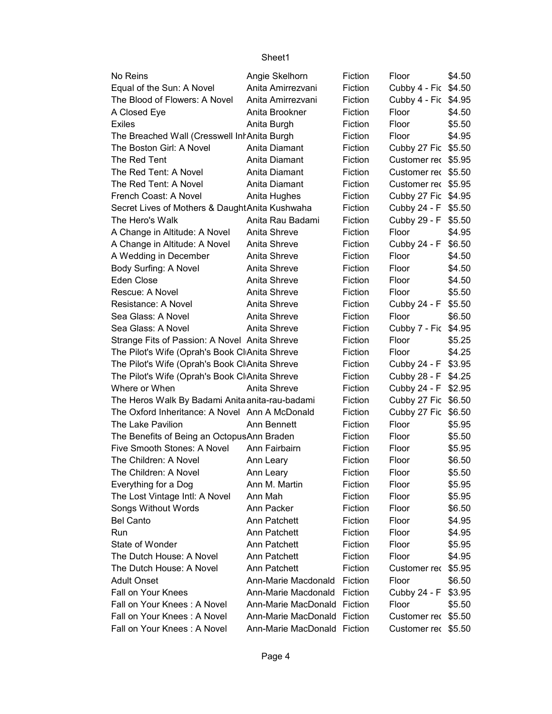| No Reins                                        | Angie Skelhorn              | Fiction | Floor                | \$4.50 |
|-------------------------------------------------|-----------------------------|---------|----------------------|--------|
| Equal of the Sun: A Novel                       | Anita Amirrezvani           | Fiction | Cubby 4 - Fic \$4.50 |        |
| The Blood of Flowers: A Novel                   | Anita Amirrezvani           | Fiction | Cubby 4 - Fic \$4.95 |        |
| A Closed Eye                                    | Anita Brookner              | Fiction | Floor                | \$4.50 |
| <b>Exiles</b>                                   | Anita Burgh                 | Fiction | Floor                | \$5.50 |
| The Breached Wall (Cresswell Int Anita Burgh    |                             | Fiction | Floor                | \$4.95 |
| The Boston Girl: A Novel                        | Anita Diamant               | Fiction | Cubby 27 Fic \$5.50  |        |
| The Red Tent                                    | Anita Diamant               | Fiction | Customer rec \$5.95  |        |
| The Red Tent: A Novel                           | Anita Diamant               | Fiction | Customer rec \$5.50  |        |
| The Red Tent: A Novel                           | Anita Diamant               | Fiction | Customer rec \$5.95  |        |
| French Coast: A Novel                           | Anita Hughes                | Fiction | Cubby 27 Fic \$4.95  |        |
| Secret Lives of Mothers & Daught Anita Kushwaha |                             | Fiction | Cubby 24 - F \$5.50  |        |
| The Hero's Walk                                 | Anita Rau Badami            | Fiction | Cubby 29 - F \$5.50  |        |
| A Change in Altitude: A Novel                   | Anita Shreve                | Fiction | Floor                | \$4.95 |
| A Change in Altitude: A Novel                   | Anita Shreve                | Fiction | Cubby 24 - F         | \$6.50 |
| A Wedding in December                           | Anita Shreve                | Fiction | Floor                | \$4.50 |
| Body Surfing: A Novel                           | Anita Shreve                | Fiction | Floor                | \$4.50 |
| Eden Close                                      | Anita Shreve                | Fiction | Floor                | \$4.50 |
| Rescue: A Novel                                 | Anita Shreve                | Fiction | Floor                | \$5.50 |
| Resistance: A Novel                             | Anita Shreve                | Fiction | Cubby 24 - F \$5.50  |        |
| Sea Glass: A Novel                              | Anita Shreve                | Fiction | Floor                | \$6.50 |
| Sea Glass: A Novel                              | Anita Shreve                | Fiction | Cubby 7 - Fic \$4.95 |        |
| Strange Fits of Passion: A Novel Anita Shreve   |                             | Fiction | Floor                | \$5.25 |
| The Pilot's Wife (Oprah's Book ClAnita Shreve   |                             | Fiction | Floor                | \$4.25 |
| The Pilot's Wife (Oprah's Book ClAnita Shreve   |                             | Fiction | Cubby 24 - F \$3.95  |        |
| The Pilot's Wife (Oprah's Book Cl Anita Shreve  |                             | Fiction | Cubby 28 - F \$4.25  |        |
| Where or When                                   | Anita Shreve                | Fiction | Cubby 24 - F \$2.95  |        |
| The Heros Walk By Badami Anita anita-rau-badami |                             | Fiction | Cubby 27 Fic \$6.50  |        |
| The Oxford Inheritance: A Novel Ann A McDonald  |                             | Fiction | Cubby 27 Fic \$6.50  |        |
| The Lake Pavilion                               | Ann Bennett                 | Fiction | Floor                | \$5.95 |
| The Benefits of Being an OctopusAnn Braden      |                             | Fiction | Floor                | \$5.50 |
| Five Smooth Stones: A Novel                     | Ann Fairbairn               | Fiction | Floor                | \$5.95 |
| The Children: A Novel                           | Ann Leary                   | Fiction | Floor                | \$6.50 |
| The Children: A Novel                           | Ann Leary                   | Fiction | Floor                | \$5.50 |
| Everything for a Dog                            | Ann M. Martin               | Fiction | Floor                | \$5.95 |
| The Lost Vintage Intl: A Novel                  | Ann Mah                     | Fiction | Floor                | \$5.95 |
| Songs Without Words                             | Ann Packer                  | Fiction | Floor                | \$6.50 |
| <b>Bel Canto</b>                                | Ann Patchett                | Fiction | Floor                | \$4.95 |
| Run                                             | Ann Patchett                | Fiction | Floor                | \$4.95 |
| State of Wonder                                 | Ann Patchett                | Fiction | Floor                | \$5.95 |
| The Dutch House: A Novel                        | Ann Patchett                | Fiction | Floor                | \$4.95 |
| The Dutch House: A Novel                        | Ann Patchett                | Fiction | Customer rec         | \$5.95 |
| <b>Adult Onset</b>                              | Ann-Marie Macdonald         | Fiction | Floor                | \$6.50 |
| Fall on Your Knees                              | Ann-Marie Macdonald         | Fiction | Cubby 24 - F         | \$3.95 |
| Fall on Your Knees: A Novel                     | Ann-Marie MacDonald         | Fiction | Floor                | \$5.50 |
| Fall on Your Knees: A Novel                     | Ann-Marie MacDonald         | Fiction | Customer rec \$5.50  |        |
| Fall on Your Knees: A Novel                     | Ann-Marie MacDonald Fiction |         | Customer rec \$5.50  |        |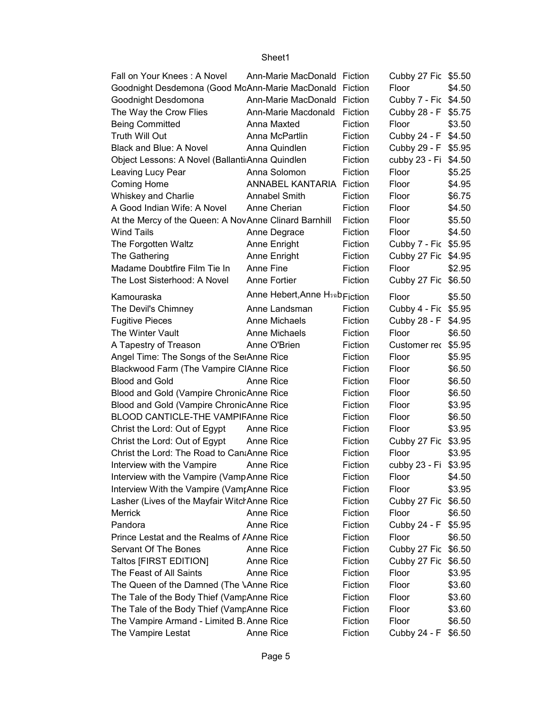| Fall on Your Knees: A Novel                             | Ann-Marie MacDonald Fiction                |         | Cubby 27 Fic \$5.50  |        |
|---------------------------------------------------------|--------------------------------------------|---------|----------------------|--------|
| Goodnight Desdemona (Good McAnn-Marie MacDonald Fiction |                                            |         | Floor                | \$4.50 |
| Goodnight Desdomona                                     | Ann-Marie MacDonald Fiction                |         | Cubby 7 - Fic \$4.50 |        |
| The Way the Crow Flies                                  | Ann-Marie Macdonald                        | Fiction | Cubby 28 - F \$5.75  |        |
| <b>Being Committed</b>                                  | Anna Maxted                                | Fiction | Floor                | \$3.50 |
| Truth Will Out                                          | Anna McPartlin                             | Fiction | Cubby 24 - F         | \$4.50 |
| Black and Blue: A Novel                                 | Anna Quindlen                              | Fiction | Cubby 29 - F \$5.95  |        |
| Object Lessons: A Novel (Ballanti Anna Quindlen         |                                            | Fiction | cubby 23 - Fi \$4.50 |        |
| Leaving Lucy Pear                                       | Anna Solomon                               | Fiction | Floor                | \$5.25 |
| <b>Coming Home</b>                                      | ANNABEL KANTARIA Fiction                   |         | Floor                | \$4.95 |
| <b>Whiskey and Charlie</b>                              | <b>Annabel Smith</b>                       | Fiction | Floor                | \$6.75 |
| A Good Indian Wife: A Novel                             | Anne Cherian                               | Fiction | Floor                | \$4.50 |
| At the Mercy of the Queen: A NovAnne Clinard Barnhill   |                                            | Fiction | Floor                | \$5.50 |
| <b>Wind Tails</b>                                       | Anne Degrace                               | Fiction | Floor                | \$4.50 |
| The Forgotten Waltz                                     | Anne Enright                               | Fiction | Cubby 7 - Fic \$5.95 |        |
| The Gathering                                           | Anne Enright                               | Fiction | Cubby 27 Fic \$4.95  |        |
| Madame Doubtfire Film Tie In                            | Anne Fine                                  | Fiction | Floor                | \$2.95 |
| The Lost Sisterhood: A Novel                            | Anne Fortier                               | Fiction | Cubby 27 Fic \$6.50  |        |
| Kamouraska                                              | Anne Hebert, Anne H <sub>3ab Fiction</sub> |         | Floor                | \$5.50 |
| The Devil's Chimney                                     | Anne Landsman                              | Fiction | Cubby 4 - Fic \$5.95 |        |
| <b>Fugitive Pieces</b>                                  | Anne Michaels                              | Fiction | Cubby 28 - F         | \$4.95 |
| The Winter Vault                                        | Anne Michaels                              | Fiction | Floor                | \$6.50 |
| A Tapestry of Treason                                   | Anne O'Brien                               | Fiction | Customer rec \$5.95  |        |
| Angel Time: The Songs of the SeiAnne Rice               |                                            | Fiction | Floor                | \$5.95 |
| Blackwood Farm (The Vampire ClAnne Rice                 |                                            | Fiction | Floor                | \$6.50 |
| <b>Blood and Gold</b>                                   | Anne Rice                                  | Fiction | Floor                | \$6.50 |
| Blood and Gold (Vampire ChronicAnne Rice                |                                            | Fiction | Floor                | \$6.50 |
| Blood and Gold (Vampire ChronicAnne Rice                |                                            | Fiction | Floor                | \$3.95 |
| <b>BLOOD CANTICLE-THE VAMPIFAnne Rice</b>               |                                            | Fiction | Floor                | \$6.50 |
| Christ the Lord: Out of Egypt                           | Anne Rice                                  | Fiction | Floor                | \$3.95 |
| Christ the Lord: Out of Egypt                           | Anne Rice                                  | Fiction | Cubby 27 Fic \$3.95  |        |
| Christ the Lord: The Road to Can Anne Rice              |                                            | Fiction | Floor                | \$3.95 |
| Interview with the Vampire                              | Anne Rice                                  | Fiction | cubby 23 - Fi \$3.95 |        |
| Interview with the Vampire (VampAnne Rice               |                                            | Fiction | Floor                | \$4.50 |
| Interview With the Vampire (Vam <sub>I</sub> Anne Rice  |                                            | Fiction | Floor                | \$3.95 |
| Lasher (Lives of the Mayfair Witcl Anne Rice            |                                            | Fiction | Cubby 27 Fic         | \$6.50 |
| Merrick                                                 | Anne Rice                                  | Fiction | Floor                | \$6.50 |
| Pandora                                                 | Anne Rice                                  | Fiction | Cubby 24 - F         | \$5.95 |
| Prince Lestat and the Realms of <i>Anne Rice</i>        |                                            | Fiction | Floor                | \$6.50 |
| Servant Of The Bones                                    | Anne Rice                                  | Fiction | Cubby 27 Fic \$6.50  |        |
| <b>Taltos [FIRST EDITION]</b>                           | Anne Rice                                  | Fiction | Cubby 27 Fic         | \$6.50 |
| The Feast of All Saints                                 | Anne Rice                                  | Fiction | Floor                | \$3.95 |
| The Queen of the Damned (The \Anne Rice                 |                                            | Fiction | Floor                | \$3.60 |
| The Tale of the Body Thief (VampAnne Rice               |                                            | Fiction | Floor                | \$3.60 |
| The Tale of the Body Thief (VampAnne Rice               |                                            | Fiction | Floor                | \$3.60 |
| The Vampire Armand - Limited B. Anne Rice               |                                            | Fiction | Floor                | \$6.50 |
| The Vampire Lestat                                      | Anne Rice                                  | Fiction | Cubby 24 - F         | \$6.50 |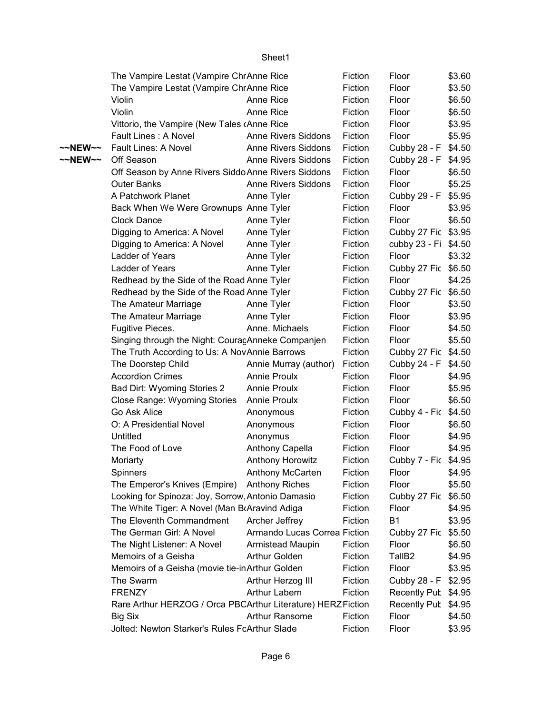|         | The Vampire Lestat (Vampire ChrAnne Rice                    |                              | Fiction | Floor                | \$3.60 |
|---------|-------------------------------------------------------------|------------------------------|---------|----------------------|--------|
|         | The Vampire Lestat (Vampire ChrAnne Rice                    |                              | Fiction | Floor                | \$3.50 |
|         | Violin                                                      | Anne Rice                    | Fiction | Floor                | \$6.50 |
|         | Violin                                                      | Anne Rice                    | Fiction | Floor                | \$6.50 |
|         | Vittorio, the Vampire (New Tales (Anne Rice                 |                              | Fiction | Floor                | \$3.95 |
|         | Fault Lines: A Novel                                        | <b>Anne Rivers Siddons</b>   | Fiction | Floor                | \$5.95 |
| ~~NEW~~ | Fault Lines: A Novel                                        | <b>Anne Rivers Siddons</b>   | Fiction | Cubby 28 - F         | \$4.50 |
| ~~NEW~~ | Off Season                                                  | <b>Anne Rivers Siddons</b>   | Fiction | Cubby 28 - F         | \$4.95 |
|         | Off Season by Anne Rivers Siddo Anne Rivers Siddons         |                              | Fiction | Floor                | \$6.50 |
|         | <b>Outer Banks</b>                                          | <b>Anne Rivers Siddons</b>   | Fiction | Floor                | \$5.25 |
|         | A Patchwork Planet                                          | Anne Tyler                   | Fiction | Cubby 29 - F         | \$5.95 |
|         | Back When We Were Grownups Anne Tyler                       |                              | Fiction | Floor                | \$3.95 |
|         | Clock Dance                                                 | Anne Tyler                   | Fiction | Floor                | \$6.50 |
|         | Digging to America: A Novel                                 | Anne Tyler                   | Fiction | Cubby 27 Fic \$3.95  |        |
|         | Digging to America: A Novel                                 | Anne Tyler                   | Fiction | cubby 23 - Fi \$4.50 |        |
|         | Ladder of Years                                             | Anne Tyler                   | Fiction | Floor                | \$3.32 |
|         | Ladder of Years                                             | Anne Tyler                   | Fiction | Cubby 27 Fic \$6.50  |        |
|         | Redhead by the Side of the Road Anne Tyler                  |                              | Fiction | Floor                | \$4.25 |
|         | Redhead by the Side of the Road Anne Tyler                  |                              | Fiction | Cubby 27 Fic \$6.50  |        |
|         | The Amateur Marriage                                        | Anne Tyler                   | Fiction | Floor                | \$3.50 |
|         | The Amateur Marriage                                        | Anne Tyler                   | Fiction | Floor                | \$3.95 |
|         | Fugitive Pieces.                                            | Anne. Michaels               | Fiction | Floor                | \$4.50 |
|         | Singing through the Night: CouracAnneke Companjen           |                              | Fiction | Floor                | \$5.50 |
|         | The Truth According to Us: A Nov Annie Barrows              |                              | Fiction | Cubby 27 Fic \$4.50  |        |
|         | The Doorstep Child                                          | Annie Murray (author)        | Fiction | Cubby 24 - F \$4.50  |        |
|         | <b>Accordion Crimes</b>                                     | <b>Annie Proulx</b>          | Fiction | Floor                | \$4.95 |
|         | Bad Dirt: Wyoming Stories 2                                 | <b>Annie Proulx</b>          | Fiction | Floor                | \$5.95 |
|         | Close Range: Wyoming Stories                                | <b>Annie Proulx</b>          | Fiction | Floor                | \$6.50 |
|         | Go Ask Alice                                                | Anonymous                    | Fiction | Cubby 4 - Fic \$4.50 |        |
|         | O: A Presidential Novel                                     | Anonymous                    | Fiction | Floor                | \$6.50 |
|         | Untitled                                                    | Anonymus                     | Fiction | Floor                | \$4.95 |
|         | The Food of Love                                            | Anthony Capella              | Fiction | Floor                | \$4.95 |
|         | Moriarty                                                    | <b>Anthony Horowitz</b>      | Fiction | Cubby 7 - Fic \$4.95 |        |
|         | Spinners                                                    | Anthony McCarten             | Fiction | Floor                | \$4.95 |
|         | The Emperor's Knives (Empire)                               | <b>Anthony Riches</b>        | Fiction | Floor                | \$5.50 |
|         | Looking for Spinoza: Joy, Sorrow, Antonio Damasio           |                              | Fiction | Cubby 27 Fic \$6.50  |        |
|         | The White Tiger: A Novel (Man BrAravind Adiga               |                              | Fiction | Floor                | \$4.95 |
|         | The Eleventh Commandment                                    | Archer Jeffrey               | Fiction | <b>B1</b>            | \$3.95 |
|         | The German Girl: A Novel                                    | Armando Lucas Correa Fiction |         | Cubby 27 Fic \$5.50  |        |
|         | The Night Listener: A Novel                                 | Armistead Maupin             | Fiction | Floor                | \$6.50 |
|         | Memoirs of a Geisha                                         | Arthur Golden                | Fiction | TallB <sub>2</sub>   | \$4.95 |
|         | Memoirs of a Geisha (movie tie-inArthur Golden              |                              | Fiction | Floor                | \$3.95 |
|         | The Swarm                                                   | Arthur Herzog III            | Fiction | Cubby 28 - F         | \$2.95 |
|         | <b>FRENZY</b>                                               | Arthur Labern                | Fiction | Recently Pub \$4.95  |        |
|         | Rare Arthur HERZOG / Orca PBCArthur Literature) HERZFiction |                              |         | Recently Pub \$4.95  |        |
|         | <b>Big Six</b>                                              | <b>Arthur Ransome</b>        | Fiction | Floor                | \$4.50 |
|         | Jolted: Newton Starker's Rules FcArthur Slade               |                              | Fiction | Floor                | \$3.95 |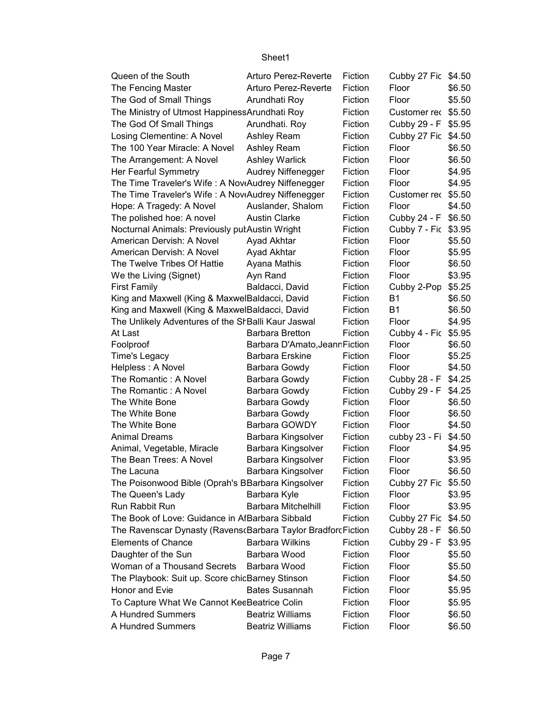| Queen of the South                                            | Arturo Perez-Reverte           | Fiction | Cubby 27 Fic \$4.50  |        |
|---------------------------------------------------------------|--------------------------------|---------|----------------------|--------|
| The Fencing Master                                            | Arturo Perez-Reverte           | Fiction | Floor                | \$6.50 |
| The God of Small Things                                       | Arundhati Roy                  | Fiction | Floor                | \$5.50 |
| The Ministry of Utmost Happiness Arundhati Roy                |                                | Fiction | Customer rec \$5.50  |        |
| The God Of Small Things                                       | Arundhati. Roy                 | Fiction | Cubby 29 - F \$5.95  |        |
| Losing Clementine: A Novel                                    | Ashley Ream                    | Fiction | Cubby 27 Fic         | \$4.50 |
| The 100 Year Miracle: A Novel                                 | Ashley Ream                    | Fiction | Floor                | \$6.50 |
| The Arrangement: A Novel                                      | <b>Ashley Warlick</b>          | Fiction | Floor                | \$6.50 |
| Her Fearful Symmetry                                          | Audrey Niffenegger             | Fiction | Floor                | \$4.95 |
| The Time Traveler's Wife: A NoviAudrey Niffenegger            |                                | Fiction | Floor                | \$4.95 |
| The Time Traveler's Wife: A NoviAudrey Niffenegger            |                                | Fiction | Customer rec         | \$5.50 |
| Hope: A Tragedy: A Novel                                      | Auslander, Shalom              | Fiction | Floor                | \$4.50 |
| The polished hoe: A novel                                     | <b>Austin Clarke</b>           | Fiction | Cubby 24 - F         | \$6.50 |
| Nocturnal Animals: Previously putAustin Wright                |                                | Fiction | Cubby 7 - Fic \$3.95 |        |
| American Dervish: A Novel                                     | Ayad Akhtar                    | Fiction | Floor                | \$5.50 |
| American Dervish: A Novel                                     | Ayad Akhtar                    | Fiction | Floor                | \$5.95 |
| The Twelve Tribes Of Hattie                                   | Ayana Mathis                   | Fiction | Floor                | \$6.50 |
| We the Living (Signet)                                        | Ayn Rand                       | Fiction | Floor                | \$3.95 |
| <b>First Family</b>                                           | Baldacci, David                | Fiction | Cubby 2-Pop          | \$5.25 |
| King and Maxwell (King & MaxwelBaldacci, David                |                                | Fiction | <b>B1</b>            | \$6.50 |
| King and Maxwell (King & MaxwelBaldacci, David                |                                | Fiction | <b>B1</b>            | \$6.50 |
| The Unlikely Adventures of the SI Balli Kaur Jaswal           |                                | Fiction | Floor                | \$4.95 |
| At Last                                                       | <b>Barbara Bretton</b>         | Fiction | Cubby 4 - Fic        | \$5.95 |
| Foolproof                                                     | Barbara D'Amato, Jeann Fiction |         | Floor                | \$6.50 |
| Time's Legacy                                                 | <b>Barbara Erskine</b>         | Fiction | Floor                | \$5.25 |
| Helpless: A Novel                                             | Barbara Gowdy                  | Fiction | Floor                | \$4.50 |
| The Romantic: A Novel                                         | Barbara Gowdy                  | Fiction | Cubby 28 - F         | \$4.25 |
| The Romantic: A Novel                                         | Barbara Gowdy                  | Fiction | Cubby 29 - F         | \$4.25 |
| The White Bone                                                | Barbara Gowdy                  | Fiction | Floor                | \$6.50 |
| The White Bone                                                | Barbara Gowdy                  | Fiction | Floor                | \$6.50 |
| The White Bone                                                | Barbara GOWDY                  | Fiction | Floor                | \$4.50 |
| <b>Animal Dreams</b>                                          | Barbara Kingsolver             | Fiction | cubby 23 - Fi        | \$4.50 |
| Animal, Vegetable, Miracle                                    | Barbara Kingsolver             | Fiction | Floor                | \$4.95 |
| The Bean Trees: A Novel                                       | Barbara Kingsolver             | Fiction | Floor                | \$3.95 |
| The Lacuna                                                    | Barbara Kingsolver             | Fiction | Floor                | \$6.50 |
| The Poisonwood Bible (Oprah's BBarbara Kingsolver             |                                | Fiction | Cubby 27 Fic \$5.50  |        |
| The Queen's Lady                                              | Barbara Kyle                   | Fiction | Floor                | \$3.95 |
| Run Rabbit Run                                                | <b>Barbara Mitchelhill</b>     | Fiction | Floor                | \$3.95 |
| The Book of Love: Guidance in AfBarbara Sibbald               |                                | Fiction | Cubby 27 Fic \$4.50  |        |
| The Ravenscar Dynasty (Ravens Barbara Taylor Bradforc Fiction |                                |         | Cubby 28 - F         | \$6.50 |
| <b>Elements of Chance</b>                                     | <b>Barbara Wilkins</b>         | Fiction | Cubby 29 - F         | \$3.95 |
| Daughter of the Sun                                           | Barbara Wood                   | Fiction | Floor                | \$5.50 |
| Woman of a Thousand Secrets                                   | Barbara Wood                   | Fiction | Floor                | \$5.50 |
| The Playbook: Suit up. Score chicBarney Stinson               |                                | Fiction | Floor                | \$4.50 |
| Honor and Evie                                                | <b>Bates Susannah</b>          | Fiction | Floor                | \$5.95 |
| To Capture What We Cannot KeeBeatrice Colin                   |                                | Fiction | Floor                | \$5.95 |
| A Hundred Summers                                             | <b>Beatriz Williams</b>        | Fiction | Floor                | \$6.50 |
| A Hundred Summers                                             | <b>Beatriz Williams</b>        | Fiction | Floor                | \$6.50 |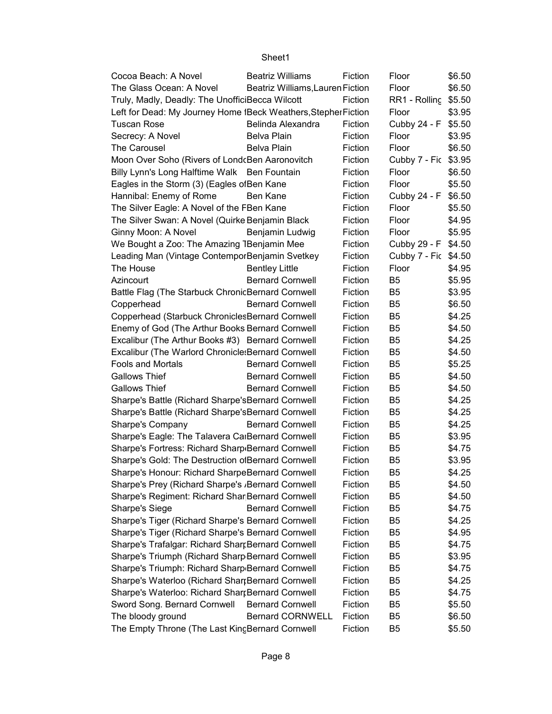| Cocoa Beach: A Novel                                           | <b>Beatriz Williams</b>          | Fiction | Floor                | \$6.50 |
|----------------------------------------------------------------|----------------------------------|---------|----------------------|--------|
| The Glass Ocean: A Novel                                       | Beatriz Williams, Lauren Fiction |         | Floor                | \$6.50 |
| Truly, Madly, Deadly: The UnofficiBecca Wilcott                |                                  | Fiction | RR1 - Rolling        | \$5.50 |
| Left for Dead: My Journey Home IBeck Weathers, Stepher Fiction |                                  |         | Floor                | \$3.95 |
| <b>Tuscan Rose</b>                                             | Belinda Alexandra                | Fiction | Cubby 24 - F         | \$5.50 |
| Secrecy: A Novel                                               | Belva Plain                      | Fiction | Floor                | \$3.95 |
| The Carousel                                                   | Belva Plain                      | Fiction | Floor                | \$6.50 |
| Moon Over Soho (Rivers of Lond(Ben Aaronovitch                 |                                  | Fiction | Cubby 7 - Fic \$3.95 |        |
| Billy Lynn's Long Halftime Walk Ben Fountain                   |                                  | Fiction | Floor                | \$6.50 |
| Eagles in the Storm (3) (Eagles of Ben Kane                    |                                  | Fiction | Floor                | \$5.50 |
| Hannibal: Enemy of Rome                                        | Ben Kane                         | Fiction | Cubby 24 - F         | \$6.50 |
| The Silver Eagle: A Novel of the FBen Kane                     |                                  | Fiction | Floor                | \$5.50 |
| The Silver Swan: A Novel (Quirke Benjamin Black                |                                  | Fiction | Floor                | \$4.95 |
| Ginny Moon: A Novel                                            | Benjamin Ludwig                  | Fiction | Floor                | \$5.95 |
| We Bought a Zoo: The Amazing 1Benjamin Mee                     |                                  | Fiction | Cubby 29 - F \$4.50  |        |
| Leading Man (Vintage Contempor Benjamin Svetkey                |                                  | Fiction | Cubby 7 - Fic \$4.50 |        |
| The House                                                      | <b>Bentley Little</b>            | Fiction | Floor                | \$4.95 |
| Azincourt                                                      | <b>Bernard Cornwell</b>          | Fiction | B <sub>5</sub>       | \$5.95 |
| Battle Flag (The Starbuck Chronic Bernard Cornwell             |                                  | Fiction | B5                   | \$3.95 |
| Copperhead                                                     | <b>Bernard Cornwell</b>          | Fiction | B <sub>5</sub>       | \$6.50 |
| Copperhead (Starbuck Chronicles Bernard Cornwell               |                                  | Fiction | B <sub>5</sub>       | \$4.25 |
| Enemy of God (The Arthur Books Bernard Cornwell                |                                  | Fiction | B <sub>5</sub>       | \$4.50 |
| Excalibur (The Arthur Books #3) Bernard Cornwell               |                                  | Fiction | B <sub>5</sub>       | \$4.25 |
| Excalibur (The Warlord Chronicle: Bernard Cornwell             |                                  | Fiction | B <sub>5</sub>       | \$4.50 |
| <b>Fools and Mortals</b>                                       | <b>Bernard Cornwell</b>          | Fiction | B <sub>5</sub>       | \$5.25 |
| <b>Gallows Thief</b>                                           | <b>Bernard Cornwell</b>          | Fiction | B <sub>5</sub>       | \$4.50 |
| <b>Gallows Thief</b>                                           | <b>Bernard Cornwell</b>          | Fiction | B <sub>5</sub>       | \$4.50 |
| Sharpe's Battle (Richard Sharpe's Bernard Cornwell             |                                  | Fiction | B <sub>5</sub>       | \$4.25 |
| Sharpe's Battle (Richard Sharpe's Bernard Cornwell             |                                  | Fiction | B <sub>5</sub>       | \$4.25 |
| Sharpe's Company                                               | <b>Bernard Cornwell</b>          | Fiction | B <sub>5</sub>       | \$4.25 |
| Sharpe's Eagle: The Talavera CalBernard Cornwell               |                                  | Fiction | B <sub>5</sub>       | \$3.95 |
| Sharpe's Fortress: Richard Sharp Bernard Cornwell              |                                  | Fiction | B <sub>5</sub>       | \$4.75 |
| Sharpe's Gold: The Destruction of Bernard Cornwell             |                                  | Fiction | B <sub>5</sub>       | \$3.95 |
| Sharpe's Honour: Richard SharpeBernard Cornwell                |                                  | Fiction | <b>B5</b>            | \$4.25 |
| Sharpe's Prey (Richard Sharpe's , Bernard Cornwell             |                                  | Fiction | B <sub>5</sub>       | \$4.50 |
| Sharpe's Regiment: Richard Shar Bernard Cornwell               |                                  | Fiction | B <sub>5</sub>       | \$4.50 |
| <b>Sharpe's Siege</b>                                          | <b>Bernard Cornwell</b>          | Fiction | B <sub>5</sub>       | \$4.75 |
| Sharpe's Tiger (Richard Sharpe's Bernard Cornwell              |                                  | Fiction | B <sub>5</sub>       | \$4.25 |
| Sharpe's Tiger (Richard Sharpe's Bernard Cornwell              |                                  | Fiction | B <sub>5</sub>       | \$4.95 |
| Sharpe's Trafalgar: Richard SharrBernard Cornwell              |                                  | Fiction | B <sub>5</sub>       | \$4.75 |
| Sharpe's Triumph (Richard Sharp Bernard Cornwell               |                                  | Fiction | B <sub>5</sub>       | \$3.95 |
| Sharpe's Triumph: Richard Sharp Bernard Cornwell               |                                  | Fiction | B <sub>5</sub>       | \$4.75 |
| Sharpe's Waterloo (Richard ShartBernard Cornwell               |                                  | Fiction | B <sub>5</sub>       | \$4.25 |
| Sharpe's Waterloo: Richard SharrBernard Cornwell               |                                  | Fiction | B <sub>5</sub>       | \$4.75 |
| Sword Song. Bernard Cornwell Bernard Cornwell                  |                                  | Fiction | B <sub>5</sub>       | \$5.50 |
| The bloody ground                                              | <b>Bernard CORNWELL</b>          | Fiction | B <sub>5</sub>       | \$6.50 |
| The Empty Throne (The Last KincBernard Cornwell                |                                  | Fiction | B <sub>5</sub>       | \$5.50 |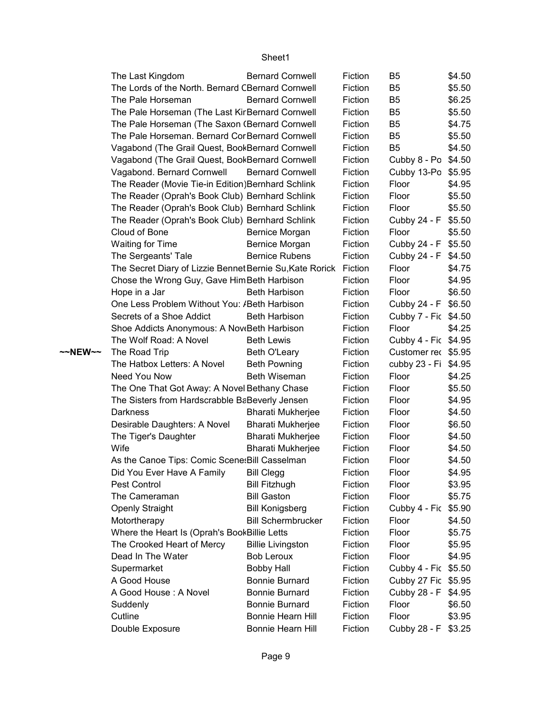|         | The Last Kingdom                                                 | <b>Bernard Cornwell</b>   | Fiction | B5                   | \$4.50 |
|---------|------------------------------------------------------------------|---------------------------|---------|----------------------|--------|
|         | The Lords of the North. Bernard CBernard Cornwell                |                           | Fiction | B <sub>5</sub>       | \$5.50 |
|         | The Pale Horseman                                                | <b>Bernard Cornwell</b>   | Fiction | B <sub>5</sub>       | \$6.25 |
|         | The Pale Horseman (The Last Kir Bernard Cornwell                 |                           | Fiction | B <sub>5</sub>       | \$5.50 |
|         | The Pale Horseman (The Saxon (Bernard Cornwell                   |                           | Fiction | B <sub>5</sub>       | \$4.75 |
|         | The Pale Horseman. Bernard Cor Bernard Cornwell                  |                           | Fiction | B <sub>5</sub>       | \$5.50 |
|         | Vagabond (The Grail Quest, BookBernard Cornwell                  |                           | Fiction | B <sub>5</sub>       | \$4.50 |
|         | Vagabond (The Grail Quest, BookBernard Cornwell                  |                           | Fiction | Cubby 8 - Po \$4.50  |        |
|         | Vagabond. Bernard Cornwell                                       | <b>Bernard Cornwell</b>   | Fiction | Cubby 13-Po \$5.95   |        |
|         | The Reader (Movie Tie-in Edition) Bernhard Schlink               |                           | Fiction | Floor                | \$4.95 |
|         | The Reader (Oprah's Book Club) Bernhard Schlink                  |                           | Fiction | Floor                | \$5.50 |
|         | The Reader (Oprah's Book Club) Bernhard Schlink                  |                           | Fiction | Floor                | \$5.50 |
|         | The Reader (Oprah's Book Club) Bernhard Schlink                  |                           | Fiction | Cubby 24 - F \$5.50  |        |
|         | Cloud of Bone                                                    | Bernice Morgan            | Fiction | Floor                | \$5.50 |
|         | <b>Waiting for Time</b>                                          | Bernice Morgan            | Fiction | Cubby 24 - F \$5.50  |        |
|         | The Sergeants' Tale                                              | <b>Bernice Rubens</b>     | Fiction | Cubby 24 - F \$4.50  |        |
|         | The Secret Diary of Lizzie Bennet Bernie Su, Kate Rorick Fiction |                           |         | Floor                | \$4.75 |
|         | Chose the Wrong Guy, Gave Him Beth Harbison                      |                           | Fiction | Floor                | \$4.95 |
|         | Hope in a Jar                                                    | <b>Beth Harbison</b>      | Fiction | Floor                | \$6.50 |
|         | One Less Problem Without You: /Beth Harbison                     |                           | Fiction | Cubby 24 - F \$6.50  |        |
|         | Secrets of a Shoe Addict                                         | <b>Beth Harbison</b>      | Fiction | Cubby 7 - Fic \$4.50 |        |
|         | Shoe Addicts Anonymous: A Nov Beth Harbison                      |                           | Fiction | Floor                | \$4.25 |
|         | The Wolf Road: A Novel                                           | <b>Beth Lewis</b>         | Fiction | Cubby 4 - Fic \$4.95 |        |
| ~~NEW~~ | The Road Trip                                                    | Beth O'Leary              | Fiction | Customer rec \$5.95  |        |
|         | The Hatbox Letters: A Novel                                      | <b>Beth Powning</b>       | Fiction | cubby 23 - Fi \$4.95 |        |
|         | Need You Now                                                     | <b>Beth Wiseman</b>       | Fiction | Floor                | \$4.25 |
|         | The One That Got Away: A Novel Bethany Chase                     |                           | Fiction | Floor                | \$5.50 |
|         | The Sisters from Hardscrabble BaBeverly Jensen                   |                           | Fiction | Floor                | \$4.95 |
|         | Darkness                                                         | <b>Bharati Mukherjee</b>  | Fiction | Floor                | \$4.50 |
|         | Desirable Daughters: A Novel                                     | <b>Bharati Mukherjee</b>  | Fiction | Floor                | \$6.50 |
|         | The Tiger's Daughter                                             | <b>Bharati Mukherjee</b>  | Fiction | Floor                | \$4.50 |
|         | Wife                                                             | <b>Bharati Mukherjee</b>  | Fiction | Floor                | \$4.50 |
|         | As the Canoe Tips: Comic Scene: Bill Casselman                   |                           | Fiction | Floor                | \$4.50 |
|         | Did You Ever Have A Family                                       | <b>Bill Clegg</b>         | Fiction | Floor                | \$4.95 |
|         | Pest Control                                                     | <b>Bill Fitzhugh</b>      | Fiction | Floor                | \$3.95 |
|         | The Cameraman                                                    | <b>Bill Gaston</b>        | Fiction | Floor                | \$5.75 |
|         | <b>Openly Straight</b>                                           | <b>Bill Konigsberg</b>    | Fiction | Cubby 4 - Fic \$5.90 |        |
|         | Motortherapy                                                     | <b>Bill Schermbrucker</b> | Fiction | Floor                | \$4.50 |
|         | Where the Heart Is (Oprah's BookBillie Letts                     |                           | Fiction | Floor                | \$5.75 |
|         | The Crooked Heart of Mercy                                       | <b>Billie Livingston</b>  | Fiction | Floor                | \$5.95 |
|         | Dead In The Water                                                | <b>Bob Leroux</b>         | Fiction | Floor                | \$4.95 |
|         | Supermarket                                                      | <b>Bobby Hall</b>         | Fiction | Cubby 4 - Fic \$5.50 |        |
|         | A Good House                                                     | <b>Bonnie Burnard</b>     | Fiction | Cubby 27 Fic \$5.95  |        |
|         | A Good House: A Novel                                            | <b>Bonnie Burnard</b>     | Fiction | Cubby 28 - F \$4.95  |        |
|         | Suddenly                                                         | <b>Bonnie Burnard</b>     | Fiction | Floor                | \$6.50 |
|         | Cutline                                                          | Bonnie Hearn Hill         | Fiction | Floor                | \$3.95 |
|         | Double Exposure                                                  | Bonnie Hearn Hill         | Fiction | Cubby 28 - F \$3.25  |        |

Page 9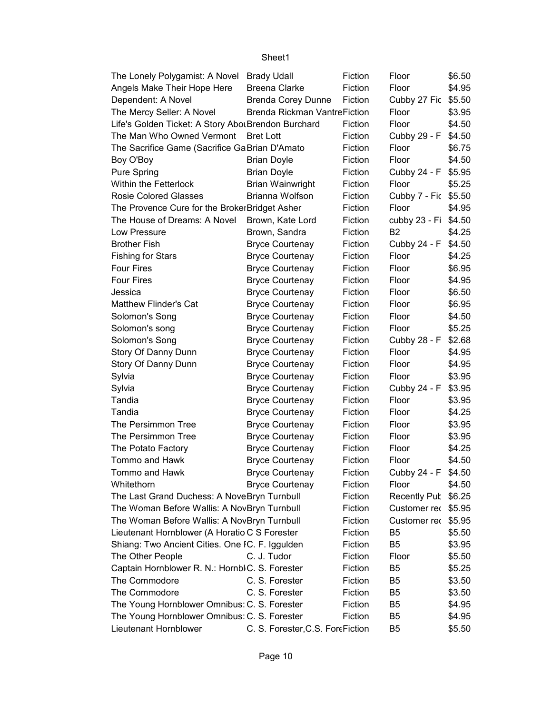| The Lonely Polygamist: A Novel Brady Udall          |                                  | Fiction | Floor                | \$6.50 |
|-----------------------------------------------------|----------------------------------|---------|----------------------|--------|
| Angels Make Their Hope Here                         | <b>Breena Clarke</b>             | Fiction | Floor                | \$4.95 |
| Dependent: A Novel                                  | <b>Brenda Corey Dunne</b>        | Fiction | Cubby 27 Fic         | \$5.50 |
| The Mercy Seller: A Novel                           | Brenda Rickman VantreFiction     |         | Floor                | \$3.95 |
| Life's Golden Ticket: A Story Abou Brendon Burchard |                                  | Fiction | Floor                | \$4.50 |
| The Man Who Owned Vermont Bret Lott                 |                                  | Fiction | Cubby 29 - F         | \$4.50 |
| The Sacrifice Game (Sacrifice GaBrian D'Amato       |                                  | Fiction | Floor                | \$6.75 |
| Boy O'Boy                                           | <b>Brian Doyle</b>               | Fiction | Floor                | \$4.50 |
| Pure Spring                                         | <b>Brian Doyle</b>               | Fiction | Cubby 24 - F \$5.95  |        |
| Within the Fetterlock                               | <b>Brian Wainwright</b>          | Fiction | Floor                | \$5.25 |
| <b>Rosie Colored Glasses</b>                        | Brianna Wolfson                  | Fiction | Cubby 7 - Fic \$5.50 |        |
| The Provence Cure for the BrokerBridget Asher       |                                  | Fiction | Floor                | \$4.95 |
| The House of Dreams: A Novel                        | Brown, Kate Lord                 | Fiction | cubby 23 - Fi \$4.50 |        |
| Low Pressure                                        | Brown, Sandra                    | Fiction | <b>B2</b>            | \$4.25 |
| <b>Brother Fish</b>                                 | <b>Bryce Courtenay</b>           | Fiction | Cubby 24 - F         | \$4.50 |
| <b>Fishing for Stars</b>                            | <b>Bryce Courtenay</b>           | Fiction | Floor                | \$4.25 |
| <b>Four Fires</b>                                   | <b>Bryce Courtenay</b>           | Fiction | Floor                | \$6.95 |
| <b>Four Fires</b>                                   | <b>Bryce Courtenay</b>           | Fiction | Floor                | \$4.95 |
| Jessica                                             | <b>Bryce Courtenay</b>           | Fiction | Floor                | \$6.50 |
| <b>Matthew Flinder's Cat</b>                        | <b>Bryce Courtenay</b>           | Fiction | Floor                | \$6.95 |
| Solomon's Song                                      | <b>Bryce Courtenay</b>           | Fiction | Floor                | \$4.50 |
| Solomon's song                                      | <b>Bryce Courtenay</b>           | Fiction | Floor                | \$5.25 |
| Solomon's Song                                      | <b>Bryce Courtenay</b>           | Fiction | Cubby 28 - F         | \$2.68 |
| Story Of Danny Dunn                                 | <b>Bryce Courtenay</b>           | Fiction | Floor                | \$4.95 |
| Story Of Danny Dunn                                 | <b>Bryce Courtenay</b>           | Fiction | Floor                | \$4.95 |
| Sylvia                                              | <b>Bryce Courtenay</b>           | Fiction | Floor                | \$3.95 |
| Sylvia                                              | <b>Bryce Courtenay</b>           | Fiction | Cubby 24 - F         | \$3.95 |
| Tandia                                              | <b>Bryce Courtenay</b>           | Fiction | Floor                | \$3.95 |
| Tandia                                              | <b>Bryce Courtenay</b>           | Fiction | Floor                | \$4.25 |
| The Persimmon Tree                                  | <b>Bryce Courtenay</b>           | Fiction | Floor                | \$3.95 |
| The Persimmon Tree                                  | <b>Bryce Courtenay</b>           | Fiction | Floor                | \$3.95 |
| The Potato Factory                                  | <b>Bryce Courtenay</b>           | Fiction | Floor                | \$4.25 |
| Tommo and Hawk                                      | <b>Bryce Courtenay</b>           | Fiction | Floor                | \$4.50 |
| Tommo and Hawk                                      | <b>Bryce Courtenay</b>           | Fiction | Cubby 24 - F \$4.50  |        |
| Whitethorn                                          | <b>Bryce Courtenay</b>           | Fiction | Floor                | \$4.50 |
| The Last Grand Duchess: A NoveBryn Turnbull         |                                  | Fiction | Recently Pub \$6.25  |        |
| The Woman Before Wallis: A NovBryn Turnbull         |                                  | Fiction | Customer rec \$5.95  |        |
| The Woman Before Wallis: A NovBryn Turnbull         |                                  | Fiction | Customer rec \$5.95  |        |
| Lieutenant Hornblower (A Horatio C S Forester       |                                  | Fiction | B <sub>5</sub>       | \$5.50 |
| Shiang: Two Ancient Cities. One IC. F. Iggulden     |                                  | Fiction | B <sub>5</sub>       | \$3.95 |
| The Other People                                    | C. J. Tudor                      | Fiction | Floor                | \$5.50 |
| Captain Hornblower R. N.: Hornbl C. S. Forester     |                                  | Fiction | B <sub>5</sub>       | \$5.25 |
| The Commodore                                       | C. S. Forester                   | Fiction | B <sub>5</sub>       | \$3.50 |
| The Commodore                                       | C. S. Forester                   | Fiction | B <sub>5</sub>       | \$3.50 |
| The Young Hornblower Omnibus: C. S. Forester        |                                  | Fiction | B <sub>5</sub>       | \$4.95 |
| The Young Hornblower Omnibus: C. S. Forester        |                                  | Fiction | B <sub>5</sub>       | \$4.95 |
| Lieutenant Hornblower                               | C. S. Forester, C.S. ForeFiction |         | B <sub>5</sub>       | \$5.50 |
|                                                     |                                  |         |                      |        |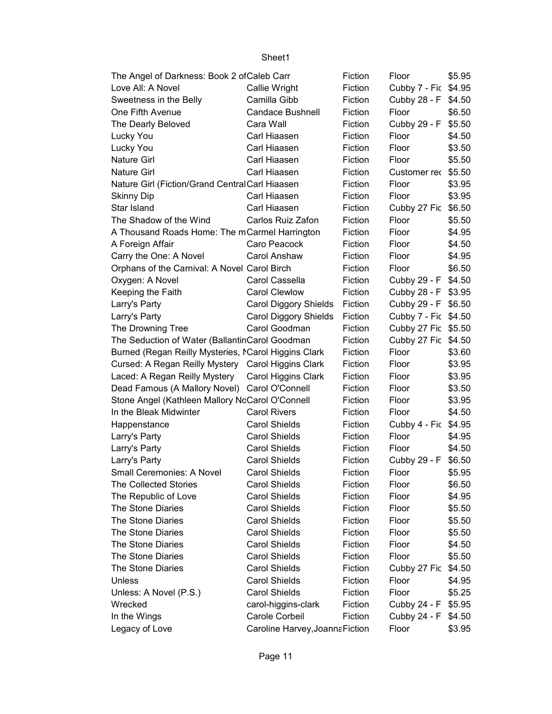| The Angel of Darkness: Book 2 of Caleb Carr          |                                 | Fiction | Floor                | \$5.95 |
|------------------------------------------------------|---------------------------------|---------|----------------------|--------|
| Love All: A Novel                                    | Callie Wright                   | Fiction | Cubby 7 - Fic \$4.95 |        |
| Sweetness in the Belly                               | Camilla Gibb                    | Fiction | Cubby 28 - F \$4.50  |        |
| One Fifth Avenue                                     | <b>Candace Bushnell</b>         | Fiction | Floor                | \$6.50 |
| The Dearly Beloved                                   | Cara Wall                       | Fiction | Cubby 29 - F         | \$5.50 |
| Lucky You                                            | Carl Hiaasen                    | Fiction | Floor                | \$4.50 |
| Lucky You                                            | Carl Hiaasen                    | Fiction | Floor                | \$3.50 |
| <b>Nature Girl</b>                                   | Carl Hiaasen                    | Fiction | Floor                | \$5.50 |
| <b>Nature Girl</b>                                   | Carl Hiaasen                    | Fiction | Customer rec \$5.50  |        |
| Nature Girl (Fiction/Grand Central Carl Hiaasen      |                                 | Fiction | Floor                | \$3.95 |
| <b>Skinny Dip</b>                                    | Carl Hiaasen                    | Fiction | Floor                | \$3.95 |
| Star Island                                          | Carl Hiaasen                    | Fiction | Cubby 27 Fic \$6.50  |        |
| The Shadow of the Wind                               | Carlos Ruiz Zafon               | Fiction | Floor                | \$5.50 |
| A Thousand Roads Home: The mCarmel Harrington        |                                 | Fiction | Floor                | \$4.95 |
| A Foreign Affair                                     | Caro Peacock                    | Fiction | Floor                | \$4.50 |
| Carry the One: A Novel                               | Carol Anshaw                    | Fiction | Floor                | \$4.95 |
| Orphans of the Carnival: A Novel Carol Birch         |                                 | Fiction | Floor                | \$6.50 |
| Oxygen: A Novel                                      | Carol Cassella                  | Fiction | Cubby 29 - F \$4.50  |        |
| Keeping the Faith                                    | <b>Carol Clewlow</b>            | Fiction | Cubby 28 - F \$3.95  |        |
| Larry's Party                                        | Carol Diggory Shields           | Fiction | Cubby 29 - F \$6.50  |        |
| Larry's Party                                        | Carol Diggory Shields           | Fiction | Cubby 7 - Fic \$4.50 |        |
| The Drowning Tree                                    | Carol Goodman                   | Fiction | Cubby 27 Fic \$5.50  |        |
| The Seduction of Water (BallantinCarol Goodman       |                                 | Fiction | Cubby 27 Fic \$4.50  |        |
| Burned (Regan Reilly Mysteries, MCarol Higgins Clark |                                 | Fiction | Floor                | \$3.60 |
| Cursed: A Regan Reilly Mystery Carol Higgins Clark   |                                 | Fiction | Floor                | \$3.95 |
| Laced: A Regan Reilly Mystery                        | Carol Higgins Clark             | Fiction | Floor                | \$3.95 |
| Dead Famous (A Mallory Novel) Carol O'Connell        |                                 | Fiction | Floor                | \$3.50 |
| Stone Angel (Kathleen Mallory NcCarol O'Connell      |                                 | Fiction | Floor                | \$3.95 |
| In the Bleak Midwinter                               | <b>Carol Rivers</b>             | Fiction | Floor                | \$4.50 |
| Happenstance                                         | <b>Carol Shields</b>            | Fiction | Cubby 4 - Fic \$4.95 |        |
| Larry's Party                                        | <b>Carol Shields</b>            | Fiction | Floor                | \$4.95 |
| Larry's Party                                        | <b>Carol Shields</b>            | Fiction | Floor                | \$4.50 |
| Larry's Party                                        | <b>Carol Shields</b>            | Fiction | Cubby 29 - F         | \$6.50 |
| Small Ceremonies: A Novel                            | <b>Carol Shields</b>            | Fiction | Floor                | \$5.95 |
| The Collected Stories                                | <b>Carol Shields</b>            | Fiction | Floor                | \$6.50 |
| The Republic of Love                                 | <b>Carol Shields</b>            | Fiction | Floor                | \$4.95 |
| The Stone Diaries                                    | <b>Carol Shields</b>            | Fiction | Floor                | \$5.50 |
| The Stone Diaries                                    | <b>Carol Shields</b>            | Fiction | Floor                | \$5.50 |
| The Stone Diaries                                    | <b>Carol Shields</b>            | Fiction | Floor                | \$5.50 |
| The Stone Diaries                                    | <b>Carol Shields</b>            | Fiction | Floor                | \$4.50 |
| The Stone Diaries                                    | <b>Carol Shields</b>            | Fiction | Floor                | \$5.50 |
| The Stone Diaries                                    | <b>Carol Shields</b>            | Fiction | Cubby 27 Fic         | \$4.50 |
| Unless                                               | <b>Carol Shields</b>            | Fiction | Floor                | \$4.95 |
| Unless: A Novel (P.S.)                               | <b>Carol Shields</b>            | Fiction | Floor                | \$5.25 |
| Wrecked                                              | carol-higgins-clark             | Fiction | Cubby 24 - F         | \$5.95 |
| In the Wings                                         | Carole Corbeil                  | Fiction | Cubby 24 - F \$4.50  |        |
| Legacy of Love                                       | Caroline Harvey, Joanna Fiction |         | Floor                | \$3.95 |
|                                                      |                                 |         |                      |        |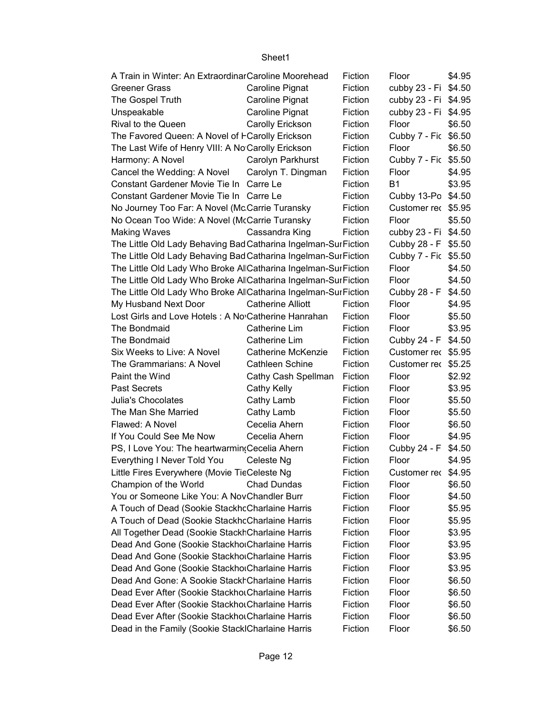| A Train in Winter: An Extraordinar Caroline Moorehead          |                          | Fiction | Floor                | \$4.95 |
|----------------------------------------------------------------|--------------------------|---------|----------------------|--------|
| <b>Greener Grass</b>                                           | <b>Caroline Pignat</b>   | Fiction | cubby 23 - Fi \$4.50 |        |
| The Gospel Truth                                               | Caroline Pignat          | Fiction | cubby 23 - Fi \$4.95 |        |
| Unspeakable                                                    | Caroline Pignat          | Fiction | cubby 23 - Fi \$4.95 |        |
| Rival to the Queen                                             | Carolly Erickson         | Fiction | Floor                | \$6.50 |
| The Favored Queen: A Novel of FCarolly Erickson                |                          | Fiction | Cubby 7 - Fic \$6.50 |        |
| The Last Wife of Henry VIII: A No Carolly Erickson             |                          | Fiction | Floor                | \$6.50 |
| Harmony: A Novel                                               | Carolyn Parkhurst        | Fiction | Cubby 7 - Fic \$5.50 |        |
| Cancel the Wedding: A Novel                                    | Carolyn T. Dingman       | Fiction | Floor                | \$4.95 |
| Constant Gardener Movie Tie In Carre Le                        |                          | Fiction | <b>B1</b>            | \$3.95 |
| Constant Gardener Movie Tie In Carre Le                        |                          | Fiction | Cubby 13-Po \$4.50   |        |
| No Journey Too Far: A Novel (McCarrie Turansky                 |                          | Fiction | Customer rec \$5.95  |        |
| No Ocean Too Wide: A Novel (McCarrie Turansky                  |                          | Fiction | Floor                | \$5.50 |
| <b>Making Waves</b>                                            | Cassandra King           | Fiction | cubby 23 - Fi \$4.50 |        |
| The Little Old Lady Behaving Bad Catharina Ingelman-SurFiction |                          |         | Cubby 28 - F \$5.50  |        |
| The Little Old Lady Behaving Bad Catharina Ingelman-SurFiction |                          |         | Cubby 7 - Fic \$5.50 |        |
| The Little Old Lady Who Broke Al Catharina Ingelman-SurFiction |                          |         | Floor                | \$4.50 |
| The Little Old Lady Who Broke Al Catharina Ingelman-SurFiction |                          |         | Floor                | \$4.50 |
| The Little Old Lady Who Broke Al Catharina Ingelman-SurFiction |                          |         | Cubby 28 - F         | \$4.50 |
| My Husband Next Door                                           | <b>Catherine Alliott</b> | Fiction | Floor                | \$4.95 |
| Lost Girls and Love Hotels : A No Catherine Hanrahan           |                          | Fiction | Floor                | \$5.50 |
| The Bondmaid                                                   | Catherine Lim            | Fiction | Floor                | \$3.95 |
| The Bondmaid                                                   | Catherine Lim            | Fiction | Cubby 24 - F         | \$4.50 |
| Six Weeks to Live: A Novel                                     | Catherine McKenzie       | Fiction | Customer rec \$5.95  |        |
| The Grammarians: A Novel                                       | <b>Cathleen Schine</b>   | Fiction | Customer rec \$5.25  |        |
| Paint the Wind                                                 | Cathy Cash Spellman      | Fiction | Floor                | \$2.92 |
| <b>Past Secrets</b>                                            | Cathy Kelly              | Fiction | Floor                | \$3.95 |
| Julia's Chocolates                                             | Cathy Lamb               | Fiction | Floor                | \$5.50 |
| The Man She Married                                            | Cathy Lamb               | Fiction | Floor                | \$5.50 |
| Flawed: A Novel                                                | Cecelia Ahern            | Fiction | Floor                | \$6.50 |
| If You Could See Me Now                                        | Cecelia Ahern            | Fiction | Floor                | \$4.95 |
| PS, I Love You: The heartwarmin (Cecelia Ahern                 |                          | Fiction | Cubby 24 - F         | \$4.50 |
| Everything I Never Told You                                    | Celeste Ng               | Fiction | Floor                | \$4.95 |
| Little Fires Everywhere (Movie TieCeleste Ng                   |                          | Fiction | Customer rec \$4.95  |        |
| Champion of the World                                          | <b>Chad Dundas</b>       | Fiction | Floor                | \$6.50 |
| You or Someone Like You: A NovChandler Burr                    |                          | Fiction | Floor                | \$4.50 |
| A Touch of Dead (Sookie StackhcCharlaine Harris                |                          | Fiction | Floor                | \$5.95 |
| A Touch of Dead (Sookie StackhcCharlaine Harris                |                          | Fiction | Floor                | \$5.95 |
| All Together Dead (Sookie Stackh Charlaine Harris              |                          | Fiction | Floor                | \$3.95 |
| Dead And Gone (Sookie StackhorCharlaine Harris                 | Fiction                  | Floor   | \$3.95               |        |
| Dead And Gone (Sookie StackhorCharlaine Harris                 |                          | Fiction | Floor                | \$3.95 |
| Dead And Gone (Sookie StackhorCharlaine Harris                 |                          | Fiction | Floor                | \$3.95 |
| Dead And Gone: A Sookie Stackh Charlaine Harris                |                          | Fiction | Floor                | \$6.50 |
| Dead Ever After (Sookie Stackhou Charlaine Harris              |                          | Fiction | Floor                | \$6.50 |
| Dead Ever After (Sookie Stackhol Charlaine Harris              |                          | Fiction | Floor                | \$6.50 |
| Dead Ever After (Sookie Stackhou Charlaine Harris              |                          | Fiction | Floor                | \$6.50 |
| Dead in the Family (Sookie Stack Charlaine Harris              |                          | Fiction | Floor                | \$6.50 |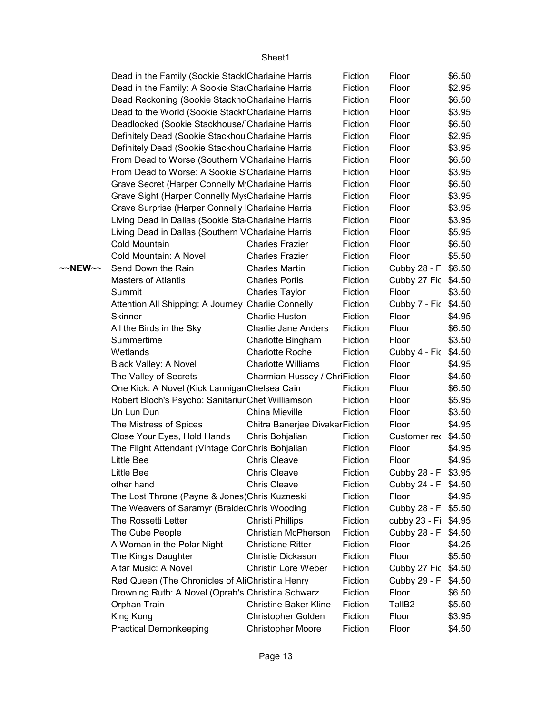|         | Dead in the Family (Sookie Stack Charlaine Harris  |                                                | Fiction            | Floor                               | \$6.50 |
|---------|----------------------------------------------------|------------------------------------------------|--------------------|-------------------------------------|--------|
|         | Dead in the Family: A Sookie StarCharlaine Harris  |                                                | Fiction            | Floor                               | \$2.95 |
|         | Dead Reckoning (Sookie Stackho Charlaine Harris    |                                                | Fiction            | Floor                               | \$6.50 |
|         | Dead to the World (Sookie Stackh Charlaine Harris  |                                                | Fiction            | Floor                               | \$3.95 |
|         | Deadlocked (Sookie Stackhouse/ Charlaine Harris    |                                                | Fiction            | Floor                               | \$6.50 |
|         | Definitely Dead (Sookie Stackhou Charlaine Harris  |                                                | Fiction            | Floor                               | \$2.95 |
|         | Definitely Dead (Sookie Stackhou Charlaine Harris  |                                                | Fiction            | Floor                               | \$3.95 |
|         | From Dead to Worse (Southern V Charlaine Harris    |                                                | Fiction            | Floor                               | \$6.50 |
|         | From Dead to Worse: A Sookie S Charlaine Harris    |                                                | Fiction            | Floor                               | \$3.95 |
|         | Grave Secret (Harper Connelly Mcharlaine Harris    |                                                | Fiction            | Floor                               | \$6.50 |
|         | Grave Sight (Harper Connelly MysCharlaine Harris   |                                                | Fiction            | Floor                               | \$3.95 |
|         | Grave Surprise (Harper Connelly   Charlaine Harris |                                                | Fiction            | Floor                               | \$3.95 |
|         | Living Dead in Dallas (Sookie Sta Charlaine Harris |                                                | Fiction            | Floor                               | \$3.95 |
|         | Living Dead in Dallas (Southern VCharlaine Harris  |                                                | Fiction            | Floor                               | \$5.95 |
|         | Cold Mountain                                      | <b>Charles Frazier</b>                         | Fiction            | Floor                               | \$6.50 |
|         | Cold Mountain: A Novel                             | <b>Charles Frazier</b>                         | Fiction            | Floor                               | \$5.50 |
| ~~NEW~~ | Send Down the Rain                                 | <b>Charles Martin</b>                          | Fiction            | Cubby 28 - F                        | \$6.50 |
|         | <b>Masters of Atlantis</b>                         | <b>Charles Portis</b>                          | Fiction            | Cubby 27 Fic \$4.50                 |        |
|         | Summit                                             | <b>Charles Taylor</b>                          | Fiction            | Floor                               | \$3.50 |
|         | Attention All Shipping: A Journey Charlie Connelly |                                                | Fiction            | Cubby 7 - Fic                       | \$4.50 |
|         | <b>Skinner</b>                                     | <b>Charlie Huston</b>                          | Fiction            | Floor                               | \$4.95 |
|         | All the Birds in the Sky                           | <b>Charlie Jane Anders</b>                     | Fiction            | Floor                               | \$6.50 |
|         | Summertime                                         | Charlotte Bingham                              | Fiction            | Floor                               | \$3.50 |
|         | Wetlands                                           | <b>Charlotte Roche</b>                         | Fiction            | Cubby 4 - Fic                       | \$4.50 |
|         | Black Valley: A Novel                              | <b>Charlotte Williams</b>                      | Fiction            | Floor                               | \$4.95 |
|         | The Valley of Secrets                              | Charmian Hussey / ChriFiction                  |                    | Floor                               | \$4.50 |
|         | One Kick: A Novel (Kick LanniganChelsea Cain       |                                                | Fiction            | Floor                               | \$6.50 |
|         | Robert Bloch's Psycho: SanitariunChet Williamson   |                                                | Fiction            | Floor                               | \$5.95 |
|         | Un Lun Dun                                         | China Mieville                                 | Fiction            | Floor                               | \$3.50 |
|         | The Mistress of Spices                             | Chitra Banerjee Divakar Fiction                |                    | Floor                               | \$4.95 |
|         | Close Your Eyes, Hold Hands                        | Chris Bohjalian                                | Fiction            | Customer rec \$4.50                 |        |
|         | The Flight Attendant (Vintage Cor Chris Bohjalian  |                                                | Fiction            | Floor                               | \$4.95 |
|         | Little Bee                                         | <b>Chris Cleave</b>                            | Fiction            | Floor                               | \$4.95 |
|         | Little Bee                                         | <b>Chris Cleave</b>                            | Fiction            | Cubby 28 - F \$3.95                 |        |
|         | other hand                                         | <b>Chris Cleave</b>                            | Fiction            | Cubby 24 - F \$4.50                 |        |
|         | The Lost Throne (Payne & Jones) Chris Kuzneski     |                                                | Fiction            | Floor                               | \$4.95 |
|         | The Weavers of Saramyr (Braide Chris Wooding       |                                                | Fiction            | Cubby 28 - F \$5.50                 |        |
|         | The Rossetti Letter                                | Christi Phillips<br><b>Christian McPherson</b> | Fiction<br>Fiction | cubby 23 - Fi \$4.95                |        |
|         | The Cube People<br>A Woman in the Polar Night      | <b>Christiane Ritter</b>                       | Fiction            | Cubby 28 - F \$4.50<br>Floor        |        |
|         | The King's Daughter                                | Christie Dickason                              | Fiction            | Floor                               | \$4.25 |
|         |                                                    |                                                |                    |                                     | \$5.50 |
|         | Altar Music: A Novel                               | <b>Christin Lore Weber</b>                     | Fiction            | Cubby 27 Fic \$4.50<br>Cubby 29 - F |        |
|         | Red Queen (The Chronicles of AliChristina Henry    |                                                | Fiction            |                                     | \$4.50 |
|         | Drowning Ruth: A Novel (Oprah's Christina Schwarz  | <b>Christine Baker Kline</b>                   | Fiction            | Floor                               | \$6.50 |
|         | Orphan Train                                       |                                                | Fiction<br>Fiction | TallB <sub>2</sub>                  | \$5.50 |
|         | King Kong                                          | Christopher Golden                             |                    | Floor                               | \$3.95 |
|         | <b>Practical Demonkeeping</b>                      | <b>Christopher Moore</b>                       | Fiction            | Floor                               | \$4.50 |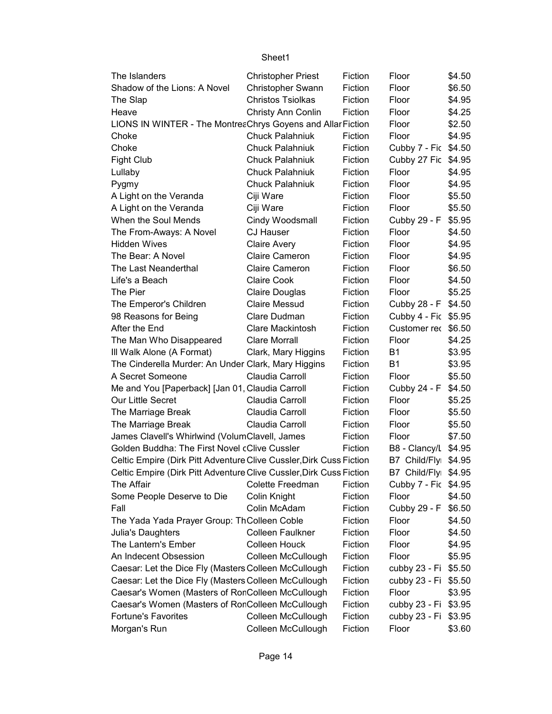| The Islanders                                                       | <b>Christopher Priest</b> | Fiction | Floor                | \$4.50 |
|---------------------------------------------------------------------|---------------------------|---------|----------------------|--------|
| Shadow of the Lions: A Novel                                        | Christopher Swann         | Fiction | Floor                | \$6.50 |
| The Slap                                                            | <b>Christos Tsiolkas</b>  | Fiction | Floor                | \$4.95 |
| Heave                                                               | Christy Ann Conlin        | Fiction | Floor                | \$4.25 |
| LIONS IN WINTER - The MontreaChrys Goyens and Allar Fiction         |                           |         | Floor                | \$2.50 |
| Choke                                                               | Chuck Palahniuk           | Fiction | Floor                | \$4.95 |
| Choke                                                               | <b>Chuck Palahniuk</b>    | Fiction | Cubby 7 - Fic \$4.50 |        |
| <b>Fight Club</b>                                                   | <b>Chuck Palahniuk</b>    | Fiction | Cubby 27 Fic \$4.95  |        |
| Lullaby                                                             | <b>Chuck Palahniuk</b>    | Fiction | Floor                | \$4.95 |
| Pygmy                                                               | <b>Chuck Palahniuk</b>    | Fiction | Floor                | \$4.95 |
| A Light on the Veranda                                              | Ciji Ware                 | Fiction | Floor                | \$5.50 |
| A Light on the Veranda                                              | Ciji Ware                 | Fiction | Floor                | \$5.50 |
| When the Soul Mends                                                 | Cindy Woodsmall           | Fiction | Cubby 29 - F \$5.95  |        |
| The From-Aways: A Novel                                             | <b>CJ Hauser</b>          | Fiction | Floor                | \$4.50 |
| <b>Hidden Wives</b>                                                 | <b>Claire Avery</b>       | Fiction | Floor                | \$4.95 |
| The Bear: A Novel                                                   | <b>Claire Cameron</b>     | Fiction | Floor                | \$4.95 |
| The Last Neanderthal                                                | <b>Claire Cameron</b>     | Fiction | Floor                | \$6.50 |
| Life's a Beach                                                      | Claire Cook               | Fiction | Floor                | \$4.50 |
| The Pier                                                            | <b>Claire Douglas</b>     | Fiction | Floor                | \$5.25 |
| The Emperor's Children                                              | <b>Claire Messud</b>      | Fiction | Cubby 28 - F \$4.50  |        |
| 98 Reasons for Being                                                | Clare Dudman              | Fiction | Cubby 4 - Fic \$5.95 |        |
| After the End                                                       | <b>Clare Mackintosh</b>   | Fiction | Customer rec \$6.50  |        |
| The Man Who Disappeared                                             | <b>Clare Morrall</b>      | Fiction | Floor                | \$4.25 |
| III Walk Alone (A Format)                                           | Clark, Mary Higgins       | Fiction | <b>B1</b>            | \$3.95 |
| The Cinderella Murder: An Under Clark, Mary Higgins                 |                           | Fiction | <b>B1</b>            | \$3.95 |
| A Secret Someone                                                    | Claudia Carroll           | Fiction | Floor                | \$5.50 |
| Me and You [Paperback] [Jan 01, Claudia Carroll                     |                           | Fiction | Cubby 24 - F \$4.50  |        |
| Our Little Secret                                                   | Claudia Carroll           | Fiction | Floor                | \$5.25 |
| The Marriage Break                                                  | Claudia Carroll           | Fiction | Floor                | \$5.50 |
| The Marriage Break                                                  | Claudia Carroll           | Fiction | Floor                | \$5.50 |
| James Clavell's Whirlwind (VolumClavell, James                      |                           | Fiction | Floor                | \$7.50 |
| Golden Buddha: The First Novel cClive Cussler                       |                           | Fiction | B8 - Clancy/L \$4.95 |        |
| Celtic Empire (Dirk Pitt Adventure Clive Cussler, Dirk Cuss Fiction |                           |         | B7 Child/Flyı \$4.95 |        |
| Celtic Empire (Dirk Pitt Adventure Clive Cussler, Dirk Cuss Fiction |                           |         | B7 Child/Flyi \$4.95 |        |
| The Affair                                                          | Colette Freedman          | Fiction | Cubby 7 - Fic \$4.95 |        |
| Some People Deserve to Die                                          | Colin Knight              | Fiction | Floor                | \$4.50 |
| Fall                                                                | Colin McAdam              | Fiction | Cubby 29 - F         | \$6.50 |
| The Yada Yada Prayer Group: ThColleen Coble                         |                           | Fiction | Floor                | \$4.50 |
| Julia's Daughters                                                   | <b>Colleen Faulkner</b>   | Fiction | Floor                | \$4.50 |
| The Lantern's Ember                                                 | <b>Colleen Houck</b>      | Fiction | Floor                | \$4.95 |
| An Indecent Obsession                                               | Colleen McCullough        | Fiction | Floor                | \$5.95 |
| Caesar: Let the Dice Fly (Masters Colleen McCullough                |                           | Fiction | cubby 23 - Fi \$5.50 |        |
| Caesar: Let the Dice Fly (Masters Colleen McCullough                |                           | Fiction | cubby 23 - Fi \$5.50 |        |
| Caesar's Women (Masters of RonColleen McCullough                    |                           | Fiction | Floor                | \$3.95 |
| Caesar's Women (Masters of RonColleen McCullough                    |                           | Fiction | cubby 23 - Fi \$3.95 |        |
| <b>Fortune's Favorites</b>                                          | Colleen McCullough        | Fiction | cubby 23 - Fi \$3.95 |        |
| Morgan's Run                                                        | Colleen McCullough        | Fiction | Floor                | \$3.60 |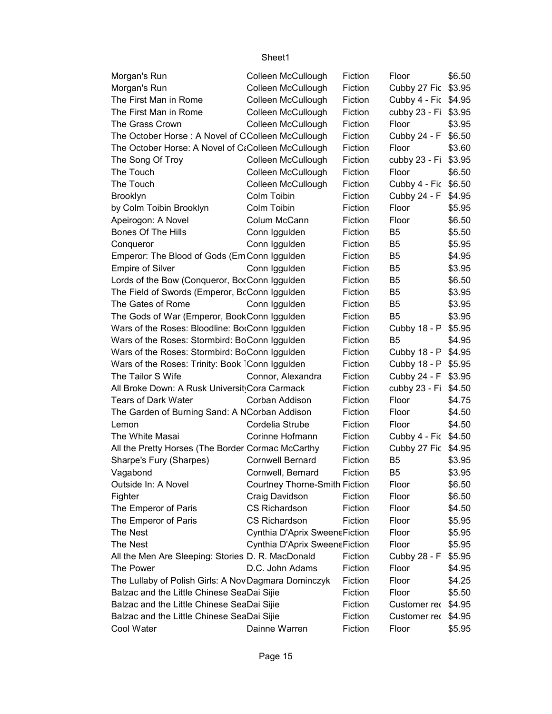| Morgan's Run                                         | Colleen McCullough                   | Fiction | Floor                | \$6.50 |
|------------------------------------------------------|--------------------------------------|---------|----------------------|--------|
| Morgan's Run                                         | Colleen McCullough                   | Fiction | Cubby 27 Fic \$3.95  |        |
| The First Man in Rome                                | Colleen McCullough                   | Fiction | Cubby 4 - Fic \$4.95 |        |
| The First Man in Rome                                | Colleen McCullough                   | Fiction | cubby 23 - Fi \$3.95 |        |
| The Grass Crown                                      | Colleen McCullough                   | Fiction | Floor                | \$3.95 |
| The October Horse: A Novel of CColleen McCullough    |                                      | Fiction | Cubby 24 - F         | \$6.50 |
| The October Horse: A Novel of CtColleen McCullough   |                                      | Fiction | Floor                | \$3.60 |
| The Song Of Troy                                     | Colleen McCullough                   | Fiction | cubby 23 - Fi \$3.95 |        |
| The Touch                                            | Colleen McCullough                   | Fiction | Floor                | \$6.50 |
| The Touch                                            | Colleen McCullough                   | Fiction | Cubby 4 - Fic \$6.50 |        |
| <b>Brooklyn</b>                                      | Colm Toibin                          | Fiction | Cubby 24 - F         | \$4.95 |
| by Colm Toibin Brooklyn                              | Colm Toibin                          | Fiction | Floor                | \$5.95 |
| Apeirogon: A Novel                                   | Colum McCann                         | Fiction | Floor                | \$6.50 |
| <b>Bones Of The Hills</b>                            | Conn Iggulden                        | Fiction | B <sub>5</sub>       | \$5.50 |
| Conqueror                                            | Conn Iggulden                        | Fiction | B <sub>5</sub>       | \$5.95 |
| Emperor: The Blood of Gods (Em Conn Iggulden         |                                      | Fiction | B <sub>5</sub>       | \$4.95 |
| <b>Empire of Silver</b>                              | Conn Iggulden                        | Fiction | B <sub>5</sub>       | \$3.95 |
| Lords of the Bow (Conqueror, BocConn Iggulden        |                                      | Fiction | B <sub>5</sub>       | \$6.50 |
| The Field of Swords (Emperor, BcConn Iggulden        |                                      | Fiction | B <sub>5</sub>       | \$3.95 |
| The Gates of Rome                                    | Conn Iggulden                        | Fiction | B <sub>5</sub>       | \$3.95 |
| The Gods of War (Emperor, BookConn Iggulden          |                                      | Fiction | B <sub>5</sub>       | \$3.95 |
| Wars of the Roses: Bloodline: BorConn Iggulden       |                                      | Fiction | Cubby 18 - P \$5.95  |        |
| Wars of the Roses: Stormbird: BoConn Iggulden        |                                      | Fiction | B <sub>5</sub>       | \$4.95 |
| Wars of the Roses: Stormbird: BoConn Iggulden        |                                      | Fiction | Cubby 18 - P \$4.95  |        |
| Wars of the Roses: Trinity: Book Conn Iggulden       |                                      | Fiction | Cubby 18 - P \$5.95  |        |
| The Tailor S Wife                                    | Connor, Alexandra                    | Fiction | Cubby 24 - F \$3.95  |        |
| All Broke Down: A Rusk Universit Cora Carmack        |                                      | Fiction | cubby 23 - Fi \$4.50 |        |
| <b>Tears of Dark Water</b>                           | Corban Addison                       | Fiction | Floor                | \$4.75 |
| The Garden of Burning Sand: A NCorban Addison        |                                      | Fiction | Floor                | \$4.50 |
| Lemon                                                | Cordelia Strube                      | Fiction | Floor                | \$4.50 |
| The White Masai                                      | Corinne Hofmann                      | Fiction | Cubby 4 - Fic \$4.50 |        |
| All the Pretty Horses (The Border Cormac McCarthy    |                                      | Fiction | Cubby 27 Fic \$4.95  |        |
| Sharpe's Fury (Sharpes)                              | <b>Cornwell Bernard</b>              | Fiction | B <sub>5</sub>       | \$3.95 |
| Vagabond                                             | Cornwell, Bernard                    | Fiction | B <sub>5</sub>       | \$3.95 |
| Outside In: A Novel                                  | <b>Courtney Thorne-Smith Fiction</b> |         | Floor                | \$6.50 |
| Fighter                                              | Craig Davidson                       | Fiction | Floor                | \$6.50 |
| The Emperor of Paris                                 | CS Richardson                        | Fiction | Floor                | \$4.50 |
| The Emperor of Paris                                 | <b>CS Richardson</b>                 | Fiction | Floor                | \$5.95 |
| The Nest                                             | Cynthia D'Aprix SweeneFiction        |         | Floor                | \$5.95 |
| <b>The Nest</b>                                      | Cynthia D'Aprix SweeneFiction        |         | Floor                | \$5.95 |
| All the Men Are Sleeping: Stories D. R. MacDonald    |                                      | Fiction | Cubby 28 - F         | \$5.95 |
| The Power                                            | D.C. John Adams                      | Fiction | Floor                | \$4.95 |
| The Lullaby of Polish Girls: A Nov Dagmara Dominczyk |                                      | Fiction | Floor                | \$4.25 |
| Balzac and the Little Chinese SeaDai Sijie           |                                      | Fiction | Floor                | \$5.50 |
| Balzac and the Little Chinese SeaDai Sijie           |                                      | Fiction | Customer rec \$4.95  |        |
| Balzac and the Little Chinese SeaDai Sijie           |                                      | Fiction | Customer rec \$4.95  |        |
| Cool Water                                           | Dainne Warren                        | Fiction | Floor                | \$5.95 |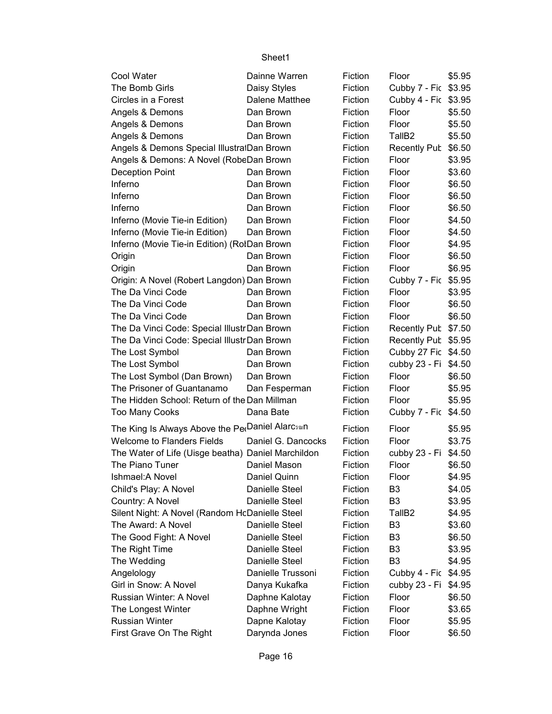| Cool Water                                         | Dainne Warren      | Fiction | Floor                | \$5.95 |
|----------------------------------------------------|--------------------|---------|----------------------|--------|
| The Bomb Girls                                     | Daisy Styles       | Fiction | Cubby 7 - Fic \$3.95 |        |
| Circles in a Forest                                | Dalene Matthee     | Fiction | Cubby 4 - Fic \$3.95 |        |
| Angels & Demons                                    | Dan Brown          | Fiction | Floor                | \$5.50 |
| Angels & Demons                                    | Dan Brown          | Fiction | Floor                | \$5.50 |
| Angels & Demons                                    | Dan Brown          | Fiction | TallB <sub>2</sub>   | \$5.50 |
| Angels & Demons Special IllustratDan Brown         |                    | Fiction | Recently Pub         | \$6.50 |
| Angels & Demons: A Novel (RobeDan Brown            |                    | Fiction | Floor                | \$3.95 |
| <b>Deception Point</b>                             | Dan Brown          | Fiction | Floor                | \$3.60 |
| Inferno                                            | Dan Brown          | Fiction | Floor                | \$6.50 |
| Inferno                                            | Dan Brown          | Fiction | Floor                | \$6.50 |
| Inferno                                            | Dan Brown          | Fiction | Floor                | \$6.50 |
| Inferno (Movie Tie-in Edition)                     | Dan Brown          | Fiction | Floor                | \$4.50 |
| Inferno (Movie Tie-in Edition)                     | Dan Brown          | Fiction | Floor                | \$4.50 |
| Inferno (Movie Tie-in Edition) (RolDan Brown       |                    | Fiction | Floor                | \$4.95 |
| Origin                                             | Dan Brown          | Fiction | Floor                | \$6.50 |
| Origin                                             | Dan Brown          | Fiction | Floor                | \$6.95 |
| Origin: A Novel (Robert Langdon) Dan Brown         |                    | Fiction | Cubby 7 - Fic \$5.95 |        |
| The Da Vinci Code                                  | Dan Brown          | Fiction | Floor                | \$3.95 |
| The Da Vinci Code                                  | Dan Brown          | Fiction | Floor                | \$6.50 |
| The Da Vinci Code                                  | Dan Brown          | Fiction | Floor                | \$6.50 |
| The Da Vinci Code: Special IllustrDan Brown        |                    | Fiction | Recently Pub         | \$7.50 |
| The Da Vinci Code: Special IllustrDan Brown        |                    | Fiction | Recently Pub         | \$5.95 |
| The Lost Symbol                                    | Dan Brown          | Fiction | Cubby 27 Fic \$4.50  |        |
| The Lost Symbol                                    | Dan Brown          | Fiction | cubby 23 - Fi \$4.50 |        |
| The Lost Symbol (Dan Brown)                        | Dan Brown          | Fiction | Floor                | \$6.50 |
| The Prisoner of Guantanamo                         | Dan Fesperman      | Fiction | Floor                | \$5.95 |
| The Hidden School: Return of the Dan Millman       |                    | Fiction | Floor                | \$5.95 |
| <b>Too Many Cooks</b>                              | Dana Bate          | Fiction | Cubby 7 - Fic        | \$4.50 |
| The King Is Always Above the PerDaniel Alarcsan    |                    | Fiction | Floor                | \$5.95 |
| <b>Welcome to Flanders Fields</b>                  | Daniel G. Dancocks | Fiction | Floor                | \$3.75 |
| The Water of Life (Uisge beatha) Daniel Marchildon |                    | Fiction | cubby 23 - Fi        | \$4.50 |
| The Piano Tuner                                    | Daniel Mason       | Fiction | Floor                | \$6.50 |
| Ishmael: A Novel                                   | Daniel Quinn       | Fiction | Floor                | \$4.95 |
| Child's Play: A Novel                              | Danielle Steel     | Fiction | B3                   | \$4.05 |
| Country: A Novel                                   | Danielle Steel     | Fiction | B <sub>3</sub>       | \$3.95 |
| Silent Night: A Novel (Random HcDanielle Steel     |                    | Fiction | TallB <sub>2</sub>   | \$4.95 |
| The Award: A Novel                                 | Danielle Steel     | Fiction | B <sub>3</sub>       | \$3.60 |
| The Good Fight: A Novel                            | Danielle Steel     | Fiction | B <sub>3</sub>       | \$6.50 |
| The Right Time                                     | Danielle Steel     | Fiction | B <sub>3</sub>       | \$3.95 |
| The Wedding                                        | Danielle Steel     | Fiction | B <sub>3</sub>       | \$4.95 |
| Angelology                                         | Danielle Trussoni  | Fiction | Cubby 4 - Fic        | \$4.95 |
| Girl in Snow: A Novel                              | Danya Kukafka      | Fiction | cubby 23 - Fi        | \$4.95 |
| Russian Winter: A Novel                            | Daphne Kalotay     | Fiction | Floor                | \$6.50 |
| The Longest Winter                                 | Daphne Wright      | Fiction | Floor                | \$3.65 |
| <b>Russian Winter</b>                              | Dapne Kalotay      | Fiction | Floor                | \$5.95 |
| First Grave On The Right                           | Darynda Jones      | Fiction | Floor                | \$6.50 |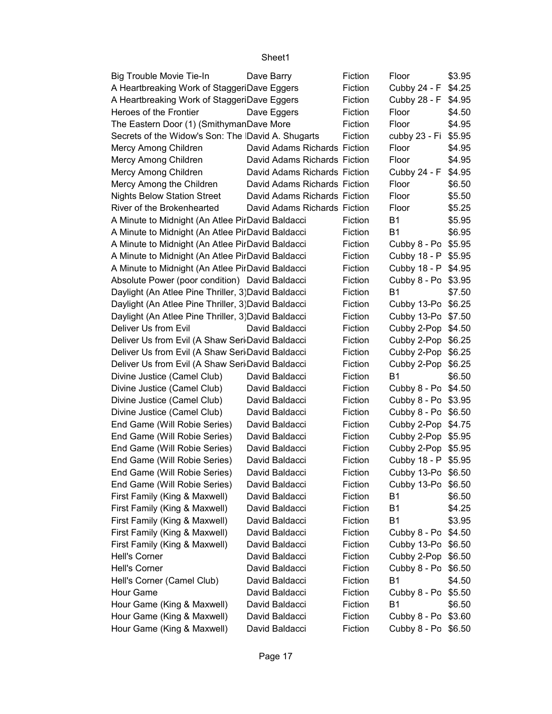| Big Trouble Movie Tie-In                            | Dave Barry                   | Fiction | Floor               | \$3.95 |
|-----------------------------------------------------|------------------------------|---------|---------------------|--------|
| A Heartbreaking Work of StaggeriDave Eggers         |                              | Fiction | Cubby 24 - F        | \$4.25 |
| A Heartbreaking Work of StaggeriDave Eggers         |                              | Fiction | Cubby 28 - F        | \$4.95 |
| Heroes of the Frontier                              | Dave Eggers                  | Fiction | Floor               | \$4.50 |
| The Eastern Door (1) (SmithymanDave More            |                              | Fiction | Floor               | \$4.95 |
| Secrets of the Widow's Son: The David A. Shugarts   |                              | Fiction | cubby 23 - Fi       | \$5.95 |
| Mercy Among Children                                | David Adams Richards Fiction |         | Floor               | \$4.95 |
| Mercy Among Children                                | David Adams Richards Fiction |         | Floor               | \$4.95 |
| Mercy Among Children                                | David Adams Richards Fiction |         | Cubby 24 - F        | \$4.95 |
| Mercy Among the Children                            | David Adams Richards Fiction |         | Floor               | \$6.50 |
| <b>Nights Below Station Street</b>                  | David Adams Richards Fiction |         | Floor               | \$5.50 |
| River of the Brokenhearted                          | David Adams Richards Fiction |         | Floor               | \$5.25 |
| A Minute to Midnight (An Atlee PirDavid Baldacci    |                              | Fiction | B1                  | \$5.95 |
| A Minute to Midnight (An Atlee PirDavid Baldacci    |                              | Fiction | B1                  | \$6.95 |
| A Minute to Midnight (An Atlee PirDavid Baldacci    |                              | Fiction | Cubby 8 - Po        | \$5.95 |
| A Minute to Midnight (An Atlee PirDavid Baldacci    |                              | Fiction | Cubby 18 - P        | \$5.95 |
| A Minute to Midnight (An Atlee PirDavid Baldacci    |                              | Fiction | Cubby 18 - P \$4.95 |        |
| Absolute Power (poor condition) David Baldacci      |                              | Fiction | Cubby 8 - Po        | \$3.95 |
| Daylight (An Atlee Pine Thriller, 3) David Baldacci |                              | Fiction | B1                  | \$7.50 |
| Daylight (An Atlee Pine Thriller, 3) David Baldacci |                              | Fiction | Cubby 13-Po         | \$6.25 |
| Daylight (An Atlee Pine Thriller, 3) David Baldacci |                              | Fiction | Cubby 13-Po \$7.50  |        |
| Deliver Us from Evil                                | David Baldacci               | Fiction | Cubby 2-Pop \$4.50  |        |
| Deliver Us from Evil (A Shaw Seri David Baldacci    |                              | Fiction | Cubby 2-Pop         | \$6.25 |
| Deliver Us from Evil (A Shaw Seri David Baldacci    |                              | Fiction | Cubby 2-Pop         | \$6.25 |
| Deliver Us from Evil (A Shaw Seri David Baldacci    |                              | Fiction | Cubby 2-Pop         | \$6.25 |
| Divine Justice (Camel Club)                         | David Baldacci               | Fiction | <b>B1</b>           | \$6.50 |
| Divine Justice (Camel Club)                         | David Baldacci               | Fiction | Cubby 8 - Po \$4.50 |        |
| Divine Justice (Camel Club)                         | David Baldacci               | Fiction | Cubby 8 - Po \$3.95 |        |
| Divine Justice (Camel Club)                         | David Baldacci               | Fiction | Cubby 8 - Po        | \$6.50 |
| End Game (Will Robie Series)                        | David Baldacci               | Fiction | Cubby 2-Pop \$4.75  |        |
| End Game (Will Robie Series)                        | David Baldacci               | Fiction | Cubby 2-Pop \$5.95  |        |
| End Game (Will Robie Series)                        | David Baldacci               | Fiction | Cubby 2-Pop \$5.95  |        |
| End Game (Will Robie Series)                        | David Baldacci               | Fiction | Cubby 18 - P \$5.95 |        |
| End Game (Will Robie Series)                        | David Baldacci               | Fiction | Cubby 13-Po \$6.50  |        |
| End Game (Will Robie Series)                        | David Baldacci               | Fiction | Cubby 13-Po \$6.50  |        |
| First Family (King & Maxwell)                       | David Baldacci               | Fiction | B1                  | \$6.50 |
| First Family (King & Maxwell)                       | David Baldacci               | Fiction | <b>B1</b>           | \$4.25 |
| First Family (King & Maxwell)                       | David Baldacci               | Fiction | B1                  | \$3.95 |
| First Family (King & Maxwell)                       | David Baldacci               | Fiction | Cubby 8 - Po        | \$4.50 |
| First Family (King & Maxwell)                       | David Baldacci               | Fiction | Cubby 13-Po \$6.50  |        |
| Hell's Corner                                       | David Baldacci               | Fiction | Cubby 2-Pop         | \$6.50 |
| Hell's Corner                                       | David Baldacci               | Fiction | Cubby 8 - Po        | \$6.50 |
| Hell's Corner (Camel Club)                          | David Baldacci               | Fiction | <b>B1</b>           | \$4.50 |
| Hour Game                                           | David Baldacci               | Fiction | Cubby 8 - Po        | \$5.50 |
| Hour Game (King & Maxwell)                          | David Baldacci               | Fiction | B1                  | \$6.50 |
| Hour Game (King & Maxwell)                          | David Baldacci               | Fiction | Cubby 8 - Po \$3.60 |        |
| Hour Game (King & Maxwell)                          | David Baldacci               | Fiction | Cubby 8 - Po \$6.50 |        |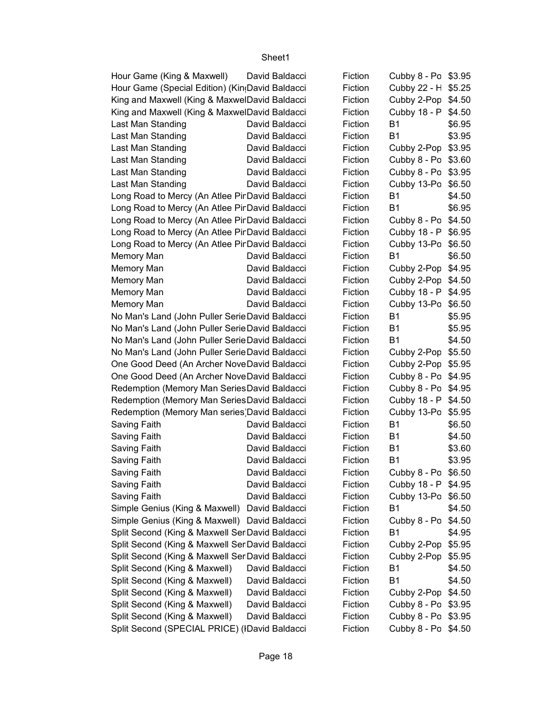| Hour Game (King & Maxwell)                      | David Baldacci | Fiction | Cubby 8 - Po \$3.95 |        |
|-------------------------------------------------|----------------|---------|---------------------|--------|
| Hour Game (Special Edition) (Kin(David Baldacci |                | Fiction | Cubby 22 - H \$5.25 |        |
| King and Maxwell (King & MaxwelDavid Baldacci   |                | Fiction | Cubby 2-Pop \$4.50  |        |
| King and Maxwell (King & MaxwelDavid Baldacci   |                | Fiction | Cubby 18 - P \$4.50 |        |
| Last Man Standing                               | David Baldacci | Fiction | <b>B1</b>           | \$6.95 |
| Last Man Standing                               | David Baldacci | Fiction | <b>B1</b>           | \$3.95 |
| Last Man Standing                               | David Baldacci | Fiction | Cubby 2-Pop         | \$3.95 |
| Last Man Standing                               | David Baldacci | Fiction | Cubby 8 - Po \$3.60 |        |
| Last Man Standing                               | David Baldacci | Fiction | Cubby 8 - Po \$3.95 |        |
| Last Man Standing                               | David Baldacci | Fiction | Cubby 13-Po \$6.50  |        |
| Long Road to Mercy (An Atlee Pir David Baldacci |                | Fiction | <b>B1</b>           | \$4.50 |
| Long Road to Mercy (An Atlee Pir David Baldacci |                | Fiction | <b>B1</b>           | \$6.95 |
| Long Road to Mercy (An Atlee Pir David Baldacci |                | Fiction | Cubby 8 - Po \$4.50 |        |
| Long Road to Mercy (An Atlee Pir David Baldacci |                | Fiction | Cubby 18 - P \$6.95 |        |
| Long Road to Mercy (An Atlee Pir David Baldacci |                | Fiction | Cubby 13-Po         | \$6.50 |
| Memory Man                                      | David Baldacci | Fiction | <b>B1</b>           | \$6.50 |
| Memory Man                                      | David Baldacci | Fiction | Cubby 2-Pop \$4.95  |        |
| Memory Man                                      | David Baldacci | Fiction | Cubby 2-Pop \$4.50  |        |
| Memory Man                                      | David Baldacci | Fiction | Cubby 18 - P        | \$4.95 |
| Memory Man                                      | David Baldacci | Fiction | Cubby 13-Po         | \$6.50 |
| No Man's Land (John Puller Serie David Baldacci |                | Fiction | <b>B1</b>           | \$5.95 |
| No Man's Land (John Puller Serie David Baldacci |                | Fiction | <b>B1</b>           | \$5.95 |
| No Man's Land (John Puller Serie David Baldacci |                | Fiction | <b>B1</b>           | \$4.50 |
| No Man's Land (John Puller Serie David Baldacci |                | Fiction | Cubby 2-Pop         | \$5.50 |
| One Good Deed (An Archer NoveDavid Baldacci     |                | Fiction | Cubby 2-Pop         | \$5.95 |
| One Good Deed (An Archer NoveDavid Baldacci     |                | Fiction | Cubby 8 - Po \$4.95 |        |
| Redemption (Memory Man SeriesDavid Baldacci     |                | Fiction | Cubby 8 - Po \$4.95 |        |
| Redemption (Memory Man SeriesDavid Baldacci     |                | Fiction | Cubby 18 - P \$4.50 |        |
| Redemption (Memory Man series) David Baldacci   |                | Fiction | Cubby 13-Po         | \$5.95 |
| Saving Faith                                    | David Baldacci | Fiction | <b>B1</b>           | \$6.50 |
| Saving Faith                                    | David Baldacci | Fiction | B1                  | \$4.50 |
| Saving Faith                                    | David Baldacci | Fiction | <b>B1</b>           | \$3.60 |
| Saving Faith                                    | David Baldacci | Fiction | <b>B1</b>           | \$3.95 |
| Saving Faith                                    | David Baldacci | Fiction | Cubby 8 - Po \$6.50 |        |
| Saving Faith                                    | David Baldacci | Fiction | Cubby 18 - P \$4.95 |        |
| Saving Faith                                    | David Baldacci | Fiction | Cubby 13-Po \$6.50  |        |
| Simple Genius (King & Maxwell) David Baldacci   |                | Fiction | B1                  | \$4.50 |
| Simple Genius (King & Maxwell) David Baldacci   |                | Fiction | Cubby 8 - Po        | \$4.50 |
| Split Second (King & Maxwell Ser David Baldacci |                | Fiction | <b>B1</b>           | \$4.95 |
| Split Second (King & Maxwell Ser David Baldacci |                | Fiction | Cubby 2-Pop \$5.95  |        |
| Split Second (King & Maxwell Ser David Baldacci |                | Fiction | Cubby 2-Pop         | \$5.95 |
| Split Second (King & Maxwell)                   | David Baldacci | Fiction | B1                  | \$4.50 |
| Split Second (King & Maxwell)                   | David Baldacci | Fiction | <b>B1</b>           | \$4.50 |
| Split Second (King & Maxwell)                   | David Baldacci | Fiction | Cubby 2-Pop \$4.50  |        |
| Split Second (King & Maxwell)                   | David Baldacci | Fiction | Cubby 8 - Po \$3.95 |        |
| Split Second (King & Maxwell)                   | David Baldacci | Fiction | Cubby 8 - Po \$3.95 |        |
| Split Second (SPECIAL PRICE) (IDavid Baldacci   |                | Fiction | Cubby 8 - Po \$4.50 |        |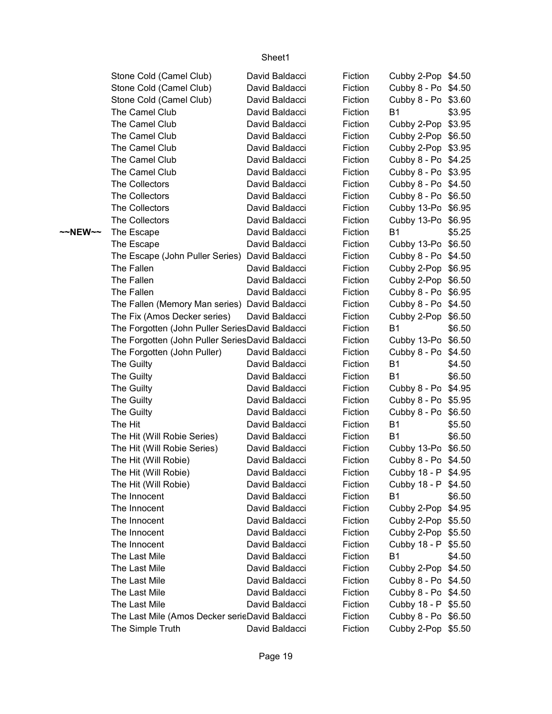|         | Stone Cold (Camel Club)                         | David Baldacci                   | Fiction            | Cubby 2-Pop \$4.50                        |        |
|---------|-------------------------------------------------|----------------------------------|--------------------|-------------------------------------------|--------|
|         | Stone Cold (Camel Club)                         | David Baldacci                   | Fiction            | Cubby 8 - Po \$4.50                       |        |
|         | Stone Cold (Camel Club)                         | David Baldacci                   | Fiction            | Cubby 8 - Po \$3.60                       |        |
|         | The Camel Club                                  | David Baldacci                   | Fiction            | <b>B1</b>                                 | \$3.95 |
|         | The Camel Club                                  | David Baldacci                   | Fiction            | Cubby 2-Pop \$3.95                        |        |
|         | The Camel Club                                  | David Baldacci                   | Fiction            | Cubby 2-Pop \$6.50                        |        |
|         | The Camel Club                                  | David Baldacci                   | Fiction            | Cubby 2-Pop \$3.95                        |        |
|         | The Camel Club                                  | David Baldacci                   | Fiction            | Cubby 8 - Po \$4.25                       |        |
|         | The Camel Club                                  | David Baldacci                   | Fiction            | Cubby 8 - Po \$3.95                       |        |
|         | The Collectors                                  | David Baldacci                   | Fiction            | Cubby 8 - Po \$4.50                       |        |
|         | The Collectors                                  | David Baldacci                   | Fiction            | Cubby 8 - Po \$6.50                       |        |
|         | The Collectors                                  | David Baldacci                   | Fiction            | Cubby 13-Po \$6.95                        |        |
|         | The Collectors                                  | David Baldacci                   | Fiction            | Cubby 13-Po \$6.95                        |        |
| ~~NEW~~ | The Escape                                      | David Baldacci                   | Fiction            | <b>B1</b>                                 | \$5.25 |
|         | The Escape                                      | David Baldacci                   | Fiction            | Cubby 13-Po \$6.50                        |        |
|         | The Escape (John Puller Series) David Baldacci  |                                  | Fiction            | Cubby 8 - Po \$4.50                       |        |
|         | The Fallen                                      | David Baldacci                   | Fiction            | Cubby 2-Pop \$6.95                        |        |
|         | The Fallen                                      | David Baldacci                   | Fiction            | Cubby 2-Pop \$6.50                        |        |
|         | The Fallen                                      | David Baldacci                   | Fiction            | Cubby 8 - Po \$6.95                       |        |
|         | The Fallen (Memory Man series) David Baldacci   |                                  | Fiction            | Cubby 8 - Po \$4.50                       |        |
|         | The Fix (Amos Decker series)                    | David Baldacci                   | Fiction            | Cubby 2-Pop \$6.50                        |        |
|         | The Forgotten (John Puller SeriesDavid Baldacci |                                  | Fiction            | <b>B1</b>                                 | \$6.50 |
|         | The Forgotten (John Puller SeriesDavid Baldacci |                                  | Fiction            | Cubby 13-Po \$6.50                        |        |
|         | The Forgotten (John Puller)                     | David Baldacci                   | Fiction            | Cubby 8 - Po \$4.50                       |        |
|         | The Guilty                                      | David Baldacci                   | Fiction            | <b>B1</b>                                 | \$4.50 |
|         | The Guilty                                      | David Baldacci                   | Fiction            | <b>B1</b>                                 | \$6.50 |
|         | The Guilty                                      | David Baldacci                   | Fiction            | Cubby 8 - Po \$4.95                       |        |
|         | The Guilty                                      | David Baldacci                   | Fiction            | Cubby 8 - Po \$5.95                       |        |
|         | The Guilty                                      | David Baldacci                   | Fiction            | Cubby 8 - Po \$6.50                       |        |
|         | The Hit                                         | David Baldacci                   | Fiction            | <b>B1</b>                                 | \$5.50 |
|         | The Hit (Will Robie Series)                     | David Baldacci                   | Fiction            | <b>B1</b>                                 | \$6.50 |
|         | The Hit (Will Robie Series)                     | David Baldacci                   | Fiction            | Cubby 13-Po \$6.50                        |        |
|         | The Hit (Will Robie)                            | David Baldacci                   | Fiction            | Cubby 8 - Po \$4.50                       |        |
|         | The Hit (Will Robie)                            | David Baldacci                   | Fiction            | Cubby 18 - P \$4.95                       |        |
|         | The Hit (Will Robie)                            | David Baldacci                   | Fiction            | Cubby 18 - P \$4.50                       |        |
|         | The Innocent                                    | David Baldacci                   | Fiction            | <b>B1</b>                                 | \$6.50 |
|         | The Innocent                                    | David Baldacci                   | Fiction            | Cubby 2-Pop \$4.95                        |        |
|         | The Innocent                                    | David Baldacci                   | Fiction            | Cubby 2-Pop \$5.50                        |        |
|         | The Innocent                                    | David Baldacci                   | Fiction            | Cubby 2-Pop \$5.50                        |        |
|         | The Innocent<br>The Last Mile                   | David Baldacci<br>David Baldacci | Fiction            | Cubby 18 - P \$5.50<br><b>B1</b>          |        |
|         | The Last Mile                                   | David Baldacci                   | Fiction            |                                           | \$4.50 |
|         | The Last Mile                                   | David Baldacci                   | Fiction<br>Fiction | Cubby 2-Pop \$4.50<br>Cubby 8 - Po \$4.50 |        |
|         | The Last Mile                                   | David Baldacci                   | Fiction            | Cubby 8 - Po \$4.50                       |        |
|         | The Last Mile                                   | David Baldacci                   | Fiction            | Cubby 18 - P \$5.50                       |        |
|         | The Last Mile (Amos Decker serieDavid Baldacci  |                                  | Fiction            | Cubby 8 - Po \$6.50                       |        |
|         | The Simple Truth                                | David Baldacci                   | Fiction            | Cubby 2-Pop \$5.50                        |        |
|         |                                                 |                                  |                    |                                           |        |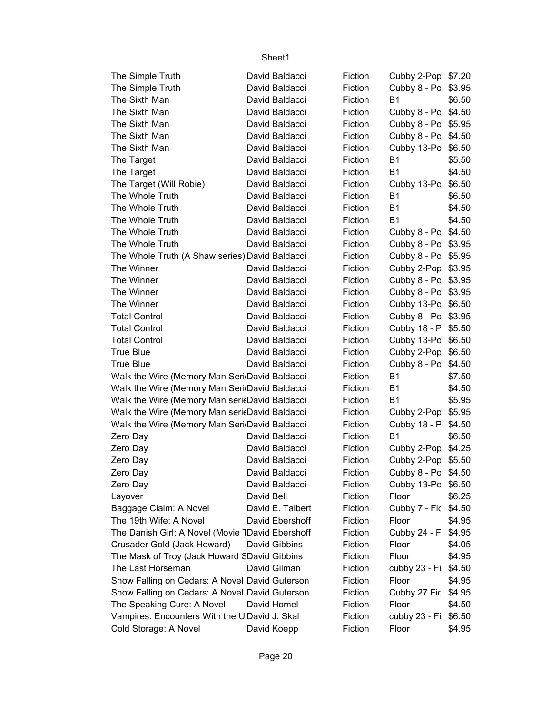| The Simple Truth                                 | David Baldacci   | Fiction        | Cubby 2-Pop \$7.20   |        |
|--------------------------------------------------|------------------|----------------|----------------------|--------|
| The Simple Truth                                 | David Baldacci   | Fiction        | Cubby 8 - Po         | \$3.95 |
| The Sixth Man                                    | David Baldacci   | Fiction        | <b>B1</b>            | \$6.50 |
| The Sixth Man                                    | David Baldacci   | Fiction        | Cubby 8 - Po \$4.50  |        |
| The Sixth Man                                    | David Baldacci   | Fiction        | Cubby 8 - Po \$5.95  |        |
| The Sixth Man                                    | David Baldacci   | Fiction        | Cubby 8 - Po         | \$4.50 |
| The Sixth Man                                    | David Baldacci   | Fiction        | Cubby 13-Po          | \$6.50 |
| The Target                                       | David Baldacci   | Fiction        | <b>B1</b>            | \$5.50 |
| The Target                                       | David Baldacci   | Fiction        | <b>B1</b>            | \$4.50 |
| The Target (Will Robie)                          | David Baldacci   | Fiction        | Cubby 13-Po          | \$6.50 |
| The Whole Truth                                  | David Baldacci   | Fiction        | <b>B1</b>            | \$6.50 |
| The Whole Truth                                  | David Baldacci   | Fiction        | <b>B1</b>            | \$4.50 |
| The Whole Truth                                  | David Baldacci   | Fiction        | <b>B1</b>            | \$4.50 |
| The Whole Truth                                  | David Baldacci   | Fiction        | Cubby 8 - Po \$4.50  |        |
| The Whole Truth                                  | David Baldacci   | Fiction        | Cubby 8 - Po \$3.95  |        |
| The Whole Truth (A Shaw series) David Baldacci   |                  | Fiction        | Cubby 8 - Po \$5.95  |        |
| The Winner                                       | David Baldacci   | Fiction        | Cubby 2-Pop \$3.95   |        |
| The Winner                                       | David Baldacci   | Fiction        | Cubby 8 - Po \$3.95  |        |
| The Winner                                       | David Baldacci   | Fiction        | Cubby 8 - Po \$3.95  |        |
| The Winner                                       | David Baldacci   | Fiction        | Cubby 13-Po \$6.50   |        |
| <b>Total Control</b>                             | David Baldacci   | Fiction        | Cubby 8 - Po \$3.95  |        |
| <b>Total Control</b>                             | David Baldacci   | Fiction        | Cubby 18 - P \$5.50  |        |
| <b>Total Control</b>                             | David Baldacci   | Fiction        | Cubby 13-Po \$6.50   |        |
| <b>True Blue</b>                                 | David Baldacci   | Fiction        | Cubby 2-Pop          | \$6.50 |
| <b>True Blue</b>                                 | David Baldacci   | Fiction        | Cubby 8 - Po         | \$4.50 |
| Walk the Wire (Memory Man Seri David Baldacci    |                  | Fiction        | <b>B1</b>            | \$7.50 |
| Walk the Wire (Memory Man Seri David Baldacci    |                  | Fiction        | <b>B1</b>            | \$4.50 |
| Walk the Wire (Memory Man sericDavid Baldacci    |                  | Fiction        | <b>B1</b>            | \$5.95 |
| Walk the Wire (Memory Man sericDavid Baldacci    |                  | Fiction        | Cubby 2-Pop          | \$5.95 |
| Walk the Wire (Memory Man Seri David Baldacci    |                  | Fiction        | Cubby 18 - P         | \$4.50 |
| Zero Day                                         | David Baldacci   | Fiction        | <b>B1</b>            | \$6.50 |
| Zero Day                                         | David Baldacci   | Fiction        | Cubby 2-Pop \$4.25   |        |
| Zero Day                                         | David Baldacci   | Fiction        | Cubby 2-Pop \$5.50   |        |
| Zero Day                                         | David Baldacci   | <b>Fiction</b> | Cubby 8 - Po \$4.50  |        |
| Zero Day                                         | David Baldacci   | Fiction        | Cubby 13-Po \$6.50   |        |
| Layover                                          | David Bell       | Fiction        | Floor                | \$6.25 |
| Baggage Claim: A Novel                           | David E. Talbert | Fiction        | Cubby 7 - Fic \$4.50 |        |
| The 19th Wife: A Novel                           | David Ebershoff  | Fiction        | Floor                | \$4.95 |
| The Danish Girl: A Novel (Movie 1David Ebershoff |                  | Fiction        | Cubby 24 - F         | \$4.95 |
| Crusader Gold (Jack Howard)                      | David Gibbins    | Fiction        | Floor                | \$4.05 |
| The Mask of Troy (Jack Howard SDavid Gibbins     |                  | Fiction        | Floor                | \$4.95 |
| The Last Horseman                                | David Gilman     | Fiction        | cubby 23 - Fi        | \$4.50 |
| Snow Falling on Cedars: A Novel David Guterson   |                  | Fiction        | Floor                | \$4.95 |
| Snow Falling on Cedars: A Novel David Guterson   |                  | Fiction        | Cubby 27 Fic \$4.95  |        |
| The Speaking Cure: A Novel                       | David Homel      | Fiction        | Floor                | \$4.50 |
| Vampires: Encounters With the U David J. Skal    |                  | Fiction        | cubby 23 - Fi        | \$6.50 |
| Cold Storage: A Novel                            | David Koepp      | Fiction        | Floor                | \$4.95 |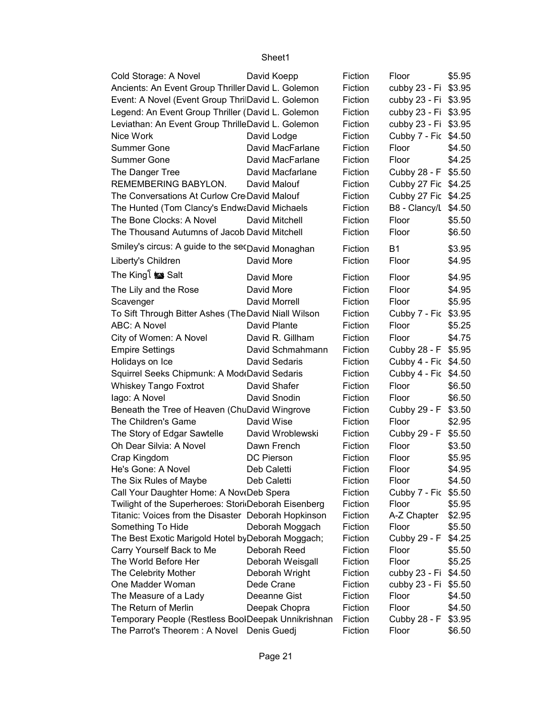| Cold Storage: A Novel                                | David Koepp      | Fiction | Floor                | \$5.95 |
|------------------------------------------------------|------------------|---------|----------------------|--------|
| Ancients: An Event Group Thriller David L. Golemon   |                  | Fiction | cubby 23 - Fi \$3.95 |        |
| Event: A Novel (Event Group ThrilDavid L. Golemon    |                  | Fiction | cubby 23 - Fi \$3.95 |        |
| Legend: An Event Group Thriller (David L. Golemon    |                  | Fiction | cubby 23 - Fi \$3.95 |        |
| Leviathan: An Event Group ThrilleDavid L. Golemon    |                  | Fiction | cubby 23 - Fi \$3.95 |        |
| Nice Work                                            | David Lodge      | Fiction | Cubby 7 - Fic \$4.50 |        |
| <b>Summer Gone</b>                                   | David MacFarlane | Fiction | Floor                | \$4.50 |
| <b>Summer Gone</b>                                   | David MacFarlane | Fiction | Floor                | \$4.25 |
| The Danger Tree                                      | David Macfarlane | Fiction | Cubby 28 - F \$5.50  |        |
| REMEMBERING BABYLON.                                 | David Malouf     | Fiction | Cubby 27 Fic \$4.25  |        |
| The Conversations At Curlow Cre David Malouf         |                  | Fiction | Cubby 27 Fic \$4.25  |        |
| The Hunted (Tom Clancy's EndwaDavid Michaels         |                  | Fiction | B8 - Clancy/L \$4.50 |        |
| The Bone Clocks: A Novel                             | David Mitchell   | Fiction | Floor                | \$5.50 |
| The Thousand Autumns of Jacob David Mitchell         |                  | Fiction | Floor                | \$6.50 |
| Smiley's circus: A guide to the secDavid Monaghan    |                  |         |                      |        |
|                                                      |                  | Fiction | <b>B1</b>            | \$3.95 |
| Liberty's Children                                   | David More       | Fiction | Floor                | \$4.95 |
| The King i izs Salt                                  | David More       | Fiction | Floor                | \$4.95 |
| The Lily and the Rose                                | David More       | Fiction | Floor                | \$4.95 |
| Scavenger                                            | David Morrell    | Fiction | Floor                | \$5.95 |
| To Sift Through Bitter Ashes (The David Niall Wilson |                  | Fiction | Cubby 7 - Fic \$3.95 |        |
| ABC: A Novel                                         | David Plante     | Fiction | Floor                | \$5.25 |
| City of Women: A Novel                               | David R. Gillham | Fiction | Floor                | \$4.75 |
| <b>Empire Settings</b>                               | David Schmahmann | Fiction | Cubby 28 - F \$5.95  |        |
| Holidays on Ice                                      | David Sedaris    | Fiction | Cubby 4 - Fic \$4.50 |        |
| Squirrel Seeks Chipmunk: A Mod David Sedaris         |                  | Fiction | Cubby 4 - Fic \$4.50 |        |
| <b>Whiskey Tango Foxtrot</b>                         | David Shafer     | Fiction | Floor                | \$6.50 |
| lago: A Novel                                        | David Snodin     | Fiction | Floor                | \$6.50 |
| Beneath the Tree of Heaven (ChuDavid Wingrove        |                  | Fiction | Cubby 29 - F \$3.50  |        |
| The Children's Game                                  | David Wise       | Fiction | Floor                | \$2.95 |
| The Story of Edgar Sawtelle                          | David Wroblewski | Fiction | Cubby 29 - F         | \$5.50 |
| Oh Dear Silvia: A Novel                              | Dawn French      | Fiction | Floor                | \$3.50 |
| Crap Kingdom                                         | DC Pierson       | Fiction | Floor                | \$5.95 |
| He's Gone: A Novel                                   | Deb Caletti      | Fiction | Floor                | \$4.95 |
| The Six Rules of Maybe                               | Deb Caletti      | Fiction | Floor                | \$4.50 |
| Call Your Daughter Home: A NoveDeb Spera             |                  | Fiction | Cubby 7 - Fic \$5.50 |        |
| Twilight of the Superheroes: Stori Deborah Eisenberg |                  | Fiction | Floor                | \$5.95 |
| Titanic: Voices from the Disaster Deborah Hopkinson  |                  | Fiction | A-Z Chapter          | \$2.95 |
| Something To Hide                                    | Deborah Moggach  | Fiction | Floor                | \$5.50 |
| The Best Exotic Marigold Hotel by Deborah Moggach;   |                  | Fiction | Cubby 29 - F         | \$4.25 |
| Carry Yourself Back to Me                            | Deborah Reed     | Fiction | Floor                | \$5.50 |
| The World Before Her                                 | Deborah Weisgall | Fiction | Floor                | \$5.25 |
| The Celebrity Mother                                 | Deborah Wright   | Fiction | cubby 23 - Fi        | \$4.50 |
| One Madder Woman                                     | Dede Crane       | Fiction | cubby 23 - Fi        | \$5.50 |
| The Measure of a Lady                                | Deeanne Gist     | Fiction | Floor                | \$4.50 |
| The Return of Merlin                                 | Deepak Chopra    | Fiction | Floor                | \$4.50 |
| Temporary People (Restless BoolDeepak Unnikrishnan   |                  | Fiction | Cubby 28 - F \$3.95  |        |
| The Parrot's Theorem: A Novel                        | Denis Guedj      | Fiction | Floor                | \$6.50 |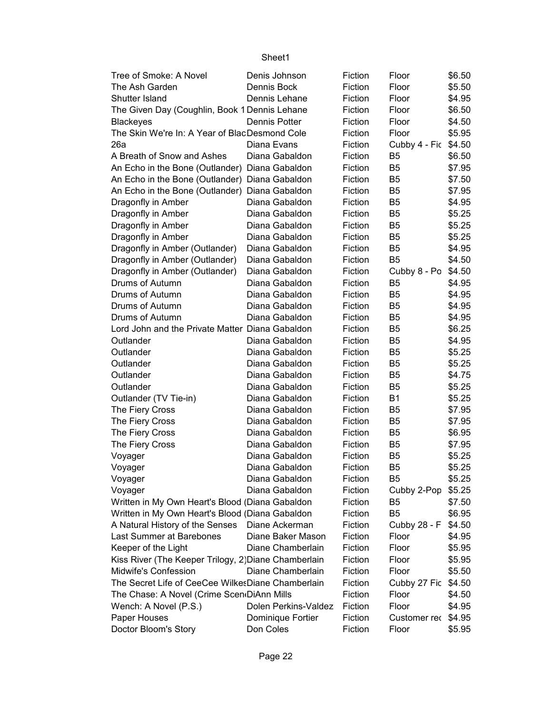| Tree of Smoke: A Novel                               | Denis Johnson        | Fiction | Floor               | \$6.50 |
|------------------------------------------------------|----------------------|---------|---------------------|--------|
| The Ash Garden                                       | Dennis Bock          | Fiction | Floor               | \$5.50 |
| Shutter Island                                       | Dennis Lehane        | Fiction | Floor               | \$4.95 |
| The Given Day (Coughlin, Book 1 Dennis Lehane        |                      | Fiction | Floor               | \$6.50 |
| <b>Blackeyes</b>                                     | Dennis Potter        | Fiction | Floor               | \$4.50 |
| The Skin We're In: A Year of BlacDesmond Cole        |                      | Fiction | Floor               | \$5.95 |
| 26a                                                  | Diana Evans          | Fiction | Cubby 4 - Fic       | \$4.50 |
| A Breath of Snow and Ashes                           | Diana Gabaldon       | Fiction | B <sub>5</sub>      | \$6.50 |
| An Echo in the Bone (Outlander) Diana Gabaldon       |                      | Fiction | B <sub>5</sub>      | \$7.95 |
| An Echo in the Bone (Outlander) Diana Gabaldon       |                      | Fiction | B <sub>5</sub>      | \$7.50 |
| An Echo in the Bone (Outlander) Diana Gabaldon       |                      | Fiction | B <sub>5</sub>      | \$7.95 |
| Dragonfly in Amber                                   | Diana Gabaldon       | Fiction | B <sub>5</sub>      | \$4.95 |
| Dragonfly in Amber                                   | Diana Gabaldon       | Fiction | B <sub>5</sub>      | \$5.25 |
| Dragonfly in Amber                                   | Diana Gabaldon       | Fiction | B <sub>5</sub>      | \$5.25 |
| Dragonfly in Amber                                   | Diana Gabaldon       | Fiction | B <sub>5</sub>      | \$5.25 |
| Dragonfly in Amber (Outlander)                       | Diana Gabaldon       | Fiction | B <sub>5</sub>      | \$4.95 |
| Dragonfly in Amber (Outlander)                       | Diana Gabaldon       | Fiction | B <sub>5</sub>      | \$4.50 |
| Dragonfly in Amber (Outlander)                       | Diana Gabaldon       | Fiction | Cubby 8 - Po        | \$4.50 |
| Drums of Autumn                                      | Diana Gabaldon       | Fiction | B <sub>5</sub>      | \$4.95 |
| Drums of Autumn                                      | Diana Gabaldon       | Fiction | B <sub>5</sub>      | \$4.95 |
| Drums of Autumn                                      | Diana Gabaldon       | Fiction | B <sub>5</sub>      | \$4.95 |
| Drums of Autumn                                      | Diana Gabaldon       | Fiction | B <sub>5</sub>      | \$4.95 |
| Lord John and the Private Matter Diana Gabaldon      |                      | Fiction | B <sub>5</sub>      | \$6.25 |
| Outlander                                            | Diana Gabaldon       | Fiction | B <sub>5</sub>      | \$4.95 |
| Outlander                                            | Diana Gabaldon       | Fiction | B <sub>5</sub>      | \$5.25 |
| Outlander                                            | Diana Gabaldon       | Fiction | B <sub>5</sub>      | \$5.25 |
| Outlander                                            | Diana Gabaldon       | Fiction | B <sub>5</sub>      | \$4.75 |
| Outlander                                            | Diana Gabaldon       | Fiction | B <sub>5</sub>      | \$5.25 |
| Outlander (TV Tie-in)                                | Diana Gabaldon       | Fiction | <b>B1</b>           | \$5.25 |
| The Fiery Cross                                      | Diana Gabaldon       | Fiction | B <sub>5</sub>      | \$7.95 |
| The Fiery Cross                                      | Diana Gabaldon       | Fiction | B <sub>5</sub>      | \$7.95 |
| The Fiery Cross                                      | Diana Gabaldon       | Fiction | B <sub>5</sub>      | \$6.95 |
| The Fiery Cross                                      | Diana Gabaldon       | Fiction | B <sub>5</sub>      | \$7.95 |
| Voyager                                              | Diana Gabaldon       | Fiction | B <sub>5</sub>      | \$5.25 |
| Voyager                                              | Diana Gabaldon       | Fiction | B <sub>5</sub>      | \$5.25 |
| Voyager                                              | Diana Gabaldon       | Fiction | B5                  | \$5.25 |
| Voyager                                              | Diana Gabaldon       | Fiction | Cubby 2-Pop         | \$5.25 |
| Written in My Own Heart's Blood (Diana Gabaldon      |                      | Fiction | B5                  | \$7.50 |
| Written in My Own Heart's Blood (Diana Gabaldon      |                      | Fiction | B <sub>5</sub>      | \$6.95 |
| A Natural History of the Senses Diane Ackerman       |                      | Fiction | Cubby 28 - F        | \$4.50 |
| Last Summer at Barebones                             | Diane Baker Mason    | Fiction | Floor               | \$4.95 |
| Keeper of the Light                                  | Diane Chamberlain    | Fiction | Floor               | \$5.95 |
| Kiss River (The Keeper Trilogy, 2) Diane Chamberlain |                      | Fiction | Floor               | \$5.95 |
| Midwife's Confession                                 | Diane Chamberlain    | Fiction | Floor               | \$5.50 |
| The Secret Life of CeeCee WilkesDiane Chamberlain    |                      | Fiction | Cubby 27 Fic \$4.50 |        |
| The Chase: A Novel (Crime Scen DiAnn Mills           |                      | Fiction | Floor               | \$4.50 |
| Wench: A Novel (P.S.)                                | Dolen Perkins-Valdez | Fiction | Floor               | \$4.95 |
| Paper Houses                                         | Dominique Fortier    | Fiction | Customer rec \$4.95 |        |
| Doctor Bloom's Story                                 | Don Coles            | Fiction | Floor               |        |
|                                                      |                      |         |                     | \$5.95 |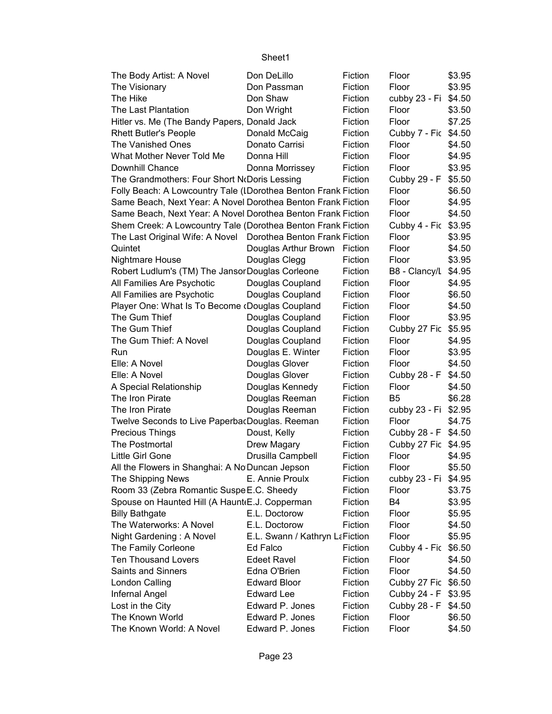| The Body Artist: A Novel                                       | Don DeLillo                    | Fiction | Floor                 | \$3.95           |
|----------------------------------------------------------------|--------------------------------|---------|-----------------------|------------------|
| The Visionary                                                  | Don Passman                    | Fiction | Floor                 | \$3.95           |
| The Hike                                                       | Don Shaw                       | Fiction | cubby 23 - Fi \$4.50  |                  |
| The Last Plantation                                            | Don Wright                     | Fiction | Floor                 | \$3.50           |
| Hitler vs. Me (The Bandy Papers, Donald Jack                   |                                | Fiction | Floor                 | \$7.25           |
| <b>Rhett Butler's People</b>                                   | Donald McCaig                  | Fiction | Cubby 7 - Fic \$4.50  |                  |
| The Vanished Ones                                              | Donato Carrisi                 | Fiction | Floor                 | \$4.50           |
| What Mother Never Told Me                                      | Donna Hill                     | Fiction | Floor                 | \$4.95           |
| Downhill Chance                                                | Donna Morrissey                | Fiction | Floor                 | \$3.95           |
| The Grandmothers: Four Short NoDoris Lessing                   |                                | Fiction | Cubby 29 - F          | \$5.50           |
| Folly Beach: A Lowcountry Tale (IDorothea Benton Frank Fiction |                                |         | Floor                 | \$6.50           |
| Same Beach, Next Year: A Novel Dorothea Benton Frank Fiction   |                                |         | Floor                 | \$4.95           |
| Same Beach, Next Year: A Novel Dorothea Benton Frank Fiction   |                                |         | Floor                 | \$4.50           |
| Shem Creek: A Lowcountry Tale (Dorothea Benton Frank Fiction   |                                |         | Cubby 4 - Fic \$3.95  |                  |
| The Last Original Wife: A Novel Dorothea Benton Frank Fiction  |                                |         | Floor                 | \$3.95           |
| Quintet                                                        | Douglas Arthur Brown           | Fiction | Floor                 | \$4.50           |
| Nightmare House                                                | Douglas Clegg                  | Fiction | Floor                 | \$3.95           |
| Robert Ludlum's (TM) The Jansor Douglas Corleone               |                                | Fiction | B8 - Clancy/L         | \$4.95           |
| All Families Are Psychotic                                     | Douglas Coupland               | Fiction | Floor                 | \$4.95           |
| All Families are Psychotic                                     | Douglas Coupland               | Fiction | Floor                 | \$6.50           |
| Player One: What Is To Become (Douglas Coupland                |                                | Fiction | Floor                 | \$4.50           |
| The Gum Thief                                                  | Douglas Coupland               | Fiction | Floor                 | \$3.95           |
| The Gum Thief                                                  | Douglas Coupland               | Fiction | Cubby 27 Fic          | \$5.95           |
| The Gum Thief: A Novel                                         | Douglas Coupland               | Fiction | Floor                 | \$4.95           |
| Run                                                            | Douglas E. Winter              | Fiction | Floor                 | \$3.95           |
| Elle: A Novel                                                  | Douglas Glover                 | Fiction | Floor                 | \$4.50           |
| Elle: A Novel                                                  | Douglas Glover                 | Fiction |                       | \$4.50           |
| A Special Relationship                                         | Douglas Kennedy                | Fiction | Cubby 28 - F<br>Floor | \$4.50           |
| The Iron Pirate                                                | Douglas Reeman                 | Fiction | B <sub>5</sub>        | \$6.28           |
| The Iron Pirate                                                | Douglas Reeman                 | Fiction | cubby 23 - Fi         |                  |
| Twelve Seconds to Live Paperba Douglas. Reeman                 |                                | Fiction | Floor                 | \$2.95<br>\$4.75 |
|                                                                |                                |         |                       |                  |
| <b>Precious Things</b>                                         | Doust, Kelly                   | Fiction | Cubby 28 - F          | \$4.50           |
| The Postmortal                                                 | Drew Magary                    | Fiction | Cubby 27 Fic \$4.95   |                  |
| Little Girl Gone                                               | Drusilla Campbell              | Fiction | Floor                 | \$4.95           |
| All the Flowers in Shanghai: A No Duncan Jepson                |                                | Fiction | Floor                 | \$5.50           |
| The Shipping News                                              | E. Annie Proulx                | Fiction | cubby 23 - Fi \$4.95  |                  |
| Room 33 (Zebra Romantic Suspe E.C. Sheedy                      |                                | Fiction | Floor                 | \$3.75           |
| Spouse on Haunted Hill (A Haunt(E.J. Copperman                 |                                | Fiction | B4                    | \$3.95           |
| <b>Billy Bathgate</b>                                          | E.L. Doctorow                  | Fiction | Floor                 | \$5.95           |
| The Waterworks: A Novel                                        | E.L. Doctorow                  | Fiction | Floor                 | \$4.50           |
| Night Gardening: A Novel                                       | E.L. Swann / Kathryn LaFiction |         | Floor                 | \$5.95           |
| The Family Corleone                                            | Ed Falco                       | Fiction | Cubby 4 - Fic \$6.50  |                  |
| <b>Ten Thousand Lovers</b>                                     | <b>Edeet Ravel</b>             | Fiction | Floor                 | \$4.50           |
| <b>Saints and Sinners</b>                                      | Edna O'Brien                   | Fiction | Floor                 | \$4.50           |
| London Calling                                                 | <b>Edward Bloor</b>            | Fiction | Cubby 27 Fic          | \$6.50           |
| Infernal Angel                                                 | <b>Edward Lee</b>              | Fiction | Cubby 24 - F          | \$3.95           |
| Lost in the City                                               | Edward P. Jones                | Fiction | Cubby 28 - F          | \$4.50           |
| The Known World                                                | Edward P. Jones                | Fiction | Floor                 | \$6.50           |
| The Known World: A Novel                                       | Edward P. Jones                | Fiction | Floor                 | \$4.50           |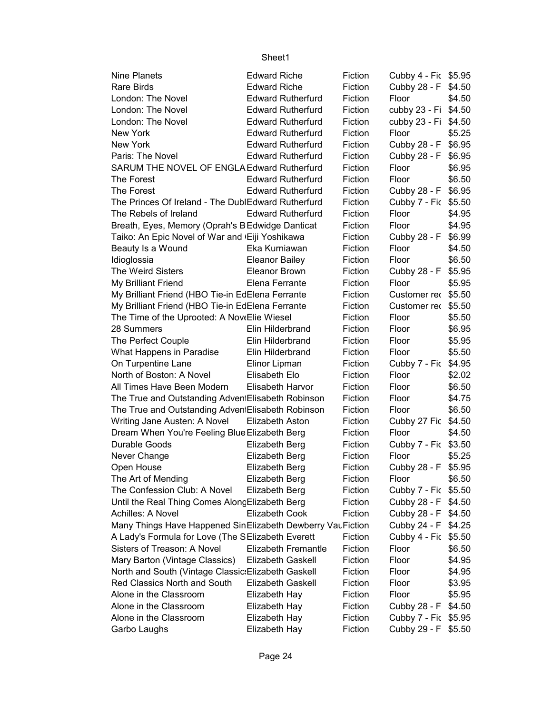| <b>Nine Planets</b>                                                                                               | <b>Edward Riche</b>        | Fiction | Cubby 4 - Fic \$5.95 |        |
|-------------------------------------------------------------------------------------------------------------------|----------------------------|---------|----------------------|--------|
| Rare Birds                                                                                                        | <b>Edward Riche</b>        | Fiction | Cubby 28 - F \$4.50  |        |
| London: The Novel                                                                                                 | <b>Edward Rutherfurd</b>   | Fiction | Floor                | \$4.50 |
| London: The Novel                                                                                                 | <b>Edward Rutherfurd</b>   | Fiction | cubby 23 - Fi \$4.50 |        |
| London: The Novel                                                                                                 | <b>Edward Rutherfurd</b>   | Fiction | cubby 23 - Fi \$4.50 |        |
| New York                                                                                                          | <b>Edward Rutherfurd</b>   | Fiction | Floor                | \$5.25 |
| New York                                                                                                          | <b>Edward Rutherfurd</b>   | Fiction | Cubby 28 - F         | \$6.95 |
| Paris: The Novel                                                                                                  | <b>Edward Rutherfurd</b>   | Fiction | Cubby 28 - F         | \$6.95 |
| SARUM THE NOVEL OF ENGLA Edward Rutherfurd                                                                        |                            | Fiction | Floor                | \$6.95 |
| The Forest                                                                                                        | <b>Edward Rutherfurd</b>   | Fiction | Floor                | \$6.50 |
| The Forest                                                                                                        | <b>Edward Rutherfurd</b>   | Fiction | Cubby 28 - F         | \$6.95 |
| The Princes Of Ireland - The DublEdward Rutherfurd                                                                |                            | Fiction | Cubby 7 - Fic \$5.50 |        |
| The Rebels of Ireland                                                                                             | <b>Edward Rutherfurd</b>   | Fiction | Floor                | \$4.95 |
| Breath, Eyes, Memory (Oprah's BEdwidge Danticat                                                                   |                            | Fiction | Floor                | \$4.95 |
| Taiko: An Epic Novel of War and 'Eiji Yoshikawa                                                                   |                            | Fiction | Cubby 28 - F         | \$6.99 |
| Beauty Is a Wound                                                                                                 | Eka Kurniawan              | Fiction | Floor                | \$4.50 |
| Idioglossia                                                                                                       | <b>Eleanor Bailey</b>      | Fiction | Floor                | \$6.50 |
| <b>The Weird Sisters</b>                                                                                          | Eleanor Brown              | Fiction | Cubby 28 - F         | \$5.95 |
| My Brilliant Friend                                                                                               | Elena Ferrante             | Fiction | Floor                | \$5.95 |
| My Brilliant Friend (HBO Tie-in EdElena Ferrante                                                                  |                            | Fiction | Customer rec \$5.50  |        |
| My Brilliant Friend (HBO Tie-in EdElena Ferrante                                                                  |                            | Fiction | Customer rec \$5.50  |        |
| The Time of the Uprooted: A NoveElie Wiesel                                                                       |                            | Fiction | Floor                | \$5.50 |
| 28 Summers                                                                                                        | Elin Hilderbrand           | Fiction | Floor                | \$6.95 |
| The Perfect Couple                                                                                                | Elin Hilderbrand           | Fiction | Floor                | \$5.95 |
| What Happens in Paradise                                                                                          | Elin Hilderbrand           | Fiction | Floor                | \$5.50 |
| On Turpentine Lane                                                                                                | Elinor Lipman              | Fiction | Cubby 7 - Fic        | \$4.95 |
| North of Boston: A Novel                                                                                          | Elisabeth Elo              | Fiction | Floor                | \$2.02 |
| All Times Have Been Modern                                                                                        | Elisabeth Harvor           | Fiction | Floor                | \$6.50 |
| The True and Outstanding Adven Elisabeth Robinson                                                                 |                            | Fiction | Floor                | \$4.75 |
| The True and Outstanding Adven Elisabeth Robinson                                                                 |                            | Fiction | Floor                | \$6.50 |
| Writing Jane Austen: A Novel                                                                                      | Elizabeth Aston            | Fiction | Cubby 27 Fic         | \$4.50 |
| Dream When You're Feeling Blue Elizabeth Berg                                                                     |                            | Fiction | Floor                | \$4.50 |
| Durable Goods                                                                                                     | Elizabeth Berg             | Fiction | Cubby 7 - Fic \$3.50 |        |
| Never Change                                                                                                      | Elizabeth Berg             | Fiction | Floor                | \$5.25 |
| Open House                                                                                                        | Elizabeth Berg             | Fiction | Cubby 28 - F \$5.95  |        |
| The Art of Mending                                                                                                | <b>Elizabeth Berg</b>      | Fiction | Floor                | \$6.50 |
| The Confession Club: A Novel                                                                                      | <b>Elizabeth Berg</b>      | Fiction | Cubby 7 - Fic \$5.50 |        |
| Until the Real Thing Comes Along Elizabeth Berg                                                                   |                            | Fiction | Cubby 28 - F         | \$4.50 |
| Achilles: A Novel                                                                                                 | <b>Elizabeth Cook</b>      | Fiction | Cubby 28 - F         | \$4.50 |
|                                                                                                                   |                            |         | Cubby 24 - F         |        |
| Many Things Have Happened Sin Elizabeth Dewberry Vau Fiction<br>A Lady's Formula for Love (The SElizabeth Everett |                            | Fiction | Cubby 4 - Fic \$5.50 | \$4.25 |
| Sisters of Treason: A Novel                                                                                       | <b>Elizabeth Fremantle</b> | Fiction | Floor                | \$6.50 |
|                                                                                                                   |                            | Fiction | Floor                |        |
| Mary Barton (Vintage Classics)                                                                                    | Elizabeth Gaskell          |         |                      | \$4.95 |
| North and South (Vintage Classic: Elizabeth Gaskell                                                               |                            | Fiction | Floor                | \$4.95 |
| Red Classics North and South                                                                                      | Elizabeth Gaskell          | Fiction | Floor                | \$3.95 |
| Alone in the Classroom                                                                                            | Elizabeth Hay              | Fiction | Floor                | \$5.95 |
| Alone in the Classroom                                                                                            | Elizabeth Hay              | Fiction | Cubby 28 - F         | \$4.50 |
| Alone in the Classroom                                                                                            | Elizabeth Hay              | Fiction | Cubby 7 - Fic \$5.95 |        |
| Garbo Laughs                                                                                                      | Elizabeth Hay              | Fiction | Cubby 29 - F \$5.50  |        |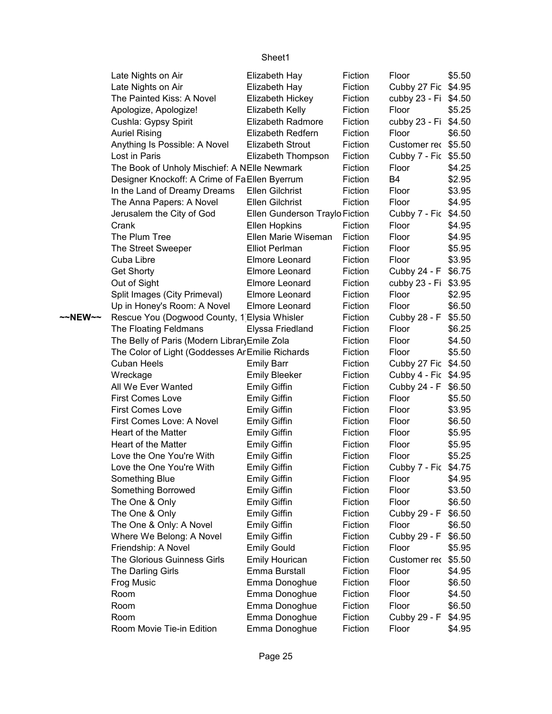|         | Late Nights on Air                              | Elizabeth Hay                  | Fiction | Floor                | \$5.50 |
|---------|-------------------------------------------------|--------------------------------|---------|----------------------|--------|
|         | Late Nights on Air                              | Elizabeth Hay                  | Fiction | Cubby 27 Fic \$4.95  |        |
|         | The Painted Kiss: A Novel                       | Elizabeth Hickey               | Fiction | cubby 23 - Fi \$4.50 |        |
|         | Apologize, Apologize!                           | Elizabeth Kelly                | Fiction | Floor                | \$5.25 |
|         | Cushla: Gypsy Spirit                            | Elizabeth Radmore              | Fiction | cubby 23 - Fi \$4.50 |        |
|         | <b>Auriel Rising</b>                            | Elizabeth Redfern              | Fiction | Floor                | \$6.50 |
|         | Anything Is Possible: A Novel                   | <b>Elizabeth Strout</b>        | Fiction | Customer rec \$5.50  |        |
|         | Lost in Paris                                   | Elizabeth Thompson             | Fiction | Cubby 7 - Fic \$5.50 |        |
|         | The Book of Unholy Mischief: A NElle Newmark    |                                | Fiction | Floor                | \$4.25 |
|         | Designer Knockoff: A Crime of Fa Ellen Byerrum  |                                | Fiction | B4                   | \$2.95 |
|         | In the Land of Dreamy Dreams                    | Ellen Gilchrist                | Fiction | Floor                | \$3.95 |
|         | The Anna Papers: A Novel                        | Ellen Gilchrist                | Fiction | Floor                | \$4.95 |
|         | Jerusalem the City of God                       | Ellen Gunderson Traylo Fiction |         | Cubby 7 - Fic \$4.50 |        |
|         | Crank                                           | <b>Ellen Hopkins</b>           | Fiction | Floor                | \$4.95 |
|         | The Plum Tree                                   | Ellen Marie Wiseman            | Fiction | Floor                | \$4.95 |
|         | The Street Sweeper                              | <b>Elliot Perlman</b>          | Fiction | Floor                | \$5.95 |
|         | Cuba Libre                                      | Elmore Leonard                 | Fiction | Floor                | \$3.95 |
|         | Get Shorty                                      | Elmore Leonard                 | Fiction | Cubby 24 - F \$6.75  |        |
|         | Out of Sight                                    | Elmore Leonard                 | Fiction | cubby 23 - Fi \$3.95 |        |
|         | Split Images (City Primeval)                    | Elmore Leonard                 | Fiction | Floor                | \$2.95 |
|         | Up in Honey's Room: A Novel                     | Elmore Leonard                 | Fiction | Floor                | \$6.50 |
| ~~NEW~~ | Rescue You (Dogwood County, 1 Elysia Whisler    |                                | Fiction | Cubby 28 - F         | \$5.50 |
|         | The Floating Feldmans                           | Elyssa Friedland               | Fiction | Floor                | \$6.25 |
|         | The Belly of Paris (Modern LibraryEmile Zola    |                                | Fiction | Floor                | \$4.50 |
|         | The Color of Light (Goddesses ArEmilie Richards |                                | Fiction | Floor                | \$5.50 |
|         | <b>Cuban Heels</b>                              | <b>Emily Barr</b>              | Fiction | Cubby 27 Fic \$4.50  |        |
|         | Wreckage                                        | <b>Emily Bleeker</b>           | Fiction | Cubby 4 - Fic \$4.95 |        |
|         | All We Ever Wanted                              | <b>Emily Giffin</b>            | Fiction | Cubby 24 - F \$6.50  |        |
|         | <b>First Comes Love</b>                         | <b>Emily Giffin</b>            | Fiction | Floor                | \$5.50 |
|         | <b>First Comes Love</b>                         | <b>Emily Giffin</b>            | Fiction | Floor                | \$3.95 |
|         | First Comes Love: A Novel                       | <b>Emily Giffin</b>            | Fiction | Floor                | \$6.50 |
|         | Heart of the Matter                             | <b>Emily Giffin</b>            | Fiction | Floor                | \$5.95 |
|         | Heart of the Matter                             | <b>Emily Giffin</b>            | Fiction | Floor                | \$5.95 |
|         | Love the One You're With                        | <b>Emily Giffin</b>            | Fiction | Floor                | \$5.25 |
|         | Love the One You're With                        | <b>Emily Giffin</b>            | Fiction | Cubby 7 - Fic \$4.75 |        |
|         | Something Blue                                  | <b>Emily Giffin</b>            | Fiction | Floor                | \$4.95 |
|         | Something Borrowed                              | <b>Emily Giffin</b>            | Fiction | Floor                | \$3.50 |
|         | The One & Only                                  | <b>Emily Giffin</b>            | Fiction | Floor                | \$6.50 |
|         | The One & Only                                  | <b>Emily Giffin</b>            | Fiction | Cubby 29 - F         | \$6.50 |
|         | The One & Only: A Novel                         | <b>Emily Giffin</b>            | Fiction | Floor                | \$6.50 |
|         | Where We Belong: A Novel                        | <b>Emily Giffin</b>            | Fiction | Cubby 29 - F         | \$6.50 |
|         | Friendship: A Novel                             | <b>Emily Gould</b>             | Fiction | Floor                | \$5.95 |
|         | The Glorious Guinness Girls                     | <b>Emily Hourican</b>          | Fiction | Customer rec         | \$5.50 |
|         | The Darling Girls                               | Emma Burstall                  | Fiction | Floor                | \$4.95 |
|         | Frog Music                                      | Emma Donoghue                  | Fiction | Floor                | \$6.50 |
|         | Room                                            | Emma Donoghue                  | Fiction | Floor                | \$4.50 |
|         | Room                                            | Emma Donoghue                  | Fiction | Floor                | \$6.50 |
|         | Room                                            | Emma Donoghue                  | Fiction | Cubby 29 - F         | \$4.95 |
|         | Room Movie Tie-in Edition                       | Emma Donoghue                  | Fiction | Floor                | \$4.95 |
|         |                                                 |                                |         |                      |        |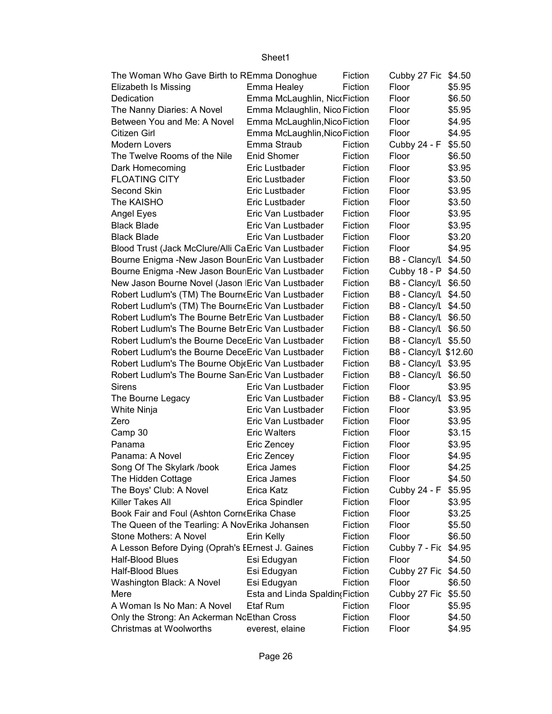| The Woman Who Gave Birth to REmma Donoghue          |                                | Fiction | Cubby 27 Fic \$4.50   |        |
|-----------------------------------------------------|--------------------------------|---------|-----------------------|--------|
| Elizabeth Is Missing                                | Emma Healey                    | Fiction | Floor                 | \$5.95 |
| Dedication                                          | Emma McLaughlin, NiccFiction   |         | Floor                 | \$6.50 |
| The Nanny Diaries: A Novel                          | Emma Mclaughlin, Nico Fiction  |         | Floor                 | \$5.95 |
| Between You and Me: A Novel                         | Emma McLaughlin, Nico Fiction  |         | Floor                 | \$4.95 |
| Citizen Girl                                        | Emma McLaughlin, Nico Fiction  |         | Floor                 | \$4.95 |
| Modern Lovers                                       | Emma Straub                    | Fiction | Cubby 24 - F          | \$5.50 |
| The Twelve Rooms of the Nile                        | Enid Shomer                    | Fiction | Floor                 | \$6.50 |
| Dark Homecoming                                     | Eric Lustbader                 | Fiction | Floor                 | \$3.95 |
| <b>FLOATING CITY</b>                                | Eric Lustbader                 | Fiction | Floor                 | \$3.50 |
| Second Skin                                         | Eric Lustbader                 | Fiction | Floor                 | \$3.95 |
| The KAISHO                                          | Eric Lustbader                 | Fiction | Floor                 | \$3.50 |
| Angel Eyes                                          | Eric Van Lustbader             | Fiction | Floor                 | \$3.95 |
| <b>Black Blade</b>                                  | Eric Van Lustbader             | Fiction | Floor                 | \$3.95 |
| <b>Black Blade</b>                                  | Eric Van Lustbader             | Fiction | Floor                 | \$3.20 |
| Blood Trust (Jack McClure/Alli CaEric Van Lustbader |                                | Fiction | Floor                 | \$4.95 |
| Bourne Enigma - New Jason Bour Eric Van Lustbader   |                                | Fiction | B8 - Clancy/L \$4.50  |        |
| Bourne Enigma -New Jason Bour Eric Van Lustbader    |                                | Fiction | Cubby 18 - P \$4.50   |        |
| New Jason Bourne Novel (Jason Eric Van Lustbader    |                                | Fiction | B8 - Clancy/L \$6.50  |        |
| Robert Ludlum's (TM) The BourneEric Van Lustbader   |                                | Fiction | B8 - Clancy/L \$4.50  |        |
| Robert Ludlum's (TM) The BourneEric Van Lustbader   |                                | Fiction | B8 - Clancy/L \$4.50  |        |
| Robert Ludlum's The Bourne Betr Eric Van Lustbader  |                                | Fiction | B8 - Clancy/L \$6.50  |        |
| Robert Ludlum's The Bourne Betr Eric Van Lustbader  |                                | Fiction | B8 - Clancy/L \$6.50  |        |
| Robert Ludlum's the Bourne DeceEric Van Lustbader   |                                | Fiction | B8 - Clancy/L \$5.50  |        |
| Robert Ludlum's the Bourne DeceEric Van Lustbader   |                                | Fiction | B8 - Clancy/L \$12.60 |        |
| Robert Ludlum's The Bourne ObjeEric Van Lustbader   |                                | Fiction | B8 - Clancy/L \$3.95  |        |
| Robert Ludlum's The Bourne San Eric Van Lustbader   |                                | Fiction | B8 - Clancy/L         | \$6.50 |
| <b>Sirens</b>                                       | Eric Van Lustbader             | Fiction | Floor                 | \$3.95 |
| The Bourne Legacy                                   | Eric Van Lustbader             | Fiction | B8 - Clancy/L         | \$3.95 |
| White Ninja                                         | Eric Van Lustbader             | Fiction | Floor                 | \$3.95 |
| Zero                                                | Eric Van Lustbader             | Fiction | Floor                 | \$3.95 |
| Camp 30                                             | <b>Eric Walters</b>            | Fiction | Floor                 | \$3.15 |
| Panama                                              | Eric Zencey                    | Fiction | Floor                 | \$3.95 |
| Panama: A Novel                                     | Eric Zencey                    | Fiction | Floor                 | \$4.95 |
| Song Of The Skylark /book                           | Erica James                    | Fiction | Floor                 | \$4.25 |
| The Hidden Cottage                                  | Erica James                    | Fiction | Floor                 | \$4.50 |
| The Boys' Club: A Novel                             | Erica Katz                     | Fiction | Cubby 24 - F          | \$5.95 |
| Killer Takes All                                    |                                | Fiction | Floor                 |        |
|                                                     | Erica Spindler                 |         |                       | \$3.95 |
| Book Fair and Foul (Ashton CorneErika Chase         |                                | Fiction | Floor                 | \$3.25 |
| The Queen of the Tearling: A NovErika Johansen      |                                | Fiction | Floor                 | \$5.50 |
| Stone Mothers: A Novel                              | Erin Kelly                     | Fiction | Floor                 | \$6.50 |
| A Lesson Before Dying (Oprah's EErnest J. Gaines    |                                | Fiction | Cubby 7 - Fic         | \$4.95 |
| <b>Half-Blood Blues</b>                             | Esi Edugyan                    | Fiction | Floor                 | \$4.50 |
| Half-Blood Blues                                    | Esi Edugyan                    | Fiction | Cubby 27 Fic          | \$4.50 |
| Washington Black: A Novel                           | Esi Edugyan                    | Fiction | Floor                 | \$6.50 |
| Mere                                                | Esta and Linda Spaldin(Fiction |         | Cubby 27 Fic          | \$5.50 |
| A Woman Is No Man: A Novel                          | Etaf Rum                       | Fiction | Floor                 | \$5.95 |
| Only the Strong: An Ackerman NcEthan Cross          |                                | Fiction | Floor                 | \$4.50 |
| Christmas at Woolworths                             | everest, elaine                | Fiction | Floor                 | \$4.95 |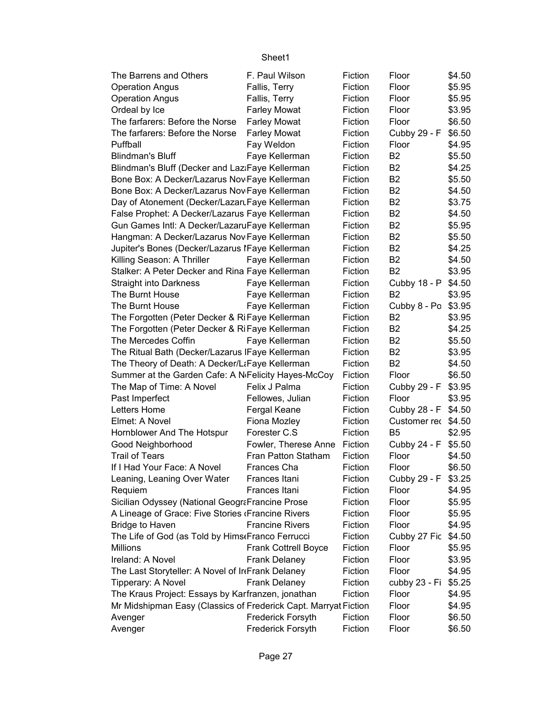| The Barrens and Others                                           | F. Paul Wilson              | Fiction | Floor               | \$4.50 |
|------------------------------------------------------------------|-----------------------------|---------|---------------------|--------|
| <b>Operation Angus</b>                                           | Fallis, Terry               | Fiction | Floor               | \$5.95 |
| <b>Operation Angus</b>                                           | Fallis, Terry               | Fiction | Floor               | \$5.95 |
| Ordeal by Ice                                                    | <b>Farley Mowat</b>         | Fiction | Floor               | \$3.95 |
| The farfarers: Before the Norse                                  | <b>Farley Mowat</b>         | Fiction | Floor               | \$6.50 |
| The farfarers: Before the Norse                                  | <b>Farley Mowat</b>         | Fiction | Cubby 29 - F        | \$6.50 |
| Puffball                                                         | Fay Weldon                  | Fiction | Floor               | \$4.95 |
| <b>Blindman's Bluff</b>                                          | Faye Kellerman              | Fiction | B <sub>2</sub>      | \$5.50 |
| Blindman's Bluff (Decker and Laz:Faye Kellerman                  |                             | Fiction | B <sub>2</sub>      | \$4.25 |
| Bone Box: A Decker/Lazarus Nov Faye Kellerman                    |                             | Fiction | B <sub>2</sub>      | \$5.50 |
| Bone Box: A Decker/Lazarus Nov Faye Kellerman                    |                             | Fiction | B <sub>2</sub>      | \$4.50 |
| Day of Atonement (Decker/Lazaru Faye Kellerman                   |                             | Fiction | B <sub>2</sub>      | \$3.75 |
| False Prophet: A Decker/Lazarus Faye Kellerman                   |                             | Fiction | B <sub>2</sub>      | \$4.50 |
| Gun Games Intl: A Decker/LazaruFaye Kellerman                    |                             | Fiction | B <sub>2</sub>      | \$5.95 |
| Hangman: A Decker/Lazarus Nov Faye Kellerman                     |                             | Fiction | B <sub>2</sub>      | \$5.50 |
| Jupiter's Bones (Decker/Lazarus IFaye Kellerman                  |                             | Fiction | B <sub>2</sub>      | \$4.25 |
| Killing Season: A Thriller                                       | Faye Kellerman              | Fiction | B <sub>2</sub>      | \$4.50 |
| Stalker: A Peter Decker and Rina Faye Kellerman                  |                             | Fiction | B <sub>2</sub>      | \$3.95 |
| <b>Straight into Darkness</b>                                    | Faye Kellerman              | Fiction | Cubby 18 - P        | \$4.50 |
| The Burnt House                                                  | Faye Kellerman              | Fiction | B <sub>2</sub>      | \$3.95 |
| The Burnt House                                                  | Faye Kellerman              | Fiction | Cubby 8 - Po        | \$3.95 |
| The Forgotten (Peter Decker & RiFaye Kellerman                   |                             | Fiction | B <sub>2</sub>      | \$3.95 |
| The Forgotten (Peter Decker & RiFaye Kellerman                   |                             | Fiction | B <sub>2</sub>      | \$4.25 |
| The Mercedes Coffin                                              | Faye Kellerman              | Fiction | B <sub>2</sub>      | \$5.50 |
| The Ritual Bath (Decker/Lazarus   Faye Kellerman                 |                             | Fiction | B <sub>2</sub>      | \$3.95 |
| The Theory of Death: A Decker/LtFaye Kellerman                   |                             | Fiction | B <sub>2</sub>      | \$4.50 |
| Summer at the Garden Cafe: A N <sub>'</sub> Felicity Hayes-McCoy |                             | Fiction | Floor               | \$6.50 |
| The Map of Time: A Novel                                         | Felix J Palma               | Fiction | Cubby 29 - F        | \$3.95 |
| Past Imperfect                                                   | Fellowes, Julian            | Fiction | Floor               | \$3.95 |
| Letters Home                                                     | Fergal Keane                | Fiction | Cubby 28 - F        | \$4.50 |
| Elmet: A Novel                                                   | Fiona Mozley                | Fiction | Customer rec        | \$4.50 |
| Hornblower And The Hotspur                                       | Forester C.S                | Fiction | B <sub>5</sub>      | \$2.95 |
| Good Neighborhood                                                | Fowler, Therese Anne        | Fiction | Cubby 24 - F        | \$5.50 |
| <b>Trail of Tears</b>                                            | Fran Patton Statham         | Fiction | Floor               | \$4.50 |
| If I Had Your Face: A Novel                                      | Frances Cha                 | Fiction | Floor               | \$6.50 |
| Leaning, Leaning Over Water                                      | Frances Itani               | Fiction | Cubby 29 - F \$3.25 |        |
| Requiem                                                          | Frances Itani               | Fiction | Floor               | \$4.95 |
| Sicilian Odyssey (National GeograFrancine Prose                  |                             | Fiction | Floor               | \$5.95 |
| A Lineage of Grace: Five Stories (Francine Rivers                |                             | Fiction | Floor               | \$5.95 |
| <b>Bridge to Haven</b>                                           | <b>Francine Rivers</b>      | Fiction | Floor               | \$4.95 |
| The Life of God (as Told by Hims Franco Ferrucci                 |                             | Fiction | Cubby 27 Fic        | \$4.50 |
| Millions                                                         | <b>Frank Cottrell Boyce</b> | Fiction | Floor               | \$5.95 |
| Ireland: A Novel                                                 | <b>Frank Delaney</b>        | Fiction | Floor               | \$3.95 |
| The Last Storyteller: A Novel of InFrank Delaney                 |                             | Fiction | Floor               | \$4.95 |
| Tipperary: A Novel                                               | Frank Delaney               | Fiction | cubby 23 - Fi       | \$5.25 |
| The Kraus Project: Essays by Karfranzen, jonathan                |                             | Fiction | Floor               | \$4.95 |
| Mr Midshipman Easy (Classics of Frederick Capt. Marryat Fiction  |                             |         | Floor               | \$4.95 |
| Avenger                                                          | Frederick Forsyth           | Fiction | Floor               | \$6.50 |
| Avenger                                                          | Frederick Forsyth           | Fiction | Floor               | \$6.50 |
|                                                                  |                             |         |                     |        |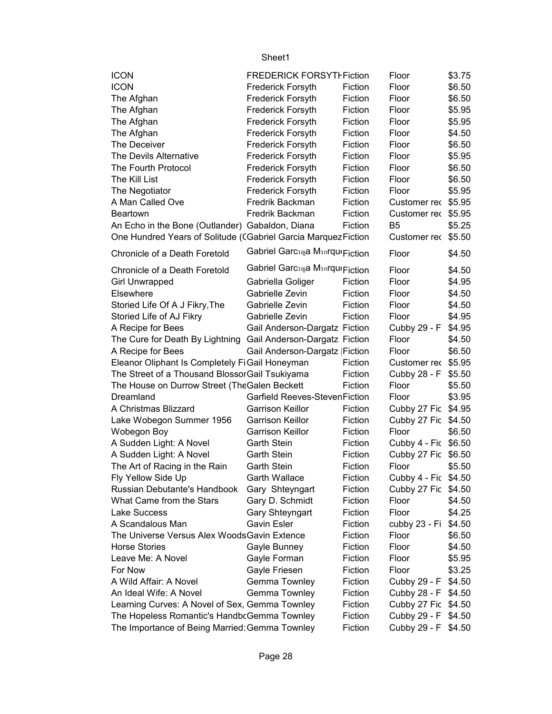| <b>ICON</b>                                                    | <b>FREDERICK FORSYTIFiction</b>      |         | Floor                | \$3.75 |
|----------------------------------------------------------------|--------------------------------------|---------|----------------------|--------|
| <b>ICON</b>                                                    | <b>Frederick Forsyth</b>             | Fiction | Floor                | \$6.50 |
| The Afghan                                                     | <b>Frederick Forsyth</b>             | Fiction | Floor                | \$6.50 |
| The Afghan                                                     | <b>Frederick Forsyth</b>             | Fiction | Floor                | \$5.95 |
| The Afghan                                                     | <b>Frederick Forsyth</b>             | Fiction | Floor                | \$5.95 |
| The Afghan                                                     | Frederick Forsyth                    | Fiction | Floor                | \$4.50 |
| The Deceiver                                                   | <b>Frederick Forsyth</b>             | Fiction | Floor                | \$6.50 |
| The Devils Alternative                                         | Frederick Forsyth                    | Fiction | Floor                | \$5.95 |
| The Fourth Protocol                                            | Frederick Forsyth                    | Fiction | Floor                | \$6.50 |
| The Kill List                                                  | Frederick Forsyth                    | Fiction | Floor                | \$6.50 |
| The Negotiator                                                 | <b>Frederick Forsyth</b>             | Fiction | Floor                | \$5.95 |
| A Man Called Ove                                               | Fredrik Backman                      | Fiction | Customer rec         | \$5.95 |
| <b>Beartown</b>                                                | Fredrik Backman                      | Fiction | Customer rec         | \$5.95 |
| An Echo in the Bone (Outlander) Gabaldon, Diana                |                                      | Fiction | B <sub>5</sub>       | \$5.25 |
| One Hundred Years of Solitude (CGabriel Garcia Marquez Fiction |                                      |         | Customer rec \$5.50  |        |
| Chronicle of a Death Foretold                                  | Gabriel Garcsna Msnrqui Fiction      |         | Floor                | \$4.50 |
|                                                                |                                      |         |                      |        |
| Chronicle of a Death Foretold                                  | Gabriel Garcsญa Msnrqu(Fiction       |         | Floor                | \$4.50 |
| <b>Girl Unwrapped</b>                                          | Gabriella Goliger                    | Fiction | Floor                | \$4.95 |
| Elsewhere                                                      | Gabrielle Zevin                      | Fiction | Floor                | \$4.50 |
| Storied Life Of A J Fikry, The                                 | Gabrielle Zevin                      | Fiction | Floor                | \$4.50 |
| Storied Life of AJ Fikry                                       | Gabrielle Zevin                      | Fiction | Floor                | \$4.95 |
| A Recipe for Bees                                              | Gail Anderson-Dargatz Fiction        |         | Cubby 29 - F         | \$4.95 |
| The Cure for Death By Lightning                                | Gail Anderson-Dargatz Fiction        |         | Floor                | \$4.50 |
| A Recipe for Bees                                              | Gail Anderson-Dargatz   Fiction      |         | Floor                | \$6.50 |
| Eleanor Oliphant Is Completely FiGail Honeyman                 |                                      | Fiction | Customer rec \$5.95  |        |
| The Street of a Thousand Blossor Gail Tsukiyama                |                                      | Fiction | Cubby 28 - F         | \$5.50 |
| The House on Durrow Street (The Galen Beckett                  |                                      | Fiction | Floor                | \$5.50 |
| Dreamland                                                      | <b>Garfield Reeves-StevenFiction</b> |         | Floor                | \$3.95 |
| A Christmas Blizzard                                           | <b>Garrison Keillor</b>              | Fiction | Cubby 27 Fic         | \$4.95 |
| Lake Wobegon Summer 1956                                       | <b>Garrison Keillor</b>              | Fiction | Cubby 27 Fic         | \$4.50 |
| Wobegon Boy                                                    | <b>Garrison Keillor</b>              | Fiction | Floor                | \$6.50 |
| A Sudden Light: A Novel                                        | <b>Garth Stein</b>                   | Fiction | Cubby 4 - Fic \$6.50 |        |
| A Sudden Light: A Novel                                        | <b>Garth Stein</b>                   | Fiction | Cubby 27 Fic         | \$6.50 |
| The Art of Racing in the Rain                                  | <b>Garth Stein</b>                   | Fiction | Floor                | \$5.50 |
| Fly Yellow Side Up                                             | <b>Garth Wallace</b>                 | Fiction | Cubby 4 - Fic \$4.50 |        |
| Russian Debutante's Handbook                                   | Gary Shteyngart                      | Fiction | Cubby 27 Fic         | \$4.50 |
| What Came from the Stars                                       | Gary D. Schmidt                      | Fiction | Floor                | \$4.50 |
| Lake Success                                                   | Gary Shteyngart                      | Fiction | Floor                | \$4.25 |
| A Scandalous Man                                               | <b>Gavin Esler</b>                   | Fiction | cubby 23 - Fi        | \$4.50 |
| The Universe Versus Alex Woods Gavin Extence                   |                                      | Fiction | Floor                | \$6.50 |
| <b>Horse Stories</b>                                           | Gayle Bunney                         | Fiction | Floor                | \$4.50 |
| Leave Me: A Novel                                              | Gayle Forman                         | Fiction | Floor                | \$5.95 |
| For Now                                                        | Gayle Friesen                        | Fiction | Floor                | \$3.25 |
| A Wild Affair: A Novel                                         | Gemma Townley                        | Fiction | Cubby 29 - F         | \$4.50 |
| An Ideal Wife: A Novel                                         | Gemma Townley                        | Fiction | Cubby 28 - F         | \$4.50 |
| Learning Curves: A Novel of Sex, Gemma Townley                 |                                      | Fiction | Cubby 27 Fic \$4.50  |        |
| The Hopeless Romantic's Handb Gemma Townley                    |                                      | Fiction | Cubby 29 - F         | \$4.50 |
| The Importance of Being Married: Gemma Townley                 |                                      | Fiction | Cubby 29 - F \$4.50  |        |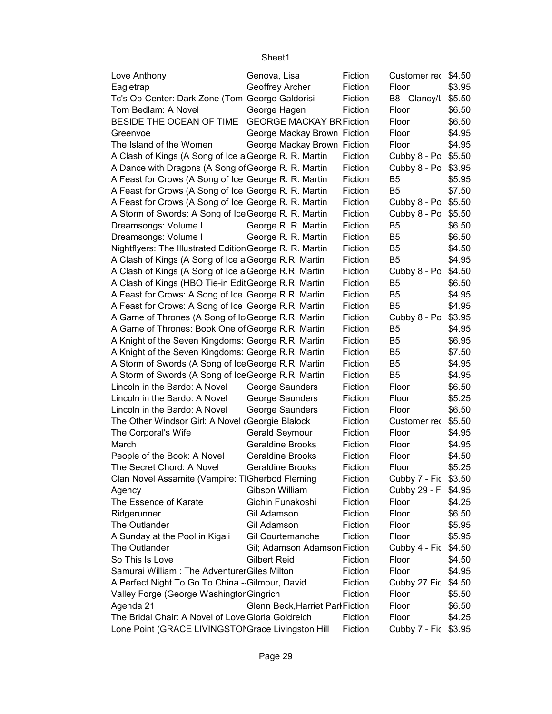| Love Anthony                                             | Genova, Lisa                     | Fiction | Customer rec \$4.50  |        |
|----------------------------------------------------------|----------------------------------|---------|----------------------|--------|
| Eagletrap                                                | Geoffrey Archer                  | Fiction | Floor                | \$3.95 |
| Tc's Op-Center: Dark Zone (Tom George Galdorisi          |                                  | Fiction | B8 - Clancy/L        | \$5.50 |
| Tom Bedlam: A Novel                                      | George Hagen                     | Fiction | Floor                | \$6.50 |
| BESIDE THE OCEAN OF TIME                                 | <b>GEORGE MACKAY BRFiction</b>   |         | Floor                | \$6.50 |
| Greenvoe                                                 | George Mackay Brown Fiction      |         | Floor                | \$4.95 |
| The Island of the Women                                  | George Mackay Brown Fiction      |         | Floor                | \$4.95 |
| A Clash of Kings (A Song of Ice a George R. R. Martin    |                                  | Fiction | Cubby 8 - Po         | \$5.50 |
| A Dance with Dragons (A Song of George R. R. Martin      |                                  | Fiction | Cubby 8 - Po         | \$3.95 |
| A Feast for Crows (A Song of Ice George R. R. Martin     |                                  | Fiction | B <sub>5</sub>       | \$5.95 |
| A Feast for Crows (A Song of Ice George R. R. Martin     |                                  | Fiction | B <sub>5</sub>       | \$7.50 |
| A Feast for Crows (A Song of Ice George R. R. Martin     |                                  | Fiction | Cubby 8 - Po         | \$5.50 |
| A Storm of Swords: A Song of Ice George R. R. Martin     |                                  | Fiction | Cubby 8 - Po         | \$5.50 |
| Dreamsongs: Volume I                                     | George R. R. Martin              | Fiction | B <sub>5</sub>       | \$6.50 |
| Dreamsongs: Volume I                                     | George R. R. Martin              | Fiction | B <sub>5</sub>       | \$6.50 |
| Nightflyers: The Illustrated Edition George R. R. Martin |                                  | Fiction | B <sub>5</sub>       | \$4.50 |
| A Clash of Kings (A Song of Ice a George R.R. Martin     |                                  | Fiction | B <sub>5</sub>       | \$4.95 |
| A Clash of Kings (A Song of Ice a George R.R. Martin     |                                  | Fiction | Cubby 8 - Po         | \$4.50 |
| A Clash of Kings (HBO Tie-in EditGeorge R.R. Martin      |                                  | Fiction | B <sub>5</sub>       | \$6.50 |
| A Feast for Crows: A Song of Ice George R.R. Martin      |                                  | Fiction | B <sub>5</sub>       | \$4.95 |
| A Feast for Crows: A Song of Ice George R.R. Martin      |                                  | Fiction | B <sub>5</sub>       | \$4.95 |
| A Game of Thrones (A Song of Ic George R.R. Martin       |                                  | Fiction | Cubby 8 - Po         | \$3.95 |
| A Game of Thrones: Book One of George R.R. Martin        |                                  | Fiction | B <sub>5</sub>       | \$4.95 |
| A Knight of the Seven Kingdoms: George R.R. Martin       |                                  | Fiction | B <sub>5</sub>       | \$6.95 |
| A Knight of the Seven Kingdoms: George R.R. Martin       |                                  | Fiction | B <sub>5</sub>       | \$7.50 |
| A Storm of Swords (A Song of IceGeorge R.R. Martin       |                                  | Fiction | B <sub>5</sub>       | \$4.95 |
| A Storm of Swords (A Song of IceGeorge R.R. Martin       |                                  | Fiction | B <sub>5</sub>       | \$4.95 |
| Lincoln in the Bardo: A Novel                            | George Saunders                  | Fiction | Floor                | \$6.50 |
| Lincoln in the Bardo: A Novel                            | George Saunders                  | Fiction | Floor                | \$5.25 |
| Lincoln in the Bardo: A Novel                            | George Saunders                  | Fiction | Floor                | \$6.50 |
| The Other Windsor Girl: A Novel (Georgie Blalock         |                                  | Fiction | Customer rec         | \$5.50 |
| The Corporal's Wife                                      | Gerald Seymour                   | Fiction | Floor                | \$4.95 |
| March                                                    | <b>Geraldine Brooks</b>          | Fiction | Floor                | \$4.95 |
| People of the Book: A Novel                              | <b>Geraldine Brooks</b>          | Fiction | Floor                | \$4.50 |
| The Secret Chord: A Novel                                | <b>Geraldine Brooks</b>          | Fiction | Floor                | \$5.25 |
| Clan Novel Assamite (Vampire: TIGherbod Fleming          |                                  | Fiction | Cubby 7 - Fic \$3.50 |        |
| Agency                                                   | Gibson William                   | Fiction | Cubby 29 - F \$4.95  |        |
| The Essence of Karate                                    | Gichin Funakoshi                 | Fiction | Floor                | \$4.25 |
| Ridgerunner                                              | Gil Adamson                      | Fiction | Floor                | \$6.50 |
| The Outlander                                            | Gil Adamson                      | Fiction | Floor                | \$5.95 |
| A Sunday at the Pool in Kigali                           | Gil Courtemanche                 | Fiction | Floor                | \$5.95 |
| The Outlander                                            | Gil; Adamson Adamson Fiction     |         | Cubby 4 - Fic \$4.50 |        |
| So This Is Love                                          | <b>Gilbert Reid</b>              | Fiction | Floor                | \$4.50 |
| Samurai William: The Adventurer Giles Milton             |                                  | Fiction | Floor                | \$4.95 |
| A Perfect Night To Go To China - Gilmour, David          |                                  | Fiction | Cubby 27 Fic         | \$4.50 |
| Valley Forge (George Washingtor Gingrich                 |                                  | Fiction | Floor                | \$5.50 |
| Agenda 21                                                | Glenn Beck, Harriet Parl Fiction |         | Floor                | \$6.50 |
| The Bridal Chair: A Novel of Love Gloria Goldreich       |                                  | Fiction | Floor                | \$4.25 |
| Lone Point (GRACE LIVINGSTONGrace Livingston Hill        |                                  | Fiction | Cubby 7 - Fic \$3.95 |        |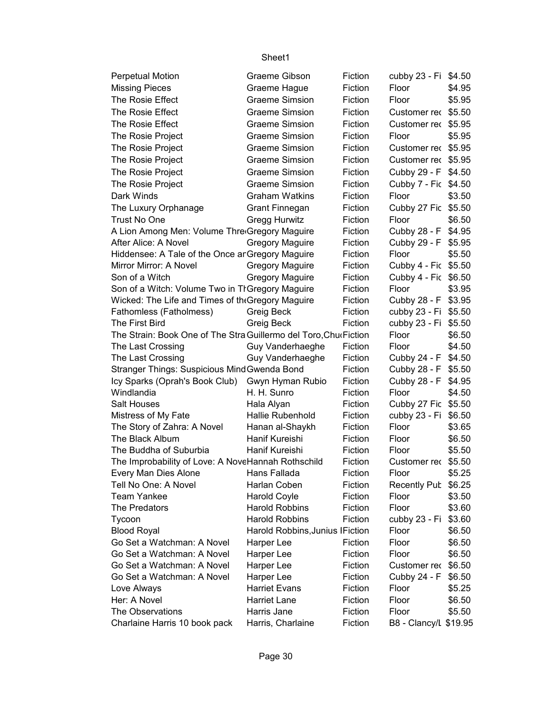| <b>Perpetual Motion</b>                                          | Graeme Gibson                   | Fiction | cubby 23 - Fi \$4.50  |        |
|------------------------------------------------------------------|---------------------------------|---------|-----------------------|--------|
| <b>Missing Pieces</b>                                            | Graeme Hague                    | Fiction | Floor                 | \$4.95 |
| The Rosie Effect                                                 | <b>Graeme Simsion</b>           | Fiction | Floor                 | \$5.95 |
| The Rosie Effect                                                 | <b>Graeme Simsion</b>           | Fiction | Customer rec \$5.50   |        |
| The Rosie Effect                                                 | <b>Graeme Simsion</b>           | Fiction | Customer rec \$5.95   |        |
| The Rosie Project                                                | <b>Graeme Simsion</b>           | Fiction | Floor                 | \$5.95 |
| The Rosie Project                                                | <b>Graeme Simsion</b>           | Fiction | Customer rec \$5.95   |        |
| The Rosie Project                                                | <b>Graeme Simsion</b>           | Fiction | Customer rec \$5.95   |        |
| The Rosie Project                                                | <b>Graeme Simsion</b>           | Fiction | Cubby 29 - F \$4.50   |        |
| The Rosie Project                                                | <b>Graeme Simsion</b>           | Fiction | Cubby 7 - Fic \$4.50  |        |
| Dark Winds                                                       | <b>Graham Watkins</b>           | Fiction | Floor                 | \$3.50 |
| The Luxury Orphanage                                             | <b>Grant Finnegan</b>           | Fiction | Cubby 27 Fic \$5.50   |        |
| <b>Trust No One</b>                                              | Gregg Hurwitz                   | Fiction | Floor                 | \$6.50 |
| A Lion Among Men: Volume Thre Gregory Maguire                    |                                 | Fiction | Cubby 28 - F \$4.95   |        |
| After Alice: A Novel                                             | <b>Gregory Maguire</b>          | Fiction | Cubby 29 - F \$5.95   |        |
| Hiddensee: A Tale of the Once ar Gregory Maguire                 |                                 | Fiction | Floor                 | \$5.50 |
| Mirror Mirror: A Novel                                           | <b>Gregory Maguire</b>          | Fiction | Cubby 4 - Fic \$5.50  |        |
| Son of a Witch                                                   | <b>Gregory Maguire</b>          | Fiction | Cubby 4 - Fic \$6.50  |        |
| Son of a Witch: Volume Two in TI Gregory Maguire                 |                                 | Fiction | Floor                 | \$3.95 |
| Wicked: The Life and Times of the Gregory Maguire                |                                 | Fiction | Cubby 28 - F \$3.95   |        |
| Fathomless (Fatholmess)                                          | Greig Beck                      | Fiction | cubby 23 - Fi \$5.50  |        |
| The First Bird                                                   | Greig Beck                      | Fiction | cubby 23 - Fi \$5.50  |        |
| The Strain: Book One of The Stra Guillermo del Toro, ChurFiction |                                 |         | Floor                 | \$6.50 |
| The Last Crossing                                                | Guy Vanderhaeghe                | Fiction | Floor                 | \$4.50 |
| The Last Crossing                                                | Guy Vanderhaeghe                | Fiction | Cubby 24 - F \$4.50   |        |
| Stranger Things: Suspicious Mind Gwenda Bond                     |                                 | Fiction | Cubby 28 - F          | \$5.50 |
| Icy Sparks (Oprah's Book Club) Gwyn Hyman Rubio                  |                                 | Fiction | Cubby 28 - F          | \$4.95 |
| Windlandia                                                       | H. H. Sunro                     | Fiction | Floor                 | \$4.50 |
| <b>Salt Houses</b>                                               | Hala Alyan                      | Fiction | Cubby 27 Fic \$5.50   |        |
| Mistress of My Fate                                              | Hallie Rubenhold                | Fiction | cubby 23 - Fi         | \$6.50 |
| The Story of Zahra: A Novel                                      | Hanan al-Shaykh                 | Fiction | Floor                 | \$3.65 |
| The Black Album                                                  | Hanif Kureishi                  | Fiction | Floor                 | \$6.50 |
| The Buddha of Suburbia                                           | Hanif Kureishi                  | Fiction | Floor                 | \$5.50 |
| The Improbability of Love: A NoveHannah Rothschild               |                                 | Fiction | Customer rec \$5.50   |        |
| Every Man Dies Alone                                             | Hans Fallada                    | Fiction | Floor                 | \$5.25 |
| Tell No One: A Novel                                             | Harlan Coben                    | Fiction | Recently Pub \$6.25   |        |
| <b>Team Yankee</b>                                               | <b>Harold Coyle</b>             | Fiction | Floor                 | \$3.50 |
| The Predators                                                    | <b>Harold Robbins</b>           | Fiction | Floor                 | \$3.60 |
| Tycoon                                                           | <b>Harold Robbins</b>           | Fiction | cubby 23 - Fi         | \$3.60 |
| <b>Blood Royal</b>                                               | Harold Robbins, Junius IFiction |         | Floor                 | \$6.50 |
| Go Set a Watchman: A Novel                                       | Harper Lee                      | Fiction | Floor                 | \$6.50 |
| Go Set a Watchman: A Novel                                       | Harper Lee                      | Fiction | Floor                 | \$6.50 |
| Go Set a Watchman: A Novel                                       | Harper Lee                      | Fiction | Customer rec          | \$6.50 |
| Go Set a Watchman: A Novel                                       | Harper Lee                      | Fiction | Cubby 24 - F          | \$6.50 |
| Love Always                                                      | <b>Harriet Evans</b>            | Fiction | Floor                 | \$5.25 |
| Her: A Novel                                                     | <b>Harriet Lane</b>             | Fiction | Floor                 | \$6.50 |
| The Observations                                                 | Harris Jane                     | Fiction | Floor                 | \$5.50 |
| Charlaine Harris 10 book pack                                    | Harris, Charlaine               | Fiction | B8 - Clancy/L \$19.95 |        |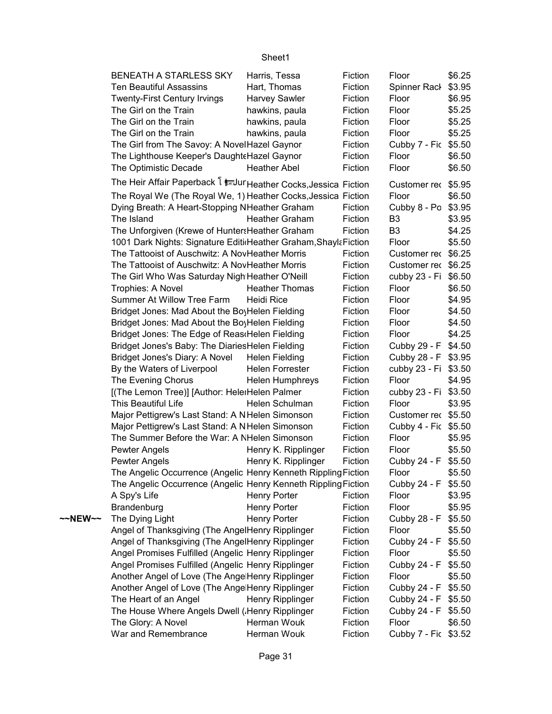|         | BENEATH A STARLESS SKY                                           | Harris, Tessa          | Fiction | Floor                | \$6.25 |
|---------|------------------------------------------------------------------|------------------------|---------|----------------------|--------|
|         | <b>Ten Beautiful Assassins</b>                                   | Hart, Thomas           | Fiction | Spinner Rack         | \$3.95 |
|         | <b>Twenty-First Century Irvings</b>                              | <b>Harvey Sawler</b>   | Fiction | Floor                | \$6.95 |
|         | The Girl on the Train                                            | hawkins, paula         | Fiction | Floor                | \$5.25 |
|         | The Girl on the Train                                            | hawkins, paula         | Fiction | Floor                | \$5.25 |
|         | The Girl on the Train                                            | hawkins, paula         | Fiction | Floor                | \$5.25 |
|         | The Girl from The Savoy: A NovelHazel Gaynor                     |                        | Fiction | Cubby 7 - Fic \$5.50 |        |
|         | The Lighthouse Keeper's Daught Hazel Gaynor                      |                        | Fiction | Floor                | \$6.50 |
|         | The Optimistic Decade                                            | <b>Heather Abel</b>    | Fiction | Floor                | \$6.50 |
|         | The Heir Affair Paperback I sur Heather Cocks, Jessica Fiction   |                        |         | Customer rec \$5.95  |        |
|         | The Royal We (The Royal We, 1) Heather Cocks, Jessica Fiction    |                        |         | Floor                | \$6.50 |
|         | Dying Breath: A Heart-Stopping NHeather Graham                   |                        | Fiction | Cubby 8 - Po \$3.95  |        |
|         | The Island                                                       | <b>Heather Graham</b>  | Fiction | B <sub>3</sub>       | \$3.95 |
|         | The Unforgiven (Krewe of Hunters Heather Graham                  |                        | Fiction | B <sub>3</sub>       | \$4.25 |
|         | 1001 Dark Nights: Signature Editi Heather Graham, Shayla Fiction |                        |         | Floor                | \$5.50 |
|         | The Tattooist of Auschwitz: A NovHeather Morris                  |                        | Fiction | Customer rec \$6.25  |        |
|         | The Tattooist of Auschwitz: A NovHeather Morris                  |                        | Fiction | Customer rec \$6.25  |        |
|         | The Girl Who Was Saturday Nigh Heather O'Neill                   |                        | Fiction | cubby 23 - Fi \$6.50 |        |
|         | Trophies: A Novel                                                | <b>Heather Thomas</b>  | Fiction | Floor                | \$6.50 |
|         | Summer At Willow Tree Farm                                       | Heidi Rice             | Fiction | Floor                | \$4.95 |
|         | Bridget Jones: Mad About the BoyHelen Fielding                   |                        | Fiction | Floor                | \$4.50 |
|         | Bridget Jones: Mad About the BoyHelen Fielding                   |                        | Fiction | Floor                | \$4.50 |
|         | Bridget Jones: The Edge of Reas Helen Fielding                   |                        | Fiction | Floor                | \$4.25 |
|         | Bridget Jones's Baby: The DiariesHelen Fielding                  |                        | Fiction | Cubby 29 - F         | \$4.50 |
|         | Bridget Jones's Diary: A Novel                                   | Helen Fielding         | Fiction | Cubby 28 - F \$3.95  |        |
|         | By the Waters of Liverpool                                       | <b>Helen Forrester</b> | Fiction | cubby 23 - Fi \$3.50 |        |
|         | The Evening Chorus                                               | <b>Helen Humphreys</b> | Fiction | Floor                | \$4.95 |
|         | [(The Lemon Tree)] [Author: HeleiHelen Palmer                    |                        | Fiction | cubby 23 - Fi \$3.50 |        |
|         | This Beautiful Life                                              | Helen Schulman         | Fiction | Floor                | \$3.95 |
|         | Major Pettigrew's Last Stand: A NHelen Simonson                  |                        | Fiction | Customer rec \$5.50  |        |
|         | Major Pettigrew's Last Stand: A NHelen Simonson                  |                        | Fiction | Cubby 4 - Fic \$5.50 |        |
|         | The Summer Before the War: A NHelen Simonson                     |                        | Fiction | Floor                | \$5.95 |
|         | Pewter Angels                                                    | Henry K. Ripplinger    | Fiction | Floor                | \$5.50 |
|         | Pewter Angels                                                    | Henry K. Ripplinger    | Fiction | Cubby 24 - F \$5.50  |        |
|         | The Angelic Occurrence (Angelic Henry Kenneth Rippling Fiction   |                        |         | Floor                | \$5.50 |
|         | The Angelic Occurrence (Angelic Henry Kenneth Rippling Fiction   |                        |         | Cubby 24 - F \$5.50  |        |
|         | A Spy's Life                                                     | <b>Henry Porter</b>    | Fiction | Floor                | \$3.95 |
|         | Brandenburg                                                      | <b>Henry Porter</b>    | Fiction | Floor                | \$5.95 |
| ~~NEW~~ | The Dying Light                                                  | <b>Henry Porter</b>    | Fiction | Cubby 28 - F         | \$5.50 |
|         | Angel of Thanksgiving (The AngelHenry Ripplinger                 |                        | Fiction | Floor                | \$5.50 |
|         | Angel of Thanksgiving (The AngelHenry Ripplinger                 |                        | Fiction | Cubby 24 - F         | \$5.50 |
|         | Angel Promises Fulfilled (Angelic Henry Ripplinger               |                        | Fiction | Floor                | \$5.50 |
|         | Angel Promises Fulfilled (Angelic Henry Ripplinger               |                        | Fiction | Cubby 24 - F         | \$5.50 |
|         | Another Angel of Love (The Ange Henry Ripplinger                 |                        | Fiction | Floor                | \$5.50 |
|         | Another Angel of Love (The Ange Henry Ripplinger                 |                        | Fiction | Cubby 24 - F         | \$5.50 |
|         | The Heart of an Angel                                            | Henry Ripplinger       | Fiction | Cubby 24 - F         | \$5.50 |
|         | The House Where Angels Dwell (.Henry Ripplinger                  |                        | Fiction | Cubby 24 - F         | \$5.50 |
|         | The Glory: A Novel                                               | Herman Wouk            | Fiction | Floor                | \$6.50 |
|         | War and Remembrance                                              | Herman Wouk            | Fiction | Cubby 7 - Fic \$3.52 |        |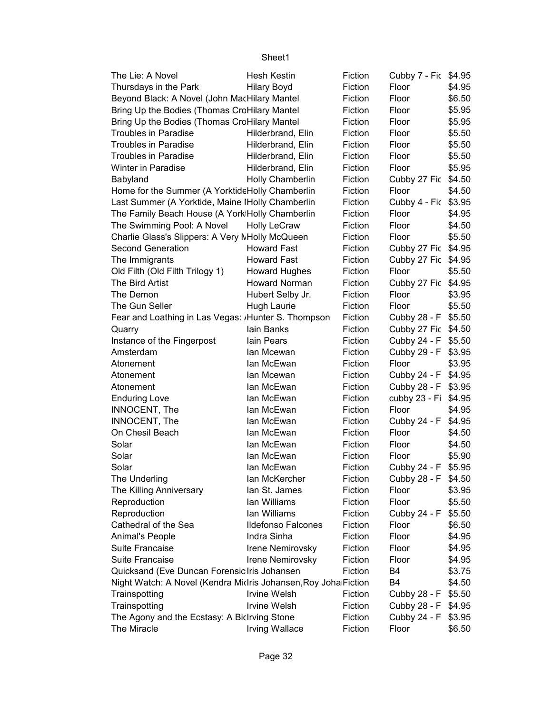| The Lie: A Novel                                               | <b>Hesh Kestin</b>   | Fiction | Cubby 7 - Fic \$4.95 |        |
|----------------------------------------------------------------|----------------------|---------|----------------------|--------|
| Thursdays in the Park                                          | <b>Hilary Boyd</b>   | Fiction | Floor                | \$4.95 |
| Beyond Black: A Novel (John MacHilary Mantel                   |                      | Fiction | Floor                | \$6.50 |
| Bring Up the Bodies (Thomas CroHilary Mantel                   |                      | Fiction | Floor                | \$5.95 |
| Bring Up the Bodies (Thomas CroHilary Mantel                   |                      | Fiction | Floor                | \$5.95 |
| <b>Troubles in Paradise</b>                                    | Hilderbrand, Elin    | Fiction | Floor                | \$5.50 |
| <b>Troubles in Paradise</b>                                    | Hilderbrand, Elin    | Fiction | Floor                | \$5.50 |
| <b>Troubles in Paradise</b>                                    | Hilderbrand, Elin    | Fiction | Floor                | \$5.50 |
| <b>Winter in Paradise</b>                                      | Hilderbrand, Elin    | Fiction | Floor                | \$5.95 |
| Babyland                                                       | Holly Chamberlin     | Fiction | Cubby 27 Fic         | \$4.50 |
| Home for the Summer (A Yorktide Holly Chamberlin               |                      | Fiction | Floor                | \$4.50 |
| Last Summer (A Yorktide, Maine IHolly Chamberlin               |                      | Fiction | Cubby 4 - Fic \$3.95 |        |
| The Family Beach House (A York Holly Chamberlin                |                      | Fiction | Floor                | \$4.95 |
| The Swimming Pool: A Novel                                     | <b>Holly LeCraw</b>  | Fiction | Floor                | \$4.50 |
| Charlie Glass's Slippers: A Very MHolly McQueen                |                      | Fiction | Floor                | \$5.50 |
| <b>Second Generation</b>                                       | <b>Howard Fast</b>   | Fiction | Cubby 27 Fic \$4.95  |        |
| The Immigrants                                                 | <b>Howard Fast</b>   | Fiction | Cubby 27 Fic \$4.95  |        |
| Old Filth (Old Filth Trilogy 1)                                | <b>Howard Hughes</b> | Fiction | Floor                | \$5.50 |
| The Bird Artist                                                | <b>Howard Norman</b> | Fiction | Cubby 27 Fic \$4.95  |        |
| The Demon                                                      | Hubert Selby Jr.     | Fiction | Floor                | \$3.95 |
| The Gun Seller                                                 | <b>Hugh Laurie</b>   | Fiction | Floor                | \$5.50 |
| Fear and Loathing in Las Vegas: /Hunter S. Thompson            |                      | Fiction | Cubby 28 - F \$5.50  |        |
| Quarry                                                         | lain Banks           | Fiction | Cubby 27 Fic \$4.50  |        |
| Instance of the Fingerpost                                     | lain Pears           | Fiction | Cubby 24 - F         | \$5.50 |
| Amsterdam                                                      | lan Mcewan           | Fiction | Cubby 29 - F         | \$3.95 |
| Atonement                                                      | lan McEwan           | Fiction | Floor                | \$3.95 |
| Atonement                                                      | lan Mcewan           | Fiction | Cubby 24 - F         | \$4.95 |
| Atonement                                                      | lan McEwan           | Fiction | Cubby 28 - F \$3.95  |        |
| <b>Enduring Love</b>                                           | lan McEwan           | Fiction | cubby 23 - Fi \$4.95 |        |
| INNOCENT, The                                                  | lan McEwan           | Fiction | Floor                | \$4.95 |
| INNOCENT, The                                                  | lan McEwan           | Fiction | Cubby 24 - F         | \$4.95 |
| On Chesil Beach                                                | lan McEwan           | Fiction | Floor                | \$4.50 |
| Solar                                                          | lan McEwan           | Fiction | Floor                | \$4.50 |
| Solar                                                          | lan McEwan           | Fiction | Floor                | \$5.90 |
| Solar                                                          | lan McEwan           | Fiction | Cubby 24 - F         | \$5.95 |
| The Underling                                                  | lan McKercher        | Fiction | Cubby 28 - F \$4.50  |        |
| The Killing Anniversary                                        | lan St. James        | Fiction | Floor                | \$3.95 |
| Reproduction                                                   | lan Williams         | Fiction | Floor                | \$5.50 |
| Reproduction                                                   | lan Williams         | Fiction | Cubby 24 - F         | \$5.50 |
| Cathedral of the Sea                                           | Ildefonso Falcones   | Fiction | Floor                | \$6.50 |
| Animal's People                                                | Indra Sinha          | Fiction | Floor                | \$4.95 |
| Suite Francaise                                                | Irene Nemirovsky     | Fiction | Floor                | \$4.95 |
| Suite Francaise                                                | Irene Nemirovsky     | Fiction | Floor                | \$4.95 |
| Quicksand (Eve Duncan Forensic Iris Johansen                   |                      | Fiction | B4                   | \$3.75 |
| Night Watch: A Novel (Kendra Midris Johansen, Roy Joha Fiction |                      |         | B4                   | \$4.50 |
| Trainspotting                                                  | <b>Irvine Welsh</b>  | Fiction | Cubby 28 - F         | \$5.50 |
| Trainspotting                                                  | Irvine Welsh         | Fiction | Cubby 28 - F         | \$4.95 |
| The Agony and the Ecstasy: A BicIrving Stone                   |                      | Fiction | Cubby 24 - F         | \$3.95 |
| The Miracle                                                    | Irving Wallace       | Fiction | Floor                | \$6.50 |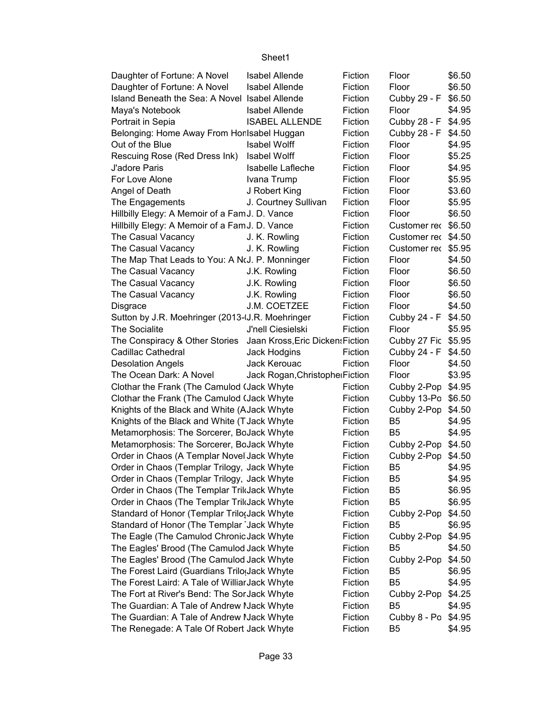| Fiction<br>Daughter of Fortune: A Novel<br><b>Isabel Allende</b><br>Floor<br>\$6.50                                                                       |  |
|-----------------------------------------------------------------------------------------------------------------------------------------------------------|--|
|                                                                                                                                                           |  |
| Island Beneath the Sea: A Novel Isabel Allende<br>Fiction<br>Cubby 29 - F<br>\$6.50                                                                       |  |
| Maya's Notebook<br><b>Isabel Allende</b><br>Fiction<br>Floor<br>\$4.95                                                                                    |  |
| Cubby 28 - F<br><b>ISABEL ALLENDE</b><br>Fiction<br>\$4.95<br>Portrait in Sepia                                                                           |  |
| Belonging: Home Away From Horlsabel Huggan<br>Fiction<br>Cubby 28 - F<br>\$4.50                                                                           |  |
| Out of the Blue<br><b>Isabel Wolff</b><br>Fiction<br>Floor<br>\$4.95                                                                                      |  |
| Rescuing Rose (Red Dress Ink)<br><b>Isabel Wolff</b><br>Fiction<br>Floor<br>\$5.25                                                                        |  |
| J'adore Paris<br>Isabelle Lafleche<br>Fiction<br>Floor<br>\$4.95                                                                                          |  |
| \$5.95<br>For Love Alone<br>Ivana Trump<br>Fiction<br>Floor                                                                                               |  |
| Angel of Death<br>J Robert King<br>Fiction<br>Floor<br>\$3.60                                                                                             |  |
| The Engagements<br>J. Courtney Sullivan<br>Fiction<br>Floor<br>\$5.95                                                                                     |  |
| Hillbilly Elegy: A Memoir of a Fam J. D. Vance<br>Fiction<br>Floor<br>\$6.50                                                                              |  |
| Hillbilly Elegy: A Memoir of a Fam J. D. Vance<br>Fiction<br>Customer rec \$6.50                                                                          |  |
| The Casual Vacancy<br>Fiction<br>Customer rec \$4.50<br>J. K. Rowling                                                                                     |  |
| J. K. Rowling<br>Fiction<br>Customer rec \$5.95<br>The Casual Vacancy                                                                                     |  |
| The Map That Leads to You: A N(J. P. Monninger<br>Fiction<br>Floor<br>\$4.50                                                                              |  |
| The Casual Vacancy<br>J.K. Rowling<br>Fiction<br>Floor<br>\$6.50                                                                                          |  |
| The Casual Vacancy<br>J.K. Rowling<br>Fiction<br>Floor<br>\$6.50                                                                                          |  |
| The Casual Vacancy<br>J.K. Rowling<br>Fiction<br>Floor<br>\$6.50                                                                                          |  |
| J.M. COETZEE<br>Fiction<br>Floor<br>\$4.50<br>Disgrace                                                                                                    |  |
| Sutton by J.R. Moehringer (2013-IJ.R. Moehringer<br>Fiction<br>Cubby 24 - F<br>\$4.50                                                                     |  |
| <b>The Socialite</b><br>J'nell Ciesielski<br>Fiction<br>Floor<br>\$5.95                                                                                   |  |
| The Conspiracy & Other Stories Jaan Kross, Eric Dicken: Fiction<br>Cubby 27 Fic<br>\$5.95                                                                 |  |
| <b>Cadillac Cathedral</b><br>Jack Hodgins<br>Fiction<br>Cubby 24 - F<br>\$4.50                                                                            |  |
| <b>Desolation Angels</b><br>Jack Kerouac<br>Fiction<br>Floor<br>\$4.50                                                                                    |  |
| The Ocean Dark: A Novel<br>Floor<br>\$3.95<br>Jack Rogan, Christopher Fiction                                                                             |  |
| Clothar the Frank (The Camulod (Jack Whyte<br>Fiction<br>\$4.95<br>Cubby 2-Pop                                                                            |  |
| Clothar the Frank (The Camulod (Jack Whyte<br>Fiction<br>Cubby 13-Po<br>\$6.50                                                                            |  |
| Knights of the Black and White (AJack Whyte<br>Fiction<br>Cubby 2-Pop<br>\$4.50                                                                           |  |
| Knights of the Black and White (T Jack Whyte<br>Fiction<br>B <sub>5</sub><br>\$4.95                                                                       |  |
| Metamorphosis: The Sorcerer, BoJack Whyte<br>Fiction<br>B <sub>5</sub><br>\$4.95                                                                          |  |
| Metamorphosis: The Sorcerer, BoJack Whyte<br>Fiction<br>\$4.50<br>Cubby 2-Pop                                                                             |  |
| Order in Chaos (A Templar Novel Jack Whyte<br>Fiction<br>Cubby 2-Pop<br>\$4.50                                                                            |  |
| Order in Chaos (Templar Trilogy, Jack Whyte<br>B <sub>5</sub><br>\$4.95<br>Fiction                                                                        |  |
| Order in Chaos (Templar Trilogy, Jack Whyte<br>Fiction<br>\$4.95<br>B5                                                                                    |  |
| Order in Chaos (The Templar TrikJack Whyte<br>Fiction<br>B <sub>5</sub><br>\$6.95                                                                         |  |
| Order in Chaos (The Templar TrikJack Whyte<br>Fiction<br>B <sub>5</sub><br>\$6.95                                                                         |  |
| Standard of Honor (Templar Trilo(Jack Whyte<br>Fiction<br>\$4.50<br>Cubby 2-Pop                                                                           |  |
| Standard of Honor (The Templar Jack Whyte<br>Fiction<br>B <sub>5</sub><br>\$6.95                                                                          |  |
| The Eagle (The Camulod Chronic Jack Whyte<br>\$4.95<br>Fiction<br>Cubby 2-Pop                                                                             |  |
| The Eagles' Brood (The Camulod Jack Whyte<br>\$4.50<br>Fiction<br>B5                                                                                      |  |
| The Eagles' Brood (The Camulod Jack Whyte<br>Fiction<br>\$4.50<br>Cubby 2-Pop                                                                             |  |
| The Forest Laird (Guardians Trilo Jack Whyte<br>Fiction<br>B <sub>5</sub><br>\$6.95                                                                       |  |
| The Forest Laird: A Tale of Williar Jack Whyte<br>Fiction<br>B <sub>5</sub><br>\$4.95                                                                     |  |
| The Fort at River's Bend: The Sor Jack Whyte<br>Fiction<br>Cubby 2-Pop<br>\$4.25                                                                          |  |
|                                                                                                                                                           |  |
|                                                                                                                                                           |  |
| The Guardian: A Tale of Andrew I Jack Whyte<br>Fiction<br>B5<br>\$4.95<br>The Guardian: A Tale of Andrew IJack Whyte<br>Fiction<br>Cubby 8 - Po<br>\$4.95 |  |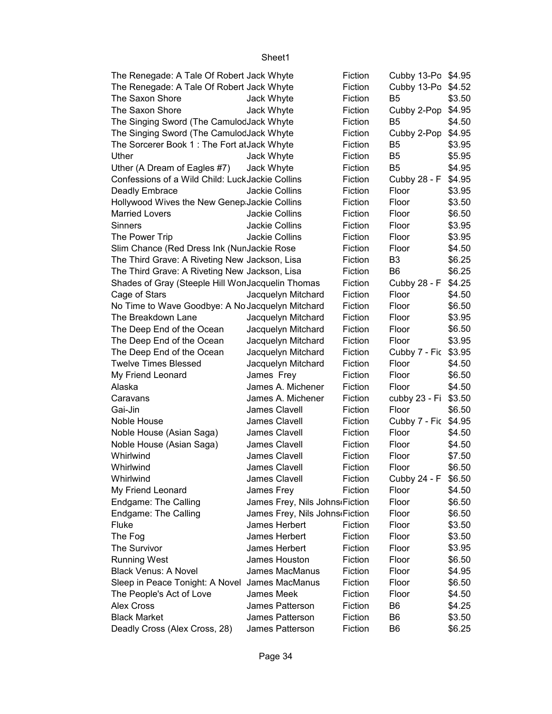Cubby 13-Po \$4.95 Cubby 13-Po \$4.52 B5 \$3.50 The Saxon Shore Jack Whyte Fiction Cubby 2-Pop \$4.95 B5 \$4.50 Cubby 2-Pop \$4.95 B5 \$3.95 B5 \$5.95 B5 \$4.95 \$4.95 \$3.95 \$3.50 \$6.50 \$3.95 \$3.95 \$4.50 B3 \$6.25 B6 \$6.25 \$4.25 \$4.50 \$6.50 \$3.95 \$6.50 \$3.95 Cubby 7 - Fic \$3.95 \$4.50 \$6.50 \$4.50 Caravans James A. Michener Fiction cubby 23 - Fi \$3.50 \$6.50 \$4.95 Noble House James Clavell Fiction Cubby 7 - Fiction Feb 2022 \$4.50 \$4.50 \$7.50 \$6.50 \$6.50 \$4.50 \$6.50 \$6.50 \$3.50 \$3.50 \$3.95 \$6.50 \$4.95 \$6.50 \$4.50 B6 \$4.25 B6 \$3.50 B6 \$6.25 The Renegade: A Tale Of Robert Jack Whyte Fiction The Renegade: A Tale Of Robert Jack Whyte Fiction The Saxon Shore **Jack Whyte** Fiction The Singing Sword (The Camulod Jack Whyte Fiction The Singing Sword (The Camulod Jack Whyte Fiction The Sorcerer Book 1 : The Fort at Jack Whyte Fiction Uther Jack Whyte Fiction Uther (A Dream of Eagles #7) Jack Whyte Fiction Confessions of a Wild Child: Luck Jackie Collins Fiction Cubby 28 - F Deadly Embrace **Internal Search Collins** Fiction Floor Hollywood Wives the New Genep Jackie Collins Fiction Floor Married Lovers **Married Lovers** Jackie Collins Fiction Floor Sinners Jackie Collins Fiction Floor The Power Trip **Fiction** Jackie Collins Fiction Floor Slim Chance (Red Dress Ink (NunJackie Rose Fiction Floor The Third Grave: A Riveting New Jackson, Lisa Fiction The Third Grave: A Riveting New Jackson, Lisa Fiction Shades of Gray (Steeple Hill WonJacquelin Thomas Fiction Cubby 28 - F Cage of Stars Jacquelyn Mitchard Fiction Floor No Time to Wave Goodbye: A No Jacquelyn Mitchard Fiction Floor The Breakdown Lane Jacquelyn Mitchard Fiction Floor The Deep End of the Ocean Jacquelyn Mitchard Fiction Floor The Deep End of the Ocean Jacquelyn Mitchard Fiction Floor The Deep End of the Ocean Jacquelyn Mitchard Fiction Twelve Times Blessed Jacquelyn Mitchard Fiction Floor My Friend Leonard **Internal State State State State State** Fiction Floor Alaska **James A. Michener** Fiction Floor Gai-Jin **Gai-Jin** James Clavell Fiction Floor Noble House (Asian Saga) James Clavell Fiction Floor Noble House (Asian Saga) James Clavell Fiction Floor Whirlwind **I** James Clavell Fiction Floor Whirlwind **Internal Claumes Clavell Fiction** Floor Whirlwind **James Clavell** Fiction Cubby 24 - F My Friend Leonard **James Frey** Fiction Floor Endgame: The Calling James Frey, Nils Johns Fiction Floor Endgame: The Calling James Frey, Nils Johns Fiction Floor Fluke **Interpretent** James Herbert **Fiction** Floor The Fog The Food Communist Clames Herbert Fiction Floor The Survivor **The Survivor James Herbert** Fiction Floor Running West **Constructed Figure 1** James Houston Fiction Floor Black Venus: A Novel James MacManus Fiction Floor Sleep in Peace Tonight: A Novel James MacManus Fiction Floor The People's Act of Love James Meek Fiction Floor Alex Cross James Patterson Fiction Black Market **Internal Studies** James Patterson Fiction Deadly Cross (Alex Cross, 28) James Patterson Fiction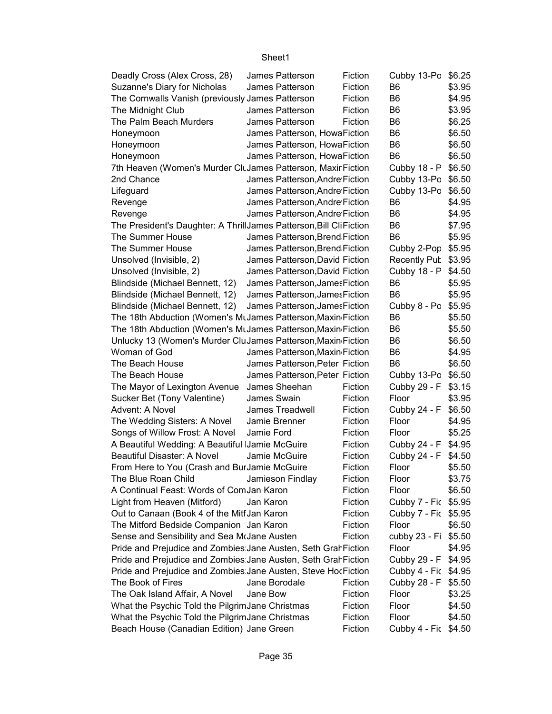| Deadly Cross (Alex Cross, 28)                                      | James Patterson                | Fiction | Cubby 13-Po \$6.25   |        |
|--------------------------------------------------------------------|--------------------------------|---------|----------------------|--------|
| Suzanne's Diary for Nicholas                                       | James Patterson                | Fiction | B6                   | \$3.95 |
| The Cornwalls Vanish (previously James Patterson                   |                                | Fiction | B <sub>6</sub>       | \$4.95 |
| The Midnight Club                                                  | James Patterson                | Fiction | B <sub>6</sub>       | \$3.95 |
| The Palm Beach Murders                                             | James Patterson                | Fiction | B <sub>6</sub>       | \$6.25 |
| Honeymoon                                                          | James Patterson, HowaFiction   |         | B <sub>6</sub>       | \$6.50 |
| Honeymoon                                                          | James Patterson, HowaFiction   |         | B <sub>6</sub>       | \$6.50 |
| Honeymoon                                                          | James Patterson, HowaFiction   |         | B <sub>6</sub>       | \$6.50 |
| 7th Heaven (Women's Murder CluJames Patterson, Maxir Fiction       |                                |         | Cubby 18 - P         | \$6.50 |
| 2nd Chance                                                         | James Patterson, Andre Fiction |         | Cubby 13-Po \$6.50   |        |
| Lifeguard                                                          | James Patterson, Andre Fiction |         | Cubby 13-Po \$6.50   |        |
| Revenge                                                            | James Patterson, Andre Fiction |         | B <sub>6</sub>       | \$4.95 |
| Revenge                                                            | James Patterson, Andre Fiction |         | B <sub>6</sub>       | \$4.95 |
| The President's Daughter: A ThrillJames Patterson, Bill CliFiction |                                |         | B <sub>6</sub>       | \$7.95 |
| The Summer House                                                   | James Patterson, Brend Fiction |         | B <sub>6</sub>       | \$5.95 |
| The Summer House                                                   | James Patterson, Brend Fiction |         | Cubby 2-Pop \$5.95   |        |
| Unsolved (Invisible, 2)                                            | James Patterson, David Fiction |         | Recently Pub \$3.95  |        |
| Unsolved (Invisible, 2)                                            | James Patterson, David Fiction |         | Cubby 18 - P \$4.50  |        |
| Blindside (Michael Bennett, 12)                                    | James Patterson, James Fiction |         | B <sub>6</sub>       | \$5.95 |
| Blindside (Michael Bennett, 12)                                    | James Patterson, James Fiction |         | B <sub>6</sub>       | \$5.95 |
| Blindside (Michael Bennett, 12)                                    | James Patterson, James Fiction |         | Cubby 8 - Po \$5.95  |        |
| The 18th Abduction (Women's MtJames Patterson, Maxin Fiction       |                                |         | B <sub>6</sub>       | \$5.50 |
| The 18th Abduction (Women's MtJames Patterson, Maxin Fiction       |                                |         | B <sub>6</sub>       | \$5.50 |
| Unlucky 13 (Women's Murder CluJames Patterson, Maxin Fiction       |                                |         | B <sub>6</sub>       | \$6.50 |
| Woman of God                                                       | James Patterson, Maxin Fiction |         | B <sub>6</sub>       | \$4.95 |
| The Beach House                                                    | James Patterson, Peter Fiction |         | B <sub>6</sub>       | \$6.50 |
| The Beach House                                                    | James Patterson, Peter Fiction |         | Cubby 13-Po \$6.50   |        |
| The Mayor of Lexington Avenue                                      | James Sheehan                  | Fiction | Cubby 29 - F \$3.15  |        |
| Sucker Bet (Tony Valentine)                                        | James Swain                    | Fiction | Floor                | \$3.95 |
| Advent: A Novel                                                    | James Treadwell                | Fiction | Cubby 24 - F \$6.50  |        |
| The Wedding Sisters: A Novel                                       | Jamie Brenner                  | Fiction | Floor                | \$4.95 |
| Songs of Willow Frost: A Novel                                     | Jamie Ford                     | Fiction | Floor                | \$5.25 |
| A Beautiful Wedding: A Beautiful Jamie McGuire                     |                                | Fiction | Cubby 24 - F \$4.95  |        |
| Beautiful Disaster: A Novel                                        | Jamie McGuire                  | Fiction | Cubby 24 - F \$4.50  |        |
| From Here to You (Crash and BurJamie McGuire                       |                                | Fiction | Floor                | \$5.50 |
| The Blue Roan Child                                                | Jamieson Findlay               | Fiction | Floor                | \$3.75 |
| A Continual Feast: Words of ComJan Karon                           |                                | Fiction | Floor                | \$6.50 |
| Light from Heaven (Mitford)                                        | Jan Karon                      | Fiction | Cubby 7 - Fic \$5.95 |        |
| Out to Canaan (Book 4 of the MitfJan Karon                         |                                | Fiction | Cubby 7 - Fic \$5.95 |        |
| The Mitford Bedside Companion Jan Karon                            |                                | Fiction | Floor                | \$6.50 |
| Sense and Sensibility and Sea MrJane Austen                        |                                | Fiction | cubby 23 - Fi \$5.50 |        |
| Pride and Prejudice and Zombies Jane Austen, Seth GrahFiction      |                                |         | Floor                | \$4.95 |
| Pride and Prejudice and Zombies Jane Austen, Seth GrahFiction      |                                |         | Cubby 29 - F \$4.95  |        |
| Pride and Prejudice and Zombies Jane Austen, Steve HocFiction      |                                |         | Cubby 4 - Fic \$4.95 |        |
| The Book of Fires                                                  | Jane Borodale                  | Fiction | Cubby 28 - F \$5.50  |        |
| The Oak Island Affair, A Novel                                     | Jane Bow                       | Fiction | Floor                | \$3.25 |
| What the Psychic Told the PilgrimJane Christmas                    |                                | Fiction | Floor                | \$4.50 |
| What the Psychic Told the PilgrimJane Christmas                    |                                | Fiction | Floor                | \$4.50 |
| Beach House (Canadian Edition) Jane Green                          |                                | Fiction | Cubby 4 - Fic \$4.50 |        |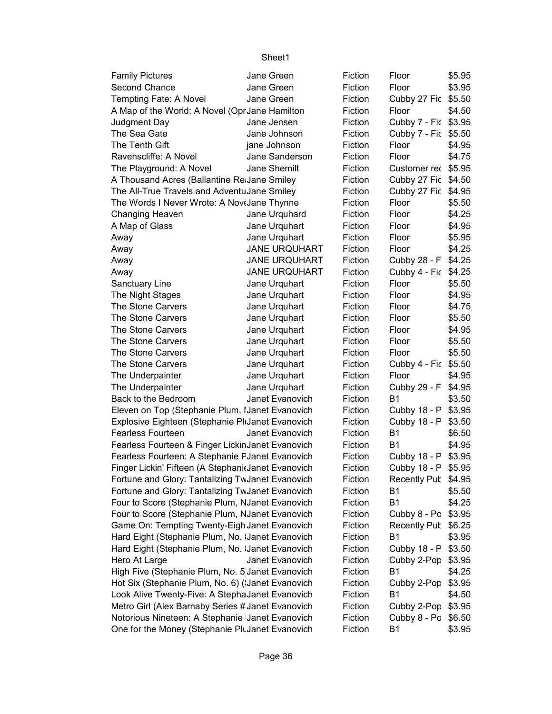| <b>Family Pictures</b>                              | Jane Green           | Fiction | Floor                | \$5.95 |
|-----------------------------------------------------|----------------------|---------|----------------------|--------|
| Second Chance                                       | Jane Green           | Fiction | Floor                | \$3.95 |
| Tempting Fate: A Novel                              | Jane Green           | Fiction | Cubby 27 Fic         | \$5.50 |
| A Map of the World: A Novel (OprJane Hamilton       |                      | Fiction | Floor                | \$4.50 |
| Judgment Day                                        | Jane Jensen          | Fiction | Cubby 7 - Fic \$3.95 |        |
| The Sea Gate                                        | Jane Johnson         | Fiction | Cubby 7 - Fic \$5.50 |        |
| The Tenth Gift                                      | jane Johnson         | Fiction | Floor                | \$4.95 |
| Ravenscliffe: A Novel                               | Jane Sanderson       | Fiction | Floor                | \$4.75 |
| The Playground: A Novel                             | Jane Shemilt         | Fiction | Customer rec         | \$5.95 |
| A Thousand Acres (Ballantine ReiJane Smiley         |                      | Fiction | Cubby 27 Fic         | \$4.50 |
| The All-True Travels and AdventuJane Smiley         |                      | Fiction | Cubby 27 Fic         | \$4.95 |
| The Words I Never Wrote: A NoveJane Thynne          |                      | Fiction | Floor                | \$5.50 |
| <b>Changing Heaven</b>                              | Jane Urquhard        | Fiction | Floor                | \$4.25 |
| A Map of Glass                                      | Jane Urquhart        | Fiction | Floor                | \$4.95 |
| Away                                                | Jane Urquhart        | Fiction | Floor                | \$5.95 |
| Away                                                | <b>JANE URQUHART</b> | Fiction | Floor                | \$4.25 |
| Away                                                | <b>JANE URQUHART</b> | Fiction | Cubby 28 - F         | \$4.25 |
| Away                                                | <b>JANE URQUHART</b> | Fiction | Cubby 4 - Fic        | \$4.25 |
| Sanctuary Line                                      | Jane Urquhart        | Fiction | Floor                | \$5.50 |
| The Night Stages                                    | Jane Urquhart        | Fiction | Floor                | \$4.95 |
| The Stone Carvers                                   | Jane Urquhart        | Fiction | Floor                | \$4.75 |
| The Stone Carvers                                   | Jane Urquhart        | Fiction | Floor                | \$5.50 |
| The Stone Carvers                                   | Jane Urquhart        | Fiction | Floor                | \$4.95 |
| The Stone Carvers                                   | Jane Urquhart        | Fiction | Floor                | \$5.50 |
| The Stone Carvers                                   | Jane Urquhart        | Fiction | Floor                | \$5.50 |
| The Stone Carvers                                   | Jane Urquhart        | Fiction | Cubby 4 - Fic \$5.50 |        |
| The Underpainter                                    | Jane Urquhart        | Fiction | Floor                | \$4.95 |
| The Underpainter                                    | Jane Urquhart        | Fiction | Cubby 29 - F         | \$4.95 |
| Back to the Bedroom                                 | Janet Evanovich      | Fiction | <b>B1</b>            | \$3.50 |
| Eleven on Top (Stephanie Plum, IJanet Evanovich     |                      | Fiction | Cubby 18 - P         | \$3.95 |
| Explosive Eighteen (Stephanie PliJanet Evanovich    |                      | Fiction | Cubby 18 - P         | \$3.50 |
| <b>Fearless Fourteen</b>                            | Janet Evanovich      | Fiction | <b>B1</b>            | \$6.50 |
| Fearless Fourteen & Finger LickinJanet Evanovich    |                      | Fiction | B <sub>1</sub>       | \$4.95 |
| Fearless Fourteen: A Stephanie FJanet Evanovich     |                      | Fiction | Cubby 18 - P \$3.95  |        |
| Finger Lickin' Fifteen (A Stephanit Janet Evanovich |                      | Fiction | Cubby 18 - P         | \$5.95 |
| Fortune and Glory: Tantalizing TwJanet Evanovich    |                      | Fiction | Recently Pub \$4.95  |        |
| Fortune and Glory: Tantalizing TwJanet Evanovich    |                      | Fiction | <b>B1</b>            | \$5.50 |
| Four to Score (Stephanie Plum, NJanet Evanovich     |                      | Fiction | <b>B1</b>            | \$4.25 |
| Four to Score (Stephanie Plum, NJanet Evanovich     |                      | Fiction | Cubby 8 - Po         | \$3.95 |
| Game On: Tempting Twenty-Eigh Janet Evanovich       |                      | Fiction | Recently Pub         | \$6.25 |
| Hard Eight (Stephanie Plum, No. IJanet Evanovich    |                      | Fiction | <b>B1</b>            | \$3.95 |
| Hard Eight (Stephanie Plum, No. IJanet Evanovich    |                      | Fiction | Cubby 18 - P         | \$3.50 |
| Hero At Large                                       | Janet Evanovich      | Fiction | Cubby 2-Pop          | \$3.95 |
| High Five (Stephanie Plum, No. 5 Janet Evanovich    |                      | Fiction | <b>B1</b>            | \$4.25 |
| Hot Six (Stephanie Plum, No. 6) ('Janet Evanovich   |                      | Fiction | Cubby 2-Pop          | \$3.95 |
| Look Alive Twenty-Five: A StephaJanet Evanovich     |                      | Fiction | <b>B1</b>            | \$4.50 |
| Metro Girl (Alex Barnaby Series # Janet Evanovich   |                      | Fiction | Cubby 2-Pop          | \$3.95 |
| Notorious Nineteen: A Stephanie Janet Evanovich     |                      | Fiction | Cubby 8 - Po         | \$6.50 |
| One for the Money (Stephanie PluJanet Evanovich     |                      | Fiction | <b>B1</b>            | \$3.95 |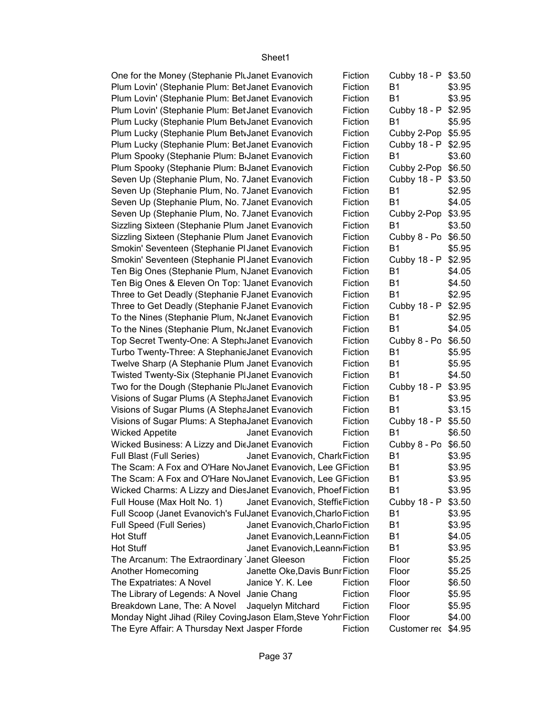| One for the Money (Stephanie PluJanet Evanovich                  |                                 | Fiction | Cubby 18 - P \$3.50 |        |
|------------------------------------------------------------------|---------------------------------|---------|---------------------|--------|
| Plum Lovin' (Stephanie Plum: Bet Janet Evanovich                 |                                 | Fiction | <b>B1</b>           | \$3.95 |
| Plum Lovin' (Stephanie Plum: Bet Janet Evanovich                 |                                 | Fiction | <b>B1</b>           | \$3.95 |
| Plum Lovin' (Stephanie Plum: Bet Janet Evanovich                 |                                 | Fiction | Cubby 18 - P        | \$2.95 |
| Plum Lucky (Stephanie Plum BetvJanet Evanovich                   |                                 | Fiction | <b>B1</b>           | \$5.95 |
| Plum Lucky (Stephanie Plum BetvJanet Evanovich                   |                                 | Fiction | Cubby 2-Pop         | \$5.95 |
| Plum Lucky (Stephanie Plum: Bet Janet Evanovich                  |                                 | Fiction | Cubby 18 - P        | \$2.95 |
| Plum Spooky (Stephanie Plum: B <sub>'Janet Evanovich</sub>       |                                 | Fiction | <b>B1</b>           | \$3.60 |
| Plum Spooky (Stephanie Plum: B <sub>I</sub> Janet Evanovich      |                                 | Fiction | Cubby 2-Pop         | \$6.50 |
| Seven Up (Stephanie Plum, No. 7Janet Evanovich                   |                                 | Fiction | Cubby 18 - P        | \$3.50 |
| Seven Up (Stephanie Plum, No. 7Janet Evanovich                   |                                 | Fiction | <b>B1</b>           | \$2.95 |
| Seven Up (Stephanie Plum, No. 7Janet Evanovich                   |                                 | Fiction | <b>B1</b>           | \$4.05 |
| Seven Up (Stephanie Plum, No. 7Janet Evanovich                   |                                 | Fiction | Cubby 2-Pop \$3.95  |        |
| Sizzling Sixteen (Stephanie Plum Janet Evanovich                 |                                 | Fiction | B <sub>1</sub>      | \$3.50 |
| Sizzling Sixteen (Stephanie Plum Janet Evanovich                 |                                 | Fiction | Cubby 8 - Po \$6.50 |        |
| Smokin' Seventeen (Stephanie PI Janet Evanovich                  |                                 | Fiction | <b>B1</b>           | \$5.95 |
| Smokin' Seventeen (Stephanie PI Janet Evanovich                  |                                 | Fiction | Cubby 18 - P        | \$2.95 |
| Ten Big Ones (Stephanie Plum, NJanet Evanovich                   |                                 | Fiction | <b>B1</b>           | \$4.05 |
| Ten Big Ones & Eleven On Top: 1Janet Evanovich                   |                                 | Fiction | <b>B1</b>           | \$4.50 |
| Three to Get Deadly (Stephanie FJanet Evanovich                  |                                 | Fiction | <b>B1</b>           | \$2.95 |
| Three to Get Deadly (Stephanie FJanet Evanovich                  |                                 | Fiction | Cubby 18 - P \$2.95 |        |
| To the Nines (Stephanie Plum, NoJanet Evanovich                  |                                 | Fiction | <b>B1</b>           | \$2.95 |
| To the Nines (Stephanie Plum, NcJanet Evanovich                  |                                 | Fiction | <b>B1</b>           | \$4.05 |
| Top Secret Twenty-One: A StephtJanet Evanovich                   |                                 | Fiction | Cubby 8 - Po        | \$6.50 |
| Turbo Twenty-Three: A StephanieJanet Evanovich                   |                                 | Fiction | B <sub>1</sub>      | \$5.95 |
| Twelve Sharp (A Stephanie Plum Janet Evanovich                   |                                 | Fiction | B <sub>1</sub>      | \$5.95 |
| Twisted Twenty-Six (Stephanie PIJanet Evanovich                  |                                 | Fiction | <b>B1</b>           | \$4.50 |
| Two for the Dough (Stephanie PluJanet Evanovich                  |                                 | Fiction | Cubby 18 - P \$3.95 |        |
| Visions of Sugar Plums (A StephaJanet Evanovich                  |                                 | Fiction | <b>B1</b>           | \$3.95 |
| Visions of Sugar Plums (A StephaJanet Evanovich                  |                                 | Fiction | B <sub>1</sub>      | \$3.15 |
| Visions of Sugar Plums: A StephaJanet Evanovich                  |                                 | Fiction | Cubby 18 - P        | \$5.50 |
| <b>Wicked Appetite</b>                                           | Janet Evanovich                 | Fiction | B <sub>1</sub>      | \$6.50 |
| Wicked Business: A Lizzy and DieJanet Evanovich                  |                                 | Fiction | Cubby 8 - Po        | \$6.50 |
| Full Blast (Full Series)                                         | Janet Evanovich, Chark Fiction  |         | <b>B1</b>           | \$3.95 |
| The Scam: A Fox and O'Hare NovJanet Evanovich, Lee GFiction      |                                 |         | B <sub>1</sub>      | \$3.95 |
| The Scam: A Fox and O'Hare NovJanet Evanovich, Lee GFiction      |                                 |         | <b>B1</b>           | \$3.95 |
| Wicked Charms: A Lizzy and DiesJanet Evanovich, Phoef Fiction    |                                 |         | <b>B1</b>           | \$3.95 |
| Full House (Max Holt No. 1)                                      | Janet Evanovich, StefficFiction |         | Cubby 18 - P        | \$3.50 |
| Full Scoop (Janet Evanovich's FulJanet Evanovich, Charlo Fiction |                                 |         | B1                  | \$3.95 |
| Full Speed (Full Series)                                         | Janet Evanovich, Charlo Fiction |         | B <sub>1</sub>      | \$3.95 |
| <b>Hot Stuff</b>                                                 | Janet Evanovich, Leann Fiction  |         | B1                  | \$4.05 |
| <b>Hot Stuff</b>                                                 | Janet Evanovich, Leann Fiction  |         | <b>B1</b>           | \$3.95 |
| The Arcanum: The Extraordinary Janet Gleeson                     |                                 | Fiction | Floor               | \$5.25 |
| Another Homecoming                                               | Janette Oke, Davis Bunr Fiction |         | Floor               | \$5.25 |
| The Expatriates: A Novel                                         | Janice Y. K. Lee                | Fiction | Floor               | \$6.50 |
| The Library of Legends: A Novel Janie Chang                      |                                 | Fiction | Floor               | \$5.95 |
| Breakdown Lane, The: A Novel                                     | Jaquelyn Mitchard               | Fiction | Floor               | \$5.95 |
| Monday Night Jihad (Riley CovingJason Elam, Steve Yohn Fiction   |                                 |         | Floor               | \$4.00 |
| The Eyre Affair: A Thursday Next Jasper Fforde                   |                                 | Fiction | Customer rec \$4.95 |        |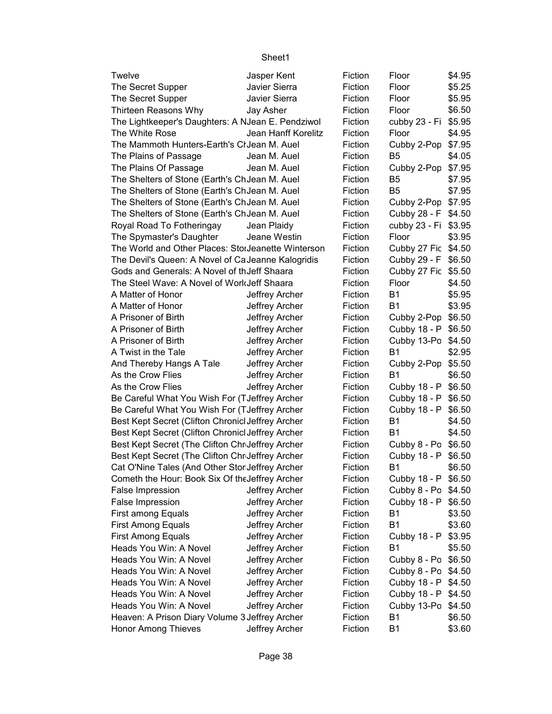| Twelve                                             | Jasper Kent         | Fiction | Floor               | \$4.95 |
|----------------------------------------------------|---------------------|---------|---------------------|--------|
| The Secret Supper                                  | Javier Sierra       | Fiction | Floor               | \$5.25 |
| The Secret Supper                                  | Javier Sierra       | Fiction | Floor               | \$5.95 |
| Thirteen Reasons Why                               | Jay Asher           | Fiction | Floor               | \$6.50 |
| The Lightkeeper's Daughters: A NJean E. Pendziwol  |                     | Fiction | cubby 23 - Fi       | \$5.95 |
| The White Rose                                     | Jean Hanff Korelitz | Fiction | Floor               | \$4.95 |
| The Mammoth Hunters-Earth's Cl Jean M. Auel        |                     | Fiction | Cubby 2-Pop         | \$7.95 |
| The Plains of Passage                              | Jean M. Auel        | Fiction | B5                  | \$4.05 |
| The Plains Of Passage                              | Jean M. Auel        | Fiction | Cubby 2-Pop         | \$7.95 |
| The Shelters of Stone (Earth's ChJean M. Auel      |                     | Fiction | B <sub>5</sub>      | \$7.95 |
| The Shelters of Stone (Earth's ChJean M. Auel      |                     | Fiction | B <sub>5</sub>      | \$7.95 |
| The Shelters of Stone (Earth's ChJean M. Auel      |                     | Fiction | Cubby 2-Pop         | \$7.95 |
| The Shelters of Stone (Earth's ChJean M. Auel      |                     | Fiction | Cubby 28 - F        | \$4.50 |
| Royal Road To Fotheringay                          | Jean Plaidy         | Fiction | cubby 23 - Fi       | \$3.95 |
| The Spymaster's Daughter                           | Jeane Westin        | Fiction | Floor               | \$3.95 |
| The World and Other Places: StorJeanette Winterson |                     | Fiction | Cubby 27 Fic \$4.50 |        |
| The Devil's Queen: A Novel of CaJeanne Kalogridis  |                     | Fiction | Cubby 29 - F        | \$6.50 |
| Gods and Generals: A Novel of th Jeff Shaara       |                     | Fiction | Cubby 27 Fic        | \$5.50 |
| The Steel Wave: A Novel of WorkJeff Shaara         |                     | Fiction | Floor               | \$4.50 |
| A Matter of Honor                                  | Jeffrey Archer      | Fiction | <b>B1</b>           | \$5.95 |
| A Matter of Honor                                  | Jeffrey Archer      | Fiction | <b>B1</b>           | \$3.95 |
| A Prisoner of Birth                                | Jeffrey Archer      | Fiction | Cubby 2-Pop         | \$6.50 |
| A Prisoner of Birth                                | Jeffrey Archer      | Fiction | Cubby 18 - P        | \$6.50 |
| A Prisoner of Birth                                | Jeffrey Archer      | Fiction | Cubby 13-Po \$4.50  |        |
| A Twist in the Tale                                | Jeffrey Archer      | Fiction | <b>B1</b>           | \$2.95 |
| And Thereby Hangs A Tale                           | Jeffrey Archer      | Fiction | Cubby 2-Pop         | \$5.50 |
| As the Crow Flies                                  | Jeffrey Archer      | Fiction | <b>B1</b>           | \$6.50 |
| As the Crow Flies                                  | Jeffrey Archer      | Fiction | Cubby 18 - P        | \$6.50 |
| Be Careful What You Wish For (TJeffrey Archer      |                     | Fiction | Cubby 18 - P        | \$6.50 |
| Be Careful What You Wish For (TJeffrey Archer      |                     | Fiction | Cubby 18 - P        | \$6.50 |
| Best Kept Secret (Clifton Chronicl Jeffrey Archer  |                     | Fiction | <b>B1</b>           | \$4.50 |
| Best Kept Secret (Clifton Chronicl Jeffrey Archer  |                     | Fiction | <b>B1</b>           | \$4.50 |
| Best Kept Secret (The Clifton Chr Jeffrey Archer   |                     | Fiction | Cubby 8 - Po \$6.50 |        |
| Best Kept Secret (The Clifton Chr Jeffrey Archer   |                     | Fiction | Cubby 18 - P        | \$6.50 |
| Cat O'Nine Tales (And Other Stor Jeffrey Archer    |                     | Fiction | B <sub>1</sub>      | \$6.50 |
| Cometh the Hour: Book Six Of the Jeffrey Archer    |                     | Fiction | Cubby 18 - P        | \$6.50 |
| False Impression                                   | Jeffrey Archer      | Fiction | Cubby 8 - Po        | \$4.50 |
| False Impression                                   | Jeffrey Archer      | Fiction | Cubby 18 - P        | \$6.50 |
| First among Equals                                 | Jeffrey Archer      | Fiction | <b>B1</b>           | \$3.50 |
| <b>First Among Equals</b>                          | Jeffrey Archer      | Fiction | <b>B1</b>           | \$3.60 |
| <b>First Among Equals</b>                          | Jeffrey Archer      | Fiction | Cubby 18 - P        | \$3.95 |
| Heads You Win: A Novel                             | Jeffrey Archer      | Fiction | <b>B1</b>           | \$5.50 |
| Heads You Win: A Novel                             | Jeffrey Archer      | Fiction | Cubby 8 - Po        | \$6.50 |
| Heads You Win: A Novel                             | Jeffrey Archer      | Fiction | Cubby 8 - Po        | \$4.50 |
| Heads You Win: A Novel                             | Jeffrey Archer      | Fiction | Cubby 18 - P        | \$4.50 |
| Heads You Win: A Novel                             | Jeffrey Archer      | Fiction | Cubby 18 - P        | \$4.50 |
| Heads You Win: A Novel                             | Jeffrey Archer      | Fiction | Cubby 13-Po         | \$4.50 |
| Heaven: A Prison Diary Volume 3 Jeffrey Archer     |                     | Fiction | Β1                  | \$6.50 |
| <b>Honor Among Thieves</b>                         | Jeffrey Archer      | Fiction | <b>B1</b>           | \$3.60 |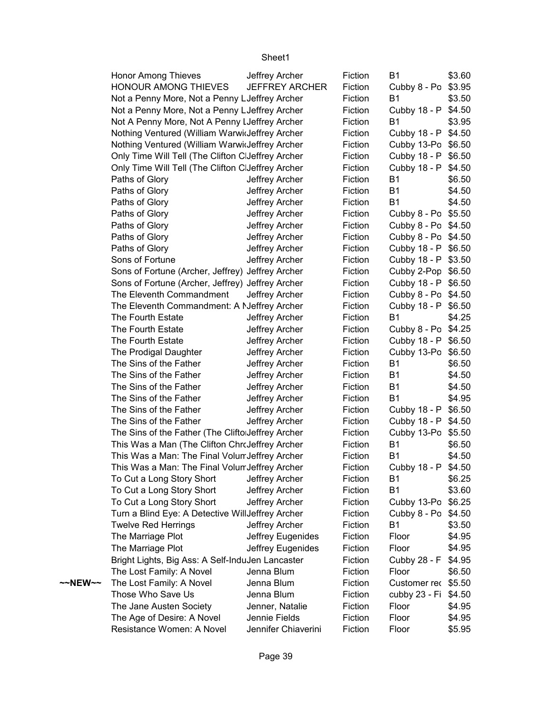|         | <b>Honor Among Thieves</b>                        | Jeffrey Archer        | Fiction | <b>B1</b>            | \$3.60 |
|---------|---------------------------------------------------|-----------------------|---------|----------------------|--------|
|         | <b>HONOUR AMONG THIEVES</b>                       | <b>JEFFREY ARCHER</b> | Fiction | Cubby 8 - Po         | \$3.95 |
|         | Not a Penny More, Not a Penny LJeffrey Archer     |                       | Fiction | <b>B1</b>            | \$3.50 |
|         | Not a Penny More, Not a Penny LJeffrey Archer     |                       | Fiction | Cubby 18 - P         | \$4.50 |
|         | Not A Penny More, Not A Penny I Jeffrey Archer    |                       | Fiction | <b>B1</b>            | \$3.95 |
|         | Nothing Ventured (William Warwideffrey Archer     |                       | Fiction | Cubby 18 - P \$4.50  |        |
|         | Nothing Ventured (William Warwideffrey Archer     |                       | Fiction | Cubby 13-Po \$6.50   |        |
|         | Only Time Will Tell (The Clifton ClJeffrey Archer |                       | Fiction | Cubby 18 - P \$6.50  |        |
|         | Only Time Will Tell (The Clifton ClJeffrey Archer |                       | Fiction | Cubby 18 - P \$4.50  |        |
|         | Paths of Glory                                    | Jeffrey Archer        | Fiction | <b>B1</b>            | \$6.50 |
|         | Paths of Glory                                    | Jeffrey Archer        | Fiction | <b>B1</b>            | \$4.50 |
|         | Paths of Glory                                    | Jeffrey Archer        | Fiction | <b>B1</b>            | \$4.50 |
|         | Paths of Glory                                    | Jeffrey Archer        | Fiction | Cubby 8 - Po \$5.50  |        |
|         | Paths of Glory                                    | Jeffrey Archer        | Fiction | Cubby 8 - Po \$4.50  |        |
|         | Paths of Glory                                    | Jeffrey Archer        | Fiction | Cubby 8 - Po \$4.50  |        |
|         | Paths of Glory                                    | Jeffrey Archer        | Fiction | Cubby 18 - P \$6.50  |        |
|         | Sons of Fortune                                   | Jeffrey Archer        | Fiction | Cubby 18 - P \$3.50  |        |
|         | Sons of Fortune (Archer, Jeffrey)                 | Jeffrey Archer        | Fiction | Cubby 2-Pop \$6.50   |        |
|         | Sons of Fortune (Archer, Jeffrey) Jeffrey Archer  |                       | Fiction | Cubby 18 - P \$6.50  |        |
|         | The Eleventh Commandment                          | Jeffrey Archer        | Fiction | Cubby 8 - Po \$4.50  |        |
|         | The Eleventh Commandment: A NJeffrey Archer       |                       | Fiction | Cubby 18 - P \$6.50  |        |
|         | The Fourth Estate                                 | Jeffrey Archer        | Fiction | <b>B1</b>            | \$4.25 |
|         | The Fourth Estate                                 | Jeffrey Archer        | Fiction | Cubby 8 - Po \$4.25  |        |
|         | The Fourth Estate                                 | Jeffrey Archer        | Fiction | Cubby 18 - P \$6.50  |        |
|         | The Prodigal Daughter                             | Jeffrey Archer        | Fiction | Cubby 13-Po \$6.50   |        |
|         | The Sins of the Father                            | Jeffrey Archer        | Fiction | <b>B1</b>            | \$6.50 |
|         | The Sins of the Father                            | Jeffrey Archer        | Fiction | <b>B1</b>            | \$4.50 |
|         | The Sins of the Father                            |                       | Fiction | <b>B1</b>            | \$4.50 |
|         |                                                   | Jeffrey Archer        |         |                      |        |
|         | The Sins of the Father                            | Jeffrey Archer        | Fiction | <b>B1</b>            | \$4.95 |
|         | The Sins of the Father                            | Jeffrey Archer        | Fiction | Cubby 18 - P         | \$6.50 |
|         | The Sins of the Father                            | Jeffrey Archer        | Fiction | Cubby 18 - P \$4.50  |        |
|         | The Sins of the Father (The Clifto Jeffrey Archer |                       | Fiction | Cubby 13-Po \$5.50   |        |
|         | This Was a Man (The Clifton ChroJeffrey Archer    |                       | Fiction | <b>B1</b>            | \$6.50 |
|         | This Was a Man: The Final Volum Jeffrey Archer    |                       | Fiction | B <sub>1</sub>       | \$4.50 |
|         | This Was a Man: The Final Volum Jeffrey Archer    |                       | Fiction | Cubby 18 - P \$4.50  |        |
|         | To Cut a Long Story Short                         | Jeffrey Archer        | Fiction | <b>B1</b>            | \$6.25 |
|         | To Cut a Long Story Short                         | Jeffrey Archer        | Fiction | <b>B1</b>            | \$3.60 |
|         | To Cut a Long Story Short                         | Jeffrey Archer        | Fiction | Cubby 13-Po \$6.25   |        |
|         | Turn a Blind Eye: A Detective WillJeffrey Archer  |                       | Fiction | Cubby 8 - Po \$4.50  |        |
|         | <b>Twelve Red Herrings</b>                        | Jeffrey Archer        | Fiction | <b>B1</b>            | \$3.50 |
|         | The Marriage Plot                                 | Jeffrey Eugenides     | Fiction | Floor                | \$4.95 |
|         | The Marriage Plot                                 | Jeffrey Eugenides     | Fiction | Floor                | \$4.95 |
|         | Bright Lights, Big Ass: A Self-InduJen Lancaster  |                       | Fiction | Cubby 28 - F         | \$4.95 |
|         | The Lost Family: A Novel                          | Jenna Blum            | Fiction | Floor                | \$6.50 |
| ~~NEW~~ | The Lost Family: A Novel                          | Jenna Blum            | Fiction | Customer rec \$5.50  |        |
|         | Those Who Save Us                                 | Jenna Blum            | Fiction | cubby 23 - Fi \$4.50 |        |
|         | The Jane Austen Society                           | Jenner, Natalie       | Fiction | Floor                | \$4.95 |
|         | The Age of Desire: A Novel                        | Jennie Fields         | Fiction | Floor                | \$4.95 |
|         | Resistance Women: A Novel                         | Jennifer Chiaverini   | Fiction | Floor                | \$5.95 |
|         |                                                   |                       |         |                      |        |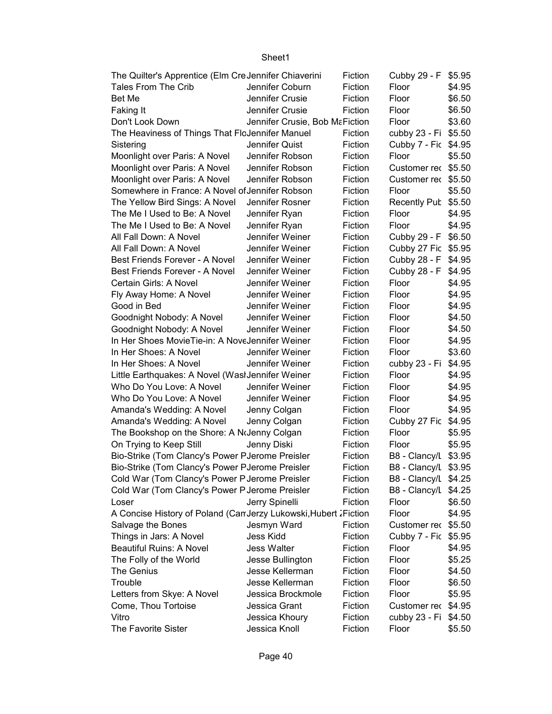| The Quilter's Apprentice (Elm CreJennifer Chiaverini              | Fiction                        | Cubby 29 - F \$5.95 |                      |        |
|-------------------------------------------------------------------|--------------------------------|---------------------|----------------------|--------|
| Tales From The Crib                                               | Jennifer Coburn                | Fiction             | Floor                | \$4.95 |
| Bet Me                                                            | Jennifer Crusie                | Fiction             | Floor                | \$6.50 |
| Faking It                                                         | Jennifer Crusie                | Fiction             | Floor                | \$6.50 |
| Don't Look Down                                                   | Jennifer Crusie, Bob MaFiction |                     | Floor                | \$3.60 |
| The Heaviness of Things That FloJennifer Manuel                   |                                | Fiction             | cubby 23 - Fi \$5.50 |        |
| Sistering                                                         | Jennifer Quist                 | Fiction             | Cubby 7 - Fic \$4.95 |        |
| Moonlight over Paris: A Novel                                     | Jennifer Robson                | Fiction             | Floor                | \$5.50 |
| Moonlight over Paris: A Novel                                     | Jennifer Robson                | Fiction             | Customer rec \$5.50  |        |
| Moonlight over Paris: A Novel                                     | Jennifer Robson                | Fiction             | Customer rec \$5.50  |        |
| Somewhere in France: A Novel of Jennifer Robson                   |                                | Fiction             | Floor                | \$5.50 |
| The Yellow Bird Sings: A Novel                                    | Jennifer Rosner                | Fiction             | <b>Recently Pub</b>  | \$5.50 |
| The Me I Used to Be: A Novel                                      | Jennifer Ryan                  | Fiction             | Floor                | \$4.95 |
| The Me I Used to Be: A Novel                                      | Jennifer Ryan                  | Fiction             | Floor                | \$4.95 |
| All Fall Down: A Novel                                            | Jennifer Weiner                | Fiction             | Cubby 29 - F \$6.50  |        |
| All Fall Down: A Novel                                            | Jennifer Weiner                | Fiction             | Cubby 27 Fic \$5.95  |        |
| Best Friends Forever - A Novel                                    | Jennifer Weiner                | Fiction             | Cubby 28 - F \$4.95  |        |
| Best Friends Forever - A Novel                                    | Jennifer Weiner                | Fiction             | Cubby 28 - F         | \$4.95 |
| Certain Girls: A Novel                                            | Jennifer Weiner                | Fiction             | Floor                | \$4.95 |
| Fly Away Home: A Novel                                            | Jennifer Weiner                | Fiction             | Floor                | \$4.95 |
| Good in Bed                                                       | Jennifer Weiner                | Fiction             | Floor                | \$4.95 |
| Goodnight Nobody: A Novel                                         | Jennifer Weiner                | Fiction             | Floor                | \$4.50 |
| Goodnight Nobody: A Novel                                         | Jennifer Weiner                | Fiction             | Floor                | \$4.50 |
| In Her Shoes MovieTie-in: A NoveJennifer Weiner                   |                                | Fiction             | Floor                | \$4.95 |
| In Her Shoes: A Novel                                             | Jennifer Weiner                | Fiction             | Floor                | \$3.60 |
| In Her Shoes: A Novel                                             | Jennifer Weiner                | Fiction             | cubby 23 - Fi        | \$4.95 |
| Little Earthquakes: A Novel (Wasl Jennifer Weiner                 |                                | Fiction             | Floor                | \$4.95 |
| Who Do You Love: A Novel                                          | Jennifer Weiner                | Fiction             | Floor                | \$4.95 |
| Who Do You Love: A Novel                                          | Jennifer Weiner                | Fiction             | Floor                | \$4.95 |
| Amanda's Wedding: A Novel                                         | Jenny Colgan                   | Fiction             | Floor                | \$4.95 |
| Amanda's Wedding: A Novel                                         | Jenny Colgan                   | Fiction             | Cubby 27 Fic         | \$4.95 |
| The Bookshop on the Shore: A NoJenny Colgan                       |                                | Fiction             | Floor                | \$5.95 |
| On Trying to Keep Still                                           | Jenny Diski                    | Fiction             | Floor                | \$5.95 |
| Bio-Strike (Tom Clancy's Power PJerome Preisler                   |                                | Fiction             | B8 - Clancy/L \$3.95 |        |
| Bio-Strike (Tom Clancy's Power PJerome Preisler                   |                                | Fiction             | B8 - Clancy/L \$3.95 |        |
| Cold War (Tom Clancy's Power P Jerome Preisler                    |                                | Fiction             | B8 - Clancy/L \$4.25 |        |
| Cold War (Tom Clancy's Power P Jerome Preisler                    |                                | Fiction             | B8 - Clancy/L \$4.25 |        |
| Loser                                                             | Jerry Spinelli                 | Fiction             | Floor                | \$6.50 |
| A Concise History of Poland (Can Jerzy Lukowski, Hubert J Fiction |                                |                     | Floor                | \$4.95 |
| Salvage the Bones                                                 | Jesmyn Ward                    | Fiction             | Customer rec \$5.50  |        |
| Things in Jars: A Novel                                           | Jess Kidd                      | Fiction             | Cubby 7 - Fic \$5.95 |        |
| <b>Beautiful Ruins: A Novel</b>                                   | <b>Jess Walter</b>             | Fiction             | Floor                | \$4.95 |
| The Folly of the World                                            | Jesse Bullington               | Fiction             | Floor                | \$5.25 |
| The Genius                                                        | Jesse Kellerman                | Fiction             | Floor                | \$4.50 |
| Trouble                                                           | Jesse Kellerman                | Fiction             | Floor                | \$6.50 |
| Letters from Skye: A Novel                                        | Jessica Brockmole              | Fiction             | Floor                | \$5.95 |
| Come, Thou Tortoise                                               | Jessica Grant                  | Fiction             | Customer rec \$4.95  |        |
| Vitro                                                             | Jessica Khoury                 | Fiction             | cubby 23 - Fi        | \$4.50 |
| The Favorite Sister                                               | Jessica Knoll                  | Fiction             | Floor                | \$5.50 |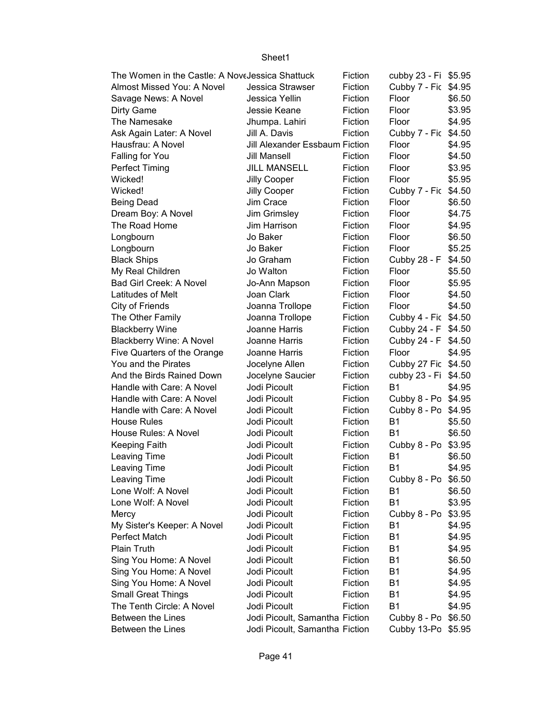| The Women in the Castle: A NoveJessica Shattuck |                                | Fiction | cubby 23 - Fi \$5.95 |        |
|-------------------------------------------------|--------------------------------|---------|----------------------|--------|
| Almost Missed You: A Novel                      | Jessica Strawser               | Fiction | Cubby 7 - Fic \$4.95 |        |
| Savage News: A Novel                            | Jessica Yellin                 | Fiction | Floor                | \$6.50 |
| Dirty Game                                      | Jessie Keane                   | Fiction | Floor                | \$3.95 |
| The Namesake                                    | Jhumpa. Lahiri                 | Fiction | Floor                | \$4.95 |
| Ask Again Later: A Novel                        | Jill A. Davis                  | Fiction | Cubby 7 - Fic        | \$4.50 |
| Hausfrau: A Novel                               | Jill Alexander Essbaum Fiction |         | Floor                | \$4.95 |
| Falling for You                                 | Jill Mansell                   | Fiction | Floor                | \$4.50 |
| Perfect Timing                                  | <b>JILL MANSELL</b>            | Fiction | Floor                | \$3.95 |
| Wicked!                                         | Jilly Cooper                   | Fiction | Floor                | \$5.95 |
| Wicked!                                         | Jilly Cooper                   | Fiction | Cubby 7 - Fic        | \$4.50 |
| <b>Being Dead</b>                               | Jim Crace                      | Fiction | Floor                | \$6.50 |
| Dream Boy: A Novel                              | Jim Grimsley                   | Fiction | Floor                | \$4.75 |
| The Road Home                                   | Jim Harrison                   | Fiction | Floor                | \$4.95 |
| Longbourn                                       | Jo Baker                       | Fiction | Floor                | \$6.50 |
| Longbourn                                       | Jo Baker                       | Fiction | Floor                | \$5.25 |
| <b>Black Ships</b>                              | Jo Graham                      | Fiction | Cubby 28 - F         | \$4.50 |
| My Real Children                                | Jo Walton                      | Fiction | Floor                | \$5.50 |
| <b>Bad Girl Creek: A Novel</b>                  | Jo-Ann Mapson                  | Fiction | Floor                | \$5.95 |
| Latitudes of Melt                               | Joan Clark                     | Fiction | Floor                | \$4.50 |
| City of Friends                                 | Joanna Trollope                | Fiction | Floor                | \$4.50 |
| The Other Family                                | Joanna Trollope                | Fiction | Cubby 4 - Fic \$4.50 |        |
| <b>Blackberry Wine</b>                          | Joanne Harris                  | Fiction | Cubby 24 - F \$4.50  |        |
| <b>Blackberry Wine: A Novel</b>                 | Joanne Harris                  | Fiction | Cubby 24 - F         | \$4.50 |
| Five Quarters of the Orange                     | Joanne Harris                  | Fiction | Floor                | \$4.95 |
| You and the Pirates                             | Jocelyne Allen                 | Fiction | Cubby 27 Fic \$4.50  |        |
| And the Birds Rained Down                       | Jocelyne Saucier               | Fiction | cubby 23 - Fi \$4.50 |        |
| Handle with Care: A Novel                       | Jodi Picoult                   | Fiction | <b>B1</b>            | \$4.95 |
| Handle with Care: A Novel                       | Jodi Picoult                   | Fiction | Cubby 8 - Po \$4.95  |        |
| Handle with Care: A Novel                       | Jodi Picoult                   | Fiction | Cubby 8 - Po \$4.95  |        |
| <b>House Rules</b>                              | Jodi Picoult                   | Fiction | B1                   | \$5.50 |
| House Rules: A Novel                            | Jodi Picoult                   | Fiction | <b>B1</b>            | \$6.50 |
| Keeping Faith                                   | Jodi Picoult                   | Fiction | Cubby 8 - Po         | \$3.95 |
| Leaving Time                                    | Jodi Picoult                   | Fiction | <b>B1</b>            | \$6.50 |
| Leaving Time                                    | Jodi Picoult                   | Fiction | <b>B1</b>            | \$4.95 |
| <b>Leaving Time</b>                             | Jodi Picoult                   | Fiction | Cubby 8 - Po \$6.50  |        |
| Lone Wolf: A Novel                              | Jodi Picoult                   | Fiction | B1                   | \$6.50 |
| Lone Wolf: A Novel                              | Jodi Picoult                   | Fiction | <b>B1</b>            | \$3.95 |
| Mercy                                           | Jodi Picoult                   | Fiction | Cubby 8 - Po         | \$3.95 |
| My Sister's Keeper: A Novel                     | Jodi Picoult                   | Fiction | B1                   | \$4.95 |
| Perfect Match                                   | Jodi Picoult                   | Fiction | B <sub>1</sub>       | \$4.95 |
| Plain Truth                                     | Jodi Picoult                   | Fiction | B <sub>1</sub>       | \$4.95 |
| Sing You Home: A Novel                          | Jodi Picoult                   | Fiction | B <sub>1</sub>       | \$6.50 |
| Sing You Home: A Novel                          | Jodi Picoult                   | Fiction | B <sub>1</sub>       | \$4.95 |
| Sing You Home: A Novel                          | Jodi Picoult                   | Fiction | B <sub>1</sub>       | \$4.95 |
| <b>Small Great Things</b>                       | Jodi Picoult                   | Fiction | <b>B1</b>            | \$4.95 |
| The Tenth Circle: A Novel                       | Jodi Picoult                   | Fiction | <b>B1</b>            | \$4.95 |
| Between the Lines                               | Jodi Picoult, Samantha Fiction |         | Cubby 8 - Po         | \$6.50 |
| Between the Lines                               | Jodi Picoult, Samantha Fiction |         | Cubby 13-Po \$5.95   |        |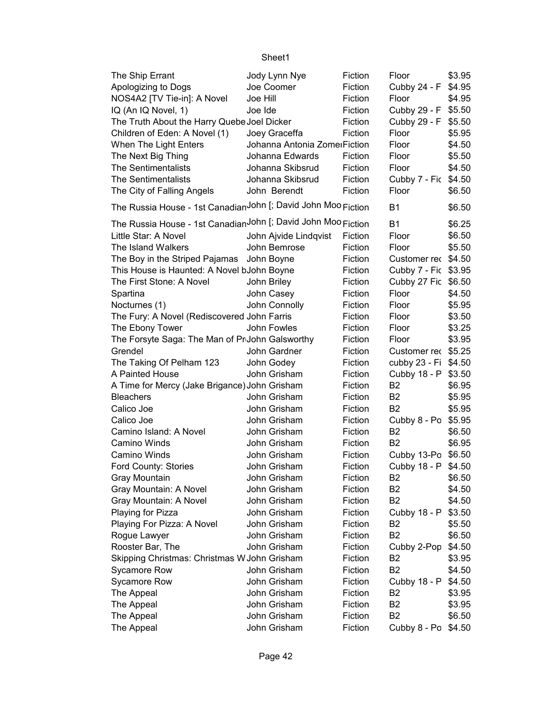| The Ship Errant                                               | Jody Lynn Nye                | Fiction | Floor                       | \$3.95 |
|---------------------------------------------------------------|------------------------------|---------|-----------------------------|--------|
| Apologizing to Dogs                                           | Joe Coomer                   | Fiction | Cubby 24 - F                | \$4.95 |
| NOS4A2 [TV Tie-in]: A Novel                                   | Joe Hill                     | Fiction | Floor                       | \$4.95 |
| IQ (An IQ Novel, 1)                                           | Joe Ide                      | Fiction | Cubby 29 - F \$5.50         |        |
| The Truth About the Harry Quebe Joel Dicker                   |                              | Fiction | Cubby 29 - F                | \$5.50 |
| Children of Eden: A Novel (1)                                 | Joey Graceffa                | Fiction | Floor                       | \$5.95 |
| When The Light Enters                                         | Johanna Antonia ZomerFiction |         | Floor                       | \$4.50 |
| The Next Big Thing                                            | Johanna Edwards              | Fiction | Floor                       | \$5.50 |
| <b>The Sentimentalists</b>                                    | Johanna Skibsrud             | Fiction | Floor                       | \$4.50 |
| <b>The Sentimentalists</b>                                    | Johanna Skibsrud             | Fiction | Cubby 7 - Fic               | \$4.50 |
| The City of Falling Angels                                    | John Berendt                 | Fiction | Floor                       | \$6.50 |
| The Russia House - 1st CanadianJohn [; David John Moo Fiction |                              |         | <b>B1</b>                   | \$6.50 |
| The Russia House - 1st CanadianJohn [; David John Moo Fiction |                              |         | <b>B1</b>                   | \$6.25 |
| Little Star: A Novel                                          | John Ajvide Lindqvist        | Fiction | Floor                       | \$6.50 |
| The Island Walkers                                            | John Bemrose                 | Fiction | Floor                       | \$5.50 |
| The Boy in the Striped Pajamas John Boyne                     |                              | Fiction | Customer rec \$4.50         |        |
| This House is Haunted: A Novel bJohn Boyne                    |                              | Fiction | Cubby 7 - Fic \$3.95        |        |
| The First Stone: A Novel                                      | John Briley                  | Fiction | Cubby 27 Fic                | \$6.50 |
| Spartina                                                      | John Casey                   | Fiction | Floor                       | \$4.50 |
| Nocturnes (1)                                                 | John Connolly                | Fiction | Floor                       | \$5.95 |
| The Fury: A Novel (Rediscovered John Farris                   |                              | Fiction | Floor                       | \$3.50 |
| The Ebony Tower                                               | John Fowles                  | Fiction | Floor                       | \$3.25 |
| The Forsyte Saga: The Man of PrJohn Galsworthy                |                              | Fiction | Floor                       | \$3.95 |
| Grendel                                                       | John Gardner                 | Fiction | Customer rec \$5.25         |        |
| The Taking Of Pelham 123                                      | John Godey                   | Fiction | cubby 23 - Fi               | \$4.50 |
| A Painted House                                               | John Grisham                 | Fiction | Cubby 18 - P                | \$3.50 |
| A Time for Mercy (Jake Brigance) John Grisham                 |                              | Fiction | B <sub>2</sub>              | \$6.95 |
| <b>Bleachers</b>                                              | John Grisham                 | Fiction | <b>B2</b>                   | \$5.95 |
| Calico Joe                                                    | John Grisham                 | Fiction | B <sub>2</sub>              | \$5.95 |
| Calico Joe                                                    | John Grisham                 | Fiction | Cubby 8 - Po \$5.95         |        |
| Camino Island: A Novel                                        | John Grisham                 | Fiction | B <sub>2</sub>              |        |
| Camino Winds                                                  | John Grisham                 |         | <b>B2</b>                   | \$6.50 |
|                                                               |                              | Fiction |                             | \$6.95 |
| Camino Winds                                                  | John Grisham<br>John Grisham | Fiction | Cubby 13-Po \$6.50          |        |
| Ford County: Stories<br>Gray Mountain                         |                              | Fiction | Cubby 18 - P \$4.50         |        |
|                                                               | John Grisham                 | Fiction | B2                          | \$6.50 |
| Gray Mountain: A Novel                                        | John Grisham                 | Fiction | B <sub>2</sub>              | \$4.50 |
| Gray Mountain: A Novel                                        | John Grisham                 | Fiction | B <sub>2</sub>              | \$4.50 |
| Playing for Pizza                                             | John Grisham<br>John Grisham | Fiction | Cubby 18 - P                | \$3.50 |
| Playing For Pizza: A Novel                                    | John Grisham                 | Fiction | B <sub>2</sub><br><b>B2</b> | \$5.50 |
| Rogue Lawyer                                                  |                              | Fiction |                             | \$6.50 |
| Rooster Bar, The                                              | John Grisham                 | Fiction | Cubby 2-Pop                 | \$4.50 |
| Skipping Christmas: Christmas W John Grisham                  |                              | Fiction | B <sub>2</sub>              | \$3.95 |
| Sycamore Row                                                  | John Grisham                 | Fiction | B <sub>2</sub>              | \$4.50 |
| Sycamore Row                                                  | John Grisham                 | Fiction | Cubby 18 - P                | \$4.50 |
| The Appeal                                                    | John Grisham                 | Fiction | B <sub>2</sub>              | \$3.95 |
| The Appeal                                                    | John Grisham                 | Fiction | B <sub>2</sub>              | \$3.95 |
| The Appeal                                                    | John Grisham                 | Fiction | B <sub>2</sub>              | \$6.50 |
| The Appeal                                                    | John Grisham                 | Fiction | Cubby 8 - Po                | \$4.50 |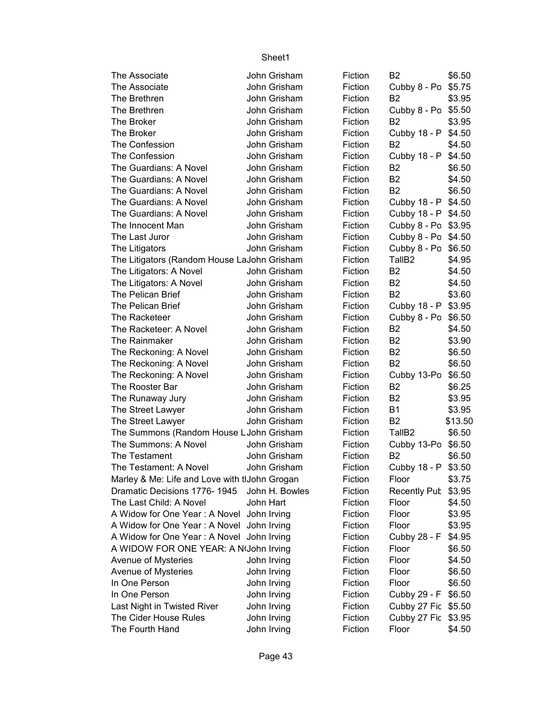| The Associate                                 | John Grisham   | Fiction | B <sub>2</sub>      | \$6.50  |
|-----------------------------------------------|----------------|---------|---------------------|---------|
| The Associate                                 | John Grisham   | Fiction | Cubby 8 - Po        | \$5.75  |
| The Brethren                                  | John Grisham   | Fiction | B <sub>2</sub>      | \$3.95  |
| The Brethren                                  | John Grisham   | Fiction | Cubby 8 - Po \$5.50 |         |
| The Broker                                    | John Grisham   | Fiction | B <sub>2</sub>      | \$3.95  |
| The Broker                                    | John Grisham   | Fiction | Cubby 18 - P        | \$4.50  |
| The Confession                                | John Grisham   | Fiction | B <sub>2</sub>      | \$4.50  |
| The Confession                                | John Grisham   | Fiction | Cubby 18 - P        | \$4.50  |
| The Guardians: A Novel                        | John Grisham   | Fiction | B <sub>2</sub>      | \$6.50  |
| The Guardians: A Novel                        | John Grisham   | Fiction | <b>B2</b>           | \$4.50  |
| The Guardians: A Novel                        | John Grisham   | Fiction | B <sub>2</sub>      | \$6.50  |
| The Guardians: A Novel                        | John Grisham   | Fiction | Cubby 18 - P \$4.50 |         |
| The Guardians: A Novel                        | John Grisham   | Fiction | Cubby 18 - P \$4.50 |         |
| The Innocent Man                              | John Grisham   | Fiction | Cubby 8 - Po \$3.95 |         |
| The Last Juror                                | John Grisham   | Fiction | Cubby 8 - Po \$4.50 |         |
| The Litigators                                | John Grisham   | Fiction | Cubby 8 - Po        | \$6.50  |
| The Litigators (Random House LaJohn Grisham   |                | Fiction | TallB <sub>2</sub>  | \$4.95  |
| The Litigators: A Novel                       | John Grisham   | Fiction | B <sub>2</sub>      | \$4.50  |
| The Litigators: A Novel                       | John Grisham   | Fiction | B <sub>2</sub>      | \$4.50  |
| The Pelican Brief                             | John Grisham   | Fiction | B <sub>2</sub>      | \$3.60  |
| The Pelican Brief                             | John Grisham   | Fiction | Cubby 18 - P \$3.95 |         |
| The Racketeer                                 | John Grisham   | Fiction | Cubby 8 - Po        | \$6.50  |
| The Racketeer: A Novel                        | John Grisham   | Fiction | B <sub>2</sub>      | \$4.50  |
| The Rainmaker                                 | John Grisham   | Fiction | B <sub>2</sub>      | \$3.90  |
| The Reckoning: A Novel                        | John Grisham   | Fiction | <b>B2</b>           | \$6.50  |
| The Reckoning: A Novel                        | John Grisham   | Fiction | B <sub>2</sub>      | \$6.50  |
| The Reckoning: A Novel                        | John Grisham   | Fiction | Cubby 13-Po         | \$6.50  |
| The Rooster Bar                               | John Grisham   | Fiction | B <sub>2</sub>      | \$6.25  |
| The Runaway Jury                              | John Grisham   | Fiction | <b>B2</b>           | \$3.95  |
| The Street Lawyer                             | John Grisham   | Fiction | <b>B1</b>           | \$3.95  |
| The Street Lawyer                             | John Grisham   | Fiction | <b>B2</b>           | \$13.50 |
| The Summons (Random House LJohn Grisham       |                | Fiction | TallB <sub>2</sub>  | \$6.50  |
| The Summons: A Novel                          | John Grisham   | Fiction | Cubby 13-Po         | \$6.50  |
| The Testament                                 | John Grisham   | Fiction | B <sub>2</sub>      | \$6.50  |
| The Testament: A Novel                        | John Grisham   | Fiction | Cubby 18 - P        | \$3.50  |
| Marley & Me: Life and Love with tlJohn Grogan |                | Fiction | Floor               | \$3.75  |
| Dramatic Decisions 1776-1945                  | John H. Bowles | Fiction | <b>Recently Pub</b> | \$3.95  |
| The Last Child: A Novel                       | John Hart      | Fiction | Floor               | \$4.50  |
| A Widow for One Year: A Novel John Irving     |                | Fiction | Floor               | \$3.95  |
| A Widow for One Year: A Novel John Irving     |                | Fiction | Floor               | \$3.95  |
| A Widow for One Year: A Novel John Irving     |                | Fiction | Cubby 28 - F        | \$4.95  |
| A WIDOW FOR ONE YEAR: A N(John Irving         |                | Fiction | Floor               | \$6.50  |
| Avenue of Mysteries                           | John Irving    | Fiction | Floor               | \$4.50  |
| Avenue of Mysteries                           | John Irving    | Fiction | Floor               | \$6.50  |
| In One Person                                 | John Irving    | Fiction | Floor               | \$6.50  |
| In One Person                                 | John Irving    | Fiction | Cubby 29 - F        | \$6.50  |
| Last Night in Twisted River                   | John Irving    | Fiction | Cubby 27 Fic        | \$5.50  |
| The Cider House Rules                         | John Irving    | Fiction | Cubby 27 Fic        | \$3.95  |
| The Fourth Hand                               | John Irving    | Fiction | Floor               | \$4.50  |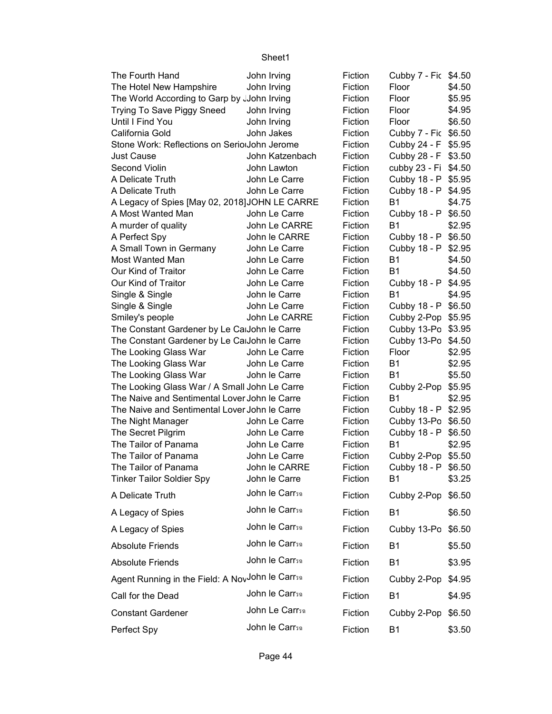| The Fourth Hand                                                                                | John Irving     | Fiction            | Cubby 7 - Fic \$4.50            |        |
|------------------------------------------------------------------------------------------------|-----------------|--------------------|---------------------------------|--------|
| The Hotel New Hampshire                                                                        | John Irving     | Fiction            | Floor                           | \$4.50 |
| The World According to Garp by John Irving                                                     |                 | Fiction            | Floor                           | \$5.95 |
| Trying To Save Piggy Sneed                                                                     | John Irving     | Fiction            | Floor                           | \$4.95 |
| Until I Find You                                                                               | John Irving     | Fiction            | Floor                           | \$6.50 |
| California Gold                                                                                | John Jakes      | Fiction            | Cubby 7 - Fic \$6.50            |        |
| Stone Work: Reflections on SeriolJohn Jerome                                                   |                 | Fiction            | Cubby 24 - F \$5.95             |        |
| Just Cause                                                                                     | John Katzenbach | Fiction            | Cubby 28 - F \$3.50             |        |
| Second Violin                                                                                  | John Lawton     | Fiction            | cubby 23 - Fi \$4.50            |        |
| A Delicate Truth                                                                               | John Le Carre   | Fiction            | Cubby 18 - P \$5.95             |        |
| A Delicate Truth                                                                               | John Le Carre   | Fiction            | Cubby 18 - P \$4.95             |        |
| A Legacy of Spies [May 02, 2018] JOHN LE CARRE                                                 |                 | Fiction            | <b>B1</b>                       | \$4.75 |
| A Most Wanted Man                                                                              | John Le Carre   | Fiction            | Cubby 18 - P \$6.50             |        |
| A murder of quality                                                                            | John Le CARRE   | Fiction            | <b>B1</b>                       | \$2.95 |
| A Perfect Spy                                                                                  | John le CARRE   | Fiction            | Cubby 18 - P \$6.50             |        |
| A Small Town in Germany                                                                        | John Le Carre   | Fiction            | Cubby 18 - P                    | \$2.95 |
| Most Wanted Man                                                                                | John Le Carre   | Fiction            | B1                              | \$4.50 |
| Our Kind of Traitor                                                                            | John Le Carre   | Fiction            | <b>B1</b>                       | \$4.50 |
| Our Kind of Traitor                                                                            | John Le Carre   | Fiction            | Cubby 18 - P \$4.95             |        |
| Single & Single                                                                                | John le Carre   | Fiction            | <b>B1</b>                       | \$4.95 |
| Single & Single                                                                                | John Le Carre   | Fiction            | Cubby 18 - P \$6.50             |        |
| Smiley's people                                                                                | John Le CARRE   | Fiction            | Cubby 2-Pop \$5.95              |        |
| The Constant Gardener by Le CalJohn le Carre                                                   |                 | Fiction            | Cubby 13-Po \$3.95              |        |
| The Constant Gardener by Le CalJohn le Carre                                                   |                 | Fiction            | Cubby 13-Po                     | \$4.50 |
| The Looking Glass War                                                                          | John Le Carre   | Fiction            | Floor                           | \$2.95 |
| The Looking Glass War                                                                          | John Le Carre   | Fiction            | <b>B1</b>                       | \$2.95 |
| The Looking Glass War                                                                          | John le Carre   | Fiction            | <b>B1</b>                       | \$5.50 |
| The Looking Glass War / A Small John Le Carre<br>The Naive and Sentimental Lover John le Carre |                 | Fiction<br>Fiction | Cubby 2-Pop \$5.95<br><b>B1</b> |        |
| The Naive and Sentimental Lover John le Carre                                                  |                 | Fiction            | Cubby 18 - P \$2.95             | \$2.95 |
| The Night Manager                                                                              | John Le Carre   | Fiction            | Cubby 13-Po \$6.50              |        |
| The Secret Pilgrim                                                                             | John Le Carre   | Fiction            | Cubby 18 - P                    | \$6.50 |
| The Tailor of Panama                                                                           | John Le Carre   | Fiction            | <b>B1</b>                       | \$2.95 |
| The Tailor of Panama                                                                           | John Le Carre   | Fiction            | Cubby 2-Pop \$5.50              |        |
| The Tailor of Panama                                                                           | John le CARRE   | Fiction            | Cubby 18 - P \$6.50             |        |
| <b>Tinker Tailor Soldier Spy</b>                                                               | John le Carre   | Fiction            | B1                              | \$3.25 |
| A Delicate Truth                                                                               | John le Carrsn  | Fiction            | Cubby 2-Pop                     | \$6.50 |
| A Legacy of Spies                                                                              | John le Carrsn  | Fiction            | <b>B1</b>                       | \$6.50 |
| A Legacy of Spies                                                                              | John le Carrsn  | Fiction            | Cubby 13-Po \$6.50              |        |
| <b>Absolute Friends</b>                                                                        | John le Carrsn  | Fiction            | <b>B1</b>                       | \$5.50 |
| <b>Absolute Friends</b>                                                                        | John le Carrsn  | Fiction            | <b>B1</b>                       | \$3.95 |
| Agent Running in the Field: A NovJohn le Carrsa                                                |                 | Fiction            | Cubby 2-Pop                     | \$4.95 |
| Call for the Dead                                                                              | John le Carrsn  | Fiction            | <b>B1</b>                       | \$4.95 |
| <b>Constant Gardener</b>                                                                       | John Le Carrsa  | Fiction            | Cubby 2-Pop                     | \$6.50 |
| Perfect Spy                                                                                    | John le Carrsa  | Fiction            | <b>B1</b>                       | \$3.50 |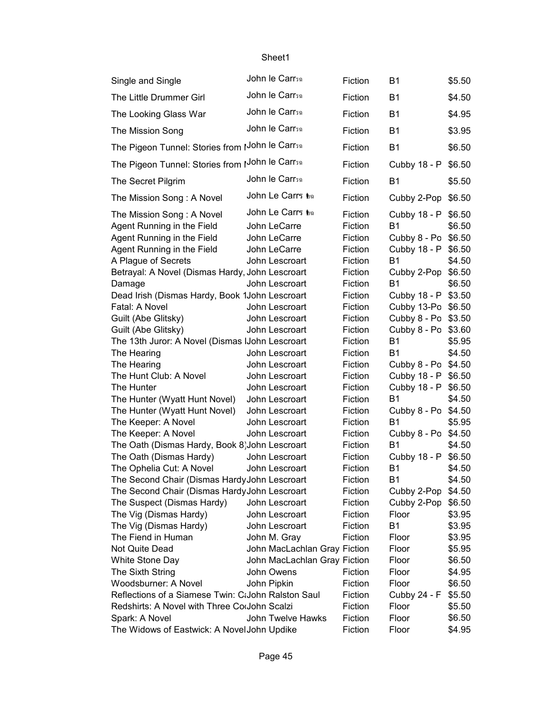| Single and Single                                                                                                   | John le Carrsa                                                   | Fiction                                  | <b>B1</b>                                                               | \$5.50           |
|---------------------------------------------------------------------------------------------------------------------|------------------------------------------------------------------|------------------------------------------|-------------------------------------------------------------------------|------------------|
| The Little Drummer Girl                                                                                             | John le Carrsn                                                   | Fiction                                  | <b>B1</b>                                                               | \$4.50           |
| The Looking Glass War                                                                                               | John le Carrsn                                                   | Fiction                                  | <b>B1</b>                                                               | \$4.95           |
| The Mission Song                                                                                                    | John le Carrsa                                                   | Fiction                                  | <b>B1</b>                                                               | \$3.95           |
| The Pigeon Tunnel: Stories from JJohn le Carr50                                                                     |                                                                  | Fiction                                  | <b>B1</b>                                                               | \$6.50           |
| The Pigeon Tunnel: Stories from IJohn le Carrsa                                                                     |                                                                  | Fiction                                  | Cubby 18 - P \$6.50                                                     |                  |
| The Secret Pilgrim                                                                                                  | John le Carrsn                                                   | Fiction                                  | <b>B1</b>                                                               | \$5.50           |
| The Mission Song: A Novel                                                                                           | John Le Carrร tha                                                | Fiction                                  | Cubby 2-Pop \$6.50                                                      |                  |
| The Mission Song: A Novel<br>Agent Running in the Field<br>Agent Running in the Field<br>Agent Running in the Field | John Le Carrs to<br>John LeCarre<br>John LeCarre<br>John LeCarre | Fiction<br>Fiction<br>Fiction<br>Fiction | Cubby 18 - P<br><b>B1</b><br>Cubby 8 - Po \$6.50<br>Cubby 18 - P \$6.50 | \$6.50<br>\$6.50 |
| A Plague of Secrets                                                                                                 | John Lescroart                                                   | Fiction                                  | <b>B1</b>                                                               | \$4.50           |
| Betrayal: A Novel (Dismas Hardy, John Lescroart<br>Damage<br>Dead Irish (Dismas Hardy, Book 1John Lescroart         | John Lescroart                                                   | Fiction<br>Fiction<br>Fiction            | Cubby 2-Pop \$6.50<br><b>B1</b><br>Cubby 18 - P                         | \$6.50<br>\$3.50 |
| Fatal: A Novel                                                                                                      | John Lescroart                                                   | Fiction                                  | Cubby 13-Po \$6.50                                                      |                  |
| Guilt (Abe Glitsky)                                                                                                 | John Lescroart                                                   | Fiction                                  | Cubby 8 - Po \$3.50                                                     |                  |
| Guilt (Abe Glitsky)                                                                                                 | John Lescroart                                                   | Fiction                                  | Cubby 8 - Po \$3.60<br><b>B1</b>                                        |                  |
| The 13th Juror: A Novel (Dismas IJohn Lescroart<br>The Hearing                                                      | John Lescroart                                                   | Fiction<br>Fiction                       | <b>B1</b>                                                               | \$5.95<br>\$4.50 |
| The Hearing                                                                                                         | John Lescroart                                                   | Fiction                                  | Cubby 8 - Po \$4.50                                                     |                  |
| The Hunt Club: A Novel                                                                                              | John Lescroart                                                   | Fiction                                  | Cubby 18 - P                                                            | \$6.50           |
| The Hunter                                                                                                          | John Lescroart                                                   | Fiction                                  | Cubby 18 - P                                                            | \$6.50           |
| The Hunter (Wyatt Hunt Novel)                                                                                       | John Lescroart                                                   | Fiction                                  | <b>B1</b>                                                               | \$4.50           |
| The Hunter (Wyatt Hunt Novel)                                                                                       | John Lescroart                                                   | Fiction                                  | Cubby 8 - Po \$4.50                                                     |                  |
| The Keeper: A Novel                                                                                                 | John Lescroart                                                   | Fiction                                  | <b>B1</b>                                                               | \$5.95           |
| The Keeper: A Novel                                                                                                 | John Lescroart                                                   | Fiction                                  | Cubby 8 - Po \$4.50                                                     |                  |
| The Oath (Dismas Hardy, Book 8) John Lescroart                                                                      |                                                                  | Fiction                                  | <b>B1</b>                                                               | \$4.50           |
| The Oath (Dismas Hardy)                                                                                             | John Lescroart                                                   | Fiction                                  | Cubby 18 - P \$6.50                                                     |                  |
| The Ophelia Cut: A Novel                                                                                            | John Lescroart                                                   | Fiction                                  | B1                                                                      | \$4.50           |
| The Second Chair (Dismas Hardy John Lescroart                                                                       |                                                                  | Fiction                                  | Β1                                                                      | \$4.50           |
| The Second Chair (Dismas Hardy John Lescroart                                                                       |                                                                  | Fiction                                  | Cubby 2-Pop                                                             | \$4.50           |
| The Suspect (Dismas Hardy)                                                                                          | John Lescroart                                                   | Fiction                                  | Cubby 2-Pop                                                             | \$6.50           |
| The Vig (Dismas Hardy)                                                                                              | John Lescroart                                                   | Fiction                                  | Floor                                                                   | \$3.95           |
| The Vig (Dismas Hardy)                                                                                              | John Lescroart                                                   | Fiction                                  | <b>B1</b>                                                               | \$3.95           |
| The Fiend in Human                                                                                                  | John M. Gray                                                     | Fiction                                  | Floor                                                                   | \$3.95           |
| Not Quite Dead                                                                                                      | John MacLachlan Gray Fiction                                     |                                          | Floor                                                                   | \$5.95           |
| White Stone Day                                                                                                     | John MacLachlan Gray Fiction                                     |                                          | Floor                                                                   | \$6.50           |
| The Sixth String                                                                                                    | John Owens                                                       | Fiction                                  | Floor                                                                   | \$4.95           |
| Woodsburner: A Novel                                                                                                | John Pipkin                                                      | Fiction                                  | Floor                                                                   | \$6.50           |
| Reflections of a Siamese Twin: CtJohn Ralston Saul                                                                  |                                                                  | Fiction                                  | Cubby 24 - F                                                            | \$5.50           |
| Redshirts: A Novel with Three CorJohn Scalzi                                                                        |                                                                  | Fiction                                  | Floor                                                                   | \$5.50           |
| Spark: A Novel                                                                                                      | John Twelve Hawks                                                | Fiction                                  | Floor                                                                   | \$6.50           |
| The Widows of Eastwick: A Novel John Updike                                                                         |                                                                  | Fiction                                  | Floor                                                                   | \$4.95           |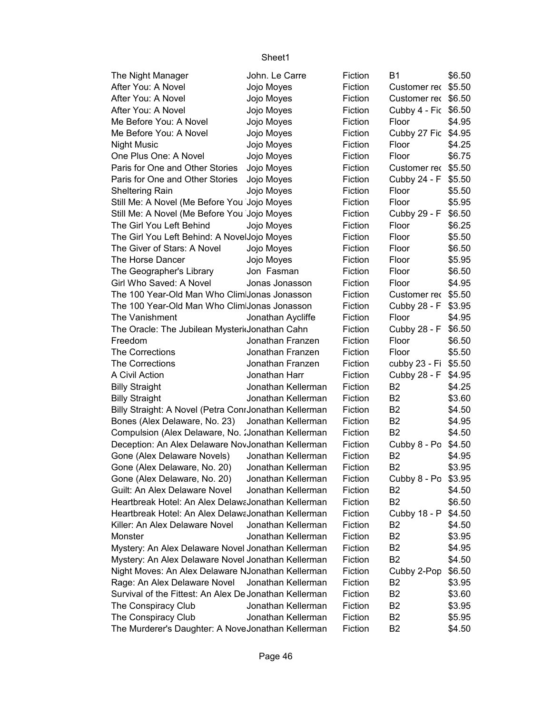| The Night Manager                                      | John. Le Carre     | Fiction | B1                   | \$6.50 |
|--------------------------------------------------------|--------------------|---------|----------------------|--------|
| After You: A Novel                                     | Jojo Moyes         | Fiction | Customer rec \$5.50  |        |
| After You: A Novel                                     | Jojo Moyes         | Fiction | Customer rec \$6.50  |        |
| After You: A Novel                                     | Jojo Moyes         | Fiction | Cubby 4 - Fic \$6.50 |        |
| Me Before You: A Novel                                 | Jojo Moyes         | Fiction | Floor                | \$4.95 |
| Me Before You: A Novel                                 | Jojo Moyes         | Fiction | Cubby 27 Fic         | \$4.95 |
| <b>Night Music</b>                                     | Jojo Moyes         | Fiction | Floor                | \$4.25 |
| One Plus One: A Novel                                  | Jojo Moyes         | Fiction | Floor                | \$6.75 |
| Paris for One and Other Stories                        | Jojo Moyes         | Fiction | Customer rec         | \$5.50 |
| Paris for One and Other Stories                        |                    | Fiction |                      | \$5.50 |
|                                                        | Jojo Moyes         |         | Cubby 24 - F         |        |
| <b>Sheltering Rain</b>                                 | Jojo Moyes         | Fiction | Floor                | \$5.50 |
| Still Me: A Novel (Me Before You Jojo Moyes            |                    | Fiction | Floor                | \$5.95 |
| Still Me: A Novel (Me Before You Jojo Moyes            |                    | Fiction | Cubby 29 - F         | \$6.50 |
| The Girl You Left Behind                               | Jojo Moyes         | Fiction | Floor                | \$6.25 |
| The Girl You Left Behind: A NovelJojo Moyes            |                    | Fiction | Floor                | \$5.50 |
| The Giver of Stars: A Novel                            | Jojo Moyes         | Fiction | Floor                | \$6.50 |
| The Horse Dancer                                       | Jojo Moyes         | Fiction | Floor                | \$5.95 |
| The Geographer's Library                               | Jon Fasman         | Fiction | Floor                | \$6.50 |
| Girl Who Saved: A Novel                                | Jonas Jonasson     | Fiction | Floor                | \$4.95 |
| The 100 Year-Old Man Who Clim Jonas Jonasson           |                    | Fiction | Customer rec         | \$5.50 |
| The 100 Year-Old Man Who Clim Jonas Jonasson           |                    | Fiction | Cubby 28 - F         | \$3.95 |
| The Vanishment                                         | Jonathan Aycliffe  | Fiction | Floor                | \$4.95 |
| The Oracle: The Jubilean Mysteridonathan Cahn          |                    | Fiction | Cubby 28 - F         | \$6.50 |
| Freedom                                                | Jonathan Franzen   | Fiction | Floor                | \$6.50 |
| <b>The Corrections</b>                                 | Jonathan Franzen   | Fiction | Floor                | \$5.50 |
| <b>The Corrections</b>                                 | Jonathan Franzen   | Fiction | cubby 23 - Fi \$5.50 |        |
| A Civil Action                                         | Jonathan Harr      | Fiction | Cubby 28 - F         | \$4.95 |
| <b>Billy Straight</b>                                  | Jonathan Kellerman | Fiction | B <sub>2</sub>       | \$4.25 |
| <b>Billy Straight</b>                                  | Jonathan Kellerman | Fiction | B <sub>2</sub>       | \$3.60 |
| Billy Straight: A Novel (Petra ConrJonathan Kellerman  |                    | Fiction | B <sub>2</sub>       | \$4.50 |
| Bones (Alex Delaware, No. 23) Jonathan Kellerman       |                    | Fiction | B <sub>2</sub>       | \$4.95 |
| Compulsion (Alex Delaware, No. : Jonathan Kellerman    |                    | Fiction | B <sub>2</sub>       | \$4.50 |
| Deception: An Alex Delaware NovJonathan Kellerman      |                    | Fiction | Cubby 8 - Po \$4.50  |        |
| Gone (Alex Delaware Novels)                            | Jonathan Kellerman | Fiction | B <sub>2</sub>       | \$4.95 |
| Gone (Alex Delaware, No. 20)                           | Jonathan Kellerman | Fiction | B <sub>2</sub>       | \$3.95 |
| Gone (Alex Delaware, No. 20)                           | Jonathan Kellerman | Fiction | Cubby 8 - Po \$3.95  |        |
| Guilt: An Alex Delaware Novel                          | Jonathan Kellerman | Fiction | B2                   | \$4.50 |
| Heartbreak Hotel: An Alex DelawaJonathan Kellerman     |                    | Fiction | B <sub>2</sub>       | \$6.50 |
| Heartbreak Hotel: An Alex Delawa Jonathan Kellerman    |                    | Fiction | Cubby 18 - P         | \$4.50 |
| Killer: An Alex Delaware Novel                         | Jonathan Kellerman | Fiction | B <sub>2</sub>       | \$4.50 |
| Monster                                                | Jonathan Kellerman | Fiction | B <sub>2</sub>       | \$3.95 |
| Mystery: An Alex Delaware Novel Jonathan Kellerman     |                    | Fiction | B <sub>2</sub>       | \$4.95 |
| Mystery: An Alex Delaware Novel Jonathan Kellerman     |                    | Fiction | B <sub>2</sub>       | \$4.50 |
| Night Moves: An Alex Delaware NJonathan Kellerman      |                    | Fiction | Cubby 2-Pop          | \$6.50 |
| Rage: An Alex Delaware Novel                           | Jonathan Kellerman | Fiction | B2                   | \$3.95 |
| Survival of the Fittest: An Alex De Jonathan Kellerman |                    | Fiction | B <sub>2</sub>       | \$3.60 |
| The Conspiracy Club                                    | Jonathan Kellerman | Fiction | B <sub>2</sub>       | \$3.95 |
| The Conspiracy Club                                    | Jonathan Kellerman | Fiction | B <sub>2</sub>       | \$5.95 |
| The Murderer's Daughter: A NoveJonathan Kellerman      |                    | Fiction | B <sub>2</sub>       | \$4.50 |
|                                                        |                    |         |                      |        |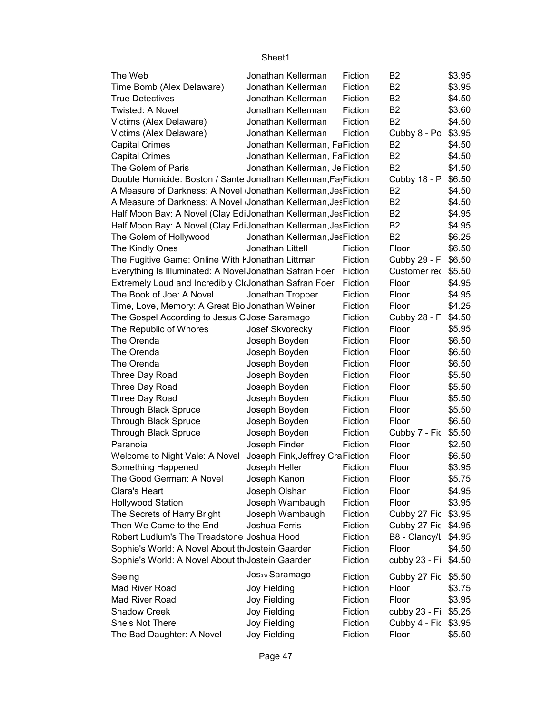#### Sheet1 B2 \$3.95 B2 \$3.95 B2 \$4.50 B2 \$3.60 B2 \$4.50 Cubby 8 - Po \$3.95 B2 \$4.50 B2 \$4.50 B2 \$4.50 \$6.50 B<sub>2</sub> \$4.50 B2 \$4.50 B2 \$4.95 B2 \$4.95 B2 \$6.25 \$6.50 \$6.50 Customer rec \$5.50 \$4.95 \$4.95 \$4.25 \$4.50 \$5.95 \$6.50 \$6.50 \$6.50 \$5.50 \$5.50 \$5.50 \$5.50 \$6.50 Cubby 7 - Fic \$5.50 \$2.50 \$6.50 \$3.95 \$5.75 \$4.95 \$3.95 Cubby 27 Fic \$3.95 Cubby 27 Fic \$4.95 B8 - Clancy/L \$4.95 \$4.50 The Web Jonathan Kellerman Fiction Time Bomb (Alex Delaware) Jonathan Kellerman Fiction True Detectives Jonathan Kellerman Fiction Twisted: A Novel Jonathan Kellerman Fiction Victims (Alex Delaware) Jonathan Kellerman Fiction Victims (Alex Delaware) Jonathan Kellerman Fiction Capital Crimes Jonathan Kellerman, FaFiction Capital Crimes Jonathan Kellerman, FaFiction The Golem of Paris Jonathan Kellerman, Je Fiction Double Homicide: Boston / Sante Jonathan Kellerman, Fay Fiction Cubby 18 - P A Measure of Darkness: A Novel (Jonathan Kellerman, Jes Fiction) A Measure of Darkness: A Novel Jonathan Kellerman, Jes Fiction Half Moon Bay: A Novel (Clay EdiJonathan Kellerman, Jes Fiction Half Moon Bay: A Novel (Clay EdiJonathan Kellerman, Jes Fiction The Golem of Hollywood Jonathan Kellerman, Jes Fiction The Kindly Ones **State State State State Inc.** The Kindly Ones The Fugitive Game: Online With I Jonathan Littman Fiction Cubby 29 - F Everything Is Illuminated: A Novel Jonathan Safran Foer Fiction Extremely Loud and Incredibly CloJonathan Safran Foer Fiction Floor The Book of Joe: A Novel Jonathan Tropper Fiction Floor Time, Love, Memory: A Great BiolJonathan Weiner Fiction Floor The Gospel According to Jesus C Jose Saramago Fiction Cubby 28 - F The Republic of Whores Josef Skvorecky Fiction Floor The Orenda **The Orenda** Joseph Boyden Fiction Floor The Orenda **The Orenda** Joseph Boyden Fiction Floor The Orenda Joseph Boyden Fiction Floor Three Day Road Joseph Boyden Fiction Floor Three Day Road **State State Seeph Boyden** Fiction Floor Three Day Road **In Transform Boyden** Fiction Floor Through Black Spruce **Solution Contact Sept** Joseph Boyden Fiction Floor Through Black Spruce **Joseph Boyden** Fiction Floor Through Black Spruce Joseph Boyden Fiction Paranoia **Marting Comparato Hoseph Finder** Fiction Floor Welcome to Night Vale: A Novel Joseph Fink, Jeffrey CraFiction Floor Something Happened Joseph Heller Fiction Floor The Good German: A Novel Joseph Kanon Fiction Floor Clara's Heart **Fiction** Joseph Olshan Fiction Floor Hollywood Station Joseph Wambaugh Fiction Floor The Secrets of Harry Bright Joseph Wambaugh Fiction Then We Came to the End Joshua Ferris Fiction Robert Ludlum's The Treadstone Joshua Hood Fiction Sophie's World: A Novel About the Jostein Gaarder Fiction Floor

| SUPPLIE'S VVOLIG. A NOVEL ADOUT TRUSSIEIT GRAFUEL |                       | <b>FIGUOIL</b> | CUDDY ZJ - FI J4.00  |        |
|---------------------------------------------------|-----------------------|----------------|----------------------|--------|
| Seeing                                            | <b>Jossa Saramago</b> | Fiction        | Cubby 27 Fic \$5.50  |        |
| Mad River Road                                    | Joy Fielding          | Fiction        | Floor                | \$3.75 |
| Mad River Road                                    | Joy Fielding          | Fiction        | Floor                | \$3.95 |
| <b>Shadow Creek</b>                               | Joy Fielding          | Fiction        | cubby 23 - Fi \$5.25 |        |
| She's Not There                                   | Joy Fielding          | Fiction        | Cubby 4 - Fic \$3.95 |        |
| The Bad Daughter: A Novel                         | Joy Fielding          | Fiction        | Floor                | \$5.50 |

 $\omega$ thby 22 Ei  $\alpha$ 4 E0

Sophie's World: A Novel About the Jostein Coarder Fiction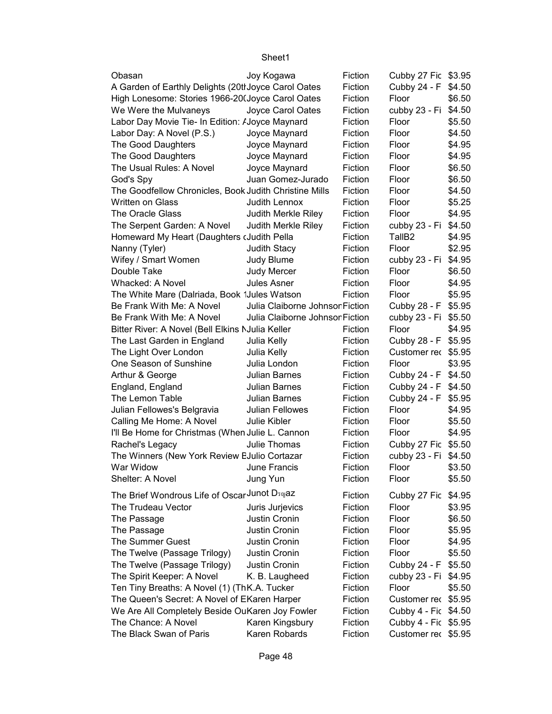| Obasan                                                  | Joy Kogawa                      | Fiction | Cubby 27 Fic \$3.95  |        |
|---------------------------------------------------------|---------------------------------|---------|----------------------|--------|
| A Garden of Earthly Delights (20thJoyce Carol Oates     |                                 | Fiction | Cubby 24 - F         | \$4.50 |
| High Lonesome: Stories 1966-20(Joyce Carol Oates        |                                 | Fiction | Floor                | \$6.50 |
| We Were the Mulvaneys                                   | Joyce Carol Oates               | Fiction | cubby 23 - Fi        | \$4.50 |
| Labor Day Movie Tie- In Edition: <i>I</i> Joyce Maynard |                                 | Fiction | Floor                | \$5.50 |
| Labor Day: A Novel (P.S.)                               | Joyce Maynard                   | Fiction | Floor                | \$4.50 |
| The Good Daughters                                      | Joyce Maynard                   | Fiction | Floor                | \$4.95 |
| The Good Daughters                                      | Joyce Maynard                   | Fiction | Floor                | \$4.95 |
| The Usual Rules: A Novel                                | Joyce Maynard                   | Fiction | Floor                | \$6.50 |
| God's Spy                                               | Juan Gomez-Jurado               | Fiction | Floor                | \$6.50 |
| The Goodfellow Chronicles, Book Judith Christine Mills  |                                 | Fiction | Floor                | \$4.50 |
| <b>Written on Glass</b>                                 | Judith Lennox                   | Fiction | Floor                | \$5.25 |
| The Oracle Glass                                        | Judith Merkle Riley             | Fiction | Floor                | \$4.95 |
| The Serpent Garden: A Novel                             | Judith Merkle Riley             | Fiction | cubby 23 - Fi        | \$4.50 |
| Homeward My Heart (Daughters (Judith Pella              |                                 | Fiction | TallB <sub>2</sub>   | \$4.95 |
| Nanny (Tyler)                                           | Judith Stacy                    | Fiction | Floor                | \$2.95 |
| Wifey / Smart Women                                     | Judy Blume                      | Fiction | cubby 23 - Fi        | \$4.95 |
| Double Take                                             | <b>Judy Mercer</b>              | Fiction | Floor                | \$6.50 |
| <b>Whacked: A Novel</b>                                 | <b>Jules Asner</b>              | Fiction | Floor                | \$4.95 |
| The White Mare (Dalriada, Book 1Jules Watson            |                                 | Fiction | Floor                | \$5.95 |
| Be Frank With Me: A Novel                               | Julia Claiborne Johnson Fiction |         | Cubby 28 - F         | \$5.95 |
| Be Frank With Me: A Novel                               | Julia Claiborne Johnson Fiction |         | cubby 23 - Fi        | \$5.50 |
| Bitter River: A Novel (Bell Elkins NJulia Keller        |                                 | Fiction | Floor                | \$4.95 |
| The Last Garden in England                              | Julia Kelly                     | Fiction | Cubby 28 - F         | \$5.95 |
| The Light Over London                                   | Julia Kelly                     | Fiction | Customer rec \$5.95  |        |
| One Season of Sunshine                                  | Julia London                    | Fiction | Floor                | \$3.95 |
| Arthur & George                                         | Julian Barnes                   | Fiction | Cubby 24 - F \$4.50  |        |
| England, England                                        | Julian Barnes                   | Fiction | Cubby 24 - F         | \$4.50 |
| The Lemon Table                                         | <b>Julian Barnes</b>            | Fiction | Cubby 24 - F         | \$5.95 |
| Julian Fellowes's Belgravia                             | Julian Fellowes                 | Fiction | Floor                | \$4.95 |
| Calling Me Home: A Novel                                | <b>Julie Kibler</b>             | Fiction | Floor                | \$5.50 |
| I'll Be Home for Christmas (When Julie L. Cannon        |                                 | Fiction | Floor                | \$4.95 |
| Rachel's Legacy                                         | Julie Thomas                    | Fiction | Cubby 27 Fic \$5.50  |        |
| The Winners (New York Review EJulio Cortazar            |                                 | Fiction | cubby 23 - Fi        | \$4.50 |
| War Widow                                               | June Francis                    | Fiction | Floor                | \$3.50 |
| Shelter: A Novel                                        | Jung Yun                        | Fiction | Floor                | \$5.50 |
| The Brief Wondrous Life of Oscar Junot D50yaz           |                                 | Fiction |                      |        |
|                                                         |                                 |         | Cubby 27 Fic         | \$4.95 |
| The Trudeau Vector                                      | Juris Jurjevics                 | Fiction | Floor                | \$3.95 |
| The Passage                                             | Justin Cronin                   | Fiction | Floor                | \$6.50 |
| The Passage                                             | Justin Cronin                   | Fiction | Floor                | \$5.95 |
| The Summer Guest                                        | Justin Cronin                   | Fiction | Floor                | \$4.95 |
| The Twelve (Passage Trilogy)                            | Justin Cronin                   | Fiction | Floor                | \$5.50 |
| The Twelve (Passage Trilogy)                            | Justin Cronin                   | Fiction | Cubby 24 - F         | \$5.50 |
| The Spirit Keeper: A Novel                              | K. B. Laugheed                  | Fiction | cubby 23 - Fi        | \$4.95 |
| Ten Tiny Breaths: A Novel (1) (ThK.A. Tucker            |                                 | Fiction | Floor                | \$5.50 |
| The Queen's Secret: A Novel of EKaren Harper            |                                 | Fiction | Customer rec \$5.95  |        |
| We Are All Completely Beside OuKaren Joy Fowler         |                                 | Fiction | Cubby 4 - Fic \$4.50 |        |
| The Chance: A Novel                                     | Karen Kingsbury                 | Fiction | Cubby 4 - Fic \$5.95 |        |
| The Black Swan of Paris                                 | Karen Robards                   | Fiction | Customer rec \$5.95  |        |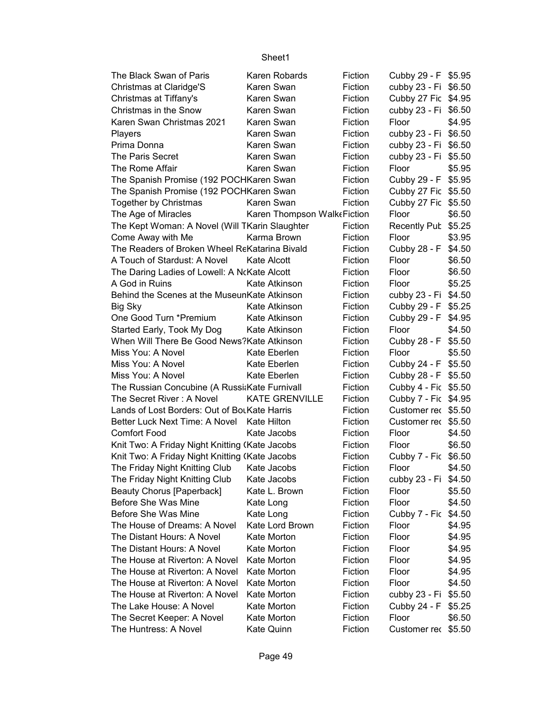| The Black Swan of Paris                        | Karen Robards               | Fiction | Cubby 29 - F \$5.95  |        |
|------------------------------------------------|-----------------------------|---------|----------------------|--------|
| Christmas at Claridge'S                        | Karen Swan                  | Fiction | cubby 23 - Fi \$6.50 |        |
| Christmas at Tiffany's                         | Karen Swan                  | Fiction | Cubby 27 Fic \$4.95  |        |
| Christmas in the Snow                          | Karen Swan                  | Fiction | cubby 23 - Fi \$6.50 |        |
| Karen Swan Christmas 2021                      | Karen Swan                  | Fiction | Floor                | \$4.95 |
| Players                                        | Karen Swan                  | Fiction | cubby 23 - Fi \$6.50 |        |
| Prima Donna                                    | Karen Swan                  | Fiction | cubby 23 - Fi \$6.50 |        |
| The Paris Secret                               | Karen Swan                  | Fiction | cubby 23 - Fi \$5.50 |        |
| The Rome Affair                                | Karen Swan                  | Fiction | Floor                | \$5.95 |
| The Spanish Promise (192 POCHKaren Swan        |                             | Fiction | Cubby 29 - F \$5.95  |        |
| The Spanish Promise (192 POCHKaren Swan        |                             | Fiction | Cubby 27 Fic \$5.50  |        |
| Together by Christmas                          | Karen Swan                  | Fiction | Cubby 27 Fic \$5.50  |        |
| The Age of Miracles                            | Karen Thompson WalkeFiction |         | Floor                | \$6.50 |
| The Kept Woman: A Novel (Will TKarin Slaughter |                             | Fiction | Recently Pub \$5.25  |        |
| Come Away with Me                              | Karma Brown                 | Fiction | Floor                | \$3.95 |
| The Readers of Broken Wheel ReKatarina Bivald  |                             | Fiction | Cubby 28 - F         | \$4.50 |
| A Touch of Stardust: A Novel                   | Kate Alcott                 | Fiction | Floor                | \$6.50 |
| The Daring Ladies of Lowell: A NcKate Alcott   |                             | Fiction | Floor                | \$6.50 |
| A God in Ruins                                 | Kate Atkinson               | Fiction | Floor                | \$5.25 |
| Behind the Scenes at the MuseunKate Atkinson   |                             | Fiction | cubby 23 - Fi \$4.50 |        |
| Big Sky                                        | Kate Atkinson               | Fiction | Cubby 29 - F \$5.25  |        |
| One Good Turn *Premium                         | Kate Atkinson               | Fiction | Cubby 29 - F         | \$4.95 |
| Started Early, Took My Dog                     | Kate Atkinson               | Fiction | Floor                | \$4.50 |
| When Will There Be Good News? Kate Atkinson    |                             | Fiction | Cubby 28 - F         | \$5.50 |
| Miss You: A Novel                              | Kate Eberlen                | Fiction | Floor                | \$5.50 |
| Miss You: A Novel                              | Kate Eberlen                | Fiction | Cubby 24 - F \$5.50  |        |
| Miss You: A Novel                              | Kate Eberlen                | Fiction | Cubby 28 - F \$5.50  |        |
| The Russian Concubine (A Russi:Kate Furnivall  |                             | Fiction | Cubby 4 - Fic \$5.50 |        |
| The Secret River: A Novel                      | <b>KATE GRENVILLE</b>       | Fiction | Cubby 7 - Fic \$4.95 |        |
| Lands of Lost Borders: Out of BotKate Harris   |                             | Fiction | Customer rec \$5.50  |        |
| Better Luck Next Time: A Novel Kate Hilton     |                             | Fiction | Customer rec \$5.50  |        |
| <b>Comfort Food</b>                            | Kate Jacobs                 | Fiction | Floor                | \$4.50 |
| Knit Two: A Friday Night Knitting (Kate Jacobs |                             | Fiction | Floor                | \$6.50 |
| Knit Two: A Friday Night Knitting (Kate Jacobs |                             | Fiction | Cubby 7 - Fic \$6.50 |        |
| The Friday Night Knitting Club                 | Kate Jacobs                 | Fiction | Floor                | \$4.50 |
| The Friday Night Knitting Club                 | Kate Jacobs                 | Fiction | cubby 23 - Fi \$4.50 |        |
| <b>Beauty Chorus [Paperback]</b>               | Kate L. Brown               | Fiction | Floor                | \$5.50 |
| Before She Was Mine                            | Kate Long                   | Fiction | Floor                | \$4.50 |
| Before She Was Mine                            | Kate Long                   | Fiction | Cubby 7 - Fic        | \$4.50 |
| The House of Dreams: A Novel                   | Kate Lord Brown             | Fiction | Floor                | \$4.95 |
| The Distant Hours: A Novel                     | Kate Morton                 | Fiction | Floor                | \$4.95 |
| The Distant Hours: A Novel                     | Kate Morton                 | Fiction | Floor                | \$4.95 |
| The House at Riverton: A Novel                 | Kate Morton                 | Fiction | Floor                | \$4.95 |
| The House at Riverton: A Novel                 | Kate Morton                 | Fiction | Floor                | \$4.95 |
| The House at Riverton: A Novel                 | Kate Morton                 | Fiction | Floor                | \$4.50 |
| The House at Riverton: A Novel                 | Kate Morton                 | Fiction | cubby 23 - Fi        | \$5.50 |
| The Lake House: A Novel                        | Kate Morton                 | Fiction | Cubby 24 - F         | \$5.25 |
| The Secret Keeper: A Novel                     | Kate Morton                 | Fiction | Floor                | \$6.50 |
| The Huntress: A Novel                          | Kate Quinn                  | Fiction | Customer rec \$5.50  |        |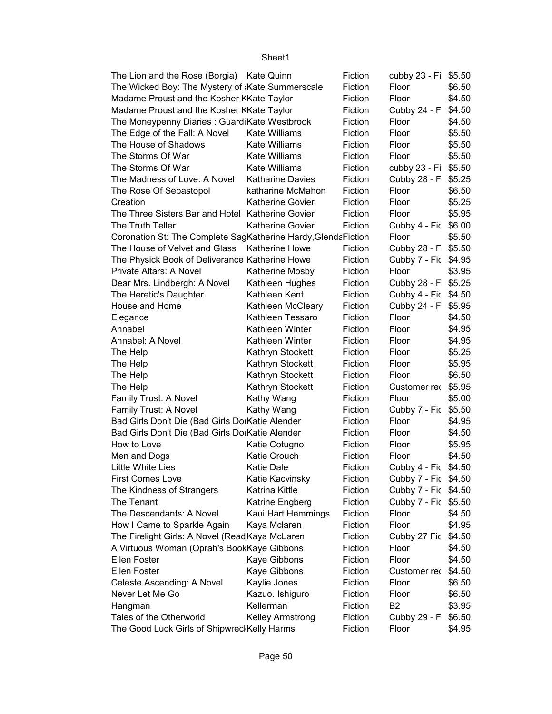| The Lion and the Rose (Borgia) Kate Quinn                      |                         | Fiction | cubby 23 - Fi \$5.50 |        |
|----------------------------------------------------------------|-------------------------|---------|----------------------|--------|
| The Wicked Boy: The Mystery of Kate Summerscale                |                         | Fiction | Floor                | \$6.50 |
| Madame Proust and the Kosher KKate Taylor                      |                         | Fiction | Floor                | \$4.50 |
| Madame Proust and the Kosher KKate Taylor                      |                         | Fiction | Cubby 24 - F         | \$4.50 |
| The Moneypenny Diaries : GuardiKate Westbrook                  |                         | Fiction | Floor                | \$4.50 |
| The Edge of the Fall: A Novel                                  | <b>Kate Williams</b>    | Fiction | Floor                | \$5.50 |
| The House of Shadows                                           | Kate Williams           | Fiction | Floor                | \$5.50 |
| The Storms Of War                                              | <b>Kate Williams</b>    | Fiction | Floor                | \$5.50 |
| The Storms Of War                                              | <b>Kate Williams</b>    | Fiction | cubby 23 - Fi        | \$5.50 |
| The Madness of Love: A Novel                                   | <b>Katharine Davies</b> | Fiction | Cubby 28 - F         | \$5.25 |
| The Rose Of Sebastopol                                         | katharine McMahon       | Fiction | Floor                | \$6.50 |
| Creation                                                       | <b>Katherine Govier</b> | Fiction | Floor                | \$5.25 |
| The Three Sisters Bar and Hotel Katherine Govier               |                         | Fiction | Floor                | \$5.95 |
| The Truth Teller                                               | <b>Katherine Govier</b> | Fiction | Cubby 4 - Fic \$6.00 |        |
| Coronation St: The Complete SagKatherine Hardy, Glenda Fiction |                         |         | Floor                | \$5.50 |
| The House of Velvet and Glass                                  | <b>Katherine Howe</b>   | Fiction | Cubby 28 - F         | \$5.50 |
| The Physick Book of Deliverance Katherine Howe                 |                         | Fiction | Cubby 7 - Fic \$4.95 |        |
| Private Altars: A Novel                                        | Katherine Mosby         | Fiction | Floor                | \$3.95 |
| Dear Mrs. Lindbergh: A Novel                                   | Kathleen Hughes         | Fiction | Cubby 28 - F \$5.25  |        |
| The Heretic's Daughter                                         | Kathleen Kent           | Fiction | Cubby 4 - Fic \$4.50 |        |
| House and Home                                                 | Kathleen McCleary       | Fiction | Cubby 24 - F         | \$5.95 |
| Elegance                                                       | Kathleen Tessaro        | Fiction | Floor                | \$4.50 |
| Annabel                                                        | Kathleen Winter         | Fiction | Floor                | \$4.95 |
| Annabel: A Novel                                               | Kathleen Winter         | Fiction | Floor                | \$4.95 |
| The Help                                                       | Kathryn Stockett        | Fiction | Floor                | \$5.25 |
| The Help                                                       | Kathryn Stockett        | Fiction | Floor                | \$5.95 |
| The Help                                                       | Kathryn Stockett        | Fiction | Floor                | \$6.50 |
| The Help                                                       | Kathryn Stockett        | Fiction | Customer rec \$5.95  |        |
| Family Trust: A Novel                                          | Kathy Wang              | Fiction | Floor                | \$5.00 |
| Family Trust: A Novel                                          | Kathy Wang              | Fiction | Cubby 7 - Fic \$5.50 |        |
| Bad Girls Don't Die (Bad Girls DorKatie Alender                |                         | Fiction | Floor                | \$4.95 |
| Bad Girls Don't Die (Bad Girls DorKatie Alender                |                         | Fiction | Floor                | \$4.50 |
| How to Love                                                    | Katie Cotugno           | Fiction | Floor                | \$5.95 |
| Men and Dogs                                                   | Katie Crouch            | Fiction | Floor                | \$4.50 |
| Little White Lies                                              | Katie Dale              | Fiction | Cubby 4 - Fic \$4.50 |        |
| <b>First Comes Love</b>                                        | Katie Kacvinsky         | Fiction | Cubby 7 - Fic \$4.50 |        |
| The Kindness of Strangers                                      | Katrina Kittle          | Fiction | Cubby 7 - Fic \$4.50 |        |
| The Tenant                                                     | Katrine Engberg         | Fiction | Cubby 7 - Fic \$5.50 |        |
| The Descendants: A Novel                                       | Kaui Hart Hemmings      | Fiction | Floor                | \$4.50 |
| How I Came to Sparkle Again                                    | Kaya Mclaren            | Fiction | Floor                | \$4.95 |
| The Firelight Girls: A Novel (ReadKaya McLaren                 |                         | Fiction | Cubby 27 Fic         | \$4.50 |
| A Virtuous Woman (Oprah's BookKaye Gibbons                     |                         | Fiction | Floor                | \$4.50 |
| <b>Ellen Foster</b>                                            | Kaye Gibbons            | Fiction | Floor                | \$4.50 |
| <b>Ellen Foster</b>                                            | Kaye Gibbons            | Fiction | Customer rec         | \$4.50 |
| Celeste Ascending: A Novel                                     | Kaylie Jones            | Fiction | Floor                | \$6.50 |
| Never Let Me Go                                                | Kazuo. Ishiguro         | Fiction | Floor                | \$6.50 |
| Hangman                                                        | Kellerman               | Fiction | B <sub>2</sub>       | \$3.95 |
| Tales of the Otherworld                                        | Kelley Armstrong        | Fiction | Cubby 29 - F         | \$6.50 |
| The Good Luck Girls of ShipwreclKelly Harms                    |                         | Fiction | Floor                | \$4.95 |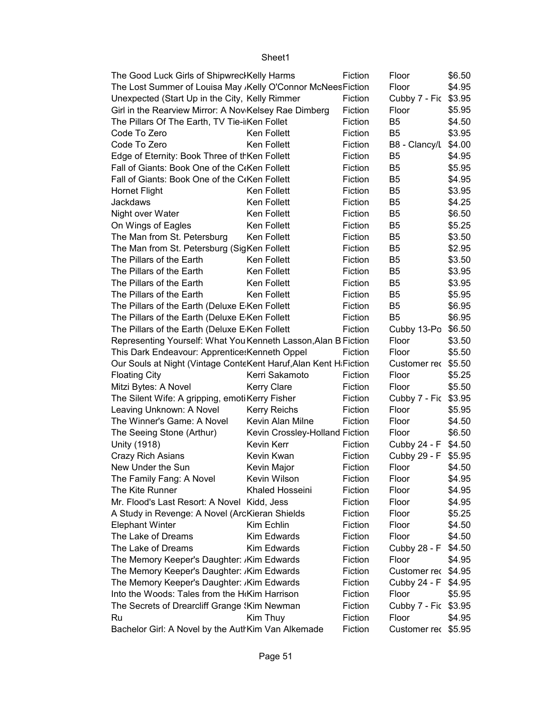| Floor<br>The Lost Summer of Louisa May , Kelly O'Connor McNees Fiction<br>\$4.95<br>Unexpected (Start Up in the City, Kelly Rimmer<br>Fiction<br>Cubby 7 - Fic<br>\$3.95<br>Girl in the Rearview Mirror: A Nov Kelsey Rae Dimberg<br>Fiction<br>\$5.95<br>Floor<br>The Pillars Of The Earth, TV Tie-ilKen Follet<br>Fiction<br>B <sub>5</sub><br>\$4.50<br>Code To Zero<br>Ken Follett<br>B <sub>5</sub><br>\$3.95<br>Fiction<br>Code To Zero<br>Ken Follett<br>Fiction<br>B8 - Clancy/L<br>\$4.00<br>Edge of Eternity: Book Three of thKen Follett<br>B <sub>5</sub><br>Fiction<br>\$4.95<br>Fall of Giants: Book One of the C(Ken Follett<br>Fiction<br>B <sub>5</sub><br>\$5.95<br>B <sub>5</sub><br>Fall of Giants: Book One of the C(Ken Follett<br>Fiction<br>\$4.95<br>B <sub>5</sub><br>Fiction<br>\$3.95<br><b>Hornet Flight</b><br>Ken Follett<br>Jackdaws<br>Ken Follett<br>Fiction<br>B <sub>5</sub><br>\$4.25<br>Ken Follett<br>Fiction<br>B <sub>5</sub><br>\$6.50<br>Night over Water<br>Ken Follett<br>Fiction<br>B <sub>5</sub><br>\$5.25<br>On Wings of Eagles<br>The Man from St. Petersburg<br>Ken Follett<br>Fiction<br>B <sub>5</sub><br>\$3.50<br>The Man from St. Petersburg (SigKen Follett<br>Fiction<br>B <sub>5</sub><br>\$2.95<br>The Pillars of the Earth<br>Fiction<br>B <sub>5</sub><br>\$3.50<br>Ken Follett<br>The Pillars of the Earth<br>Ken Follett<br>Fiction<br>B <sub>5</sub><br>\$3.95<br>The Pillars of the Earth<br>Ken Follett<br>Fiction<br>B <sub>5</sub><br>\$3.95<br>The Pillars of the Earth<br>Ken Follett<br>Fiction<br>B <sub>5</sub><br>\$5.95<br>The Pillars of the Earth (Deluxe E Ken Follett<br>B <sub>5</sub><br>\$6.95<br>Fiction<br>The Pillars of the Earth (Deluxe E Ken Follett<br>Fiction<br>B <sub>5</sub><br>\$6.95<br>The Pillars of the Earth (Deluxe E Ken Follett<br>Fiction<br>\$6.50<br>Cubby 13-Po<br>Representing Yourself: What You Kenneth Lasson, Alan B Fiction<br>Floor<br>\$3.50<br>Floor<br>This Dark Endeavour: Apprentice: Kenneth Oppel<br>Fiction<br>\$5.50<br>Our Souls at Night (Vintage ConteKent Haruf, Alan Kent H. Fiction<br>\$5.50<br>Customer rec<br>Kerri Sakamoto<br><b>Floating City</b><br>Fiction<br>Floor<br>\$5.25<br>Mitzi Bytes: A Novel<br><b>Kerry Clare</b><br>Fiction<br>\$5.50<br>Floor<br>The Silent Wife: A gripping, emoti Kerry Fisher<br>Fiction<br>Cubby 7 - Fic \$3.95<br>Leaving Unknown: A Novel<br><b>Kerry Reichs</b><br>Fiction<br>Floor<br>\$5.95<br>The Winner's Game: A Novel<br>Kevin Alan Milne<br>Fiction<br>Floor<br>\$4.50<br>The Seeing Stone (Arthur)<br>Kevin Crossley-Holland Fiction<br>Floor<br>\$6.50<br>Fiction<br>Unity (1918)<br>Kevin Kerr<br>Cubby 24 - F<br>\$4.50<br>Kevin Kwan<br>Fiction<br>Cubby 29 - F<br>\$5.95<br>Crazy Rich Asians<br>Floor<br>\$4.50<br>New Under the Sun<br>Kevin Major<br>Fiction<br>Kevin Wilson<br>Fiction<br>The Family Fang: A Novel<br>Floor<br>\$4.95<br>The Kite Runner<br>Khaled Hosseini<br>Fiction<br>Floor<br>\$4.95<br>Mr. Flood's Last Resort: A Novel Kidd, Jess<br>Fiction<br>Floor<br>\$4.95<br>Fiction<br>Floor<br>A Study in Revenge: A Novel (ArcKieran Shields<br>\$5.25<br>Kim Echlin<br>Fiction<br>Floor<br><b>Elephant Winter</b><br>\$4.50<br>Floor<br>\$4.50<br>The Lake of Dreams<br>Kim Edwards<br>Fiction<br>The Lake of Dreams<br>Fiction<br>Cubby 28 - F<br>\$4.50<br>Kim Edwards<br>The Memory Keeper's Daughter: Kim Edwards<br>Floor<br>\$4.95<br>Fiction<br>The Memory Keeper's Daughter: Kim Edwards<br>\$4.95<br>Fiction<br>Customer rec<br>The Memory Keeper's Daughter: Kim Edwards<br>Fiction<br>Cubby 24 - F<br>\$4.95<br>Into the Woods: Tales from the H <sub>'</sub> Kim Harrison<br>Fiction<br>Floor<br>\$5.95<br>The Secrets of Drearcliff Grange (Kim Newman<br>Fiction<br>Cubby 7 - Fic<br>\$3.95<br>Ru<br>Kim Thuy<br>Fiction<br>Floor<br>\$4.95<br>Bachelor Girl: A Novel by the AuthKim Van Alkemade<br>Customer rec \$5.95 | The Good Luck Girls of Shipwrecl Kelly Harms | Fiction | Floor | \$6.50 |
|-------------------------------------------------------------------------------------------------------------------------------------------------------------------------------------------------------------------------------------------------------------------------------------------------------------------------------------------------------------------------------------------------------------------------------------------------------------------------------------------------------------------------------------------------------------------------------------------------------------------------------------------------------------------------------------------------------------------------------------------------------------------------------------------------------------------------------------------------------------------------------------------------------------------------------------------------------------------------------------------------------------------------------------------------------------------------------------------------------------------------------------------------------------------------------------------------------------------------------------------------------------------------------------------------------------------------------------------------------------------------------------------------------------------------------------------------------------------------------------------------------------------------------------------------------------------------------------------------------------------------------------------------------------------------------------------------------------------------------------------------------------------------------------------------------------------------------------------------------------------------------------------------------------------------------------------------------------------------------------------------------------------------------------------------------------------------------------------------------------------------------------------------------------------------------------------------------------------------------------------------------------------------------------------------------------------------------------------------------------------------------------------------------------------------------------------------------------------------------------------------------------------------------------------------------------------------------------------------------------------------------------------------------------------------------------------------------------------------------------------------------------------------------------------------------------------------------------------------------------------------------------------------------------------------------------------------------------------------------------------------------------------------------------------------------------------------------------------------------------------------------------------------------------------------------------------------------------------------------------------------------------------------------------------------------------------------------------------------------------------------------------------------------------------------------------------------------------------------------------------------------------------------------------------------------------------------------------------------------------------------------------------------------------------------------------------------------------------------------------------------------------------------------------------------------------------------------------------------------------------------------------------------------------------------------------------------------|----------------------------------------------|---------|-------|--------|
|                                                                                                                                                                                                                                                                                                                                                                                                                                                                                                                                                                                                                                                                                                                                                                                                                                                                                                                                                                                                                                                                                                                                                                                                                                                                                                                                                                                                                                                                                                                                                                                                                                                                                                                                                                                                                                                                                                                                                                                                                                                                                                                                                                                                                                                                                                                                                                                                                                                                                                                                                                                                                                                                                                                                                                                                                                                                                                                                                                                                                                                                                                                                                                                                                                                                                                                                                                                                                                                                                                                                                                                                                                                                                                                                                                                                                                                                                                                                                       |                                              |         |       |        |
|                                                                                                                                                                                                                                                                                                                                                                                                                                                                                                                                                                                                                                                                                                                                                                                                                                                                                                                                                                                                                                                                                                                                                                                                                                                                                                                                                                                                                                                                                                                                                                                                                                                                                                                                                                                                                                                                                                                                                                                                                                                                                                                                                                                                                                                                                                                                                                                                                                                                                                                                                                                                                                                                                                                                                                                                                                                                                                                                                                                                                                                                                                                                                                                                                                                                                                                                                                                                                                                                                                                                                                                                                                                                                                                                                                                                                                                                                                                                                       |                                              |         |       |        |
|                                                                                                                                                                                                                                                                                                                                                                                                                                                                                                                                                                                                                                                                                                                                                                                                                                                                                                                                                                                                                                                                                                                                                                                                                                                                                                                                                                                                                                                                                                                                                                                                                                                                                                                                                                                                                                                                                                                                                                                                                                                                                                                                                                                                                                                                                                                                                                                                                                                                                                                                                                                                                                                                                                                                                                                                                                                                                                                                                                                                                                                                                                                                                                                                                                                                                                                                                                                                                                                                                                                                                                                                                                                                                                                                                                                                                                                                                                                                                       |                                              |         |       |        |
|                                                                                                                                                                                                                                                                                                                                                                                                                                                                                                                                                                                                                                                                                                                                                                                                                                                                                                                                                                                                                                                                                                                                                                                                                                                                                                                                                                                                                                                                                                                                                                                                                                                                                                                                                                                                                                                                                                                                                                                                                                                                                                                                                                                                                                                                                                                                                                                                                                                                                                                                                                                                                                                                                                                                                                                                                                                                                                                                                                                                                                                                                                                                                                                                                                                                                                                                                                                                                                                                                                                                                                                                                                                                                                                                                                                                                                                                                                                                                       |                                              |         |       |        |
|                                                                                                                                                                                                                                                                                                                                                                                                                                                                                                                                                                                                                                                                                                                                                                                                                                                                                                                                                                                                                                                                                                                                                                                                                                                                                                                                                                                                                                                                                                                                                                                                                                                                                                                                                                                                                                                                                                                                                                                                                                                                                                                                                                                                                                                                                                                                                                                                                                                                                                                                                                                                                                                                                                                                                                                                                                                                                                                                                                                                                                                                                                                                                                                                                                                                                                                                                                                                                                                                                                                                                                                                                                                                                                                                                                                                                                                                                                                                                       |                                              |         |       |        |
|                                                                                                                                                                                                                                                                                                                                                                                                                                                                                                                                                                                                                                                                                                                                                                                                                                                                                                                                                                                                                                                                                                                                                                                                                                                                                                                                                                                                                                                                                                                                                                                                                                                                                                                                                                                                                                                                                                                                                                                                                                                                                                                                                                                                                                                                                                                                                                                                                                                                                                                                                                                                                                                                                                                                                                                                                                                                                                                                                                                                                                                                                                                                                                                                                                                                                                                                                                                                                                                                                                                                                                                                                                                                                                                                                                                                                                                                                                                                                       |                                              |         |       |        |
|                                                                                                                                                                                                                                                                                                                                                                                                                                                                                                                                                                                                                                                                                                                                                                                                                                                                                                                                                                                                                                                                                                                                                                                                                                                                                                                                                                                                                                                                                                                                                                                                                                                                                                                                                                                                                                                                                                                                                                                                                                                                                                                                                                                                                                                                                                                                                                                                                                                                                                                                                                                                                                                                                                                                                                                                                                                                                                                                                                                                                                                                                                                                                                                                                                                                                                                                                                                                                                                                                                                                                                                                                                                                                                                                                                                                                                                                                                                                                       |                                              |         |       |        |
|                                                                                                                                                                                                                                                                                                                                                                                                                                                                                                                                                                                                                                                                                                                                                                                                                                                                                                                                                                                                                                                                                                                                                                                                                                                                                                                                                                                                                                                                                                                                                                                                                                                                                                                                                                                                                                                                                                                                                                                                                                                                                                                                                                                                                                                                                                                                                                                                                                                                                                                                                                                                                                                                                                                                                                                                                                                                                                                                                                                                                                                                                                                                                                                                                                                                                                                                                                                                                                                                                                                                                                                                                                                                                                                                                                                                                                                                                                                                                       |                                              |         |       |        |
|                                                                                                                                                                                                                                                                                                                                                                                                                                                                                                                                                                                                                                                                                                                                                                                                                                                                                                                                                                                                                                                                                                                                                                                                                                                                                                                                                                                                                                                                                                                                                                                                                                                                                                                                                                                                                                                                                                                                                                                                                                                                                                                                                                                                                                                                                                                                                                                                                                                                                                                                                                                                                                                                                                                                                                                                                                                                                                                                                                                                                                                                                                                                                                                                                                                                                                                                                                                                                                                                                                                                                                                                                                                                                                                                                                                                                                                                                                                                                       |                                              |         |       |        |
|                                                                                                                                                                                                                                                                                                                                                                                                                                                                                                                                                                                                                                                                                                                                                                                                                                                                                                                                                                                                                                                                                                                                                                                                                                                                                                                                                                                                                                                                                                                                                                                                                                                                                                                                                                                                                                                                                                                                                                                                                                                                                                                                                                                                                                                                                                                                                                                                                                                                                                                                                                                                                                                                                                                                                                                                                                                                                                                                                                                                                                                                                                                                                                                                                                                                                                                                                                                                                                                                                                                                                                                                                                                                                                                                                                                                                                                                                                                                                       |                                              |         |       |        |
|                                                                                                                                                                                                                                                                                                                                                                                                                                                                                                                                                                                                                                                                                                                                                                                                                                                                                                                                                                                                                                                                                                                                                                                                                                                                                                                                                                                                                                                                                                                                                                                                                                                                                                                                                                                                                                                                                                                                                                                                                                                                                                                                                                                                                                                                                                                                                                                                                                                                                                                                                                                                                                                                                                                                                                                                                                                                                                                                                                                                                                                                                                                                                                                                                                                                                                                                                                                                                                                                                                                                                                                                                                                                                                                                                                                                                                                                                                                                                       |                                              |         |       |        |
|                                                                                                                                                                                                                                                                                                                                                                                                                                                                                                                                                                                                                                                                                                                                                                                                                                                                                                                                                                                                                                                                                                                                                                                                                                                                                                                                                                                                                                                                                                                                                                                                                                                                                                                                                                                                                                                                                                                                                                                                                                                                                                                                                                                                                                                                                                                                                                                                                                                                                                                                                                                                                                                                                                                                                                                                                                                                                                                                                                                                                                                                                                                                                                                                                                                                                                                                                                                                                                                                                                                                                                                                                                                                                                                                                                                                                                                                                                                                                       |                                              |         |       |        |
|                                                                                                                                                                                                                                                                                                                                                                                                                                                                                                                                                                                                                                                                                                                                                                                                                                                                                                                                                                                                                                                                                                                                                                                                                                                                                                                                                                                                                                                                                                                                                                                                                                                                                                                                                                                                                                                                                                                                                                                                                                                                                                                                                                                                                                                                                                                                                                                                                                                                                                                                                                                                                                                                                                                                                                                                                                                                                                                                                                                                                                                                                                                                                                                                                                                                                                                                                                                                                                                                                                                                                                                                                                                                                                                                                                                                                                                                                                                                                       |                                              |         |       |        |
|                                                                                                                                                                                                                                                                                                                                                                                                                                                                                                                                                                                                                                                                                                                                                                                                                                                                                                                                                                                                                                                                                                                                                                                                                                                                                                                                                                                                                                                                                                                                                                                                                                                                                                                                                                                                                                                                                                                                                                                                                                                                                                                                                                                                                                                                                                                                                                                                                                                                                                                                                                                                                                                                                                                                                                                                                                                                                                                                                                                                                                                                                                                                                                                                                                                                                                                                                                                                                                                                                                                                                                                                                                                                                                                                                                                                                                                                                                                                                       |                                              |         |       |        |
|                                                                                                                                                                                                                                                                                                                                                                                                                                                                                                                                                                                                                                                                                                                                                                                                                                                                                                                                                                                                                                                                                                                                                                                                                                                                                                                                                                                                                                                                                                                                                                                                                                                                                                                                                                                                                                                                                                                                                                                                                                                                                                                                                                                                                                                                                                                                                                                                                                                                                                                                                                                                                                                                                                                                                                                                                                                                                                                                                                                                                                                                                                                                                                                                                                                                                                                                                                                                                                                                                                                                                                                                                                                                                                                                                                                                                                                                                                                                                       |                                              |         |       |        |
|                                                                                                                                                                                                                                                                                                                                                                                                                                                                                                                                                                                                                                                                                                                                                                                                                                                                                                                                                                                                                                                                                                                                                                                                                                                                                                                                                                                                                                                                                                                                                                                                                                                                                                                                                                                                                                                                                                                                                                                                                                                                                                                                                                                                                                                                                                                                                                                                                                                                                                                                                                                                                                                                                                                                                                                                                                                                                                                                                                                                                                                                                                                                                                                                                                                                                                                                                                                                                                                                                                                                                                                                                                                                                                                                                                                                                                                                                                                                                       |                                              |         |       |        |
|                                                                                                                                                                                                                                                                                                                                                                                                                                                                                                                                                                                                                                                                                                                                                                                                                                                                                                                                                                                                                                                                                                                                                                                                                                                                                                                                                                                                                                                                                                                                                                                                                                                                                                                                                                                                                                                                                                                                                                                                                                                                                                                                                                                                                                                                                                                                                                                                                                                                                                                                                                                                                                                                                                                                                                                                                                                                                                                                                                                                                                                                                                                                                                                                                                                                                                                                                                                                                                                                                                                                                                                                                                                                                                                                                                                                                                                                                                                                                       |                                              |         |       |        |
|                                                                                                                                                                                                                                                                                                                                                                                                                                                                                                                                                                                                                                                                                                                                                                                                                                                                                                                                                                                                                                                                                                                                                                                                                                                                                                                                                                                                                                                                                                                                                                                                                                                                                                                                                                                                                                                                                                                                                                                                                                                                                                                                                                                                                                                                                                                                                                                                                                                                                                                                                                                                                                                                                                                                                                                                                                                                                                                                                                                                                                                                                                                                                                                                                                                                                                                                                                                                                                                                                                                                                                                                                                                                                                                                                                                                                                                                                                                                                       |                                              |         |       |        |
|                                                                                                                                                                                                                                                                                                                                                                                                                                                                                                                                                                                                                                                                                                                                                                                                                                                                                                                                                                                                                                                                                                                                                                                                                                                                                                                                                                                                                                                                                                                                                                                                                                                                                                                                                                                                                                                                                                                                                                                                                                                                                                                                                                                                                                                                                                                                                                                                                                                                                                                                                                                                                                                                                                                                                                                                                                                                                                                                                                                                                                                                                                                                                                                                                                                                                                                                                                                                                                                                                                                                                                                                                                                                                                                                                                                                                                                                                                                                                       |                                              |         |       |        |
|                                                                                                                                                                                                                                                                                                                                                                                                                                                                                                                                                                                                                                                                                                                                                                                                                                                                                                                                                                                                                                                                                                                                                                                                                                                                                                                                                                                                                                                                                                                                                                                                                                                                                                                                                                                                                                                                                                                                                                                                                                                                                                                                                                                                                                                                                                                                                                                                                                                                                                                                                                                                                                                                                                                                                                                                                                                                                                                                                                                                                                                                                                                                                                                                                                                                                                                                                                                                                                                                                                                                                                                                                                                                                                                                                                                                                                                                                                                                                       |                                              |         |       |        |
|                                                                                                                                                                                                                                                                                                                                                                                                                                                                                                                                                                                                                                                                                                                                                                                                                                                                                                                                                                                                                                                                                                                                                                                                                                                                                                                                                                                                                                                                                                                                                                                                                                                                                                                                                                                                                                                                                                                                                                                                                                                                                                                                                                                                                                                                                                                                                                                                                                                                                                                                                                                                                                                                                                                                                                                                                                                                                                                                                                                                                                                                                                                                                                                                                                                                                                                                                                                                                                                                                                                                                                                                                                                                                                                                                                                                                                                                                                                                                       |                                              |         |       |        |
|                                                                                                                                                                                                                                                                                                                                                                                                                                                                                                                                                                                                                                                                                                                                                                                                                                                                                                                                                                                                                                                                                                                                                                                                                                                                                                                                                                                                                                                                                                                                                                                                                                                                                                                                                                                                                                                                                                                                                                                                                                                                                                                                                                                                                                                                                                                                                                                                                                                                                                                                                                                                                                                                                                                                                                                                                                                                                                                                                                                                                                                                                                                                                                                                                                                                                                                                                                                                                                                                                                                                                                                                                                                                                                                                                                                                                                                                                                                                                       |                                              |         |       |        |
|                                                                                                                                                                                                                                                                                                                                                                                                                                                                                                                                                                                                                                                                                                                                                                                                                                                                                                                                                                                                                                                                                                                                                                                                                                                                                                                                                                                                                                                                                                                                                                                                                                                                                                                                                                                                                                                                                                                                                                                                                                                                                                                                                                                                                                                                                                                                                                                                                                                                                                                                                                                                                                                                                                                                                                                                                                                                                                                                                                                                                                                                                                                                                                                                                                                                                                                                                                                                                                                                                                                                                                                                                                                                                                                                                                                                                                                                                                                                                       |                                              |         |       |        |
|                                                                                                                                                                                                                                                                                                                                                                                                                                                                                                                                                                                                                                                                                                                                                                                                                                                                                                                                                                                                                                                                                                                                                                                                                                                                                                                                                                                                                                                                                                                                                                                                                                                                                                                                                                                                                                                                                                                                                                                                                                                                                                                                                                                                                                                                                                                                                                                                                                                                                                                                                                                                                                                                                                                                                                                                                                                                                                                                                                                                                                                                                                                                                                                                                                                                                                                                                                                                                                                                                                                                                                                                                                                                                                                                                                                                                                                                                                                                                       |                                              |         |       |        |
|                                                                                                                                                                                                                                                                                                                                                                                                                                                                                                                                                                                                                                                                                                                                                                                                                                                                                                                                                                                                                                                                                                                                                                                                                                                                                                                                                                                                                                                                                                                                                                                                                                                                                                                                                                                                                                                                                                                                                                                                                                                                                                                                                                                                                                                                                                                                                                                                                                                                                                                                                                                                                                                                                                                                                                                                                                                                                                                                                                                                                                                                                                                                                                                                                                                                                                                                                                                                                                                                                                                                                                                                                                                                                                                                                                                                                                                                                                                                                       |                                              |         |       |        |
|                                                                                                                                                                                                                                                                                                                                                                                                                                                                                                                                                                                                                                                                                                                                                                                                                                                                                                                                                                                                                                                                                                                                                                                                                                                                                                                                                                                                                                                                                                                                                                                                                                                                                                                                                                                                                                                                                                                                                                                                                                                                                                                                                                                                                                                                                                                                                                                                                                                                                                                                                                                                                                                                                                                                                                                                                                                                                                                                                                                                                                                                                                                                                                                                                                                                                                                                                                                                                                                                                                                                                                                                                                                                                                                                                                                                                                                                                                                                                       |                                              |         |       |        |
|                                                                                                                                                                                                                                                                                                                                                                                                                                                                                                                                                                                                                                                                                                                                                                                                                                                                                                                                                                                                                                                                                                                                                                                                                                                                                                                                                                                                                                                                                                                                                                                                                                                                                                                                                                                                                                                                                                                                                                                                                                                                                                                                                                                                                                                                                                                                                                                                                                                                                                                                                                                                                                                                                                                                                                                                                                                                                                                                                                                                                                                                                                                                                                                                                                                                                                                                                                                                                                                                                                                                                                                                                                                                                                                                                                                                                                                                                                                                                       |                                              |         |       |        |
|                                                                                                                                                                                                                                                                                                                                                                                                                                                                                                                                                                                                                                                                                                                                                                                                                                                                                                                                                                                                                                                                                                                                                                                                                                                                                                                                                                                                                                                                                                                                                                                                                                                                                                                                                                                                                                                                                                                                                                                                                                                                                                                                                                                                                                                                                                                                                                                                                                                                                                                                                                                                                                                                                                                                                                                                                                                                                                                                                                                                                                                                                                                                                                                                                                                                                                                                                                                                                                                                                                                                                                                                                                                                                                                                                                                                                                                                                                                                                       |                                              |         |       |        |
|                                                                                                                                                                                                                                                                                                                                                                                                                                                                                                                                                                                                                                                                                                                                                                                                                                                                                                                                                                                                                                                                                                                                                                                                                                                                                                                                                                                                                                                                                                                                                                                                                                                                                                                                                                                                                                                                                                                                                                                                                                                                                                                                                                                                                                                                                                                                                                                                                                                                                                                                                                                                                                                                                                                                                                                                                                                                                                                                                                                                                                                                                                                                                                                                                                                                                                                                                                                                                                                                                                                                                                                                                                                                                                                                                                                                                                                                                                                                                       |                                              |         |       |        |
|                                                                                                                                                                                                                                                                                                                                                                                                                                                                                                                                                                                                                                                                                                                                                                                                                                                                                                                                                                                                                                                                                                                                                                                                                                                                                                                                                                                                                                                                                                                                                                                                                                                                                                                                                                                                                                                                                                                                                                                                                                                                                                                                                                                                                                                                                                                                                                                                                                                                                                                                                                                                                                                                                                                                                                                                                                                                                                                                                                                                                                                                                                                                                                                                                                                                                                                                                                                                                                                                                                                                                                                                                                                                                                                                                                                                                                                                                                                                                       |                                              |         |       |        |
|                                                                                                                                                                                                                                                                                                                                                                                                                                                                                                                                                                                                                                                                                                                                                                                                                                                                                                                                                                                                                                                                                                                                                                                                                                                                                                                                                                                                                                                                                                                                                                                                                                                                                                                                                                                                                                                                                                                                                                                                                                                                                                                                                                                                                                                                                                                                                                                                                                                                                                                                                                                                                                                                                                                                                                                                                                                                                                                                                                                                                                                                                                                                                                                                                                                                                                                                                                                                                                                                                                                                                                                                                                                                                                                                                                                                                                                                                                                                                       |                                              |         |       |        |
|                                                                                                                                                                                                                                                                                                                                                                                                                                                                                                                                                                                                                                                                                                                                                                                                                                                                                                                                                                                                                                                                                                                                                                                                                                                                                                                                                                                                                                                                                                                                                                                                                                                                                                                                                                                                                                                                                                                                                                                                                                                                                                                                                                                                                                                                                                                                                                                                                                                                                                                                                                                                                                                                                                                                                                                                                                                                                                                                                                                                                                                                                                                                                                                                                                                                                                                                                                                                                                                                                                                                                                                                                                                                                                                                                                                                                                                                                                                                                       |                                              |         |       |        |
|                                                                                                                                                                                                                                                                                                                                                                                                                                                                                                                                                                                                                                                                                                                                                                                                                                                                                                                                                                                                                                                                                                                                                                                                                                                                                                                                                                                                                                                                                                                                                                                                                                                                                                                                                                                                                                                                                                                                                                                                                                                                                                                                                                                                                                                                                                                                                                                                                                                                                                                                                                                                                                                                                                                                                                                                                                                                                                                                                                                                                                                                                                                                                                                                                                                                                                                                                                                                                                                                                                                                                                                                                                                                                                                                                                                                                                                                                                                                                       |                                              |         |       |        |
|                                                                                                                                                                                                                                                                                                                                                                                                                                                                                                                                                                                                                                                                                                                                                                                                                                                                                                                                                                                                                                                                                                                                                                                                                                                                                                                                                                                                                                                                                                                                                                                                                                                                                                                                                                                                                                                                                                                                                                                                                                                                                                                                                                                                                                                                                                                                                                                                                                                                                                                                                                                                                                                                                                                                                                                                                                                                                                                                                                                                                                                                                                                                                                                                                                                                                                                                                                                                                                                                                                                                                                                                                                                                                                                                                                                                                                                                                                                                                       |                                              |         |       |        |
|                                                                                                                                                                                                                                                                                                                                                                                                                                                                                                                                                                                                                                                                                                                                                                                                                                                                                                                                                                                                                                                                                                                                                                                                                                                                                                                                                                                                                                                                                                                                                                                                                                                                                                                                                                                                                                                                                                                                                                                                                                                                                                                                                                                                                                                                                                                                                                                                                                                                                                                                                                                                                                                                                                                                                                                                                                                                                                                                                                                                                                                                                                                                                                                                                                                                                                                                                                                                                                                                                                                                                                                                                                                                                                                                                                                                                                                                                                                                                       |                                              |         |       |        |
|                                                                                                                                                                                                                                                                                                                                                                                                                                                                                                                                                                                                                                                                                                                                                                                                                                                                                                                                                                                                                                                                                                                                                                                                                                                                                                                                                                                                                                                                                                                                                                                                                                                                                                                                                                                                                                                                                                                                                                                                                                                                                                                                                                                                                                                                                                                                                                                                                                                                                                                                                                                                                                                                                                                                                                                                                                                                                                                                                                                                                                                                                                                                                                                                                                                                                                                                                                                                                                                                                                                                                                                                                                                                                                                                                                                                                                                                                                                                                       |                                              |         |       |        |
|                                                                                                                                                                                                                                                                                                                                                                                                                                                                                                                                                                                                                                                                                                                                                                                                                                                                                                                                                                                                                                                                                                                                                                                                                                                                                                                                                                                                                                                                                                                                                                                                                                                                                                                                                                                                                                                                                                                                                                                                                                                                                                                                                                                                                                                                                                                                                                                                                                                                                                                                                                                                                                                                                                                                                                                                                                                                                                                                                                                                                                                                                                                                                                                                                                                                                                                                                                                                                                                                                                                                                                                                                                                                                                                                                                                                                                                                                                                                                       |                                              |         |       |        |
|                                                                                                                                                                                                                                                                                                                                                                                                                                                                                                                                                                                                                                                                                                                                                                                                                                                                                                                                                                                                                                                                                                                                                                                                                                                                                                                                                                                                                                                                                                                                                                                                                                                                                                                                                                                                                                                                                                                                                                                                                                                                                                                                                                                                                                                                                                                                                                                                                                                                                                                                                                                                                                                                                                                                                                                                                                                                                                                                                                                                                                                                                                                                                                                                                                                                                                                                                                                                                                                                                                                                                                                                                                                                                                                                                                                                                                                                                                                                                       |                                              |         |       |        |
|                                                                                                                                                                                                                                                                                                                                                                                                                                                                                                                                                                                                                                                                                                                                                                                                                                                                                                                                                                                                                                                                                                                                                                                                                                                                                                                                                                                                                                                                                                                                                                                                                                                                                                                                                                                                                                                                                                                                                                                                                                                                                                                                                                                                                                                                                                                                                                                                                                                                                                                                                                                                                                                                                                                                                                                                                                                                                                                                                                                                                                                                                                                                                                                                                                                                                                                                                                                                                                                                                                                                                                                                                                                                                                                                                                                                                                                                                                                                                       |                                              |         |       |        |
|                                                                                                                                                                                                                                                                                                                                                                                                                                                                                                                                                                                                                                                                                                                                                                                                                                                                                                                                                                                                                                                                                                                                                                                                                                                                                                                                                                                                                                                                                                                                                                                                                                                                                                                                                                                                                                                                                                                                                                                                                                                                                                                                                                                                                                                                                                                                                                                                                                                                                                                                                                                                                                                                                                                                                                                                                                                                                                                                                                                                                                                                                                                                                                                                                                                                                                                                                                                                                                                                                                                                                                                                                                                                                                                                                                                                                                                                                                                                                       |                                              |         |       |        |
|                                                                                                                                                                                                                                                                                                                                                                                                                                                                                                                                                                                                                                                                                                                                                                                                                                                                                                                                                                                                                                                                                                                                                                                                                                                                                                                                                                                                                                                                                                                                                                                                                                                                                                                                                                                                                                                                                                                                                                                                                                                                                                                                                                                                                                                                                                                                                                                                                                                                                                                                                                                                                                                                                                                                                                                                                                                                                                                                                                                                                                                                                                                                                                                                                                                                                                                                                                                                                                                                                                                                                                                                                                                                                                                                                                                                                                                                                                                                                       |                                              |         |       |        |
|                                                                                                                                                                                                                                                                                                                                                                                                                                                                                                                                                                                                                                                                                                                                                                                                                                                                                                                                                                                                                                                                                                                                                                                                                                                                                                                                                                                                                                                                                                                                                                                                                                                                                                                                                                                                                                                                                                                                                                                                                                                                                                                                                                                                                                                                                                                                                                                                                                                                                                                                                                                                                                                                                                                                                                                                                                                                                                                                                                                                                                                                                                                                                                                                                                                                                                                                                                                                                                                                                                                                                                                                                                                                                                                                                                                                                                                                                                                                                       |                                              |         |       |        |
|                                                                                                                                                                                                                                                                                                                                                                                                                                                                                                                                                                                                                                                                                                                                                                                                                                                                                                                                                                                                                                                                                                                                                                                                                                                                                                                                                                                                                                                                                                                                                                                                                                                                                                                                                                                                                                                                                                                                                                                                                                                                                                                                                                                                                                                                                                                                                                                                                                                                                                                                                                                                                                                                                                                                                                                                                                                                                                                                                                                                                                                                                                                                                                                                                                                                                                                                                                                                                                                                                                                                                                                                                                                                                                                                                                                                                                                                                                                                                       |                                              |         |       |        |
|                                                                                                                                                                                                                                                                                                                                                                                                                                                                                                                                                                                                                                                                                                                                                                                                                                                                                                                                                                                                                                                                                                                                                                                                                                                                                                                                                                                                                                                                                                                                                                                                                                                                                                                                                                                                                                                                                                                                                                                                                                                                                                                                                                                                                                                                                                                                                                                                                                                                                                                                                                                                                                                                                                                                                                                                                                                                                                                                                                                                                                                                                                                                                                                                                                                                                                                                                                                                                                                                                                                                                                                                                                                                                                                                                                                                                                                                                                                                                       |                                              |         |       |        |
|                                                                                                                                                                                                                                                                                                                                                                                                                                                                                                                                                                                                                                                                                                                                                                                                                                                                                                                                                                                                                                                                                                                                                                                                                                                                                                                                                                                                                                                                                                                                                                                                                                                                                                                                                                                                                                                                                                                                                                                                                                                                                                                                                                                                                                                                                                                                                                                                                                                                                                                                                                                                                                                                                                                                                                                                                                                                                                                                                                                                                                                                                                                                                                                                                                                                                                                                                                                                                                                                                                                                                                                                                                                                                                                                                                                                                                                                                                                                                       |                                              |         |       |        |
|                                                                                                                                                                                                                                                                                                                                                                                                                                                                                                                                                                                                                                                                                                                                                                                                                                                                                                                                                                                                                                                                                                                                                                                                                                                                                                                                                                                                                                                                                                                                                                                                                                                                                                                                                                                                                                                                                                                                                                                                                                                                                                                                                                                                                                                                                                                                                                                                                                                                                                                                                                                                                                                                                                                                                                                                                                                                                                                                                                                                                                                                                                                                                                                                                                                                                                                                                                                                                                                                                                                                                                                                                                                                                                                                                                                                                                                                                                                                                       |                                              |         |       |        |
|                                                                                                                                                                                                                                                                                                                                                                                                                                                                                                                                                                                                                                                                                                                                                                                                                                                                                                                                                                                                                                                                                                                                                                                                                                                                                                                                                                                                                                                                                                                                                                                                                                                                                                                                                                                                                                                                                                                                                                                                                                                                                                                                                                                                                                                                                                                                                                                                                                                                                                                                                                                                                                                                                                                                                                                                                                                                                                                                                                                                                                                                                                                                                                                                                                                                                                                                                                                                                                                                                                                                                                                                                                                                                                                                                                                                                                                                                                                                                       |                                              |         |       |        |
|                                                                                                                                                                                                                                                                                                                                                                                                                                                                                                                                                                                                                                                                                                                                                                                                                                                                                                                                                                                                                                                                                                                                                                                                                                                                                                                                                                                                                                                                                                                                                                                                                                                                                                                                                                                                                                                                                                                                                                                                                                                                                                                                                                                                                                                                                                                                                                                                                                                                                                                                                                                                                                                                                                                                                                                                                                                                                                                                                                                                                                                                                                                                                                                                                                                                                                                                                                                                                                                                                                                                                                                                                                                                                                                                                                                                                                                                                                                                                       |                                              | Fiction |       |        |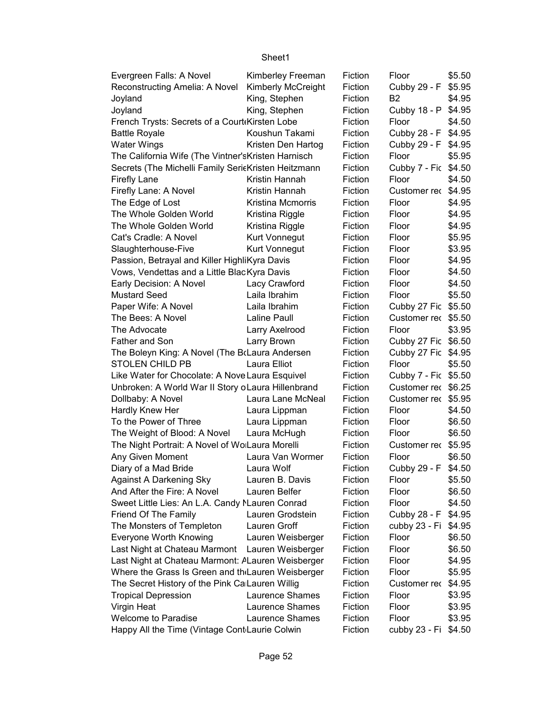| Evergreen Falls: A Novel                            | Kimberley Freeman  | Fiction | Floor                | \$5.50 |
|-----------------------------------------------------|--------------------|---------|----------------------|--------|
| Reconstructing Amelia: A Novel                      | Kimberly McCreight | Fiction | Cubby 29 - F         | \$5.95 |
| Joyland                                             | King, Stephen      | Fiction | B2                   | \$4.95 |
| Joyland                                             | King, Stephen      | Fiction | Cubby 18 - P         | \$4.95 |
| French Trysts: Secrets of a Court Kirsten Lobe      |                    | Fiction | Floor                | \$4.50 |
| <b>Battle Royale</b>                                | Koushun Takami     | Fiction | Cubby 28 - F \$4.95  |        |
| <b>Water Wings</b>                                  | Kristen Den Hartog | Fiction | Cubby 29 - F \$4.95  |        |
| The California Wife (The Vintner's Kristen Harnisch |                    | Fiction | Floor                | \$5.95 |
| Secrets (The Michelli Family SericKristen Heitzmann |                    | Fiction | Cubby 7 - Fic \$4.50 |        |
| <b>Firefly Lane</b>                                 | Kristin Hannah     | Fiction | Floor                | \$4.50 |
| Firefly Lane: A Novel                               | Kristin Hannah     | Fiction | Customer rec         | \$4.95 |
| The Edge of Lost                                    | Kristina Mcmorris  | Fiction | Floor                | \$4.95 |
| The Whole Golden World                              | Kristina Riggle    | Fiction | Floor                | \$4.95 |
| The Whole Golden World                              | Kristina Riggle    | Fiction | Floor                | \$4.95 |
| Cat's Cradle: A Novel                               | Kurt Vonnegut      | Fiction | Floor                | \$5.95 |
| Slaughterhouse-Five                                 | Kurt Vonnegut      | Fiction | Floor                | \$3.95 |
| Passion, Betrayal and Killer HighliKyra Davis       |                    | Fiction | Floor                | \$4.95 |
| Vows, Vendettas and a Little BlacKyra Davis         |                    | Fiction | Floor                | \$4.50 |
| Early Decision: A Novel                             | Lacy Crawford      | Fiction | Floor                | \$4.50 |
| <b>Mustard Seed</b>                                 | Laila Ibrahim      | Fiction | Floor                | \$5.50 |
| Paper Wife: A Novel                                 | Laila Ibrahim      | Fiction | Cubby 27 Fic \$5.50  |        |
| The Bees: A Novel                                   | Laline Paull       | Fiction | Customer rec \$5.50  |        |
| The Advocate                                        | Larry Axelrood     | Fiction | Floor                | \$3.95 |
| Father and Son                                      | Larry Brown        | Fiction | Cubby 27 Fic \$6.50  |        |
| The Boleyn King: A Novel (The BrLaura Andersen      |                    | Fiction | Cubby 27 Fic \$4.95  |        |
| <b>STOLEN CHILD PB</b>                              | Laura Elliot       | Fiction | Floor                | \$5.50 |
| Like Water for Chocolate: A Nove Laura Esquivel     |                    | Fiction | Cubby 7 - Fic \$5.50 |        |
| Unbroken: A World War II Story oLaura Hillenbrand   |                    | Fiction | Customer rec \$6.25  |        |
| Dollbaby: A Novel                                   | Laura Lane McNeal  | Fiction | Customer rec \$5.95  |        |
| Hardly Knew Her                                     | Laura Lippman      | Fiction | Floor                | \$4.50 |
| To the Power of Three                               | Laura Lippman      | Fiction | Floor                | \$6.50 |
| The Weight of Blood: A Novel                        | Laura McHugh       | Fiction | Floor                | \$6.50 |
| The Night Portrait: A Novel of WolLaura Morelli     |                    | Fiction | Customer rec \$5.95  |        |
| Any Given Moment                                    | Laura Van Wormer   | Fiction | Floor                | \$6.50 |
| Diary of a Mad Bride                                | Laura Wolf         | Fiction | Cubby 29 - F         | \$4.50 |
| <b>Against A Darkening Sky</b>                      | Lauren B. Davis    | Fiction | Floor                | \$5.50 |
| And After the Fire: A Novel                         | Lauren Belfer      | Fiction | Floor                | \$6.50 |
| Sweet Little Lies: An L.A. Candy MLauren Conrad     |                    | Fiction | Floor                | \$4.50 |
| Friend Of The Family                                | Lauren Grodstein   | Fiction | Cubby 28 - F         | \$4.95 |
| The Monsters of Templeton                           | Lauren Groff       | Fiction | cubby 23 - Fi        | \$4.95 |
| Everyone Worth Knowing                              | Lauren Weisberger  | Fiction | Floor                | \$6.50 |
| Last Night at Chateau Marmont Lauren Weisberger     |                    | Fiction | Floor                | \$6.50 |
| Last Night at Chateau Marmont: ALauren Weisberger   |                    | Fiction | Floor                | \$4.95 |
| Where the Grass Is Green and th Lauren Weisberger   |                    | Fiction | Floor                | \$5.95 |
| The Secret History of the Pink Ca Lauren Willig     |                    | Fiction | Customer rec         | \$4.95 |
| <b>Tropical Depression</b>                          | Laurence Shames    | Fiction | Floor                | \$3.95 |
| Virgin Heat                                         | Laurence Shames    | Fiction | Floor                | \$3.95 |
| <b>Welcome to Paradise</b>                          | Laurence Shames    | Fiction | Floor                | \$3.95 |
| Happy All the Time (Vintage Cont Laurie Colwin      |                    | Fiction | cubby 23 - Fi        | \$4.50 |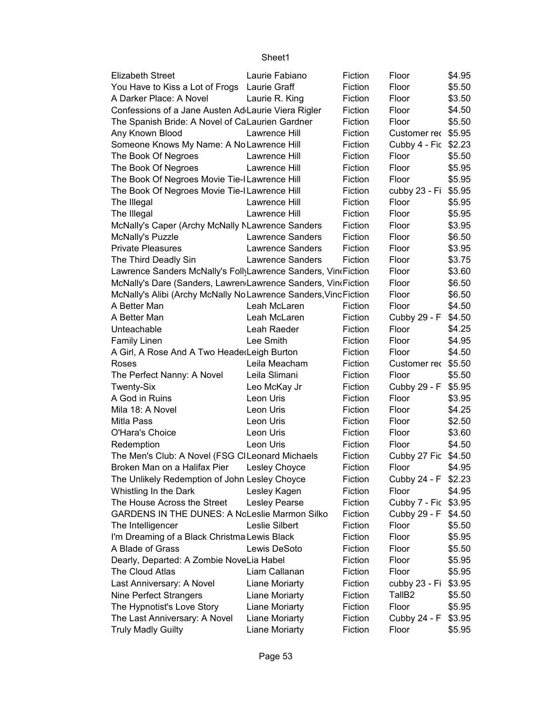| <b>Elizabeth Street</b>                                         | Laurie Fabiano          | Fiction | Floor                | \$4.95 |
|-----------------------------------------------------------------|-------------------------|---------|----------------------|--------|
| You Have to Kiss a Lot of Frogs Laurie Graff                    |                         | Fiction | Floor                | \$5.50 |
| A Darker Place: A Novel                                         | Laurie R. King          | Fiction | Floor                | \$3.50 |
| Confessions of a Jane Austen Ad Laurie Viera Rigler             |                         | Fiction | Floor                | \$4.50 |
| The Spanish Bride: A Novel of CaLaurien Gardner                 |                         | Fiction | Floor                | \$5.50 |
| Any Known Blood                                                 | Lawrence Hill           | Fiction | Customer rec         | \$5.95 |
| Someone Knows My Name: A No Lawrence Hill                       |                         | Fiction | Cubby 4 - Fic        | \$2.23 |
| The Book Of Negroes                                             | Lawrence Hill           | Fiction | Floor                | \$5.50 |
| The Book Of Negroes                                             | Lawrence Hill           | Fiction | Floor                | \$5.95 |
| The Book Of Negroes Movie Tie-I Lawrence Hill                   |                         | Fiction | Floor                | \$5.95 |
| The Book Of Negroes Movie Tie-I Lawrence Hill                   |                         | Fiction | cubby 23 - Fi        | \$5.95 |
| The Illegal                                                     | Lawrence Hill           | Fiction | Floor                | \$5.95 |
| The Illegal                                                     | Lawrence Hill           | Fiction | Floor                | \$5.95 |
| McNally's Caper (Archy McNally NLawrence Sanders                |                         | Fiction | Floor                | \$3.95 |
| McNally's Puzzle                                                | Lawrence Sanders        | Fiction | Floor                | \$6.50 |
| <b>Private Pleasures</b>                                        | Lawrence Sanders        | Fiction | Floor                | \$3.95 |
| The Third Deadly Sin                                            | <b>Lawrence Sanders</b> | Fiction | Floor                | \$3.75 |
| Lawrence Sanders McNally's Foll Lawrence Sanders, Vin Fiction   |                         |         | Floor                | \$3.60 |
| McNally's Dare (Sanders, Lawren Lawrence Sanders, Vin Fiction   |                         |         | Floor                | \$6.50 |
| McNally's Alibi (Archy McNally No Lawrence Sanders, VincFiction |                         |         | Floor                | \$6.50 |
| A Better Man                                                    | Leah McLaren            | Fiction | Floor                | \$4.50 |
| A Better Man                                                    | Leah McLaren            | Fiction | Cubby 29 - F         | \$4.50 |
| Unteachable                                                     | Leah Raeder             | Fiction | Floor                | \$4.25 |
| <b>Family Linen</b>                                             | Lee Smith               | Fiction | Floor                | \$4.95 |
| A Girl, A Rose And A Two HeaderLeigh Burton                     |                         | Fiction | Floor                | \$4.50 |
| Roses                                                           | Leila Meacham           | Fiction | Customer rec \$5.50  |        |
| The Perfect Nanny: A Novel                                      | Leila Slimani           | Fiction | Floor                | \$5.50 |
| Twenty-Six                                                      | Leo McKay Jr            | Fiction | Cubby 29 - F         | \$5.95 |
| A God in Ruins                                                  | Leon Uris               | Fiction | Floor                | \$3.95 |
| Mila 18: A Novel                                                | Leon Uris               | Fiction | Floor                | \$4.25 |
| Mitla Pass                                                      | Leon Uris               | Fiction | Floor                | \$2.50 |
| O'Hara's Choice                                                 | Leon Uris               | Fiction | Floor                | \$3.60 |
| Redemption                                                      | Leon Uris               | Fiction | Floor                | \$4.50 |
| The Men's Club: A Novel (FSG CILeonard Michaels                 |                         | Fiction | Cubby 27 Fic         | \$4.50 |
| Broken Man on a Halifax Pier                                    | Lesley Choyce           | Fiction | Floor                | \$4.95 |
| The Unlikely Redemption of John Lesley Choyce                   |                         | Fiction | Cubby 24 - F \$2.23  |        |
| Whistling In the Dark                                           | Lesley Kagen            | Fiction | Floor                | \$4.95 |
| The House Across the Street                                     | Lesley Pearse           | Fiction | Cubby 7 - Fic \$3.95 |        |
| <b>GARDENS IN THE DUNES: A NoLeslie Marmon Silko</b>            |                         | Fiction | Cubby 29 - F         | \$4.50 |
| The Intelligencer                                               | Leslie Silbert          | Fiction | Floor                | \$5.50 |
| I'm Dreaming of a Black Christma Lewis Black                    |                         | Fiction | Floor                | \$5.95 |
| A Blade of Grass                                                | Lewis DeSoto            | Fiction | Floor                | \$5.50 |
| Dearly, Departed: A Zombie NoveLia Habel                        |                         | Fiction | Floor                | \$5.95 |
| The Cloud Atlas                                                 | Liam Callanan           | Fiction | Floor                | \$5.95 |
| Last Anniversary: A Novel                                       | Liane Moriarty          | Fiction | cubby 23 - Fi        | \$3.95 |
| Nine Perfect Strangers                                          | Liane Moriarty          | Fiction | TallB <sub>2</sub>   | \$5.50 |
| The Hypnotist's Love Story                                      | Liane Moriarty          | Fiction | Floor                | \$5.95 |
| The Last Anniversary: A Novel                                   | Liane Moriarty          | Fiction | Cubby 24 - F         | \$3.95 |
| <b>Truly Madly Guilty</b>                                       | Liane Moriarty          | Fiction | Floor                | \$5.95 |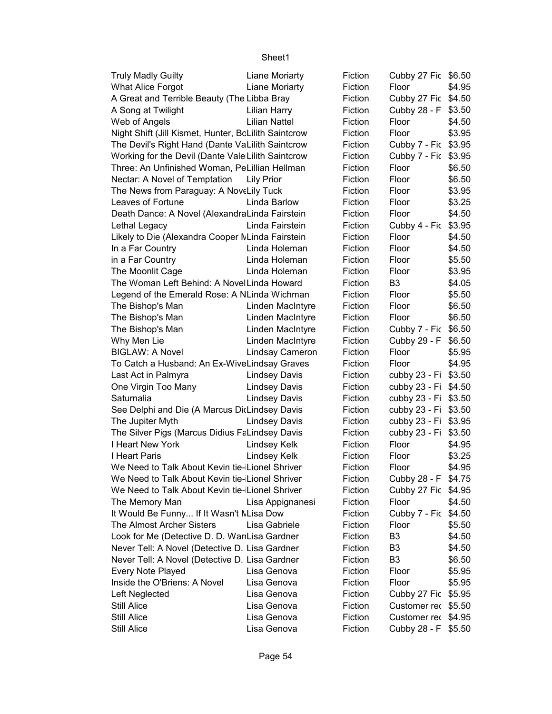| <b>Truly Madly Guilty</b>                            | Liane Moriarty       | Fiction | Cubby 27 Fic \$6.50  |        |
|------------------------------------------------------|----------------------|---------|----------------------|--------|
| <b>What Alice Forgot</b>                             | Liane Moriarty       | Fiction | Floor                | \$4.95 |
| A Great and Terrible Beauty (The Libba Bray          |                      | Fiction | Cubby 27 Fic \$4.50  |        |
| A Song at Twilight                                   | Lilian Harry         | Fiction | Cubby 28 - F         | \$3.50 |
| Web of Angels                                        | <b>Lilian Nattel</b> | Fiction | Floor                | \$4.50 |
| Night Shift (Jill Kismet, Hunter, BcLilith Saintcrow |                      | Fiction | Floor                | \$3.95 |
| The Devil's Right Hand (Dante VaLilith Saintcrow     |                      | Fiction | Cubby 7 - Fic \$3.95 |        |
| Working for the Devil (Dante Vale Lilith Saintcrow   |                      | Fiction | Cubby 7 - Fic \$3.95 |        |
| Three: An Unfinished Woman, PeLillian Hellman        |                      | Fiction | Floor                | \$6.50 |
| Nectar: A Novel of Temptation                        | <b>Lily Prior</b>    | Fiction | Floor                | \$6.50 |
| The News from Paraguay: A NoveLily Tuck              |                      | Fiction | Floor                | \$3.95 |
| Leaves of Fortune                                    | Linda Barlow         | Fiction | Floor                | \$3.25 |
| Death Dance: A Novel (AlexandraLinda Fairstein       |                      | Fiction | Floor                | \$4.50 |
| Lethal Legacy                                        | Linda Fairstein      | Fiction | Cubby 4 - Fic \$3.95 |        |
| Likely to Die (Alexandra Cooper MLinda Fairstein     |                      | Fiction | Floor                | \$4.50 |
| In a Far Country                                     | Linda Holeman        | Fiction | Floor                | \$4.50 |
| in a Far Country                                     | Linda Holeman        | Fiction | Floor                | \$5.50 |
| The Moonlit Cage                                     | Linda Holeman        | Fiction | Floor                | \$3.95 |
| The Woman Left Behind: A Novel Linda Howard          |                      | Fiction | B <sub>3</sub>       | \$4.05 |
| Legend of the Emerald Rose: A NLinda Wichman         |                      | Fiction | Floor                | \$5.50 |
| The Bishop's Man                                     | Linden MacIntyre     | Fiction | Floor                | \$6.50 |
| The Bishop's Man                                     | Linden MacIntyre     | Fiction | Floor                | \$6.50 |
| The Bishop's Man                                     | Linden MacIntyre     | Fiction | Cubby 7 - Fic        | \$6.50 |
| Why Men Lie                                          | Linden MacIntyre     | Fiction | Cubby 29 - F         | \$6.50 |
| <b>BIGLAW: A Novel</b>                               | Lindsay Cameron      | Fiction | Floor                | \$5.95 |
| To Catch a Husband: An Ex-WiveLindsay Graves         |                      | Fiction | Floor                | \$4.95 |
| Last Act in Palmyra                                  | <b>Lindsey Davis</b> | Fiction | cubby 23 - Fi \$3.50 |        |
| One Virgin Too Many                                  | <b>Lindsey Davis</b> | Fiction | cubby 23 - Fi \$4.50 |        |
| Saturnalia                                           | <b>Lindsey Davis</b> | Fiction | cubby 23 - Fi \$3.50 |        |
| See Delphi and Die (A Marcus DicLindsey Davis        |                      | Fiction | cubby 23 - Fi \$3.50 |        |
| The Jupiter Myth                                     | <b>Lindsey Davis</b> | Fiction | cubby 23 - Fi \$3.95 |        |
| The Silver Pigs (Marcus Didius FaLindsey Davis       |                      | Fiction | cubby 23 - Fi        | \$3.50 |
| I Heart New York                                     | Lindsey Kelk         | Fiction | Floor                | \$4.95 |
| I Heart Paris                                        | Lindsey Kelk         | Fiction | Floor                | \$3.25 |
| We Need to Talk About Kevin tie-Lionel Shriver       |                      | Fiction | Floor                | \$4.95 |
| We Need to Talk About Kevin tie-Lionel Shriver       |                      | Fiction | Cubby 28 - F \$4.75  |        |
| We Need to Talk About Kevin tie-Lionel Shriver       |                      | Fiction | Cubby 27 Fic \$4.95  |        |
| The Memory Man                                       | Lisa Appignanesi     | Fiction | Floor                | \$4.50 |
| It Would Be Funny If It Wasn't MLisa Dow             |                      | Fiction | Cubby 7 - Fic        | \$4.50 |
| The Almost Archer Sisters                            | Lisa Gabriele        | Fiction | Floor                | \$5.50 |
| Look for Me (Detective D. D. WarıLisa Gardner        |                      | Fiction | B <sub>3</sub>       | \$4.50 |
| Never Tell: A Novel (Detective D. Lisa Gardner       |                      | Fiction | B <sub>3</sub>       | \$4.50 |
| Never Tell: A Novel (Detective D. Lisa Gardner       |                      | Fiction | B <sub>3</sub>       | \$6.50 |
| Every Note Played                                    | Lisa Genova          | Fiction | Floor                | \$5.95 |
| Inside the O'Briens: A Novel                         | Lisa Genova          | Fiction | Floor                | \$5.95 |
| Left Neglected                                       | Lisa Genova          | Fiction | Cubby 27 Fic         | \$5.95 |
| Still Alice                                          | Lisa Genova          | Fiction | Customer rec \$5.50  |        |
| <b>Still Alice</b>                                   | Lisa Genova          | Fiction | Customer rec \$4.95  |        |
| <b>Still Alice</b>                                   | Lisa Genova          | Fiction | Cubby 28 - F \$5.50  |        |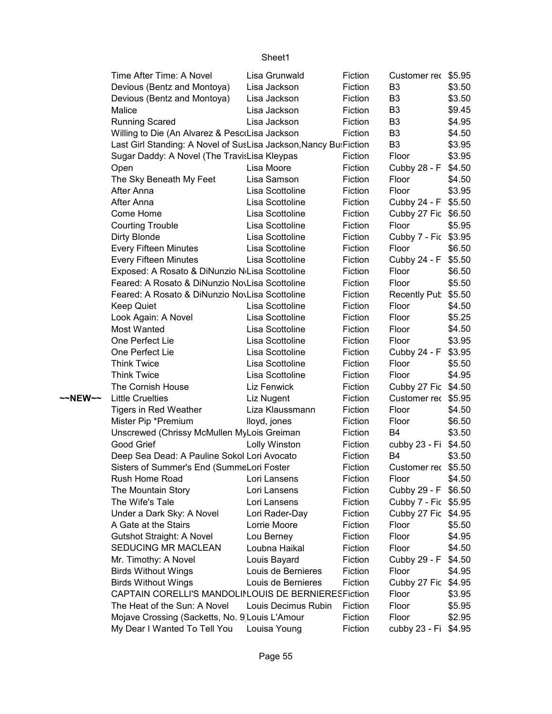|         | Time After Time: A Novel                                          | Lisa Grunwald       | Fiction | Customer rec \$5.95  |        |
|---------|-------------------------------------------------------------------|---------------------|---------|----------------------|--------|
|         | Devious (Bentz and Montoya)                                       | Lisa Jackson        | Fiction | B <sub>3</sub>       | \$3.50 |
|         | Devious (Bentz and Montoya)                                       | Lisa Jackson        | Fiction | B <sub>3</sub>       | \$3.50 |
|         | Malice                                                            | Lisa Jackson        | Fiction | B <sub>3</sub>       | \$9.45 |
|         | <b>Running Scared</b>                                             | Lisa Jackson        | Fiction | B <sub>3</sub>       | \$4.95 |
|         | Willing to Die (An Alvarez & PescoLisa Jackson                    |                     | Fiction | B <sub>3</sub>       | \$4.50 |
|         | Last Girl Standing: A Novel of SusLisa Jackson, Nancy Bu: Fiction |                     |         | B <sub>3</sub>       | \$3.95 |
|         | Sugar Daddy: A Novel (The TravisLisa Kleypas                      |                     | Fiction | Floor                | \$3.95 |
|         | Open                                                              | Lisa Moore          | Fiction | Cubby 28 - F         | \$4.50 |
|         | The Sky Beneath My Feet                                           | Lisa Samson         | Fiction | Floor                | \$4.50 |
|         | After Anna                                                        | Lisa Scottoline     | Fiction | Floor                | \$3.95 |
|         | After Anna                                                        | Lisa Scottoline     | Fiction | Cubby 24 - F         | \$5.50 |
|         | Come Home                                                         | Lisa Scottoline     | Fiction | Cubby 27 Fic \$6.50  |        |
|         | <b>Courting Trouble</b>                                           | Lisa Scottoline     | Fiction | Floor                | \$5.95 |
|         | Dirty Blonde                                                      | Lisa Scottoline     | Fiction | Cubby 7 - Fic \$3.95 |        |
|         | <b>Every Fifteen Minutes</b>                                      | Lisa Scottoline     | Fiction | Floor                | \$6.50 |
|         | <b>Every Fifteen Minutes</b>                                      | Lisa Scottoline     | Fiction | Cubby 24 - F         | \$5.50 |
|         | Exposed: A Rosato & DiNunzio N Lisa Scottoline                    |                     | Fiction | Floor                | \$6.50 |
|         | Feared: A Rosato & DiNunzio NovLisa Scottoline                    |                     | Fiction | Floor                | \$5.50 |
|         | Feared: A Rosato & DiNunzio NovLisa Scottoline                    |                     | Fiction | Recently Pub         | \$5.50 |
|         | <b>Keep Quiet</b>                                                 | Lisa Scottoline     | Fiction | Floor                | \$4.50 |
|         | Look Again: A Novel                                               | Lisa Scottoline     | Fiction | Floor                | \$5.25 |
|         | Most Wanted                                                       | Lisa Scottoline     | Fiction | Floor                | \$4.50 |
|         | One Perfect Lie                                                   | Lisa Scottoline     | Fiction | Floor                | \$3.95 |
|         | One Perfect Lie                                                   | Lisa Scottoline     | Fiction | Cubby 24 - F         | \$3.95 |
|         | <b>Think Twice</b>                                                | Lisa Scottoline     | Fiction | Floor                | \$5.50 |
|         | <b>Think Twice</b>                                                | Lisa Scottoline     | Fiction | Floor                | \$4.95 |
|         | The Cornish House                                                 | Liz Fenwick         | Fiction | Cubby 27 Fic \$4.50  |        |
| ~~NEW~~ | <b>Little Cruelties</b>                                           | Liz Nugent          | Fiction | Customer rec \$5.95  |        |
|         | Tigers in Red Weather                                             | Liza Klaussmann     | Fiction | Floor                | \$4.50 |
|         | Mister Pip *Premium                                               | lloyd, jones        | Fiction | Floor                | \$6.50 |
|         | Unscrewed (Chrissy McMullen MyLois Greiman                        |                     | Fiction | B4                   | \$3.50 |
|         | Good Grief                                                        | Lolly Winston       | Fiction | cubby 23 - Fi        | \$4.50 |
|         | Deep Sea Dead: A Pauline Sokol Lori Avocato                       |                     | Fiction | <b>B4</b>            | \$3.50 |
|         | Sisters of Summer's End (SummeLori Foster                         |                     | Fiction | Customer rec \$5.50  |        |
|         | Rush Home Road                                                    | Lori Lansens        | Fiction | Floor                | \$4.50 |
|         | The Mountain Story                                                | Lori Lansens        | Fiction | Cubby 29 - F         | \$6.50 |
|         | The Wife's Tale                                                   | Lori Lansens        | Fiction | Cubby 7 - Fic \$5.95 |        |
|         | Under a Dark Sky: A Novel                                         | Lori Rader-Day      | Fiction | Cubby 27 Fic         | \$4.95 |
|         | A Gate at the Stairs                                              | Lorrie Moore        | Fiction | Floor                | \$5.50 |
|         | Gutshot Straight: A Novel                                         | Lou Berney          | Fiction | Floor                | \$4.95 |
|         | SEDUCING MR MACLEAN                                               | Loubna Haikal       | Fiction | Floor                | \$4.50 |
|         | Mr. Timothy: A Novel                                              | Louis Bayard        | Fiction | Cubby 29 - F         | \$4.50 |
|         | <b>Birds Without Wings</b>                                        | Louis de Bernieres  | Fiction | Floor                | \$4.95 |
|         | <b>Birds Without Wings</b>                                        | Louis de Bernieres  | Fiction | Cubby 27 Fic         | \$4.95 |
|         | CAPTAIN CORELLI'S MANDOLINLOUIS DE BERNIERESFiction               |                     |         | Floor                | \$3.95 |
|         | The Heat of the Sun: A Novel                                      | Louis Decimus Rubin | Fiction | Floor                | \$5.95 |
|         | Mojave Crossing (Sacketts, No. 9 Louis L'Amour                    |                     | Fiction | Floor                | \$2.95 |
|         | My Dear I Wanted To Tell You                                      | Louisa Young        | Fiction | cubby 23 - Fi        | \$4.95 |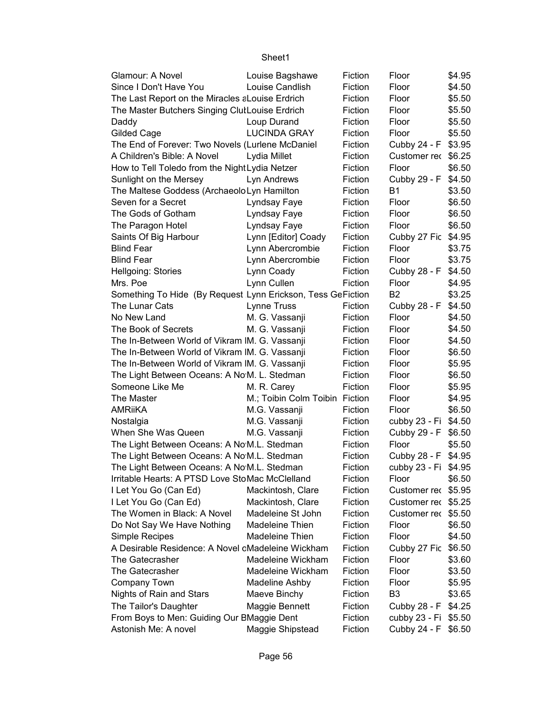| Glamour: A Novel                                            | Louise Bagshawe                | Fiction | Floor                | \$4.95 |
|-------------------------------------------------------------|--------------------------------|---------|----------------------|--------|
| Since I Don't Have You                                      | Louise Candlish                | Fiction | Floor                | \$4.50 |
| The Last Report on the Miracles a Louise Erdrich            |                                | Fiction | Floor                | \$5.50 |
| The Master Butchers Singing ClutLouise Erdrich              |                                | Fiction | Floor                | \$5.50 |
| Daddy                                                       | Loup Durand                    | Fiction | Floor                | \$5.50 |
| Gilded Cage                                                 | <b>LUCINDA GRAY</b>            | Fiction | Floor                | \$5.50 |
| The End of Forever: Two Novels (Lurlene McDaniel            |                                | Fiction | Cubby 24 - F \$3.95  |        |
| A Children's Bible: A Novel                                 | Lydia Millet                   | Fiction | Customer rec \$6.25  |        |
| How to Tell Toledo from the Night Lydia Netzer              |                                | Fiction | Floor                | \$6.50 |
| Sunlight on the Mersey                                      | Lyn Andrews                    | Fiction | Cubby 29 - F         | \$4.50 |
| The Maltese Goddess (ArchaeoloLyn Hamilton                  |                                | Fiction | <b>B1</b>            | \$3.50 |
| Seven for a Secret                                          | Lyndsay Faye                   | Fiction | Floor                | \$6.50 |
| The Gods of Gotham                                          | Lyndsay Faye                   | Fiction | Floor                | \$6.50 |
| The Paragon Hotel                                           | Lyndsay Faye                   | Fiction | Floor                | \$6.50 |
| Saints Of Big Harbour                                       | Lynn [Editor] Coady            | Fiction | Cubby 27 Fic         | \$4.95 |
| <b>Blind Fear</b>                                           | Lynn Abercrombie               | Fiction | Floor                | \$3.75 |
| <b>Blind Fear</b>                                           | Lynn Abercrombie               | Fiction | Floor                | \$3.75 |
| Hellgoing: Stories                                          | Lynn Coady                     | Fiction | Cubby 28 - F         | \$4.50 |
| Mrs. Poe                                                    | Lynn Cullen                    | Fiction | Floor                | \$4.95 |
| Something To Hide (By Request Lynn Erickson, Tess GeFiction |                                |         | B <sub>2</sub>       | \$3.25 |
| The Lunar Cats                                              | Lynne Truss                    | Fiction | Cubby 28 - F         | \$4.50 |
| No New Land                                                 | M. G. Vassanji                 | Fiction | Floor                | \$4.50 |
| The Book of Secrets                                         | M. G. Vassanji                 | Fiction | Floor                | \$4.50 |
| The In-Between World of Vikram IM. G. Vassanji              |                                | Fiction | Floor                | \$4.50 |
| The In-Between World of Vikram IM. G. Vassanji              |                                | Fiction | Floor                | \$6.50 |
| The In-Between World of Vikram IM. G. Vassanji              |                                | Fiction | Floor                | \$5.95 |
| The Light Between Oceans: A No M. L. Stedman                |                                | Fiction | Floor                | \$6.50 |
| Someone Like Me                                             | M. R. Carey                    | Fiction | Floor                | \$5.95 |
| The Master                                                  | M.; Toibin Colm Toibin Fiction |         | Floor                | \$4.95 |
| <b>AMRIIKA</b>                                              | M.G. Vassanji                  | Fiction | Floor                | \$6.50 |
| Nostalgia                                                   | M.G. Vassanji                  | Fiction | cubby 23 - Fi        | \$4.50 |
| When She Was Queen                                          | M.G. Vassanji                  | Fiction | Cubby 29 - F         | \$6.50 |
| The Light Between Oceans: A No M.L. Stedman                 |                                | Fiction | Floor                | \$5.50 |
| The Light Between Oceans: A No M.L. Stedman                 |                                | Fiction | Cubby 28 - F \$4.95  |        |
| The Light Between Oceans: A No M.L. Stedman                 |                                | Fiction | cubby 23 - Fi \$4.95 |        |
| Irritable Hearts: A PTSD Love StoMac McClelland             |                                | Fiction | Floor                | \$6.50 |
| I Let You Go (Can Ed)                                       | Mackintosh, Clare              | Fiction | Customer rec \$5.95  |        |
| I Let You Go (Can Ed)                                       | Mackintosh, Clare              | Fiction | Customer rec \$5.25  |        |
| The Women in Black: A Novel                                 | Madeleine St John              | Fiction | Customer rec \$5.50  |        |
| Do Not Say We Have Nothing                                  | Madeleine Thien                | Fiction | Floor                | \$6.50 |
| Simple Recipes                                              | Madeleine Thien                | Fiction | Floor                | \$4.50 |
| A Desirable Residence: A Novel cMadeleine Wickham           |                                | Fiction | Cubby 27 Fic         | \$6.50 |
| The Gatecrasher                                             | Madeleine Wickham              | Fiction | Floor                | \$3.60 |
| The Gatecrasher                                             | Madeleine Wickham              | Fiction | Floor                | \$3.50 |
| Company Town                                                | Madeline Ashby                 | Fiction | Floor                | \$5.95 |
| Nights of Rain and Stars                                    | Maeve Binchy                   | Fiction | B <sub>3</sub>       | \$3.65 |
| The Tailor's Daughter                                       | Maggie Bennett                 | Fiction | Cubby 28 - F         | \$4.25 |
| From Boys to Men: Guiding Our BMaggie Dent                  |                                | Fiction | cubby 23 - Fi \$5.50 |        |
| Astonish Me: A novel                                        | Maggie Shipstead               | Fiction | Cubby 24 - F \$6.50  |        |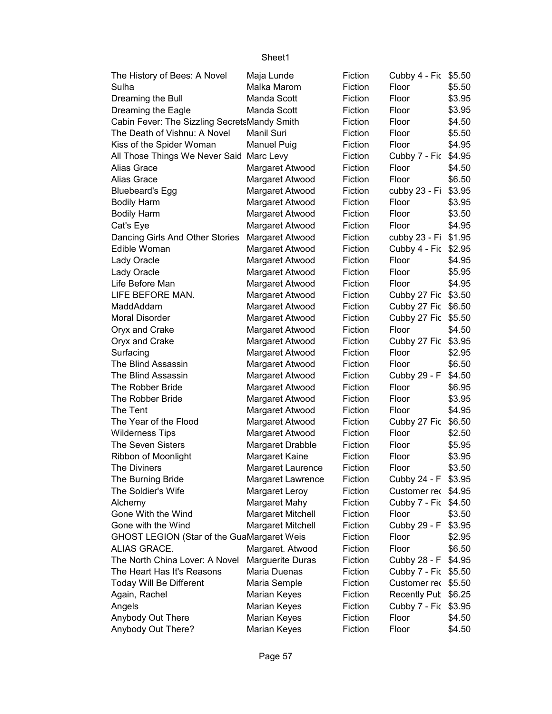|                                                   | Sheet1                  |         |                      |        |
|---------------------------------------------------|-------------------------|---------|----------------------|--------|
| The History of Bees: A Novel                      | Maja Lunde              | Fiction | Cubby 4 - Fic \$5.50 |        |
| Sulha                                             | Malka Marom             | Fiction | Floor                | \$5.50 |
| Dreaming the Bull                                 | Manda Scott             | Fiction | Floor                | \$3.95 |
| Dreaming the Eagle                                | Manda Scott             | Fiction | Floor                | \$3.95 |
| Cabin Fever: The Sizzling SecretsMandy Smith      |                         | Fiction | Floor                | \$4.50 |
| The Death of Vishnu: A Novel                      | Manil Suri              | Fiction | Floor                | \$5.50 |
| Kiss of the Spider Woman                          | <b>Manuel Puig</b>      | Fiction | Floor                | \$4.95 |
| All Those Things We Never Said Marc Levy          |                         | Fiction | Cubby 7 - Fic        | \$4.95 |
| Alias Grace                                       | Margaret Atwood         | Fiction | Floor                | \$4.50 |
| Alias Grace                                       | Margaret Atwood         | Fiction | Floor                | \$6.50 |
| <b>Bluebeard's Egg</b>                            | Margaret Atwood         | Fiction | cubby 23 - Fi        | \$3.95 |
| <b>Bodily Harm</b>                                | Margaret Atwood         | Fiction | Floor                | \$3.95 |
| <b>Bodily Harm</b>                                | Margaret Atwood         | Fiction | Floor                | \$3.50 |
| Cat's Eye                                         | Margaret Atwood         | Fiction | Floor                | \$4.95 |
| Dancing Girls And Other Stories                   | Margaret Atwood         | Fiction | cubby 23 - Fi \$1.95 |        |
| Edible Woman                                      | Margaret Atwood         | Fiction | Cubby 4 - Fic \$2.95 |        |
| Lady Oracle                                       | Margaret Atwood         | Fiction | Floor                | \$4.95 |
| Lady Oracle                                       | Margaret Atwood         | Fiction | Floor                | \$5.95 |
| Life Before Man                                   | Margaret Atwood         | Fiction | Floor                | \$4.95 |
| LIFE BEFORE MAN.                                  | Margaret Atwood         | Fiction | Cubby 27 Fic \$3.50  |        |
| MaddAddam                                         | Margaret Atwood         | Fiction | Cubby 27 Fic \$6.50  |        |
| Moral Disorder                                    | Margaret Atwood         | Fiction | Cubby 27 Fic \$5.50  |        |
| Oryx and Crake                                    | Margaret Atwood         | Fiction | Floor                | \$4.50 |
| Oryx and Crake                                    | Margaret Atwood         | Fiction | Cubby 27 Fic         | \$3.95 |
| Surfacing                                         | Margaret Atwood         | Fiction | Floor                | \$2.95 |
| The Blind Assassin                                | Margaret Atwood         | Fiction | Floor                | \$6.50 |
| The Blind Assassin                                | Margaret Atwood         | Fiction | Cubby 29 - F         | \$4.50 |
| The Robber Bride                                  | Margaret Atwood         | Fiction | Floor                | \$6.95 |
| The Robber Bride                                  | Margaret Atwood         | Fiction | Floor                | \$3.95 |
| The Tent                                          | Margaret Atwood         | Fiction | Floor                | \$4.95 |
| The Year of the Flood                             | Margaret Atwood         | Fiction | Cubby 27 Fic         | \$6.50 |
| <b>Wilderness Tips</b>                            | Margaret Atwood         | Fiction | Floor                | \$2.50 |
| <b>The Seven Sisters</b>                          | Margaret Drabble        | Fiction | Floor                | \$5.95 |
| Ribbon of Moonlight                               | <b>Margaret Kaine</b>   | Fiction | Floor                | \$3.95 |
| The Diviners                                      | Margaret Laurence       | Fiction | Floor                | \$3.50 |
| The Burning Bride                                 | Margaret Lawrence       | Fiction | Cubby 24 - F \$3.95  |        |
| The Soldier's Wife                                | Margaret Leroy          | Fiction | Customer rec \$4.95  |        |
| Alchemy                                           | Margaret Mahy           | Fiction | Cubby 7 - Fic \$4.50 |        |
| Gone With the Wind                                | Margaret Mitchell       | Fiction | Floor                | \$3.50 |
| Gone with the Wind                                | Margaret Mitchell       | Fiction | Cubby 29 - F         | \$3.95 |
| <b>GHOST LEGION (Star of the GuaMargaret Weis</b> |                         | Fiction | Floor                | \$2.95 |
| ALIAS GRACE.                                      | Margaret. Atwood        | Fiction | Floor                | \$6.50 |
| The North China Lover: A Novel                    | <b>Marguerite Duras</b> | Fiction | Cubby 28 - F \$4.95  |        |
| The Heart Has It's Reasons                        | Maria Duenas            | Fiction | Cubby 7 - Fic \$5.50 |        |
| <b>Today Will Be Different</b>                    | Maria Semple            | Fiction | Customer rec \$5.50  |        |
| Again, Rachel                                     | Marian Keyes            | Fiction | Recently Pub \$6.25  |        |
| Angels                                            | Marian Keyes            | Fiction | Cubby 7 - Fic \$3.95 |        |
| Anybody Out There                                 | Marian Keyes            | Fiction | Floor                | \$4.50 |
| Anybody Out There?                                | Marian Keyes            | Fiction | Floor                | \$4.50 |
|                                                   |                         |         |                      |        |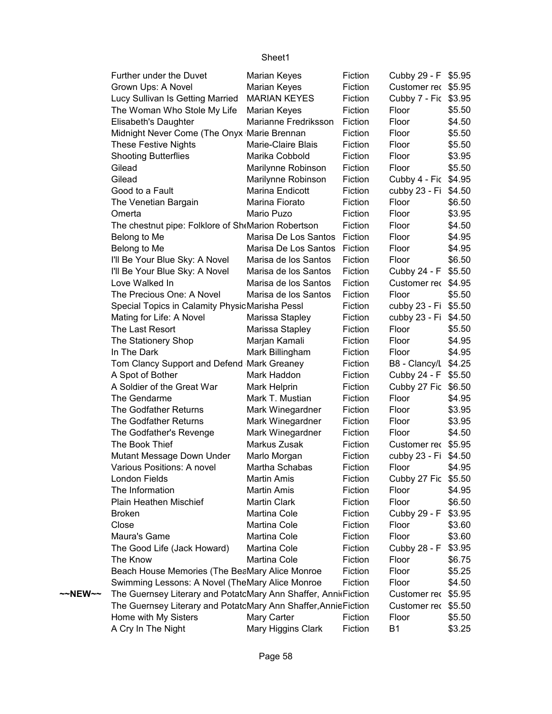|                   | Further under the Duvet                                         | Marian Keyes         | Fiction | Cubby 29 - F \$5.95  |        |
|-------------------|-----------------------------------------------------------------|----------------------|---------|----------------------|--------|
|                   | Grown Ups: A Novel                                              | Marian Keyes         | Fiction | Customer rec \$5.95  |        |
|                   | Lucy Sullivan Is Getting Married                                | <b>MARIAN KEYES</b>  | Fiction | Cubby 7 - Fic \$3.95 |        |
|                   | The Woman Who Stole My Life                                     | <b>Marian Keyes</b>  | Fiction | Floor                | \$5.50 |
|                   | Elisabeth's Daughter                                            | Marianne Fredriksson | Fiction | Floor                | \$4.50 |
|                   | Midnight Never Come (The Onyx Marie Brennan                     |                      | Fiction | Floor                | \$5.50 |
|                   | <b>These Festive Nights</b>                                     | Marie-Claire Blais   | Fiction | Floor                | \$5.50 |
|                   | <b>Shooting Butterflies</b>                                     | Marika Cobbold       | Fiction | Floor                | \$3.95 |
|                   | Gilead                                                          | Marilynne Robinson   | Fiction | Floor                | \$5.50 |
|                   | Gilead                                                          | Marilynne Robinson   | Fiction | Cubby 4 - Fic \$4.95 |        |
|                   | Good to a Fault                                                 | Marina Endicott      | Fiction | cubby 23 - Fi \$4.50 |        |
|                   | The Venetian Bargain                                            | Marina Fiorato       | Fiction | Floor                | \$6.50 |
|                   | Omerta                                                          | Mario Puzo           | Fiction | Floor                | \$3.95 |
|                   | The chestnut pipe: Folklore of Sh <sub>f</sub> Marion Robertson |                      | Fiction | Floor                | \$4.50 |
|                   | Belong to Me                                                    | Marisa De Los Santos | Fiction | Floor                | \$4.95 |
|                   | Belong to Me                                                    | Marisa De Los Santos | Fiction | Floor                | \$4.95 |
|                   | I'll Be Your Blue Sky: A Novel                                  | Marisa de los Santos | Fiction | Floor                | \$6.50 |
|                   | I'll Be Your Blue Sky: A Novel                                  | Marisa de los Santos | Fiction | Cubby 24 - F         | \$5.50 |
|                   | Love Walked In                                                  | Marisa de los Santos | Fiction | Customer rec \$4.95  |        |
|                   | The Precious One: A Novel                                       | Marisa de los Santos | Fiction | Floor                | \$5.50 |
|                   | Special Topics in Calamity PhysicMarisha Pessl                  |                      | Fiction | cubby 23 - Fi \$5.50 |        |
|                   | Mating for Life: A Novel                                        | Marissa Stapley      | Fiction | cubby 23 - Fi        | \$4.50 |
|                   | The Last Resort                                                 | Marissa Stapley      | Fiction | Floor                | \$5.50 |
|                   | The Stationery Shop                                             | Marjan Kamali        | Fiction | Floor                | \$4.95 |
|                   | In The Dark                                                     | Mark Billingham      | Fiction | Floor                | \$4.95 |
|                   | Tom Clancy Support and Defend Mark Greaney                      |                      | Fiction | B8 - Clancy/L \$4.25 |        |
|                   | A Spot of Bother                                                | Mark Haddon          | Fiction | Cubby 24 - F \$5.50  |        |
|                   | A Soldier of the Great War                                      | Mark Helprin         | Fiction | Cubby 27 Fic \$6.50  |        |
|                   | The Gendarme                                                    | Mark T. Mustian      | Fiction | Floor                | \$4.95 |
|                   | The Godfather Returns                                           | Mark Winegardner     | Fiction | Floor                | \$3.95 |
|                   | The Godfather Returns                                           | Mark Winegardner     | Fiction | Floor                | \$3.95 |
|                   | The Godfather's Revenge                                         | Mark Winegardner     | Fiction | Floor                | \$4.50 |
|                   | The Book Thief                                                  | Markus Zusak         | Fiction | Customer rec \$5.95  |        |
|                   | Mutant Message Down Under                                       | Marlo Morgan         | Fiction | cubby 23 - Fi \$4.50 |        |
|                   | Various Positions: A novel                                      | Martha Schabas       | Fiction | Floor                | \$4.95 |
|                   | London Fields                                                   | <b>Martin Amis</b>   | Fiction | Cubby 27 Fic \$5.50  |        |
|                   | The Information                                                 | <b>Martin Amis</b>   | Fiction | Floor                | \$4.95 |
|                   | Plain Heathen Mischief                                          | <b>Martin Clark</b>  | Fiction | Floor                | \$6.50 |
|                   | <b>Broken</b>                                                   | Martina Cole         | Fiction | Cubby 29 - F         | \$3.95 |
|                   | Close                                                           | Martina Cole         | Fiction | Floor                | \$3.60 |
|                   | Maura's Game                                                    | Martina Cole         | Fiction | Floor                | \$3.60 |
|                   | The Good Life (Jack Howard)                                     | Martina Cole         | Fiction | Cubby 28 - F         | \$3.95 |
|                   | The Know                                                        | Martina Cole         | Fiction | Floor                | \$6.75 |
|                   | Beach House Memories (The BeaMary Alice Monroe                  |                      | Fiction | Floor                | \$5.25 |
|                   | Swimming Lessons: A Novel (TheMary Alice Monroe                 |                      | Fiction | Floor                | \$4.50 |
| $\sim$ NEW $\sim$ | The Guernsey Literary and PotatcMary Ann Shaffer, AnnieFiction  |                      |         | Customer rec \$5.95  |        |
|                   | The Guernsey Literary and PotatcMary Ann Shaffer, Annie Fiction |                      |         | Customer rec         | \$5.50 |
|                   | Home with My Sisters                                            | Mary Carter          | Fiction | Floor                | \$5.50 |
|                   | A Cry In The Night                                              | Mary Higgins Clark   | Fiction | <b>B1</b>            | \$3.25 |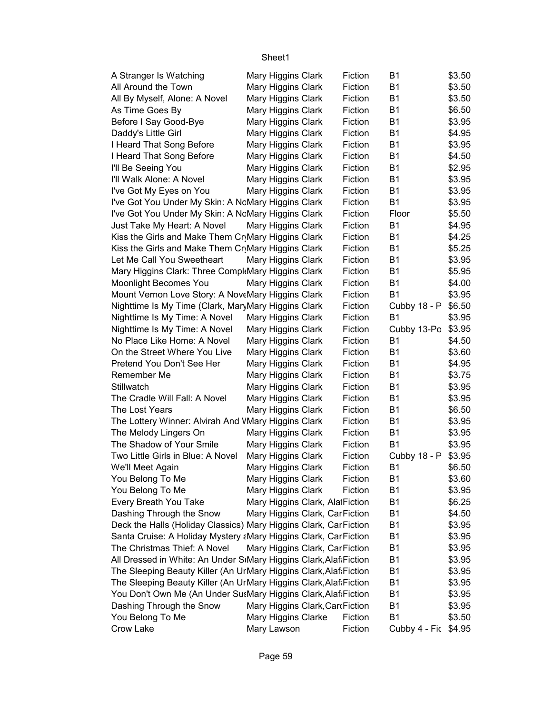| A Stranger Is Watching                                            | Mary Higgins Clark                                     | Fiction | B1                     | \$3.50           |
|-------------------------------------------------------------------|--------------------------------------------------------|---------|------------------------|------------------|
| All Around the Town                                               | Mary Higgins Clark                                     | Fiction | <b>B1</b>              | \$3.50           |
| All By Myself, Alone: A Novel                                     | Mary Higgins Clark                                     | Fiction | <b>B1</b>              | \$3.50           |
| As Time Goes By                                                   | Mary Higgins Clark                                     | Fiction | <b>B1</b>              | \$6.50           |
| Before I Say Good-Bye                                             | Mary Higgins Clark                                     | Fiction | <b>B1</b>              | \$3.95           |
| Daddy's Little Girl                                               | Mary Higgins Clark                                     | Fiction | <b>B1</b>              | \$4.95           |
| I Heard That Song Before                                          | Mary Higgins Clark                                     | Fiction | <b>B1</b>              | \$3.95           |
| I Heard That Song Before                                          | Mary Higgins Clark                                     | Fiction | <b>B1</b>              | \$4.50           |
| I'll Be Seeing You                                                | Mary Higgins Clark                                     | Fiction | B <sub>1</sub>         | \$2.95           |
| I'll Walk Alone: A Novel                                          | Mary Higgins Clark                                     | Fiction | <b>B1</b>              | \$3.95           |
| I've Got My Eyes on You                                           | Mary Higgins Clark                                     | Fiction | <b>B1</b>              | \$3.95           |
| I've Got You Under My Skin: A NcMary Higgins Clark                |                                                        | Fiction | <b>B1</b>              | \$3.95           |
| I've Got You Under My Skin: A NcMary Higgins Clark                |                                                        | Fiction | Floor                  | \$5.50           |
| Just Take My Heart: A Novel                                       | Mary Higgins Clark                                     | Fiction | <b>B1</b>              | \$4.95           |
| Kiss the Girls and Make Them Cr <sub>.</sub> Mary Higgins Clark   |                                                        | Fiction | <b>B1</b>              | \$4.25           |
| Kiss the Girls and Make Them CrMary Higgins Clark                 |                                                        | Fiction | <b>B1</b>              | \$5.25           |
| Let Me Call You Sweetheart                                        | Mary Higgins Clark                                     | Fiction | <b>B1</b>              | \$3.95           |
| Mary Higgins Clark: Three Compl Mary Higgins Clark                |                                                        | Fiction | <b>B1</b>              | \$5.95           |
| Moonlight Becomes You                                             | Mary Higgins Clark                                     | Fiction | <b>B1</b>              | \$4.00           |
| Mount Vernon Love Story: A NoveMary Higgins Clark                 |                                                        | Fiction | <b>B1</b>              | \$3.95           |
| Nighttime Is My Time (Clark, MaryMary Higgins Clark               |                                                        | Fiction | Cubby 18 - P           | \$6.50           |
| Nighttime Is My Time: A Novel                                     | Mary Higgins Clark                                     | Fiction | <b>B1</b>              | \$3.95           |
| Nighttime Is My Time: A Novel                                     | Mary Higgins Clark                                     | Fiction | Cubby 13-Po            | \$3.95           |
| No Place Like Home: A Novel                                       | Mary Higgins Clark                                     | Fiction | <b>B1</b>              | \$4.50           |
| On the Street Where You Live                                      | Mary Higgins Clark                                     | Fiction | <b>B1</b>              | \$3.60           |
| Pretend You Don't See Her                                         | Mary Higgins Clark                                     | Fiction | <b>B1</b>              | \$4.95           |
| Remember Me                                                       | Mary Higgins Clark                                     | Fiction | <b>B1</b>              | \$3.75           |
| Stillwatch                                                        | Mary Higgins Clark                                     | Fiction | <b>B1</b>              | \$3.95           |
| The Cradle Will Fall: A Novel                                     | Mary Higgins Clark                                     | Fiction | <b>B1</b>              | \$3.95           |
| The Lost Years                                                    | Mary Higgins Clark                                     | Fiction | <b>B1</b>              | \$6.50           |
| The Lottery Winner: Alvirah And VMary Higgins Clark               |                                                        | Fiction | <b>B1</b>              | \$3.95           |
| The Melody Lingers On                                             | Mary Higgins Clark                                     | Fiction | <b>B1</b>              | \$3.95           |
| The Shadow of Your Smile                                          | Mary Higgins Clark                                     | Fiction | <b>B1</b>              | \$3.95           |
| Two Little Girls in Blue: A Novel                                 | Mary Higgins Clark                                     | Fiction | Cubby 18 - P           | \$3.95           |
| We'll Meet Again                                                  | Mary Higgins Clark                                     | Fiction | <b>B1</b>              | \$6.50           |
| You Belong To Me                                                  | Mary Higgins Clark                                     | Fiction | <b>B1</b>              | \$3.60           |
| You Belong To Me                                                  | Mary Higgins Clark                                     | Fiction | <b>B1</b>              | \$3.95           |
| Every Breath You Take                                             | Mary Higgins Clark, AlatFiction                        |         | <b>B1</b>              | \$6.25           |
| Dashing Through the Snow                                          | Mary Higgins Clark, Car Fiction                        |         | <b>B1</b>              | \$4.50           |
| Deck the Halls (Holiday Classics) Mary Higgins Clark, CarFiction  |                                                        |         | <b>B1</b>              | \$3.95           |
| Santa Cruise: A Holiday Mystery aMary Higgins Clark, CarFiction   |                                                        |         | B <sub>1</sub>         | \$3.95           |
| The Christmas Thief: A Novel                                      | Mary Higgins Clark, CarFiction                         |         | B <sub>1</sub>         | \$3.95           |
| All Dressed in White: An Under SiMary Higgins Clark, Alaf Fiction |                                                        |         | B <sub>1</sub>         | \$3.95           |
| The Sleeping Beauty Killer (An UrMary Higgins Clark, Alaf Fiction |                                                        |         | B <sub>1</sub>         | \$3.95           |
| The Sleeping Beauty Killer (An UrMary Higgins Clark, Alaf Fiction |                                                        |         |                        |                  |
|                                                                   |                                                        |         |                        |                  |
|                                                                   |                                                        |         | B <sub>1</sub>         | \$3.95           |
| You Don't Own Me (An Under SusMary Higgins Clark, Alaf Fiction    |                                                        |         | <b>B1</b>              | \$3.95           |
| Dashing Through the Snow<br>You Belong To Me                      | Mary Higgins Clark, CardFiction<br>Mary Higgins Clarke | Fiction | <b>B1</b><br><b>B1</b> | \$3.95<br>\$3.50 |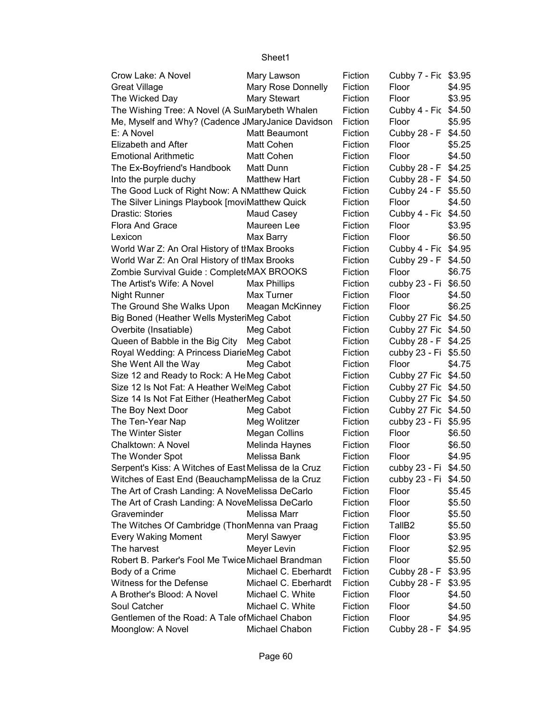| Crow Lake: A Novel                                   | Mary Lawson          | Fiction | Cubby 7 - Fic \$3.95 |        |
|------------------------------------------------------|----------------------|---------|----------------------|--------|
| <b>Great Village</b>                                 | Mary Rose Donnelly   | Fiction | Floor                | \$4.95 |
| The Wicked Day                                       | Mary Stewart         | Fiction | Floor                | \$3.95 |
| The Wishing Tree: A Novel (A SuiMarybeth Whalen      |                      | Fiction | Cubby 4 - Fic \$4.50 |        |
| Me, Myself and Why? (Cadence JMaryJanice Davidson    |                      | Fiction | Floor                | \$5.95 |
| E: A Novel                                           | Matt Beaumont        | Fiction | Cubby 28 - F \$4.50  |        |
| Elizabeth and After                                  | <b>Matt Cohen</b>    | Fiction | Floor                | \$5.25 |
| <b>Emotional Arithmetic</b>                          | Matt Cohen           | Fiction | Floor                | \$4.50 |
| The Ex-Boyfriend's Handbook                          | Matt Dunn            | Fiction | Cubby 28 - F         | \$4.25 |
| Into the purple duchy                                | <b>Matthew Hart</b>  | Fiction | Cubby 28 - F         | \$4.50 |
| The Good Luck of Right Now: A NMatthew Quick         |                      | Fiction | Cubby 24 - F         | \$5.50 |
| The Silver Linings Playbook [moviMatthew Quick       |                      | Fiction | Floor                | \$4.50 |
| Drastic: Stories                                     | Maud Casey           | Fiction | Cubby 4 - Fic \$4.50 |        |
| Flora And Grace                                      | Maureen Lee          | Fiction | Floor                | \$3.95 |
| Lexicon                                              | Max Barry            | Fiction | Floor                | \$6.50 |
| World War Z: An Oral History of thMax Brooks         |                      | Fiction | Cubby 4 - Fic \$4.95 |        |
| World War Z: An Oral History of thMax Brooks         |                      | Fiction | Cubby 29 - F \$4.50  |        |
| Zombie Survival Guide : Complet MAX BROOKS           |                      | Fiction | Floor                | \$6.75 |
| The Artist's Wife: A Novel                           | <b>Max Phillips</b>  | Fiction | cubby 23 - Fi \$6.50 |        |
| <b>Night Runner</b>                                  | Max Turner           | Fiction | Floor                | \$4.50 |
| The Ground She Walks Upon                            | Meagan McKinney      | Fiction | Floor                | \$6.25 |
| Big Boned (Heather Wells MysteriMeg Cabot            |                      | Fiction | Cubby 27 Fic \$4.50  |        |
| Overbite (Insatiable)                                | Meg Cabot            | Fiction | Cubby 27 Fic \$4.50  |        |
| Queen of Babble in the Big City                      | Meg Cabot            | Fiction | Cubby 28 - F         | \$4.25 |
| Royal Wedding: A Princess DiarieMeg Cabot            |                      | Fiction | cubby 23 - Fi \$5.50 |        |
| She Went All the Way                                 | Meg Cabot            | Fiction | Floor                | \$4.75 |
| Size 12 and Ready to Rock: A He Meg Cabot            |                      | Fiction | Cubby 27 Fic \$4.50  |        |
| Size 12 Is Not Fat: A Heather WelMeg Cabot           |                      | Fiction | Cubby 27 Fic \$4.50  |        |
| Size 14 Is Not Fat Either (HeatherMeg Cabot          |                      | Fiction | Cubby 27 Fic \$4.50  |        |
| The Boy Next Door                                    | Meg Cabot            | Fiction | Cubby 27 Fic \$4.50  |        |
| The Ten-Year Nap                                     | Meg Wolitzer         | Fiction | cubby 23 - Fi \$5.95 |        |
| The Winter Sister                                    | <b>Megan Collins</b> | Fiction | Floor                | \$6.50 |
| Chalktown: A Novel                                   | Melinda Haynes       | Fiction | Floor                | \$6.50 |
| The Wonder Spot                                      | Melissa Bank         | Fiction | Floor                | \$4.95 |
| Serpent's Kiss: A Witches of East Melissa de la Cruz |                      | Fiction | cubby 23 - Fi \$4.50 |        |
| Witches of East End (BeauchampMelissa de la Cruz     |                      | Fiction | cubby 23 - Fi \$4.50 |        |
| The Art of Crash Landing: A NoveMelissa DeCarlo      |                      | Fiction | Floor                | \$5.45 |
| The Art of Crash Landing: A NoveMelissa DeCarlo      |                      | Fiction | Floor                | \$5.50 |
| Graveminder                                          | Melissa Marr         | Fiction | Floor                | \$5.50 |
| The Witches Of Cambridge (ThoriMenna van Praag       |                      | Fiction | TallB <sub>2</sub>   | \$5.50 |
| <b>Every Waking Moment</b>                           | Meryl Sawyer         | Fiction | Floor                | \$3.95 |
| The harvest                                          | Meyer Levin          | Fiction | Floor                | \$2.95 |
| Robert B. Parker's Fool Me Twice Michael Brandman    |                      | Fiction | Floor                | \$5.50 |
| Body of a Crime                                      | Michael C. Eberhardt | Fiction | Cubby 28 - F \$3.95  |        |
| Witness for the Defense                              | Michael C. Eberhardt | Fiction | Cubby 28 - F         | \$3.95 |
| A Brother's Blood: A Novel                           | Michael C. White     | Fiction | Floor                | \$4.50 |
| Soul Catcher                                         | Michael C. White     | Fiction | Floor                | \$4.50 |
| Gentlemen of the Road: A Tale of Michael Chabon      |                      | Fiction | Floor                | \$4.95 |
| Moonglow: A Novel                                    | Michael Chabon       | Fiction | Cubby 28 - F         | \$4.95 |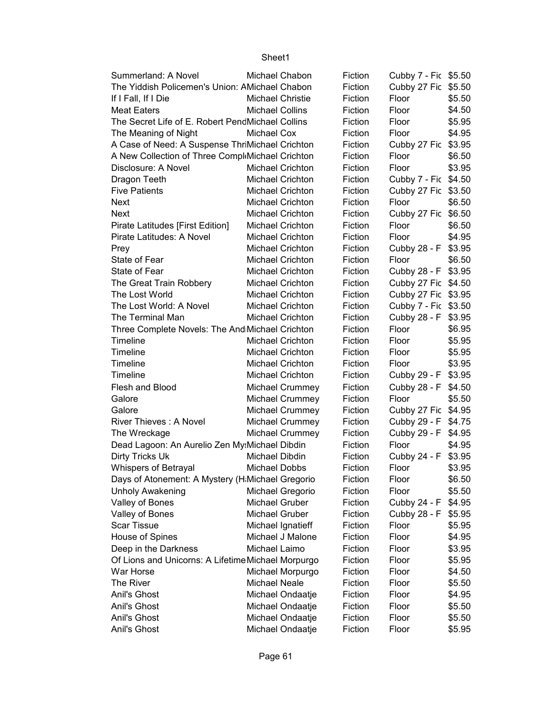| Summerland: A Novel                                |                         | Michael Chabon          | Fiction | Cubby 7 - Fic \$5.50 |        |
|----------------------------------------------------|-------------------------|-------------------------|---------|----------------------|--------|
| The Yiddish Policemen's Union: AMichael Chabon     |                         |                         | Fiction | Cubby 27 Fic \$5.50  |        |
| If I Fall, If I Die                                | <b>Michael Christie</b> |                         | Fiction | Floor                | \$5.50 |
| <b>Meat Eaters</b>                                 | <b>Michael Collins</b>  |                         | Fiction | Floor                | \$4.50 |
| The Secret Life of E. Robert PendMichael Collins   |                         |                         | Fiction | Floor                | \$5.95 |
| The Meaning of Night                               | Michael Cox             |                         | Fiction | Floor                | \$4.95 |
| A Case of Need: A Suspense ThriMichael Crichton    |                         |                         | Fiction | Cubby 27 Fic \$3.95  |        |
| A New Collection of Three Compl Michael Crichton   |                         |                         | Fiction | Floor                | \$6.50 |
| Disclosure: A Novel                                |                         | <b>Michael Crichton</b> | Fiction | Floor                | \$3.95 |
| Dragon Teeth                                       |                         | <b>Michael Crichton</b> | Fiction | Cubby 7 - Fic \$4.50 |        |
| <b>Five Patients</b>                               |                         | <b>Michael Crichton</b> | Fiction | Cubby 27 Fic \$3.50  |        |
| <b>Next</b>                                        |                         | <b>Michael Crichton</b> | Fiction | Floor                | \$6.50 |
| <b>Next</b>                                        |                         | <b>Michael Crichton</b> | Fiction | Cubby 27 Fic \$6.50  |        |
| Pirate Latitudes [First Edition]                   |                         | <b>Michael Crichton</b> | Fiction | Floor                | \$6.50 |
| Pirate Latitudes: A Novel                          |                         | Michael Crichton        | Fiction | Floor                | \$4.95 |
| Prey                                               |                         | Michael Crichton        | Fiction | Cubby 28 - F \$3.95  |        |
| State of Fear                                      |                         | <b>Michael Crichton</b> | Fiction | Floor                | \$6.50 |
| State of Fear                                      |                         | <b>Michael Crichton</b> | Fiction | Cubby 28 - F \$3.95  |        |
| The Great Train Robbery                            |                         | <b>Michael Crichton</b> | Fiction | Cubby 27 Fic \$4.50  |        |
| The Lost World                                     |                         | <b>Michael Crichton</b> | Fiction | Cubby 27 Fic \$3.95  |        |
| The Lost World: A Novel                            |                         | <b>Michael Crichton</b> | Fiction | Cubby 7 - Fic \$3.50 |        |
| The Terminal Man                                   |                         | <b>Michael Crichton</b> | Fiction | Cubby 28 - F \$3.95  |        |
| Three Complete Novels: The And Michael Crichton    |                         |                         | Fiction | Floor                | \$6.95 |
| Timeline                                           |                         | Michael Crichton        | Fiction | Floor                | \$5.95 |
| Timeline                                           |                         | <b>Michael Crichton</b> | Fiction | Floor                | \$5.95 |
| Timeline                                           |                         | <b>Michael Crichton</b> | Fiction | Floor                | \$3.95 |
| Timeline                                           |                         | <b>Michael Crichton</b> | Fiction | Cubby 29 - F \$3.95  |        |
| Flesh and Blood                                    |                         | Michael Crummey         | Fiction | Cubby 28 - F \$4.50  |        |
| Galore                                             |                         | Michael Crummey         | Fiction | Floor                | \$5.50 |
| Galore                                             |                         | Michael Crummey         | Fiction | Cubby 27 Fic \$4.95  |        |
| River Thieves: A Novel                             |                         | Michael Crummey         | Fiction | Cubby 29 - F         | \$4.75 |
| The Wreckage                                       |                         | Michael Crummey         | Fiction | Cubby 29 - F \$4.95  |        |
| Dead Lagoon: An Aurelio Zen My: Michael Dibdin     |                         |                         | Fiction | Floor                | \$4.95 |
| Dirty Tricks Uk                                    | Michael Dibdin          |                         | Fiction | Cubby 24 - F         | \$3.95 |
| Whispers of Betrayal                               | Michael Dobbs           |                         | Fiction | Floor                | \$3.95 |
| Days of Atonement: A Mystery (H Michael Gregorio   |                         |                         | Fiction | Floor                | \$6.50 |
| <b>Unholy Awakening</b>                            |                         | Michael Gregorio        | Fiction | Floor                | \$5.50 |
| Valley of Bones                                    | Michael Gruber          |                         | Fiction | Cubby 24 - F         | \$4.95 |
| Valley of Bones                                    | Michael Gruber          |                         | Fiction | Cubby 28 - F         | \$5.95 |
| Scar Tissue                                        |                         | Michael Ignatieff       | Fiction | Floor                | \$5.95 |
| House of Spines                                    |                         | Michael J Malone        | Fiction | Floor                | \$4.95 |
| Deep in the Darkness                               | Michael Laimo           |                         | Fiction | Floor                | \$3.95 |
| Of Lions and Unicorns: A Lifetime Michael Morpurgo |                         |                         | Fiction | Floor                | \$5.95 |
| War Horse                                          |                         | Michael Morpurgo        | Fiction | Floor                | \$4.50 |
| The River                                          | <b>Michael Neale</b>    |                         | Fiction | Floor                | \$5.50 |
| Anil's Ghost                                       |                         | Michael Ondaatje        | Fiction | Floor                | \$4.95 |
| Anil's Ghost                                       |                         | Michael Ondaatje        | Fiction | Floor                | \$5.50 |
| Anil's Ghost                                       |                         | Michael Ondaatje        | Fiction | Floor                | \$5.50 |
| Anil's Ghost                                       |                         | Michael Ondaatje        | Fiction | Floor                | \$5.95 |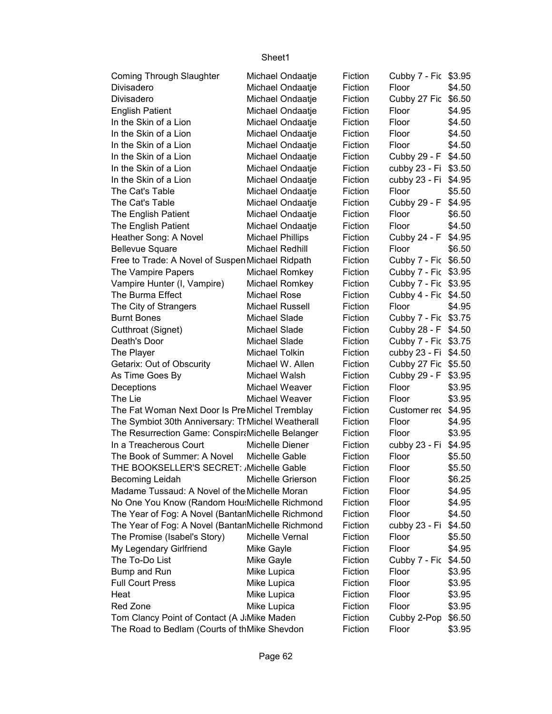| <b>Coming Through Slaughter</b>                   | Michael Ondaatje        | Fiction | Cubby 7 - Fic \$3.95 |        |
|---------------------------------------------------|-------------------------|---------|----------------------|--------|
| Divisadero                                        | Michael Ondaatje        | Fiction | Floor                | \$4.50 |
| Divisadero                                        | Michael Ondaatje        | Fiction | Cubby 27 Fic         | \$6.50 |
| <b>English Patient</b>                            | Michael Ondaatje        | Fiction | Floor                | \$4.95 |
| In the Skin of a Lion                             | Michael Ondaatje        | Fiction | Floor                | \$4.50 |
| In the Skin of a Lion                             | Michael Ondaatje        | Fiction | Floor                | \$4.50 |
| In the Skin of a Lion                             | Michael Ondaatje        | Fiction | Floor                | \$4.50 |
| In the Skin of a Lion                             | Michael Ondaatje        | Fiction | Cubby 29 - F \$4.50  |        |
| In the Skin of a Lion                             | Michael Ondaatje        | Fiction | cubby 23 - Fi \$3.50 |        |
| In the Skin of a Lion                             | Michael Ondaatje        | Fiction | cubby 23 - Fi \$4.95 |        |
| The Cat's Table                                   | Michael Ondaatje        | Fiction | Floor                | \$5.50 |
| The Cat's Table                                   | Michael Ondaatje        | Fiction | Cubby 29 - F         | \$4.95 |
| The English Patient                               | Michael Ondaatje        | Fiction | Floor                | \$6.50 |
| The English Patient                               | Michael Ondaatje        | Fiction | Floor                | \$4.50 |
| Heather Song: A Novel                             | <b>Michael Phillips</b> | Fiction | Cubby 24 - F \$4.95  |        |
| <b>Bellevue Square</b>                            | Michael Redhill         | Fiction | Floor                | \$6.50 |
| Free to Trade: A Novel of Suspen Michael Ridpath  |                         | Fiction | Cubby 7 - Fic \$6.50 |        |
| The Vampire Papers                                | Michael Romkey          | Fiction | Cubby 7 - Fic \$3.95 |        |
| Vampire Hunter (I, Vampire)                       | Michael Romkey          | Fiction | Cubby 7 - Fic \$3.95 |        |
| The Burma Effect                                  | <b>Michael Rose</b>     | Fiction | Cubby 4 - Fic \$4.50 |        |
| The City of Strangers                             | <b>Michael Russell</b>  | Fiction | Floor                | \$4.95 |
| <b>Burnt Bones</b>                                | Michael Slade           | Fiction | Cubby 7 - Fic \$3.75 |        |
| Cutthroat (Signet)                                | Michael Slade           | Fiction | Cubby 28 - F \$4.50  |        |
| Death's Door                                      | Michael Slade           | Fiction | Cubby 7 - Fic \$3.75 |        |
| The Player                                        | Michael Tolkin          | Fiction | cubby 23 - Fi \$4.50 |        |
| Getarix: Out of Obscurity                         | Michael W. Allen        | Fiction | Cubby 27 Fic \$5.50  |        |
| As Time Goes By                                   | Michael Walsh           | Fiction | Cubby 29 - F         | \$3.95 |
| Deceptions                                        | Michael Weaver          | Fiction | Floor                | \$3.95 |
| The Lie                                           | Michael Weaver          | Fiction | Floor                | \$3.95 |
| The Fat Woman Next Door Is Pre Michel Tremblay    |                         | Fiction | Customer rec         | \$4.95 |
| The Symbiot 30th Anniversary: ThMichel Weatherall |                         | Fiction | Floor                | \$4.95 |
| The Resurrection Game: ConspirtMichelle Belanger  |                         | Fiction | Floor                | \$3.95 |
| In a Treacherous Court                            | Michelle Diener         | Fiction | cubby 23 - Fi \$4.95 |        |
| The Book of Summer: A Novel                       | Michelle Gable          | Fiction | Floor                | \$5.50 |
| THE BOOKSELLER'S SECRET: Michelle Gable           |                         | Fiction | Floor                | \$5.50 |
| <b>Becoming Leidah</b>                            | Michelle Grierson       | Fiction | Floor                | \$6.25 |
| Madame Tussaud: A Novel of the Michelle Moran     |                         | Fiction | Floor                | \$4.95 |
| No One You Know (Random Hou:Michelle Richmond     |                         | Fiction | Floor                | \$4.95 |
| The Year of Fog: A Novel (BantanMichelle Richmond |                         | Fiction | Floor                | \$4.50 |
| The Year of Fog: A Novel (BantanMichelle Richmond |                         | Fiction | cubby 23 - Fi        | \$4.50 |
| The Promise (Isabel's Story)                      | Michelle Vernal         | Fiction | Floor                | \$5.50 |
| My Legendary Girlfriend                           | Mike Gayle              | Fiction | Floor                | \$4.95 |
| The To-Do List                                    | Mike Gayle              | Fiction | Cubby 7 - Fic        | \$4.50 |
| Bump and Run                                      | Mike Lupica             | Fiction | Floor                | \$3.95 |
| <b>Full Court Press</b>                           | Mike Lupica             | Fiction | Floor                | \$3.95 |
| Heat                                              | Mike Lupica             | Fiction | Floor                | \$3.95 |
| Red Zone                                          | Mike Lupica             | Fiction | Floor                | \$3.95 |
| Tom Clancy Point of Contact (A J.Mike Maden       |                         | Fiction | Cubby 2-Pop          | \$6.50 |
| The Road to Bedlam (Courts of thMike Shevdon      |                         | Fiction | Floor                | \$3.95 |
|                                                   |                         |         |                      |        |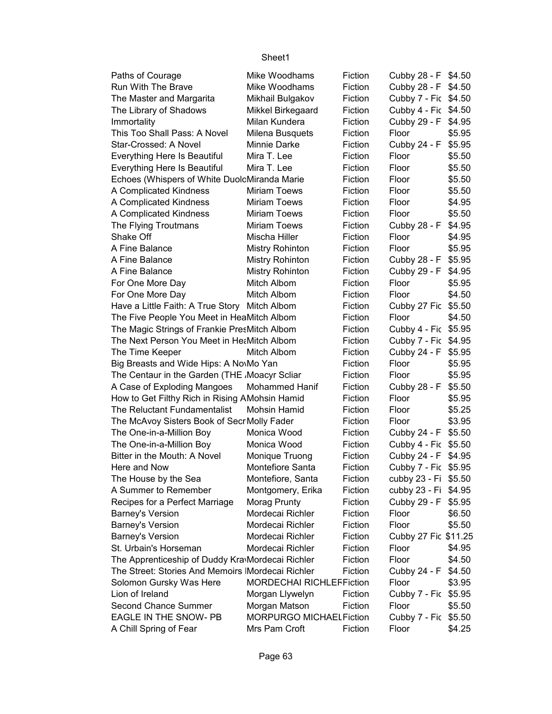| Paths of Courage                                   | Mike Woodhams                   | Fiction | Cubby 28 - F \$4.50  |        |
|----------------------------------------------------|---------------------------------|---------|----------------------|--------|
| Run With The Brave                                 | Mike Woodhams                   | Fiction | Cubby 28 - F \$4.50  |        |
| The Master and Margarita                           | Mikhail Bulgakov                | Fiction | Cubby 7 - Fic \$4.50 |        |
| The Library of Shadows                             | Mikkel Birkegaard               | Fiction | Cubby 4 - Fic \$4.50 |        |
| Immortality                                        | Milan Kundera                   | Fiction | Cubby 29 - F \$4.95  |        |
| This Too Shall Pass: A Novel                       | Milena Busquets                 | Fiction | Floor                | \$5.95 |
| Star-Crossed: A Novel                              | Minnie Darke                    | Fiction | Cubby 24 - F         | \$5.95 |
| Everything Here Is Beautiful                       | Mira T. Lee                     | Fiction | Floor                | \$5.50 |
| Everything Here Is Beautiful                       | Mira T. Lee                     | Fiction | Floor                | \$5.50 |
| Echoes (Whispers of White DuolcMiranda Marie       |                                 | Fiction | Floor                | \$5.50 |
| A Complicated Kindness                             | Miriam Toews                    | Fiction | Floor                | \$5.50 |
| A Complicated Kindness                             | Miriam Toews                    | Fiction | Floor                | \$4.95 |
| A Complicated Kindness                             | Miriam Toews                    | Fiction | Floor                | \$5.50 |
| The Flying Troutmans                               | Miriam Toews                    | Fiction | Cubby 28 - F \$4.95  |        |
| Shake Off                                          | Mischa Hiller                   | Fiction | Floor                | \$4.95 |
| A Fine Balance                                     | <b>Mistry Rohinton</b>          | Fiction | Floor                | \$5.95 |
| A Fine Balance                                     | <b>Mistry Rohinton</b>          | Fiction | Cubby 28 - F \$5.95  |        |
| A Fine Balance                                     | <b>Mistry Rohinton</b>          | Fiction | Cubby 29 - F         | \$4.95 |
| For One More Day                                   | Mitch Albom                     | Fiction | Floor                | \$5.95 |
| For One More Day                                   | Mitch Albom                     | Fiction | Floor                | \$4.50 |
| Have a Little Faith: A True Story Mitch Albom      |                                 | Fiction | Cubby 27 Fic \$5.50  |        |
| The Five People You Meet in HeaMitch Albom         |                                 | Fiction | Floor                | \$4.50 |
| The Magic Strings of Frankie PresMitch Albom       |                                 | Fiction | Cubby 4 - Fic \$5.95 |        |
| The Next Person You Meet in HeaMitch Albom         |                                 | Fiction | Cubby 7 - Fic \$4.95 |        |
| The Time Keeper                                    | Mitch Albom                     | Fiction | Cubby 24 - F         | \$5.95 |
| Big Breasts and Wide Hips: A No Mo Yan             |                                 | Fiction | Floor                | \$5.95 |
| The Centaur in the Garden (THE .Moacyr Scliar      |                                 | Fiction | Floor                | \$5.95 |
| A Case of Exploding Mangoes                        | <b>Mohammed Hanif</b>           | Fiction | Cubby 28 - F \$5.50  |        |
| How to Get Filthy Rich in Rising AMohsin Hamid     |                                 | Fiction | Floor                | \$5.95 |
| The Reluctant Fundamentalist                       | Mohsin Hamid                    | Fiction | Floor                | \$5.25 |
| The McAvoy Sisters Book of Secr Molly Fader        |                                 | Fiction | Floor                | \$3.95 |
| The One-in-a-Million Boy                           | Monica Wood                     | Fiction | Cubby 24 - F \$5.50  |        |
| The One-in-a-Million Boy                           | Monica Wood                     | Fiction | Cubby 4 - Fic \$5.50 |        |
| Bitter in the Mouth: A Novel                       | Monique Truong                  | Fiction | Cubby 24 - F \$4.95  |        |
| Here and Now                                       | <b>Montefiore Santa</b>         | Fiction | Cubby 7 - Fic \$5.95 |        |
| The House by the Sea                               | Montefiore, Santa               | Fiction | cubby 23 - Fi \$5.50 |        |
| A Summer to Remember                               | Montgomery, Erika               | Fiction | cubby 23 - Fi \$4.95 |        |
| Recipes for a Perfect Marriage                     | Morag Prunty                    | Fiction | Cubby 29 - F         | \$5.95 |
| Barney's Version                                   | Mordecai Richler                | Fiction | Floor                | \$6.50 |
| Barney's Version                                   | Mordecai Richler                | Fiction | Floor                | \$5.50 |
| Barney's Version                                   | Mordecai Richler                | Fiction | Cubby 27 Fic \$11.25 |        |
| St. Urbain's Horseman                              | Mordecai Richler                | Fiction | Floor                | \$4.95 |
| The Apprenticeship of Duddy Kra Mordecai Richler   |                                 | Fiction | Floor                | \$4.50 |
| The Street: Stories And Memoirs   Mordecai Richler |                                 | Fiction | Cubby 24 - F \$4.50  |        |
| Solomon Gursky Was Here                            | <b>MORDECHAI RICHLEFFiction</b> |         | Floor                | \$3.95 |
| Lion of Ireland                                    | Morgan Llywelyn                 | Fiction | Cubby 7 - Fic \$5.95 |        |
| Second Chance Summer                               | Morgan Matson                   | Fiction | Floor                | \$5.50 |
| EAGLE IN THE SNOW- PB                              | MORPURGO MICHAEL Fiction        |         | Cubby 7 - Fic \$5.50 |        |
| A Chill Spring of Fear                             | Mrs Pam Croft                   | Fiction | Floor                | \$4.25 |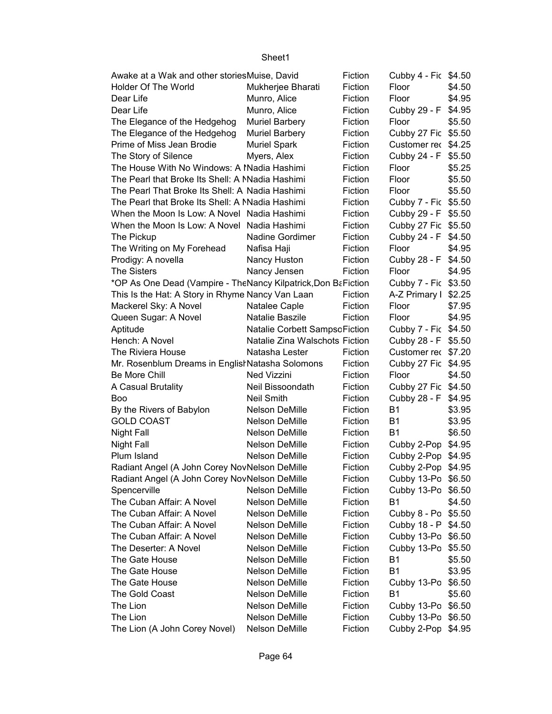| Awake at a Wak and other storiesMuise, David                  |                                | Fiction | Cubby 4 - Fic \$4.50 |        |
|---------------------------------------------------------------|--------------------------------|---------|----------------------|--------|
| Holder Of The World                                           | Mukherjee Bharati              | Fiction | Floor                | \$4.50 |
| Dear Life                                                     | Munro, Alice                   | Fiction | Floor                | \$4.95 |
| Dear Life                                                     | Munro, Alice                   | Fiction | Cubby 29 - F         | \$4.95 |
| The Elegance of the Hedgehog                                  | <b>Muriel Barbery</b>          | Fiction | Floor                | \$5.50 |
| The Elegance of the Hedgehog                                  | <b>Muriel Barbery</b>          | Fiction | Cubby 27 Fic \$5.50  |        |
| Prime of Miss Jean Brodie                                     | <b>Muriel Spark</b>            | Fiction | Customer rec \$4.25  |        |
| The Story of Silence                                          | Myers, Alex                    | Fiction | Cubby 24 - F \$5.50  |        |
| The House With No Windows: A Madia Hashimi                    |                                | Fiction | Floor                | \$5.25 |
| The Pearl that Broke Its Shell: A Madia Hashimi               |                                | Fiction | Floor                | \$5.50 |
| The Pearl That Broke Its Shell: A Nadia Hashimi               |                                | Fiction | Floor                | \$5.50 |
| The Pearl that Broke Its Shell: A Madia Hashimi               |                                | Fiction | Cubby 7 - Fic \$5.50 |        |
| When the Moon Is Low: A Novel Nadia Hashimi                   |                                | Fiction | Cubby 29 - F \$5.50  |        |
| When the Moon Is Low: A Novel Nadia Hashimi                   |                                | Fiction | Cubby 27 Fic \$5.50  |        |
| The Pickup                                                    | Nadine Gordimer                | Fiction | Cubby 24 - F \$4.50  |        |
| The Writing on My Forehead                                    | Nafisa Haji                    | Fiction | Floor                | \$4.95 |
| Prodigy: A novella                                            | Nancy Huston                   | Fiction | Cubby 28 - F \$4.50  |        |
| <b>The Sisters</b>                                            | Nancy Jensen                   | Fiction | Floor                | \$4.95 |
| *OP As One Dead (Vampire - TheNancy Kilpatrick, Don BaFiction |                                |         | Cubby 7 - Fic \$3.50 |        |
| This Is the Hat: A Story in Rhyme Nancy Van Laan              |                                | Fiction | A-Z Primary I        | \$2.25 |
| Mackerel Sky: A Novel                                         | Natalee Caple                  | Fiction | Floor                | \$7.95 |
| Queen Sugar: A Novel                                          | Natalie Baszile                | Fiction | Floor                | \$4.95 |
| Aptitude                                                      | Natalie Corbett SampsoFiction  |         | Cubby 7 - Fic \$4.50 |        |
| Hench: A Novel                                                | Natalie Zina Walschots Fiction |         | Cubby 28 - F \$5.50  |        |
| The Riviera House                                             | Natasha Lester                 | Fiction | Customer rec \$7.20  |        |
| Mr. Rosenblum Dreams in Englist Natasha Solomons              |                                | Fiction | Cubby 27 Fic \$4.95  |        |
| Be More Chill                                                 | Ned Vizzini                    | Fiction | Floor                | \$4.50 |
| A Casual Brutality                                            | Neil Bissoondath               | Fiction | Cubby 27 Fic \$4.50  |        |
| <b>Boo</b>                                                    | <b>Neil Smith</b>              | Fiction | Cubby 28 - F \$4.95  |        |
| By the Rivers of Babylon                                      | Nelson DeMille                 | Fiction | <b>B1</b>            | \$3.95 |
| <b>GOLD COAST</b>                                             | Nelson DeMille                 | Fiction | <b>B1</b>            | \$3.95 |
| <b>Night Fall</b>                                             | Nelson DeMille                 | Fiction | <b>B1</b>            | \$6.50 |
| <b>Night Fall</b>                                             | Nelson DeMille                 | Fiction | Cubby 2-Pop \$4.95   |        |
| Plum Island                                                   | Nelson DeMille                 | Fiction | Cubby 2-Pop \$4.95   |        |
| Radiant Angel (A John Corey NovNelson DeMille                 |                                | Fiction | Cubby 2-Pop \$4.95   |        |
| Radiant Angel (A John Corey NovNelson DeMille                 |                                | Fiction | Cubby 13-Po \$6.50   |        |
| Spencerville                                                  | Nelson DeMille                 | Fiction | Cubby 13-Po \$6.50   |        |
| The Cuban Affair: A Novel                                     | Nelson DeMille                 | Fiction | <b>B1</b>            | \$4.50 |
| The Cuban Affair: A Novel                                     | Nelson DeMille                 | Fiction | Cubby 8 - Po \$5.50  |        |
| The Cuban Affair: A Novel                                     | Nelson DeMille                 | Fiction | Cubby 18 - P         | \$4.50 |
| The Cuban Affair: A Novel                                     | Nelson DeMille                 | Fiction | Cubby 13-Po          | \$6.50 |
| The Deserter: A Novel                                         | Nelson DeMille                 | Fiction | Cubby 13-Po          | \$5.50 |
| The Gate House                                                | Nelson DeMille                 | Fiction | <b>B1</b>            | \$5.50 |
| The Gate House                                                | Nelson DeMille                 | Fiction | <b>B1</b>            | \$3.95 |
| The Gate House                                                | Nelson DeMille                 | Fiction | Cubby 13-Po          | \$6.50 |
| The Gold Coast                                                | Nelson DeMille                 | Fiction | <b>B1</b>            | \$5.60 |
| The Lion                                                      | Nelson DeMille                 | Fiction | Cubby 13-Po          | \$6.50 |
| The Lion                                                      | Nelson DeMille                 | Fiction | Cubby 13-Po          | \$6.50 |
| The Lion (A John Corey Novel)                                 | Nelson DeMille                 | Fiction | Cubby 2-Pop          | \$4.95 |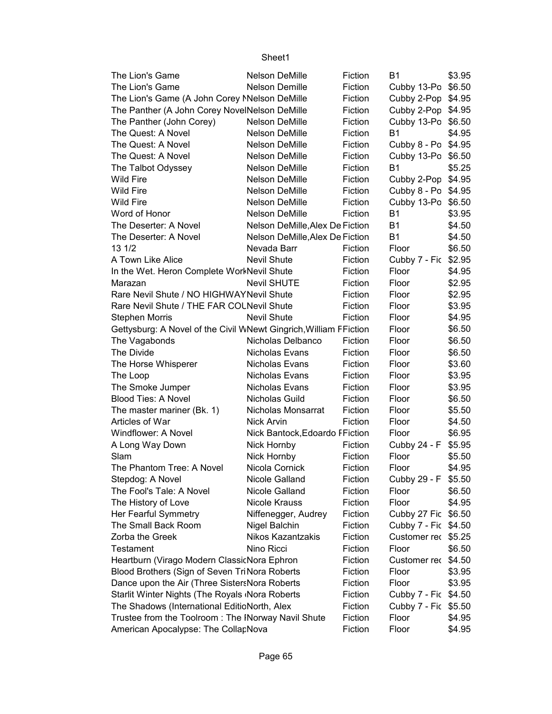| The Lion's Game                                                   | <b>Nelson DeMille</b>           | Fiction | B1                   | \$3.95 |
|-------------------------------------------------------------------|---------------------------------|---------|----------------------|--------|
| The Lion's Game                                                   | Nelson Demille                  | Fiction | Cubby 13-Po \$6.50   |        |
| The Lion's Game (A John Corey Melson DeMille                      |                                 | Fiction | Cubby 2-Pop \$4.95   |        |
| The Panther (A John Corey NovelNelson DeMille                     |                                 | Fiction | Cubby 2-Pop \$4.95   |        |
| The Panther (John Corey)                                          | Nelson DeMille                  | Fiction | Cubby 13-Po \$6.50   |        |
| The Quest: A Novel                                                | Nelson DeMille                  | Fiction | <b>B1</b>            | \$4.95 |
| The Quest: A Novel                                                | Nelson DeMille                  | Fiction | Cubby 8 - Po \$4.95  |        |
| The Quest: A Novel                                                | Nelson DeMille                  | Fiction | Cubby 13-Po \$6.50   |        |
| The Talbot Odyssey                                                | Nelson DeMille                  | Fiction | <b>B1</b>            | \$5.25 |
| <b>Wild Fire</b>                                                  | Nelson DeMille                  | Fiction | Cubby 2-Pop \$4.95   |        |
| <b>Wild Fire</b>                                                  | Nelson DeMille                  | Fiction | Cubby 8 - Po \$4.95  |        |
| <b>Wild Fire</b>                                                  | Nelson DeMille                  | Fiction | Cubby 13-Po \$6.50   |        |
| Word of Honor                                                     | Nelson DeMille                  | Fiction | <b>B1</b>            | \$3.95 |
| The Deserter: A Novel                                             | Nelson DeMille, Alex De Fiction |         | <b>B1</b>            | \$4.50 |
| The Deserter: A Novel                                             | Nelson DeMille, Alex De Fiction |         | <b>B1</b>            | \$4.50 |
| 13 1/2                                                            | Nevada Barr                     | Fiction | Floor                | \$6.50 |
| A Town Like Alice                                                 | <b>Nevil Shute</b>              | Fiction | Cubby 7 - Fic \$2.95 |        |
| In the Wet. Heron Complete WorkNevil Shute                        |                                 | Fiction | Floor                | \$4.95 |
| Marazan                                                           | <b>Nevil SHUTE</b>              | Fiction | Floor                | \$2.95 |
| Rare Nevil Shute / NO HIGHWAYNevil Shute                          |                                 | Fiction | Floor                | \$2.95 |
| Rare Nevil Shute / THE FAR COLNevil Shute                         |                                 | Fiction | Floor                | \$3.95 |
| <b>Stephen Morris</b>                                             | <b>Nevil Shute</b>              | Fiction | Floor                | \$4.95 |
| Gettysburg: A Novel of the Civil WNewt Gingrich, William FFiction |                                 |         | Floor                | \$6.50 |
| The Vagabonds                                                     | Nicholas Delbanco               | Fiction | Floor                | \$6.50 |
| The Divide                                                        | Nicholas Evans                  | Fiction | Floor                | \$6.50 |
| The Horse Whisperer                                               | Nicholas Evans                  | Fiction | Floor                | \$3.60 |
| The Loop                                                          | Nicholas Evans                  | Fiction | Floor                | \$3.95 |
| The Smoke Jumper                                                  | Nicholas Evans                  | Fiction | Floor                | \$3.95 |
| <b>Blood Ties: A Novel</b>                                        | Nicholas Guild                  | Fiction | Floor                | \$6.50 |
| The master mariner (Bk. 1)                                        | Nicholas Monsarrat              | Fiction | Floor                | \$5.50 |
| Articles of War                                                   | Nick Arvin                      | Fiction | Floor                | \$4.50 |
| Windflower: A Novel                                               | Nick Bantock, Edoardo FFiction  |         | Floor                | \$6.95 |
| A Long Way Down                                                   | Nick Hornby                     | Fiction | Cubby 24 - F         | \$5.95 |
| Slam                                                              | Nick Hornby                     | Fiction | Floor                | \$5.50 |
| The Phantom Tree: A Novel                                         | Nicola Cornick                  | Fiction | Floor                | \$4.95 |
| Stepdog: A Novel                                                  | Nicole Galland                  | Fiction | Cubby 29 - F \$5.50  |        |
| The Fool's Tale: A Novel                                          | Nicole Galland                  | Fiction | Floor                | \$6.50 |
| The History of Love                                               | Nicole Krauss                   | Fiction | Floor                | \$4.95 |
| Her Fearful Symmetry                                              | Niffenegger, Audrey             | Fiction | Cubby 27 Fic \$6.50  |        |
| The Small Back Room                                               | Nigel Balchin                   | Fiction | Cubby 7 - Fic \$4.50 |        |
| Zorba the Greek                                                   | <b>Nikos Kazantzakis</b>        | Fiction | Customer rec \$5.25  |        |
| Testament                                                         | Nino Ricci                      | Fiction | Floor                | \$6.50 |
| Heartburn (Virago Modern ClassicNora Ephron                       |                                 | Fiction | Customer rec \$4.50  |        |
| Blood Brothers (Sign of Seven TriNora Roberts                     |                                 | Fiction | Floor                | \$3.95 |
| Dance upon the Air (Three SistersNora Roberts                     |                                 | Fiction | Floor                | \$3.95 |
| Starlit Winter Nights (The Royals Nora Roberts                    |                                 | Fiction | Cubby 7 - Fic \$4.50 |        |
| The Shadows (International EditicNorth, Alex                      |                                 | Fiction | Cubby 7 - Fic \$5.50 |        |
| Trustee from the Toolroom: The INorway Navil Shute                |                                 | Fiction | Floor                | \$4.95 |
| American Apocalypse: The CollarNova                               |                                 | Fiction | Floor                | \$4.95 |
|                                                                   |                                 |         |                      |        |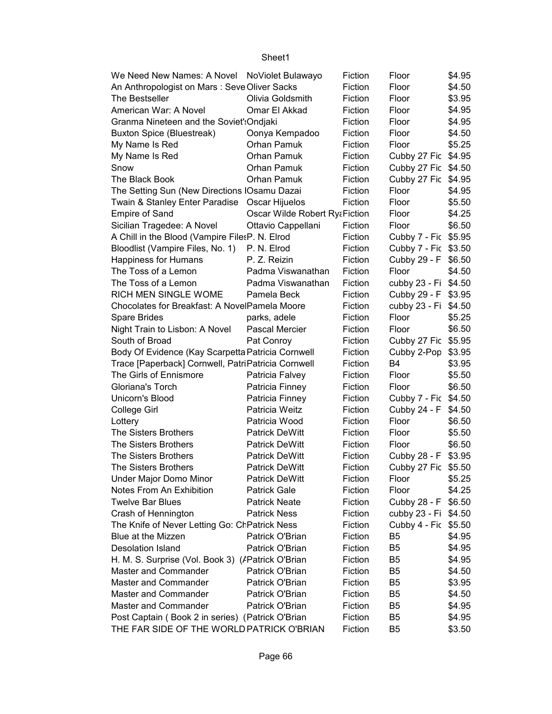| We Need New Names: A Novel NoViolet Bulawayo       |                                          | Fiction    | Floor                | \$4.95 |
|----------------------------------------------------|------------------------------------------|------------|----------------------|--------|
| An Anthropologist on Mars: Seve Oliver Sacks       |                                          | Fiction    | Floor                | \$4.50 |
| The Bestseller                                     | Olivia Goldsmith                         | Fiction    | Floor                | \$3.95 |
| American War: A Novel                              | Omar El Akkad                            | Fiction    | Floor                | \$4.95 |
| Granma Nineteen and the Soviet': Ondjaki           |                                          | Fiction    | Floor                | \$4.95 |
|                                                    |                                          | Fiction    |                      | \$4.50 |
| <b>Buxton Spice (Bluestreak)</b>                   | Oonya Kempadoo                           |            | Floor                |        |
| My Name Is Red                                     | <b>Orhan Pamuk</b>                       | Fiction    | Floor                | \$5.25 |
| My Name Is Red                                     | Orhan Pamuk                              | Fiction    | Cubby 27 Fic \$4.95  |        |
| Snow                                               | Orhan Pamuk                              | Fiction    | Cubby 27 Fic \$4.50  |        |
| The Black Book                                     | Orhan Pamuk                              | Fiction    | Cubby 27 Fic \$4.95  |        |
| The Setting Sun (New Directions IOsamu Dazai       |                                          | Fiction    | Floor                | \$4.95 |
| Twain & Stanley Enter Paradise Oscar Hijuelos      |                                          | Fiction    | Floor                | \$5.50 |
| <b>Empire of Sand</b>                              | <b>Oscar Wilde Robert Ry&amp;Fiction</b> |            | Floor                | \$4.25 |
| Sicilian Tragedee: A Novel                         | Ottavio Cappellani                       | Fiction    | Floor                | \$6.50 |
| A Chill in the Blood (Vampire FilesP. N. Elrod     |                                          | Fiction    | Cubby 7 - Fic \$5.95 |        |
| Bloodlist (Vampire Files, No. 1) P. N. Elrod       |                                          | Fiction    | Cubby 7 - Fic \$3.50 |        |
| Happiness for Humans                               | P. Z. Reizin                             | Fiction    | Cubby 29 - F \$6.50  |        |
| The Toss of a Lemon                                | Padma Viswanathan                        | Fiction    | Floor                | \$4.50 |
| The Toss of a Lemon                                | Padma Viswanathan                        | Fiction    | cubby 23 - Fi \$4.50 |        |
| RICH MEN SINGLE WOME                               | Pamela Beck                              | Fiction    | Cubby 29 - F \$3.95  |        |
| Chocolates for Breakfast: A NovelPamela Moore      |                                          | Fiction    | cubby 23 - Fi \$4.50 |        |
| Spare Brides                                       | parks, adele                             | Fiction    | Floor                | \$5.25 |
| Night Train to Lisbon: A Novel                     | <b>Pascal Mercie</b>                     | Fiction    | Floor                | \$6.50 |
| South of Broad                                     | Pat Conroy                               | Fiction    | Cubby 27 Fic \$5.95  |        |
| Body Of Evidence (Kay Scarpetta Patricia Cornwell  |                                          | Fiction    | Cubby 2-Pop \$3.95   |        |
| Trace [Paperback] Cornwell, PatriPatricia Cornwell |                                          | Fiction    | <b>B4</b>            | \$3.95 |
| The Girls of Ennismore                             |                                          |            |                      |        |
|                                                    | Patricia Falvey                          | Fiction    | Floor                | \$5.50 |
| Gloriana's Torch                                   | Patricia Finney                          | Fiction    | Floor                | \$6.50 |
| Unicorn's Blood                                    | Patricia Finney                          | Fiction    | Cubby 7 - Fic \$4.50 |        |
| College Girl                                       | Patricia Weitz                           | Fiction    | Cubby 24 - F \$4.50  |        |
| Lottery                                            | Patricia Wood                            | Fiction    | Floor                | \$6.50 |
| The Sisters Brothers                               | <b>Patrick DeWitt</b>                    | Fiction    | Floor                | \$5.50 |
| The Sisters Brothers                               | <b>Patrick DeWitt</b>                    | Fiction    | Floor                | \$6.50 |
| The Sisters Brothers                               | <b>Patrick DeWitt</b>                    | Fiction    | Cubby 28 - F \$3.95  |        |
| The Sisters Brothers                               | <b>Patrick DeWitt</b>                    | Fiction    | Cubby 27 Fic \$5.50  |        |
| Under Major Domo Minor                             | <b>Patrick DeWitt</b>                    | Fiction    | Floor                | \$5.25 |
| Notes From An Exhibition                           | <b>Patrick Gale</b>                      | Fiction    | Floor                | \$4.25 |
| <b>Twelve Bar Blues</b>                            | <b>Patrick Neate</b>                     | Fiction    | Cubby 28 - F \$6.50  |        |
| Crash of Hennington                                | <b>Patrick Ness</b>                      | Fiction    | cubby 23 - Fi \$4.50 |        |
| The Knife of Never Letting Go: ChPatrick Ness      |                                          | Fiction    | Cubby 4 - Fic \$5.50 |        |
| Blue at the Mizzen                                 | Patrick O'Brian                          | Fiction    | B <sub>5</sub>       | \$4.95 |
| Desolation Island                                  | Patrick O'Brian                          | Fiction    | B <sub>5</sub>       | \$4.95 |
| H. M. S. Surprise (Vol. Book 3) (/Patrick O'Brian  |                                          | Fiction    | <b>B5</b>            | \$4.95 |
| Master and Commander                               | Patrick O'Brian                          | Fiction    | <b>B5</b>            | \$4.50 |
| Master and Commander                               | Patrick O'Brian                          | Fiction    | <b>B5</b>            | \$3.95 |
| Master and Commander                               | Patrick O'Brian                          | Fiction    | <b>B5</b>            | \$4.50 |
| Master and Commander                               | Patrick O'Brian                          | Fiction    | <b>B5</b>            | \$4.95 |
| Post Captain (Book 2 in series) (Patrick O'Brian   |                                          | Fiction B5 |                      | \$4.95 |
| THE FAR SIDE OF THE WORLD PATRICK O'BRIAN          |                                          | Fiction    | <b>B5</b>            | \$3.50 |
|                                                    |                                          |            |                      |        |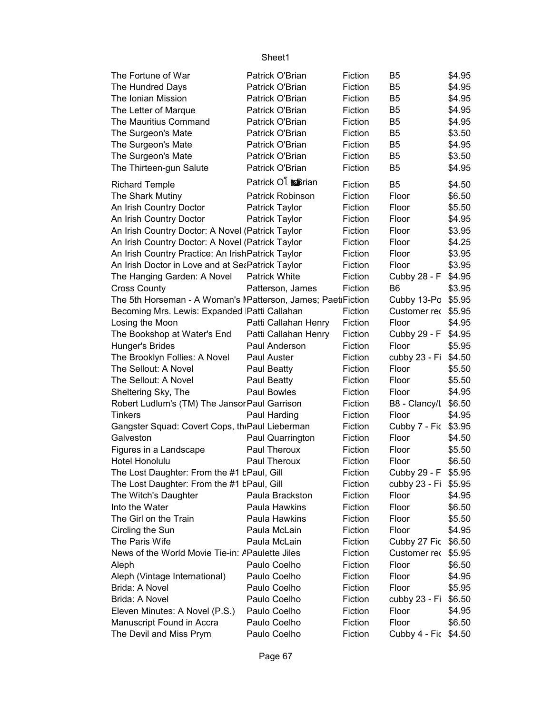| The Fortune of War                                          | Patrick O'Brian           | Fiction | B5                   | \$4.95 |
|-------------------------------------------------------------|---------------------------|---------|----------------------|--------|
| The Hundred Days                                            | Patrick O'Brian           | Fiction | B <sub>5</sub>       | \$4.95 |
| The Ionian Mission                                          | Patrick O'Brian           | Fiction | B <sub>5</sub>       | \$4.95 |
| The Letter of Marque                                        | Patrick O'Brian           | Fiction | B <sub>5</sub>       | \$4.95 |
| The Mauritius Command                                       | Patrick O'Brian           | Fiction | B <sub>5</sub>       | \$4.95 |
| The Surgeon's Mate                                          | Patrick O'Brian           | Fiction | B <sub>5</sub>       | \$3.50 |
| The Surgeon's Mate                                          | Patrick O'Brian           | Fiction | B <sub>5</sub>       | \$4.95 |
| The Surgeon's Mate                                          | Patrick O'Brian           | Fiction | B <sub>5</sub>       | \$3.50 |
| The Thirteen-gun Salute                                     | Patrick O'Brian           | Fiction | B <sub>5</sub>       | \$4.95 |
|                                                             | Patrick Ol <b>E</b> srian |         |                      |        |
| <b>Richard Temple</b>                                       |                           | Fiction | B <sub>5</sub>       | \$4.50 |
| The Shark Mutiny                                            | Patrick Robinson          | Fiction | Floor                | \$6.50 |
| An Irish Country Doctor                                     | Patrick Taylor            | Fiction | Floor                | \$5.50 |
| An Irish Country Doctor                                     | Patrick Taylor            | Fiction | Floor                | \$4.95 |
| An Irish Country Doctor: A Novel (Patrick Taylor            |                           | Fiction | Floor                | \$3.95 |
| An Irish Country Doctor: A Novel (Patrick Taylor            |                           | Fiction | Floor                | \$4.25 |
| An Irish Country Practice: An IrishPatrick Taylor           |                           | Fiction | Floor                | \$3.95 |
| An Irish Doctor in Love and at SeaPatrick Taylor            |                           | Fiction | Floor                | \$3.95 |
| The Hanging Garden: A Novel                                 | <b>Patrick White</b>      | Fiction | Cubby 28 - F         | \$4.95 |
| <b>Cross County</b>                                         | Patterson, James          | Fiction | B <sub>6</sub>       | \$3.95 |
| The 5th Horseman - A Woman's Matterson, James; PaetiFiction |                           |         | Cubby 13-Po \$5.95   |        |
| Becoming Mrs. Lewis: Expanded Patti Callahan                |                           | Fiction | Customer rec \$5.95  |        |
| Losing the Moon                                             | Patti Callahan Henry      | Fiction | Floor                | \$4.95 |
| The Bookshop at Water's End                                 | Patti Callahan Henry      | Fiction | Cubby 29 - F         | \$4.95 |
| Hunger's Brides                                             | Paul Anderson             | Fiction | Floor                | \$5.95 |
| The Brooklyn Follies: A Novel                               | Paul Auster               | Fiction | cubby 23 - Fi        | \$4.50 |
| The Sellout: A Novel                                        | Paul Beatty               | Fiction | Floor                | \$5.50 |
| The Sellout: A Novel                                        | Paul Beatty               | Fiction | Floor                | \$5.50 |
| Sheltering Sky, The                                         | Paul Bowles               | Fiction | Floor                | \$4.95 |
| Robert Ludlum's (TM) The Jansor Paul Garrison               |                           | Fiction | B8 - Clancy/L        | \$6.50 |
| <b>Tinkers</b>                                              | Paul Harding              | Fiction | Floor                | \$4.95 |
| Gangster Squad: Covert Cops, the Paul Lieberman             |                           | Fiction | Cubby 7 - Fic \$3.95 |        |
| Galveston                                                   | Paul Quarrington          | Fiction | Floor                | \$4.50 |
| Figures in a Landscape                                      | Paul Theroux              | Fiction | Floor                | \$5.50 |
| Hotel Honolulu                                              | Paul Theroux              | Fiction | Floor                | \$6.50 |
| The Lost Daughter: From the #1 tPaul, Gill                  |                           | Fiction | Cubby 29 - F \$5.95  |        |
| The Lost Daughter: From the #1 tPaul, Gill                  |                           | Fiction | cubby 23 - Fi \$5.95 |        |
| The Witch's Daughter                                        | Paula Brackston           | Fiction | Floor                | \$4.95 |
| Into the Water                                              | Paula Hawkins             | Fiction | Floor                | \$6.50 |
| The Girl on the Train                                       | Paula Hawkins             | Fiction | Floor                | \$5.50 |
| Circling the Sun                                            | Paula McLain              | Fiction | Floor                | \$4.95 |
| The Paris Wife                                              | Paula McLain              | Fiction | Cubby 27 Fic         | \$6.50 |
| News of the World Movie Tie-in: APaulette Jiles             |                           | Fiction | Customer rec         | \$5.95 |
| Aleph                                                       | Paulo Coelho              | Fiction | Floor                | \$6.50 |
| Aleph (Vintage International)                               | Paulo Coelho              | Fiction | Floor                | \$4.95 |
| Brida: A Novel                                              | Paulo Coelho              | Fiction | Floor                | \$5.95 |
| Brida: A Novel                                              | Paulo Coelho              | Fiction | cubby 23 - Fi        | \$6.50 |
| Eleven Minutes: A Novel (P.S.)                              | Paulo Coelho              | Fiction | Floor                | \$4.95 |
| Manuscript Found in Accra                                   | Paulo Coelho              | Fiction | Floor                | \$6.50 |
| The Devil and Miss Prym                                     | Paulo Coelho              | Fiction | Cubby 4 - Fic \$4.50 |        |
|                                                             |                           |         |                      |        |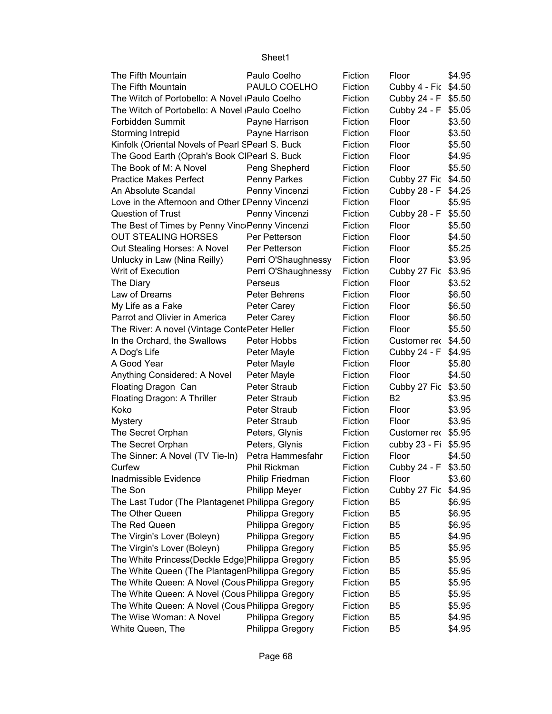| The Fifth Mountain                                | Paulo Coelho         | Fiction | Floor                | \$4.95 |
|---------------------------------------------------|----------------------|---------|----------------------|--------|
| The Fifth Mountain                                | PAULO COELHO         | Fiction | Cubby 4 - Fic \$4.50 |        |
| The Witch of Portobello: A Novel (Paulo Coelho    |                      | Fiction | Cubby 24 - F         | \$5.50 |
| The Witch of Portobello: A Novel (Paulo Coelho    |                      | Fiction | Cubby 24 - F         | \$5.05 |
| Forbidden Summit                                  | Payne Harrison       | Fiction | Floor                | \$3.50 |
| Storming Intrepid                                 | Payne Harrison       | Fiction | Floor                | \$3.50 |
| Kinfolk (Oriental Novels of Pearl SPearl S. Buck  |                      | Fiction | Floor                | \$5.50 |
| The Good Earth (Oprah's Book CIPearl S. Buck      |                      | Fiction | Floor                | \$4.95 |
| The Book of M: A Novel                            | Peng Shepherd        | Fiction | Floor                | \$5.50 |
| <b>Practice Makes Perfect</b>                     | Penny Parkes         | Fiction | Cubby 27 Fic         | \$4.50 |
| An Absolute Scandal                               | Penny Vincenzi       | Fiction | Cubby 28 - F         | \$4.25 |
| Love in the Afternoon and Other I Penny Vincenzi  |                      | Fiction | Floor                | \$5.95 |
| Question of Trust                                 | Penny Vincenzi       | Fiction | Cubby 28 - F         | \$5.50 |
| The Best of Times by Penny Vinc Penny Vincenzi    |                      | Fiction | Floor                | \$5.50 |
| <b>OUT STEALING HORSES</b>                        | Per Petterson        | Fiction | Floor                | \$4.50 |
| Out Stealing Horses: A Novel                      | Per Petterson        | Fiction | Floor                | \$5.25 |
| Unlucky in Law (Nina Reilly)                      | Perri O'Shaughnessy  | Fiction | Floor                | \$3.95 |
| Writ of Execution                                 | Perri O'Shaughnessy  | Fiction | Cubby 27 Fic         | \$3.95 |
| The Diary                                         | Perseus              | Fiction | Floor                | \$3.52 |
| Law of Dreams                                     | Peter Behrens        | Fiction | Floor                | \$6.50 |
| My Life as a Fake                                 | Peter Carey          | Fiction | Floor                | \$6.50 |
| Parrot and Olivier in America                     | Peter Carey          | Fiction | Floor                | \$6.50 |
| The River: A novel (Vintage ContePeter Heller     |                      | Fiction | Floor                | \$5.50 |
| In the Orchard, the Swallows                      | Peter Hobbs          | Fiction | Customer rec         | \$4.50 |
| A Dog's Life                                      | Peter Mayle          | Fiction | Cubby 24 - F         | \$4.95 |
| A Good Year                                       | Peter Mayle          | Fiction | Floor                | \$5.80 |
| Anything Considered: A Novel                      | Peter Mayle          | Fiction | Floor                | \$4.50 |
| Floating Dragon Can                               | <b>Peter Straub</b>  | Fiction | Cubby 27 Fic         | \$3.50 |
| Floating Dragon: A Thriller                       | <b>Peter Straub</b>  | Fiction | <b>B2</b>            | \$3.95 |
| Koko                                              | <b>Peter Straub</b>  | Fiction | Floor                | \$3.95 |
| <b>Mystery</b>                                    | <b>Peter Straub</b>  | Fiction | Floor                | \$3.95 |
| The Secret Orphan                                 | Peters, Glynis       | Fiction | Customer rec \$5.95  |        |
| The Secret Orphan                                 | Peters, Glynis       | Fiction | cubby 23 - Fi        | \$5.95 |
| The Sinner: A Novel (TV Tie-In)                   | Petra Hammesfahr     | Fiction | Floor                | \$4.50 |
| Curfew                                            | Phil Rickman         | Fiction | Cubby 24 - F \$3.50  |        |
| Inadmissible Evidence                             | Philip Friedman      | Fiction | Floor                | \$3.60 |
| The Son                                           | <b>Philipp Meyer</b> | Fiction | Cubby 27 Fic         | \$4.95 |
| The Last Tudor (The Plantagenet Philippa Gregory  |                      | Fiction | B5                   | \$6.95 |
| The Other Queen                                   | Philippa Gregory     | Fiction | B <sub>5</sub>       | \$6.95 |
| The Red Queen                                     | Philippa Gregory     | Fiction | B <sub>5</sub>       | \$6.95 |
| The Virgin's Lover (Boleyn)                       | Philippa Gregory     | Fiction | B <sub>5</sub>       | \$4.95 |
| The Virgin's Lover (Boleyn)                       | Philippa Gregory     | Fiction | B <sub>5</sub>       | \$5.95 |
| The White Princess (Deckle Edge) Philippa Gregory |                      | Fiction | B <sub>5</sub>       | \$5.95 |
| The White Queen (The PlantagenPhilippa Gregory    |                      | Fiction | B <sub>5</sub>       | \$5.95 |
| The White Queen: A Novel (Cous Philippa Gregory   |                      | Fiction | B <sub>5</sub>       | \$5.95 |
| The White Queen: A Novel (Cous Philippa Gregory   |                      | Fiction | B <sub>5</sub>       | \$5.95 |
| The White Queen: A Novel (Cous Philippa Gregory   |                      | Fiction | B <sub>5</sub>       | \$5.95 |
| The Wise Woman: A Novel                           | Philippa Gregory     | Fiction | B <sub>5</sub>       | \$4.95 |
| White Queen, The                                  | Philippa Gregory     | Fiction | B <sub>5</sub>       | \$4.95 |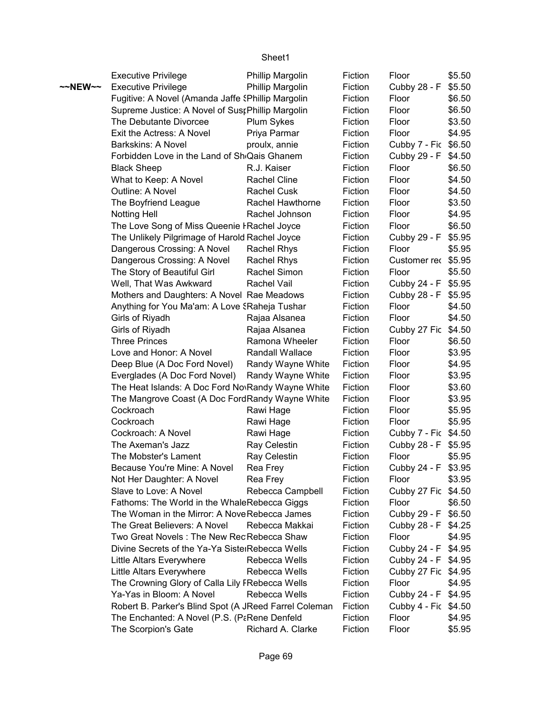|                   | <b>Executive Privilege</b>                                | Phillip Margolin        | Fiction | Floor                | \$5.50 |
|-------------------|-----------------------------------------------------------|-------------------------|---------|----------------------|--------|
| $\sim$ NEW $\sim$ | <b>Executive Privilege</b>                                | Phillip Margolin        | Fiction | Cubby 28 - F         | \$5.50 |
|                   | Fugitive: A Novel (Amanda Jaffe {Phillip Margolin         |                         | Fiction | Floor                | \$6.50 |
|                   | Supreme Justice: A Novel of SustPhillip Margolin          |                         | Fiction | Floor                | \$6.50 |
|                   | The Debutante Divorcee                                    | <b>Plum Sykes</b>       | Fiction | Floor                | \$3.50 |
|                   | Exit the Actress: A Novel                                 | Priya Parmar            | Fiction | Floor                | \$4.95 |
|                   | Barkskins: A Novel                                        | proulx, annie           | Fiction | Cubby 7 - Fic \$6.50 |        |
|                   | Forbidden Love in the Land of Sh <sub>'</sub> Qais Ghanem |                         | Fiction | Cubby 29 - F         | \$4.50 |
|                   | <b>Black Sheep</b>                                        | R.J. Kaiser             | Fiction | Floor                | \$6.50 |
|                   | What to Keep: A Novel                                     | Rachel Cline            | Fiction | Floor                | \$4.50 |
|                   | Outline: A Novel                                          | <b>Rachel Cusk</b>      | Fiction | Floor                | \$4.50 |
|                   | The Boyfriend League                                      | <b>Rachel Hawthorne</b> | Fiction | Floor                | \$3.50 |
|                   | <b>Notting Hell</b>                                       | Rachel Johnson          | Fiction | Floor                | \$4.95 |
|                   | The Love Song of Miss Queenie I Rachel Joyce              |                         | Fiction | Floor                | \$6.50 |
|                   | The Unlikely Pilgrimage of Harold Rachel Joyce            |                         | Fiction | Cubby 29 - F         | \$5.95 |
|                   | Dangerous Crossing: A Novel                               | <b>Rachel Rhys</b>      | Fiction | Floor                | \$5.95 |
|                   | Dangerous Crossing: A Novel                               | <b>Rachel Rhys</b>      | Fiction | Customer rec \$5.95  |        |
|                   | The Story of Beautiful Girl                               | Rachel Simon            | Fiction | Floor                | \$5.50 |
|                   | Well, That Was Awkward                                    | Rachel Vail             | Fiction | Cubby 24 - F \$5.95  |        |
|                   | Mothers and Daughters: A Novel Rae Meadows                |                         | Fiction | Cubby 28 - F         | \$5.95 |
|                   | Anything for You Ma'am: A Love SRaheja Tushar             |                         | Fiction | Floor                | \$4.50 |
|                   | Girls of Riyadh                                           | Rajaa Alsanea           | Fiction | Floor                | \$4.50 |
|                   | Girls of Riyadh                                           | Rajaa Alsanea           | Fiction | Cubby 27 Fic         | \$4.50 |
|                   | <b>Three Princes</b>                                      | Ramona Wheeler          | Fiction | Floor                | \$6.50 |
|                   | Love and Honor: A Novel                                   | Randall Wallace         | Fiction | Floor                | \$3.95 |
|                   | Deep Blue (A Doc Ford Novel)                              | Randy Wayne White       | Fiction | Floor                | \$4.95 |
|                   | Everglades (A Doc Ford Novel)                             | Randy Wayne White       | Fiction | Floor                | \$3.95 |
|                   | The Heat Islands: A Doc Ford No Randy Wayne White         |                         | Fiction | Floor                | \$3.60 |
|                   | The Mangrove Coast (A Doc FordRandy Wayne White           |                         | Fiction | Floor                | \$3.95 |
|                   | Cockroach                                                 | Rawi Hage               | Fiction | Floor                | \$5.95 |
|                   | Cockroach                                                 | Rawi Hage               | Fiction | Floor                | \$5.95 |
|                   | Cockroach: A Novel                                        | Rawi Hage               | Fiction | Cubby 7 - Fic \$4.50 |        |
|                   | The Axeman's Jazz                                         | Ray Celestin            | Fiction | Cubby 28 - F         | \$5.95 |
|                   | The Mobster's Lament                                      | Ray Celestin            | Fiction | Floor                | \$5.95 |
|                   | Because You're Mine: A Novel                              | Rea Frey                | Fiction | Cubby 24 - F         | \$3.95 |
|                   | Not Her Daughter: A Novel                                 | Rea Frey                | Fiction | Floor                | \$3.95 |
|                   | Slave to Love: A Novel                                    | Rebecca Campbell        | Fiction | Cubby 27 Fic         | \$4.50 |
|                   | Fathoms: The World in the WhaleRebecca Giggs              |                         | Fiction | Floor                | \$6.50 |
|                   | The Woman in the Mirror: A NoveRebecca James              |                         | Fiction | Cubby 29 - F         | \$6.50 |
|                   | The Great Believers: A Novel                              | Rebecca Makkai          | Fiction | Cubby 28 - F         | \$4.25 |
|                   | Two Great Novels: The New Rec Rebecca Shaw                |                         | Fiction | Floor                | \$4.95 |
|                   | Divine Secrets of the Ya-Ya SisterRebecca Wells           |                         | Fiction | Cubby 24 - F \$4.95  |        |
|                   | Little Altars Everywhere                                  | Rebecca Wells           | Fiction | Cubby 24 - F \$4.95  |        |
|                   | Little Altars Everywhere                                  | Rebecca Wells           | Fiction | Cubby 27 Fic \$4.95  |        |
|                   | The Crowning Glory of Calla Lily FRebecca Wells           |                         | Fiction | Floor                | \$4.95 |
|                   | Ya-Yas in Bloom: A Novel                                  | Rebecca Wells           | Fiction | Cubby 24 - F         | \$4.95 |
|                   | Robert B. Parker's Blind Spot (A JReed Farrel Coleman     |                         | Fiction | Cubby 4 - Fic \$4.50 |        |
|                   | The Enchanted: A Novel (P.S. (P&Rene Denfeld              |                         | Fiction | Floor                | \$4.95 |
|                   | The Scorpion's Gate                                       | Richard A. Clarke       | Fiction | Floor                | \$5.95 |
|                   |                                                           |                         |         |                      |        |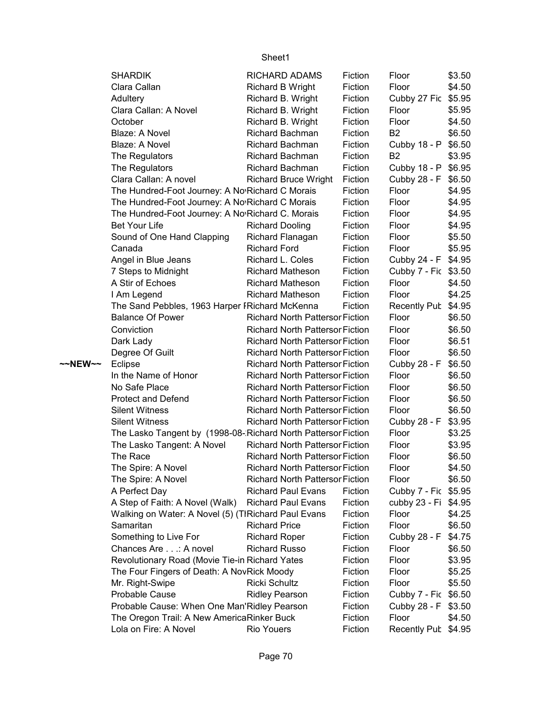|         | <b>SHARDIK</b>                                                | <b>RICHARD ADAMS</b>                   | Fiction | Floor                | \$3.50 |
|---------|---------------------------------------------------------------|----------------------------------------|---------|----------------------|--------|
|         | Clara Callan                                                  | Richard B Wright                       | Fiction | Floor                | \$4.50 |
|         | Adultery                                                      | Richard B. Wright                      | Fiction | Cubby 27 Fic \$5.95  |        |
|         | Clara Callan: A Novel                                         | Richard B. Wright                      | Fiction | Floor                | \$5.95 |
|         | October                                                       | Richard B. Wright                      | Fiction | Floor                | \$4.50 |
|         | Blaze: A Novel                                                | <b>Richard Bachman</b>                 | Fiction | <b>B2</b>            | \$6.50 |
|         | Blaze: A Novel                                                | <b>Richard Bachman</b>                 | Fiction | Cubby 18 - P         | \$6.50 |
|         | The Regulators                                                | <b>Richard Bachman</b>                 | Fiction | B <sub>2</sub>       | \$3.95 |
|         | The Regulators                                                | Richard Bachman                        | Fiction | Cubby 18 - P         | \$6.95 |
|         | Clara Callan: A novel                                         | <b>Richard Bruce Wright</b>            | Fiction | Cubby 28 - F         | \$6.50 |
|         | The Hundred-Foot Journey: A No Richard C Morais               |                                        | Fiction | Floor                | \$4.95 |
|         | The Hundred-Foot Journey: A No Richard C Morais               |                                        | Fiction | Floor                | \$4.95 |
|         | The Hundred-Foot Journey: A No Richard C. Morais              |                                        | Fiction | Floor                | \$4.95 |
|         | <b>Bet Your Life</b>                                          | <b>Richard Dooling</b>                 | Fiction | Floor                | \$4.95 |
|         | Sound of One Hand Clapping                                    | Richard Flanagan                       | Fiction | Floor                | \$5.50 |
|         | Canada                                                        | <b>Richard Ford</b>                    | Fiction | Floor                | \$5.95 |
|         | Angel in Blue Jeans                                           | Richard L. Coles                       | Fiction | Cubby 24 - F \$4.95  |        |
|         | 7 Steps to Midnight                                           | <b>Richard Matheson</b>                | Fiction | Cubby 7 - Fic \$3.50 |        |
|         | A Stir of Echoes                                              | <b>Richard Matheson</b>                | Fiction | Floor                | \$4.50 |
|         | I Am Legend                                                   | <b>Richard Matheson</b>                | Fiction | Floor                | \$4.25 |
|         | The Sand Pebbles, 1963 Harper I Richard McKenna               |                                        | Fiction | <b>Recently Pub</b>  | \$4.95 |
|         | <b>Balance Of Power</b>                                       | <b>Richard North Pattersor Fiction</b> |         | Floor                | \$6.50 |
|         | Conviction                                                    | <b>Richard North Pattersor Fiction</b> |         | Floor                | \$6.50 |
|         | Dark Lady                                                     | <b>Richard North Pattersor Fiction</b> |         | Floor                | \$6.51 |
|         | Degree Of Guilt                                               | <b>Richard North Pattersor Fiction</b> |         | Floor                | \$6.50 |
| ~~NEW~~ | Eclipse                                                       | <b>Richard North Pattersor Fiction</b> |         | Cubby 28 - F         | \$6.50 |
|         | In the Name of Honor                                          | <b>Richard North Pattersor Fiction</b> |         | Floor                | \$6.50 |
|         | No Safe Place                                                 | <b>Richard North Pattersor Fiction</b> |         | Floor                | \$6.50 |
|         | <b>Protect and Defend</b>                                     | <b>Richard North Pattersor Fiction</b> |         | Floor                | \$6.50 |
|         | <b>Silent Witness</b>                                         | <b>Richard North Pattersor Fiction</b> |         | Floor                | \$6.50 |
|         | <b>Silent Witness</b>                                         | <b>Richard North Pattersor Fiction</b> |         | Cubby 28 - F         | \$3.95 |
|         | The Lasko Tangent by (1998-08-Richard North Pattersor Fiction |                                        |         | Floor                | \$3.25 |
|         | The Lasko Tangent: A Novel                                    | <b>Richard North Pattersor Fiction</b> |         | Floor                | \$3.95 |
|         | The Race                                                      | <b>Richard North Pattersor Fiction</b> |         | Floor                | \$6.50 |
|         | The Spire: A Novel                                            | <b>Richard North Pattersor Fiction</b> |         | Floor                | \$4.50 |
|         | The Spire: A Novel                                            | <b>Richard North Pattersor Fiction</b> |         | Floor                | \$6.50 |
|         | A Perfect Day                                                 | <b>Richard Paul Evans</b>              | Fiction | Cubby 7 - Fic \$5.95 |        |
|         | A Step of Faith: A Novel (Walk)                               | <b>Richard Paul Evans</b>              | Fiction | cubby 23 - Fi        | \$4.95 |
|         | Walking on Water: A Novel (5) (TIRichard Paul Evans           |                                        | Fiction | Floor                | \$4.25 |
|         | Samaritan                                                     | <b>Richard Price</b>                   | Fiction | Floor                | \$6.50 |
|         | Something to Live For                                         | <b>Richard Roper</b>                   | Fiction | Cubby 28 - F         | \$4.75 |
|         | Chances Are: A novel                                          | <b>Richard Russo</b>                   | Fiction | Floor                | \$6.50 |
|         | Revolutionary Road (Movie Tie-in Richard Yates                |                                        | Fiction | Floor                | \$3.95 |
|         | The Four Fingers of Death: A NovRick Moody                    |                                        | Fiction | Floor                | \$5.25 |
|         | Mr. Right-Swipe                                               | <b>Ricki Schultz</b>                   | Fiction | Floor                | \$5.50 |
|         |                                                               |                                        |         |                      |        |
|         | Probable Cause                                                | <b>Ridley Pearson</b>                  | Fiction | Cubby 7 - Fic        | \$6.50 |
|         | Probable Cause: When One Man'Ridley Pearson                   |                                        | Fiction | Cubby 28 - F         | \$3.50 |
|         | The Oregon Trail: A New AmericaRinker Buck                    |                                        | Fiction | Floor                | \$4.50 |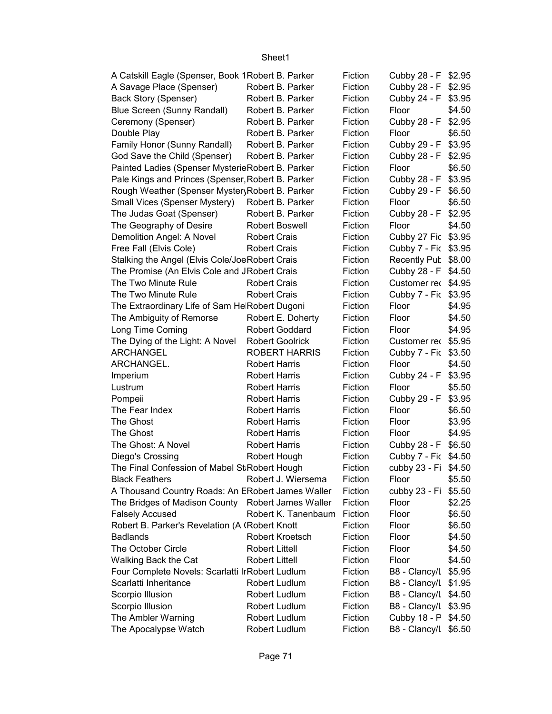| A Catskill Eagle (Spenser, Book 1 Robert B. Parker |                        | Fiction | Cubby 28 - F \$2.95  |        |
|----------------------------------------------------|------------------------|---------|----------------------|--------|
| A Savage Place (Spenser)                           | Robert B. Parker       | Fiction | Cubby 28 - F \$2.95  |        |
| Back Story (Spenser)                               | Robert B. Parker       | Fiction | Cubby 24 - F \$3.95  |        |
| Blue Screen (Sunny Randall)                        | Robert B. Parker       | Fiction | Floor                | \$4.50 |
| Ceremony (Spenser)                                 | Robert B. Parker       | Fiction | Cubby 28 - F \$2.95  |        |
| Double Play                                        | Robert B. Parker       | Fiction | Floor                | \$6.50 |
| Family Honor (Sunny Randall)                       | Robert B. Parker       | Fiction | Cubby 29 - F \$3.95  |        |
| God Save the Child (Spenser)                       | Robert B. Parker       | Fiction | Cubby 28 - F \$2.95  |        |
| Painted Ladies (Spenser MysterieRobert B. Parker   |                        | Fiction | Floor                | \$6.50 |
| Pale Kings and Princes (Spenser, Robert B. Parker  |                        | Fiction | Cubby 28 - F \$3.95  |        |
| Rough Weather (Spenser Myster Robert B. Parker     |                        | Fiction | Cubby 29 - F \$6.50  |        |
| Small Vices (Spenser Mystery) Robert B. Parker     |                        | Fiction | Floor                | \$6.50 |
| The Judas Goat (Spenser)                           | Robert B. Parker       | Fiction | Cubby 28 - F \$2.95  |        |
| The Geography of Desire                            | <b>Robert Boswell</b>  | Fiction | Floor                | \$4.50 |
| Demolition Angel: A Novel                          | <b>Robert Crais</b>    | Fiction | Cubby 27 Fic \$3.95  |        |
| Free Fall (Elvis Cole)                             | <b>Robert Crais</b>    | Fiction | Cubby 7 - Fic \$3.95 |        |
| Stalking the Angel (Elvis Cole/JoeRobert Crais     |                        | Fiction | Recently Pub \$8.00  |        |
| The Promise (An Elvis Cole and JRobert Crais       |                        | Fiction | Cubby 28 - F \$4.50  |        |
| The Two Minute Rule                                | <b>Robert Crais</b>    | Fiction | Customer rec \$4.95  |        |
| The Two Minute Rule                                | <b>Robert Crais</b>    | Fiction | Cubby 7 - Fic \$3.95 |        |
| The Extraordinary Life of Sam He Robert Dugoni     |                        | Fiction | Floor                | \$4.95 |
| The Ambiguity of Remorse                           | Robert E. Doherty      | Fiction | Floor                | \$4.50 |
| Long Time Coming                                   | <b>Robert Goddard</b>  | Fiction | Floor                | \$4.95 |
| The Dying of the Light: A Novel                    | <b>Robert Goolrick</b> | Fiction | Customer rec \$5.95  |        |
| ARCHANGEL                                          | <b>ROBERT HARRIS</b>   | Fiction | Cubby 7 - Fic \$3.50 |        |
| ARCHANGEL.                                         | <b>Robert Harris</b>   | Fiction | Floor                | \$4.50 |
| Imperium                                           | <b>Robert Harris</b>   | Fiction | Cubby 24 - F \$3.95  |        |
| Lustrum                                            | <b>Robert Harris</b>   | Fiction | Floor                | \$5.50 |
| Pompeii                                            | <b>Robert Harris</b>   | Fiction | Cubby 29 - F \$3.95  |        |
| The Fear Index                                     | <b>Robert Harris</b>   | Fiction | Floor                | \$6.50 |
| The Ghost                                          | <b>Robert Harris</b>   | Fiction | Floor                | \$3.95 |
| The Ghost                                          | <b>Robert Harris</b>   | Fiction | Floor                | \$4.95 |
| The Ghost: A Novel                                 | <b>Robert Harris</b>   | Fiction | Cubby 28 - F \$6.50  |        |
| Diego's Crossing                                   | Robert Hough           | Fiction | Cubby 7 - Fic \$4.50 |        |
| The Final Confession of Mabel St Robert Hough      |                        | Fiction | cubby 23 - Fi \$4.50 |        |
| <b>Black Feathers</b>                              | Robert J. Wiersema     | Fiction | Floor                | \$5.50 |
| A Thousand Country Roads: An ERobert James Waller  |                        | Fiction | cubby 23 - Fi        | \$5.50 |
| The Bridges of Madison County Robert James Waller  |                        | Fiction | Floor                | \$2.25 |
| <b>Falsely Accused</b>                             | Robert K. Tanenbaum    | Fiction | Floor                | \$6.50 |
| Robert B. Parker's Revelation (A (Robert Knott     |                        | Fiction | Floor                | \$6.50 |
| <b>Badlands</b>                                    | <b>Robert Kroetsch</b> | Fiction | Floor                | \$4.50 |
| The October Circle                                 | <b>Robert Littell</b>  | Fiction | Floor                | \$4.50 |
| Walking Back the Cat                               | <b>Robert Littell</b>  | Fiction | Floor                | \$4.50 |
| Four Complete Novels: Scarlatti Ir Robert Ludlum   |                        | Fiction | B8 - Clancy/L        | \$5.95 |
| Scarlatti Inheritance                              | Robert Ludlum          | Fiction | B8 - Clancy/L \$1.95 |        |
| Scorpio Illusion                                   | Robert Ludlum          | Fiction | B8 - Clancy/L \$4.50 |        |
|                                                    | Robert Ludlum          | Fiction | B8 - Clancy/L \$3.95 |        |
| Scorpio Illusion<br>The Ambler Warning             | Robert Ludlum          | Fiction | Cubby 18 - P \$4.50  |        |
| The Apocalypse Watch                               | Robert Ludlum          | Fiction | B8 - Clancy/L \$6.50 |        |
|                                                    |                        |         |                      |        |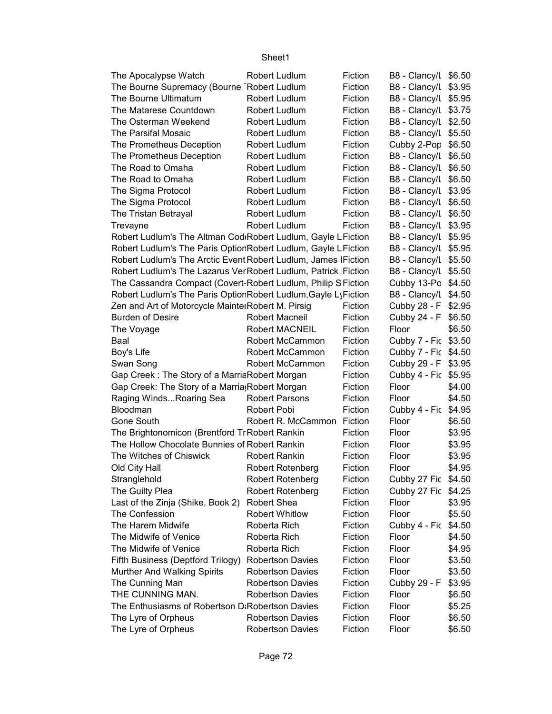| The Apocalypse Watch                                                      | Robert Ludlum           | Fiction | B8 - Clancy/L \$6.50   |        |
|---------------------------------------------------------------------------|-------------------------|---------|------------------------|--------|
| The Bourne Supremacy (Bourne Robert Ludlum                                |                         | Fiction | B8 - Clancy/L \$3.95   |        |
| The Bourne Ultimatum                                                      | Robert Ludlum           | Fiction | B8 - Clancy/L \$5.95   |        |
| The Matarese Countdown                                                    | Robert Ludlum           | Fiction | B8 - Clancy/L \$3.75   |        |
| The Osterman Weekend                                                      | Robert Ludlum           | Fiction | B8 - Clancy/L \$2.50   |        |
| The Parsifal Mosaic                                                       | Robert Ludlum           | Fiction | B8 - Clancy/L \$5.50   |        |
| The Prometheus Deception                                                  | Robert Ludlum           | Fiction | Cubby 2-Pop            | \$6.50 |
| The Prometheus Deception                                                  | Robert Ludlum           | Fiction | B8 - Clancy/L          | \$6.50 |
| The Road to Omaha                                                         | Robert Ludlum           | Fiction | B8 - Clancy/L          | \$6.50 |
| The Road to Omaha                                                         | Robert Ludlum           | Fiction | B8 - Clancy/L          | \$6.50 |
| The Sigma Protocol                                                        | Robert Ludlum           | Fiction | B8 - Clancy/L \$3.95   |        |
| The Sigma Protocol                                                        | Robert Ludlum           | Fiction | B8 - Clancy/L          | \$6.50 |
| The Tristan Betrayal                                                      | Robert Ludlum           | Fiction | B8 - Clancy/L \$6.50   |        |
| Trevayne                                                                  | Robert Ludlum           | Fiction | B8 - Clancy/L \$3.95   |        |
| Robert Ludlum's The Altman Cod <sub>'</sub> Robert Ludlum, Gayle LFiction |                         |         | B8 - Clancy/L \$5.95   |        |
| Robert Ludlum's The Paris Option Robert Ludlum, Gayle LFiction            |                         |         | B8 - Clancy/L \$5.95   |        |
| Robert Ludlum's The Arctic Event Robert Ludlum, James IFiction            |                         |         | B8 - Clancy/L \$5.50   |        |
| Robert Ludlum's The Lazarus VerRobert Ludlum, Patrick Fiction             |                         |         | B8 - Clancy/L \$5.50   |        |
| The Cassandra Compact (Covert-Robert Ludlum, Philip S Fiction             |                         |         | Cubby 13-Po \$4.50     |        |
| Robert Ludlum's The Paris OptionRobert Ludlum, Gayle LyFiction            |                         |         | B8 - Clancy/L \$4.50   |        |
| Zen and Art of Motorcycle MainterRobert M. Pirsig                         |                         | Fiction | Cubby 28 - F           | \$2.95 |
| <b>Burden of Desire</b>                                                   | <b>Robert Macneil</b>   | Fiction | Cubby 24 - F           | \$6.50 |
| The Voyage                                                                | <b>Robert MACNEIL</b>   | Fiction | Floor                  | \$6.50 |
| Baal                                                                      | Robert McCammon         | Fiction | Cubby 7 - Fic          | \$3.50 |
| Boy's Life                                                                | Robert McCammon         | Fiction | Cubby 7 - Fic \$4.50   |        |
| Swan Song                                                                 | Robert McCammon         | Fiction | Cubby 29 - F           | \$3.95 |
| Gap Creek: The Story of a MarriaRobert Morgan                             |                         | Fiction | Cubby 4 - Fic          | \$5.95 |
| Gap Creek: The Story of a Marria Robert Morgan                            |                         | Fiction | Floor                  | \$4.00 |
| Raging WindsRoaring Sea                                                   | <b>Robert Parsons</b>   | Fiction | Floor                  | \$4.50 |
| Bloodman                                                                  | Robert Pobi             | Fiction |                        | \$4.95 |
| <b>Gone South</b>                                                         |                         | Fiction | Cubby 4 - Fic<br>Floor |        |
|                                                                           | Robert R. McCammon      |         | Floor                  | \$6.50 |
| The Brightonomicon (Brentford Tr Robert Rankin                            |                         | Fiction |                        | \$3.95 |
| The Hollow Chocolate Bunnies of Robert Rankin                             |                         | Fiction | Floor                  | \$3.95 |
| The Witches of Chiswick                                                   | <b>Robert Rankin</b>    | Fiction | Floor                  | \$3.95 |
| Old City Hall                                                             | <b>Robert Rotenberg</b> | Fiction | Floor                  | \$4.95 |
| Stranglehold                                                              | <b>Robert Rotenberg</b> | Fiction | Cubby 27 Fic \$4.50    |        |
| The Guilty Plea                                                           | <b>Robert Rotenberg</b> | Fiction | Cubby 27 Fic           | \$4.25 |
| Last of the Zinja (Shike, Book 2)                                         | <b>Robert Shea</b>      | Fiction | Floor                  | \$3.95 |
| The Confession                                                            | <b>Robert Whitlow</b>   | Fiction | Floor                  | \$5.50 |
| The Harem Midwife                                                         | Roberta Rich            | Fiction | Cubby 4 - Fic          | \$4.50 |
| The Midwife of Venice                                                     | Roberta Rich            | Fiction | Floor                  | \$4.50 |
| The Midwife of Venice                                                     | Roberta Rich            | Fiction | Floor                  | \$4.95 |
| Fifth Business (Deptford Trilogy)                                         | <b>Robertson Davies</b> | Fiction | Floor                  | \$3.50 |
| Murther And Walking Spirits                                               | <b>Robertson Davies</b> | Fiction | Floor                  | \$3.50 |
| The Cunning Man                                                           | <b>Robertson Davies</b> | Fiction | Cubby 29 - F           | \$3.95 |
| THE CUNNING MAN.                                                          | <b>Robertson Davies</b> | Fiction | Floor                  | \$6.50 |
| The Enthusiasms of Robertson D: Robertson Davies                          |                         | Fiction | Floor                  | \$5.25 |
| The Lyre of Orpheus                                                       | <b>Robertson Davies</b> | Fiction | Floor                  | \$6.50 |
| The Lyre of Orpheus                                                       | <b>Robertson Davies</b> | Fiction | Floor                  | \$6.50 |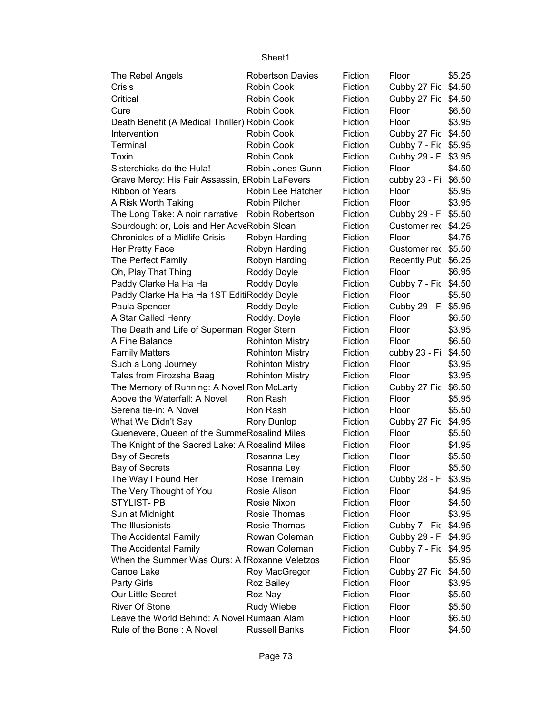| The Rebel Angels                                | <b>Robertson Davies</b> | Fiction | Floor                | \$5.25 |
|-------------------------------------------------|-------------------------|---------|----------------------|--------|
| Crisis                                          | Robin Cook              | Fiction | Cubby 27 Fic \$4.50  |        |
| Critical                                        | Robin Cook              | Fiction | Cubby 27 Fic \$4.50  |        |
| Cure                                            | Robin Cook              | Fiction | Floor                | \$6.50 |
| Death Benefit (A Medical Thriller) Robin Cook   |                         | Fiction | Floor                | \$3.95 |
| Intervention                                    | Robin Cook              | Fiction | Cubby 27 Fic         | \$4.50 |
| Terminal                                        | Robin Cook              | Fiction | Cubby 7 - Fic \$5.95 |        |
| Toxin                                           | Robin Cook              | Fiction | Cubby 29 - F         | \$3.95 |
| Sisterchicks do the Hula!                       | Robin Jones Gunn        | Fiction | Floor                | \$4.50 |
| Grave Mercy: His Fair Assassin, ERobin LaFevers |                         | Fiction | cubby 23 - Fi        | \$6.50 |
| Ribbon of Years                                 | Robin Lee Hatcher       | Fiction | Floor                | \$5.95 |
| A Risk Worth Taking                             | Robin Pilcher           | Fiction | Floor                | \$3.95 |
| The Long Take: A noir narrative Robin Robertson |                         | Fiction | Cubby 29 - F         | \$5.50 |
| Sourdough: or, Lois and Her AdveRobin Sloan     |                         | Fiction | Customer rec \$4.25  |        |
| Chronicles of a Midlife Crisis                  | Robyn Harding           | Fiction | Floor                | \$4.75 |
| Her Pretty Face                                 | Robyn Harding           | Fiction | Customer rec \$5.50  |        |
| The Perfect Family                              | Robyn Harding           | Fiction | Recently Pub \$6.25  |        |
| Oh, Play That Thing                             | Roddy Doyle             | Fiction | Floor                | \$6.95 |
| Paddy Clarke Ha Ha Ha                           | Roddy Doyle             | Fiction | Cubby 7 - Fic \$4.50 |        |
| Paddy Clarke Ha Ha Ha 1ST EditiRoddy Doyle      |                         | Fiction | Floor                | \$5.50 |
| Paula Spencer                                   | Roddy Doyle             | Fiction | Cubby 29 - F         | \$5.95 |
| A Star Called Henry                             | Roddy. Doyle            | Fiction | Floor                | \$6.50 |
| The Death and Life of Superman Roger Stern      |                         | Fiction | Floor                | \$3.95 |
| A Fine Balance                                  | <b>Rohinton Mistry</b>  | Fiction | Floor                | \$6.50 |
| <b>Family Matters</b>                           | <b>Rohinton Mistry</b>  | Fiction | cubby 23 - Fi        | \$4.50 |
| Such a Long Journey                             | <b>Rohinton Mistry</b>  | Fiction | Floor                | \$3.95 |
| Tales from Firozsha Baag                        | <b>Rohinton Mistry</b>  | Fiction | Floor                | \$3.95 |
| The Memory of Running: A Novel Ron McLarty      |                         | Fiction | Cubby 27 Fic         | \$6.50 |
| Above the Waterfall: A Novel                    | Ron Rash                | Fiction | Floor                | \$5.95 |
| Serena tie-in: A Novel                          | Ron Rash                | Fiction | Floor                | \$5.50 |
| What We Didn't Say                              | <b>Rory Dunlop</b>      | Fiction | Cubby 27 Fic         | \$4.95 |
| Guenevere, Queen of the SummeRosalind Miles     |                         | Fiction | Floor                | \$5.50 |
| The Knight of the Sacred Lake: A Rosalind Miles |                         | Fiction | Floor                | \$4.95 |
| Bay of Secrets                                  | Rosanna Ley             | Fiction | Floor                | \$5.50 |
| Bay of Secrets                                  | Rosanna Ley             | Fiction | Floor                | \$5.50 |
| The Way I Found Her                             | Rose Tremain            | Fiction | Cubby 28 - F \$3.95  |        |
| The Very Thought of You                         | Rosie Alison            | Fiction | Floor                | \$4.95 |
| STYLIST-PB                                      | Rosie Nixon             | Fiction | Floor                | \$4.50 |
| Sun at Midnight                                 | Rosie Thomas            | Fiction | Floor                | \$3.95 |
| The Illusionists                                | Rosie Thomas            | Fiction | Cubby 7 - Fic \$4.95 |        |
| The Accidental Family                           | Rowan Coleman           | Fiction | Cubby 29 - F         | \$4.95 |
| The Accidental Family                           | Rowan Coleman           | Fiction | Cubby 7 - Fic \$4.95 |        |
| When the Summer Was Ours: A IRoxanne Veletzos   |                         | Fiction | Floor                | \$5.95 |
| Canoe Lake                                      | Roy MacGregor           | Fiction | Cubby 27 Fic         | \$4.50 |
| <b>Party Girls</b>                              | Roz Bailey              | Fiction | Floor                | \$3.95 |
| Our Little Secret                               | Roz Nay                 | Fiction | Floor                | \$5.50 |
| <b>River Of Stone</b>                           | Rudy Wiebe              | Fiction | Floor                | \$5.50 |
| Leave the World Behind: A Novel Rumaan Alam     |                         | Fiction | Floor                | \$6.50 |
| Rule of the Bone: A Novel                       | <b>Russell Banks</b>    | Fiction | Floor                | \$4.50 |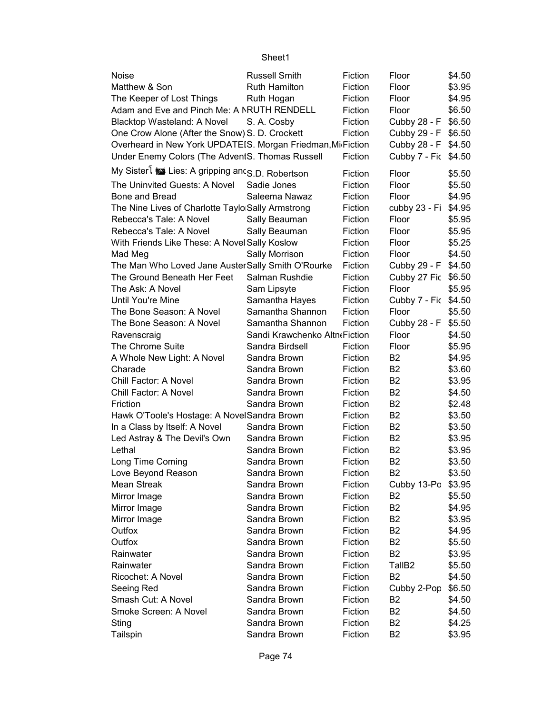|                                                             | Sheet1                        |         |                               |        |
|-------------------------------------------------------------|-------------------------------|---------|-------------------------------|--------|
| <b>Noise</b>                                                | <b>Russell Smith</b>          | Fiction | Floor                         | \$4.50 |
| Matthew & Son                                               | <b>Ruth Hamilton</b>          | Fiction | Floor                         | \$3.95 |
| The Keeper of Lost Things                                   | Ruth Hogan                    | Fiction | Floor                         | \$4.95 |
| Adam and Eve and Pinch Me: A NRUTH RENDELL                  |                               | Fiction | Floor                         | \$6.50 |
| Blacktop Wasteland: A Novel                                 | S. A. Cosby                   | Fiction | Cubby 28 - F                  | \$6.50 |
| One Crow Alone (After the Snow) S. D. Crockett              |                               | Fiction | Cubby 29 - F                  | \$6.50 |
| Overheard in New York UPDATEIS. Morgan Friedman, Mi Fiction |                               |         | Cubby 28 - F                  | \$4.50 |
| Under Enemy Colors (The AdventS. Thomas Russell             |                               | Fiction | Cubby 7 - Fic \$4.50          |        |
| My Sister is Lies: A gripping and S.D. Robertson            |                               | Fiction | Floor                         | \$5.50 |
| The Uninvited Guests: A Novel                               | Sadie Jones                   | Fiction | Floor                         | \$5.50 |
| Bone and Bread                                              | Saleema Nawaz                 | Fiction | Floor                         | \$4.95 |
| The Nine Lives of Charlotte Taylo Sally Armstrong           |                               | Fiction | cubby 23 - Fi                 | \$4.95 |
| Rebecca's Tale: A Novel                                     | Sally Beauman                 | Fiction | Floor                         | \$5.95 |
| Rebecca's Tale: A Novel                                     | Sally Beauman                 | Fiction | Floor                         | \$5.95 |
| With Friends Like These: A Novel Sally Koslow               |                               | Fiction | Floor                         | \$5.25 |
| Mad Meg                                                     | Sally Morrison                | Fiction | Floor                         | \$4.50 |
| The Man Who Loved Jane Auster Sally Smith O'Rourke          |                               | Fiction | Cubby 29 - F                  | \$4.50 |
| The Ground Beneath Her Feet                                 | Salman Rushdie                | Fiction | Cubby 27 Fic                  | \$6.50 |
| The Ask: A Novel                                            | Sam Lipsyte                   | Fiction | Floor                         | \$5.95 |
| Until You're Mine                                           | Samantha Hayes                | Fiction | Cubby 7 - Fic \$4.50          |        |
| The Bone Season: A Novel                                    | Samantha Shannon              | Fiction | Floor                         | \$5.50 |
| The Bone Season: A Novel                                    | Samantha Shannon              | Fiction | Cubby 28 - F                  | \$5.50 |
| Ravenscraig                                                 | Sandi Krawchenko Altn«Fiction |         | Floor                         | \$4.50 |
| The Chrome Suite                                            | Sandra Birdsell               | Fiction | Floor                         | \$5.95 |
| A Whole New Light: A Novel                                  | Sandra Brown                  | Fiction | B <sub>2</sub>                | \$4.95 |
| Charade                                                     | Sandra Brown                  | Fiction | B <sub>2</sub>                | \$3.60 |
| Chill Factor: A Novel                                       | Sandra Brown                  | Fiction | B <sub>2</sub>                | \$3.95 |
| Chill Factor: A Novel                                       | Sandra Brown                  | Fiction | B <sub>2</sub>                | \$4.50 |
| Friction                                                    | Sandra Brown                  | Fiction | B <sub>2</sub>                | \$2.48 |
| Hawk O'Toole's Hostage: A NovelSandra Brown                 |                               | Fiction | B <sub>2</sub>                | \$3.50 |
| In a Class by Itself: A Novel                               | Sandra Brown                  | Fiction | B <sub>2</sub>                | \$3.50 |
| Led Astray & The Devil's Own                                | Sandra Brown                  | Fiction | B <sub>2</sub>                | \$3.95 |
| Lethal                                                      | Sandra Brown                  | Fiction | B <sub>2</sub>                | \$3.95 |
| Long Time Coming                                            | Sandra Brown                  | Fiction | B <sub>2</sub>                | \$3.50 |
| Love Beyond Reason                                          | Sandra Brown                  | Fiction | B <sub>2</sub>                | \$3.50 |
| Mean Streak                                                 | Sandra Brown                  | Fiction | Cubby 13-Po                   | \$3.95 |
| Mirror Image                                                | Sandra Brown                  | Fiction | B2                            | \$5.50 |
| Mirror Image                                                | Sandra Brown                  | Fiction | B <sub>2</sub>                | \$4.95 |
| Mirror Image                                                | Sandra Brown                  | Fiction | B <sub>2</sub>                | \$3.95 |
| Outfox                                                      | Sandra Brown                  | Fiction | B <sub>2</sub>                | \$4.95 |
| Outfox                                                      | Sandra Brown                  | Fiction | B <sub>2</sub>                | \$5.50 |
| Rainwater                                                   | Sandra Brown                  | Fiction | B <sub>2</sub>                | \$3.95 |
| Rainwater                                                   | Sandra Brown                  | Fiction | TallB <sub>2</sub>            | \$5.50 |
| Ricochet: A Novel                                           | Sandra Brown                  | Fiction | B <sub>2</sub>                | \$4.50 |
| Seeing Red                                                  | Sandra Brown                  | Fiction |                               | \$6.50 |
| Smash Cut: A Novel                                          | Sandra Brown                  | Fiction | Cubby 2-Pop<br>B <sub>2</sub> | \$4.50 |
| Smoke Screen: A Novel                                       | Sandra Brown                  | Fiction | B <sub>2</sub>                | \$4.50 |
| Sting                                                       | Sandra Brown                  | Fiction | <b>B2</b>                     | \$4.25 |
| Tailspin                                                    | Sandra Brown                  | Fiction | B <sub>2</sub>                | \$3.95 |
|                                                             |                               |         |                               |        |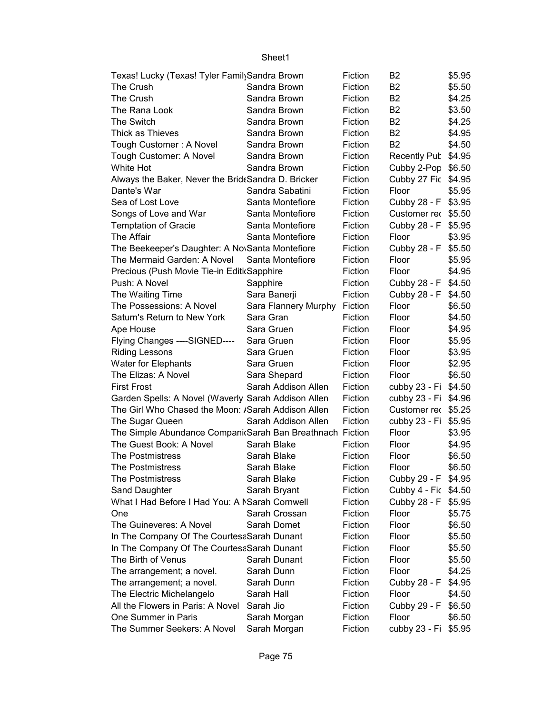| Texas! Lucky (Texas! Tyler Famil) Sandra Brown            | Fiction              | B2      | \$5.95               |        |
|-----------------------------------------------------------|----------------------|---------|----------------------|--------|
| The Crush                                                 | Sandra Brown         | Fiction | B <sub>2</sub>       | \$5.50 |
| The Crush                                                 | Sandra Brown         | Fiction | B <sub>2</sub>       | \$4.25 |
| The Rana Look                                             | Sandra Brown         | Fiction | B <sub>2</sub>       | \$3.50 |
| The Switch                                                | Sandra Brown         | Fiction | B <sub>2</sub>       | \$4.25 |
| Thick as Thieves                                          | Sandra Brown         | Fiction | B <sub>2</sub>       | \$4.95 |
| Tough Customer: A Novel                                   | Sandra Brown         | Fiction | B <sub>2</sub>       | \$4.50 |
| Tough Customer: A Novel                                   | Sandra Brown         | Fiction | <b>Recently Pub</b>  | \$4.95 |
| White Hot                                                 | Sandra Brown         | Fiction | Cubby 2-Pop          | \$6.50 |
| Always the Baker, Never the Brid & Sandra D. Bricker      |                      | Fiction | Cubby 27 Fic \$4.95  |        |
| Dante's War                                               | Sandra Sabatini      | Fiction | Floor                | \$5.95 |
| Sea of Lost Love                                          | Santa Montefiore     | Fiction | Cubby 28 - F \$3.95  |        |
| Songs of Love and War                                     | Santa Montefiore     | Fiction | Customer rec \$5.50  |        |
| <b>Temptation of Gracie</b>                               | Santa Montefiore     | Fiction | Cubby 28 - F \$5.95  |        |
| The Affair                                                | Santa Montefiore     | Fiction | Floor                | \$3.95 |
| The Beekeeper's Daughter: A NovSanta Montefiore           |                      | Fiction | Cubby 28 - F         | \$5.50 |
| The Mermaid Garden: A Novel                               | Santa Montefiore     | Fiction | Floor                | \$5.95 |
| Precious (Push Movie Tie-in EditicSapphire                |                      | Fiction | Floor                | \$4.95 |
| Push: A Novel                                             | Sapphire             | Fiction | Cubby 28 - F         | \$4.50 |
| The Waiting Time                                          | Sara Banerji         | Fiction | Cubby 28 - F         | \$4.50 |
| The Possessions: A Novel                                  | Sara Flannery Murphy | Fiction | Floor                | \$6.50 |
| Saturn's Return to New York                               | Sara Gran            | Fiction | Floor                | \$4.50 |
| Ape House                                                 | Sara Gruen           | Fiction | Floor                | \$4.95 |
| Flying Changes ----SIGNED----                             | Sara Gruen           | Fiction | Floor                | \$5.95 |
| <b>Riding Lessons</b>                                     | Sara Gruen           | Fiction | Floor                | \$3.95 |
| Water for Elephants                                       | Sara Gruen           | Fiction | Floor                | \$2.95 |
| The Elizas: A Novel                                       | Sara Shepard         | Fiction | Floor                | \$6.50 |
| <b>First Frost</b>                                        | Sarah Addison Allen  | Fiction | cubby 23 - Fi \$4.50 |        |
| Garden Spells: A Novel (Waverly Sarah Addison Allen       |                      | Fiction | cubby 23 - Fi \$4.96 |        |
| The Girl Who Chased the Moon: /Sarah Addison Allen        |                      | Fiction | Customer rec \$5.25  |        |
| The Sugar Queen                                           | Sarah Addison Allen  | Fiction | cubby 23 - Fi \$5.95 |        |
| The Simple Abundance CompanicSarah Ban Breathnach Fiction |                      |         | Floor                | \$3.95 |
| The Guest Book: A Novel                                   | Sarah Blake          | Fiction | Floor                | \$4.95 |
| The Postmistress                                          | Sarah Blake          | Fiction | Floor                | \$6.50 |
| The Postmistress                                          | Sarah Blake          | Fiction | Floor                | \$6.50 |
| The Postmistress                                          | Sarah Blake          | Fiction | Cubby 29 - F \$4.95  |        |
| Sand Daughter                                             | Sarah Bryant         | Fiction | Cubby 4 - Fic \$4.50 |        |
| What I Had Before I Had You: A NSarah Cornwell            |                      | Fiction | Cubby 28 - F         | \$5.95 |
| One                                                       | Sarah Crossan        | Fiction | Floor                | \$5.75 |
| The Guineveres: A Novel                                   | Sarah Domet          | Fiction | Floor                | \$6.50 |
| In The Company Of The Courtesa Sarah Dunant               |                      | Fiction | Floor                | \$5.50 |
| In The Company Of The Courtesa Sarah Dunant               |                      | Fiction | Floor                | \$5.50 |
| The Birth of Venus                                        | Sarah Dunant         | Fiction | Floor                | \$5.50 |
| The arrangement; a novel.                                 | Sarah Dunn           | Fiction | Floor                | \$4.25 |
| The arrangement; a novel.                                 | Sarah Dunn           | Fiction | Cubby 28 - F         | \$4.95 |
| The Electric Michelangelo                                 | Sarah Hall           | Fiction | Floor                | \$4.50 |
| All the Flowers in Paris: A Novel                         | Sarah Jio            | Fiction | Cubby 29 - F         | \$6.50 |
| One Summer in Paris                                       | Sarah Morgan         | Fiction | Floor                | \$6.50 |
| The Summer Seekers: A Novel                               | Sarah Morgan         | Fiction | cubby 23 - Fi \$5.95 |        |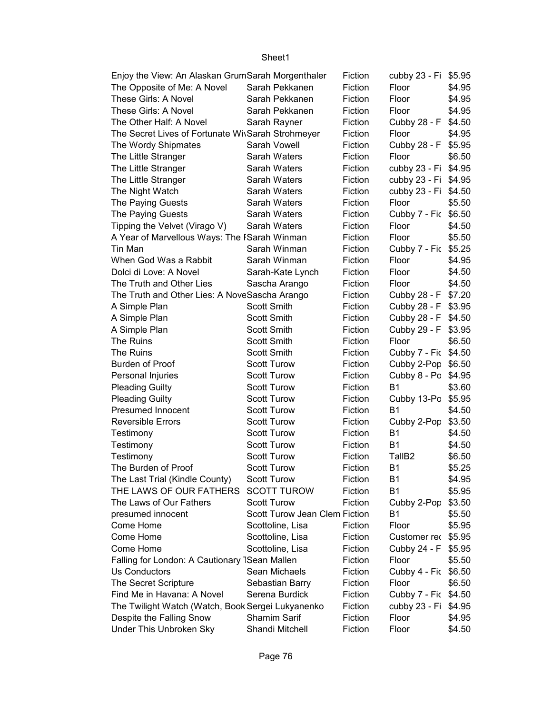| Enjoy the View: An Alaskan GrumSarah Morgenthaler |                               | Fiction | cubby 23 - Fi \$5.95 |        |
|---------------------------------------------------|-------------------------------|---------|----------------------|--------|
| The Opposite of Me: A Novel                       | Sarah Pekkanen                | Fiction | Floor                | \$4.95 |
| These Girls: A Novel                              | Sarah Pekkanen                | Fiction | Floor                | \$4.95 |
| These Girls: A Novel                              | Sarah Pekkanen                | Fiction | Floor                | \$4.95 |
| The Other Half: A Novel                           | Sarah Rayner                  | Fiction | Cubby 28 - F         | \$4.50 |
| The Secret Lives of Fortunate WisSarah Strohmeyer |                               | Fiction | Floor                | \$4.95 |
| The Wordy Shipmates                               | Sarah Vowell                  | Fiction | Cubby 28 - F         | \$5.95 |
| The Little Stranger                               | Sarah Waters                  | Fiction | Floor                | \$6.50 |
| The Little Stranger                               | Sarah Waters                  | Fiction | cubby 23 - Fi        | \$4.95 |
| The Little Stranger                               | Sarah Waters                  | Fiction | cubby 23 - Fi \$4.95 |        |
| The Night Watch                                   | Sarah Waters                  | Fiction | cubby 23 - Fi \$4.50 |        |
| The Paying Guests                                 | Sarah Waters                  | Fiction | Floor                | \$5.50 |
| The Paying Guests                                 | Sarah Waters                  | Fiction | Cubby 7 - Fic \$6.50 |        |
| Tipping the Velvet (Virago V)                     | Sarah Waters                  | Fiction | Floor                | \$4.50 |
| A Year of Marvellous Ways: The ISarah Winman      |                               | Fiction | Floor                | \$5.50 |
| Tin Man                                           | Sarah Winman                  | Fiction | Cubby 7 - Fic \$5.25 |        |
| When God Was a Rabbit                             | Sarah Winman                  | Fiction | Floor                | \$4.95 |
| Dolci di Love: A Novel                            | Sarah-Kate Lynch              | Fiction | Floor                | \$4.50 |
| The Truth and Other Lies                          | Sascha Arango                 | Fiction | Floor                | \$4.50 |
| The Truth and Other Lies: A NoveSascha Arango     |                               | Fiction | Cubby 28 - F \$7.20  |        |
| A Simple Plan                                     | <b>Scott Smith</b>            | Fiction | Cubby 28 - F \$3.95  |        |
| A Simple Plan                                     | <b>Scott Smith</b>            | Fiction | Cubby 28 - F \$4.50  |        |
| A Simple Plan                                     | <b>Scott Smith</b>            | Fiction | Cubby 29 - F         | \$3.95 |
| <b>The Ruins</b>                                  | <b>Scott Smith</b>            | Fiction | Floor                | \$6.50 |
| The Ruins                                         | <b>Scott Smith</b>            | Fiction | Cubby 7 - Fic \$4.50 |        |
| Burden of Proof                                   | <b>Scott Turow</b>            | Fiction | Cubby 2-Pop \$6.50   |        |
| Personal Injuries                                 | <b>Scott Turow</b>            | Fiction | Cubby 8 - Po \$4.95  |        |
| <b>Pleading Guilty</b>                            | <b>Scott Turow</b>            | Fiction | <b>B1</b>            | \$3.60 |
| <b>Pleading Guilty</b>                            | <b>Scott Turow</b>            | Fiction | Cubby 13-Po \$5.95   |        |
| Presumed Innocent                                 | <b>Scott Turow</b>            | Fiction | B <sub>1</sub>       | \$4.50 |
| <b>Reversible Errors</b>                          | <b>Scott Turow</b>            | Fiction | Cubby 2-Pop          | \$3.50 |
| Testimony                                         | <b>Scott Turow</b>            | Fiction | <b>B1</b>            | \$4.50 |
| Testimony                                         | <b>Scott Turow</b>            | Fiction | <b>B1</b>            | \$4.50 |
| Testimony                                         | <b>Scott Turow</b>            | Fiction | TallB <sub>2</sub>   | \$6.50 |
| The Burden of Proof                               | <b>Scott Turow</b>            | Fiction | <b>B1</b>            | \$5.25 |
| The Last Trial (Kindle County)                    | <b>Scott Turow</b>            | Fiction | B1                   | \$4.95 |
| THE LAWS OF OUR FATHERS                           | <b>SCOTT TUROW</b>            | Fiction | B <sub>1</sub>       | \$5.95 |
| The Laws of Our Fathers                           | <b>Scott Turow</b>            | Fiction | Cubby 2-Pop          | \$3.50 |
| presumed innocent                                 | Scott Turow Jean Clem Fiction |         | B1                   | \$5.50 |
| Come Home                                         | Scottoline, Lisa              | Fiction | Floor                | \$5.95 |
| Come Home                                         | Scottoline, Lisa              | Fiction | Customer rec         | \$5.95 |
| Come Home                                         | Scottoline, Lisa              | Fiction | Cubby 24 - F         | \$5.95 |
| Falling for London: A Cautionary 1Sean Mallen     |                               | Fiction | Floor                | \$5.50 |
| Us Conductors                                     | Sean Michaels                 | Fiction | Cubby 4 - Fic        | \$6.50 |
| The Secret Scripture                              | Sebastian Barry               | Fiction | Floor                | \$6.50 |
| Find Me in Havana: A Novel                        | Serena Burdick                | Fiction | Cubby 7 - Fic \$4.50 |        |
| The Twilight Watch (Watch, Book Sergei Lukyanenko |                               | Fiction | cubby 23 - Fi        | \$4.95 |
| Despite the Falling Snow                          | Shamim Sarif                  | Fiction | Floor                | \$4.95 |
| Under This Unbroken Sky                           | Shandi Mitchell               | Fiction | Floor                | \$4.50 |
|                                                   |                               |         |                      |        |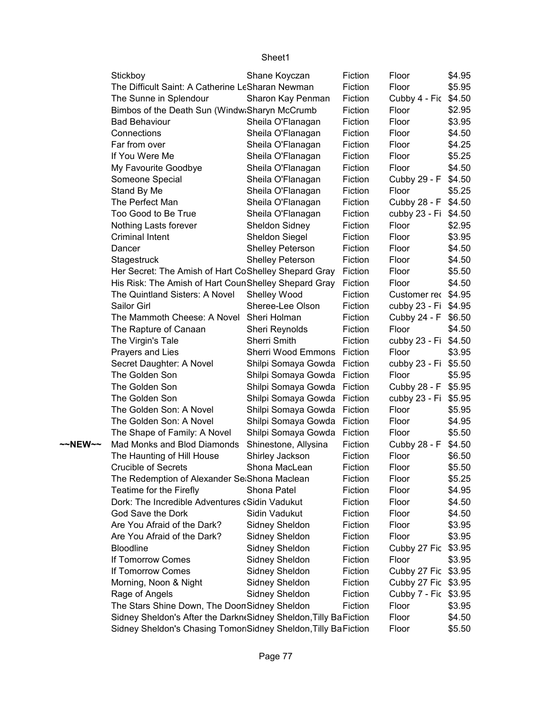|         | Stickboy                                                          | Shane Koyczan             | Fiction | Floor                | \$4.95 |
|---------|-------------------------------------------------------------------|---------------------------|---------|----------------------|--------|
|         | The Difficult Saint: A Catherine LeSharan Newman                  |                           | Fiction | Floor                | \$5.95 |
|         | The Sunne in Splendour                                            | Sharon Kay Penman         | Fiction | Cubby 4 - Fic        | \$4.50 |
|         | Bimbos of the Death Sun (Windw:Sharyn McCrumb                     | Fiction                   | Floor   | \$2.95               |        |
|         | <b>Bad Behaviour</b>                                              | Sheila O'Flanagan         | Fiction | Floor                | \$3.95 |
|         | Connections                                                       | Sheila O'Flanagan         | Fiction | Floor                | \$4.50 |
|         | Far from over                                                     | Sheila O'Flanagan         | Fiction | Floor                | \$4.25 |
|         | If You Were Me                                                    | Sheila O'Flanagan         | Fiction | Floor                | \$5.25 |
|         | My Favourite Goodbye                                              | Sheila O'Flanagan         | Fiction | Floor                | \$4.50 |
|         | Someone Special                                                   | Sheila O'Flanagan         | Fiction | Cubby 29 - F         | \$4.50 |
|         | Stand By Me                                                       | Sheila O'Flanagan         | Fiction | Floor                | \$5.25 |
|         | The Perfect Man                                                   | Sheila O'Flanagan         | Fiction | Cubby 28 - F         | \$4.50 |
|         | Too Good to Be True                                               | Sheila O'Flanagan         | Fiction | cubby 23 - Fi \$4.50 |        |
|         | Nothing Lasts forever                                             | Sheldon Sidney            | Fiction | Floor                | \$2.95 |
|         | <b>Criminal Intent</b>                                            | Sheldon Siegel            | Fiction | Floor                | \$3.95 |
|         | Dancer                                                            | <b>Shelley Peterson</b>   | Fiction | Floor                | \$4.50 |
|         | Stagestruck                                                       | Shelley Peterson          | Fiction | Floor                | \$4.50 |
|         | Her Secret: The Amish of Hart CoShelley Shepard Gray              |                           | Fiction | Floor                | \$5.50 |
|         | His Risk: The Amish of Hart CounShelley Shepard Gray              |                           | Fiction | Floor                | \$4.50 |
|         | The Quintland Sisters: A Novel                                    | Shelley Wood              | Fiction | Customer rec \$4.95  |        |
|         | Sailor Girl                                                       | Sheree-Lee Olson          | Fiction | cubby 23 - Fi \$4.95 |        |
|         | The Mammoth Cheese: A Novel Sheri Holman                          |                           | Fiction | Cubby 24 - F         | \$6.50 |
|         | The Rapture of Canaan                                             | Sheri Reynolds            | Fiction | Floor                | \$4.50 |
|         | The Virgin's Tale                                                 | <b>Sherri Smith</b>       | Fiction | cubby 23 - Fi        | \$4.50 |
|         | Prayers and Lies                                                  | <b>Sherri Wood Emmons</b> | Fiction | Floor                | \$3.95 |
|         | Secret Daughter: A Novel                                          | Shilpi Somaya Gowda       | Fiction | cubby 23 - Fi        | \$5.50 |
|         | The Golden Son                                                    | Shilpi Somaya Gowda       | Fiction | Floor                | \$5.95 |
|         | The Golden Son                                                    | Shilpi Somaya Gowda       | Fiction | Cubby 28 - F         | \$5.95 |
|         | The Golden Son                                                    | Shilpi Somaya Gowda       | Fiction | cubby 23 - Fi        | \$5.95 |
|         | The Golden Son: A Novel                                           | Shilpi Somaya Gowda       | Fiction | Floor                | \$5.95 |
|         | The Golden Son: A Novel                                           | Shilpi Somaya Gowda       | Fiction | Floor                | \$4.95 |
|         | The Shape of Family: A Novel                                      | Shilpi Somaya Gowda       | Fiction | Floor                | \$5.50 |
| ~~NEW~~ | Mad Monks and Blod Diamonds                                       | Shinestone, Allysina      | Fiction | Cubby 28 - F         | \$4.50 |
|         | The Haunting of Hill House                                        | Shirley Jackson           | Fiction | Floor                | \$6.50 |
|         | <b>Crucible of Secrets</b>                                        | Shona MacLean             | Fiction | Floor                | \$5.50 |
|         | The Redemption of Alexander Se Shona Maclean                      |                           | Fiction | Floor                | \$5.25 |
|         | Teatime for the Firefly                                           | Shona Patel               | Fiction | Floor                | \$4.95 |
|         | Dork: The Incredible Adventures (Sidin Vadukut                    |                           | Fiction | Floor                | \$4.50 |
|         | God Save the Dork                                                 | Sidin Vadukut             | Fiction | Floor                | \$4.50 |
|         | Are You Afraid of the Dark?                                       | Sidney Sheldon            | Fiction | Floor                | \$3.95 |
|         | Are You Afraid of the Dark?                                       | Sidney Sheldon            | Fiction | Floor                | \$3.95 |
|         | Bloodline                                                         | Sidney Sheldon            | Fiction | Cubby 27 Fic         | \$3.95 |
|         | If Tomorrow Comes                                                 | Sidney Sheldon            | Fiction | Floor                | \$3.95 |
|         | If Tomorrow Comes                                                 | Sidney Sheldon            | Fiction | Cubby 27 Fic \$3.95  |        |
|         | Morning, Noon & Night                                             | Sidney Sheldon            | Fiction | Cubby 27 Fic \$3.95  |        |
|         | Rage of Angels                                                    | Sidney Sheldon            | Fiction | Cubby 7 - Fic \$3.95 |        |
|         | The Stars Shine Down, The DoonSidney Sheldon                      |                           | Fiction | Floor                | \$3.95 |
|         | Sidney Sheldon's After the Darkn Sidney Sheldon, Tilly Ba Fiction |                           |         | Floor                | \$4.50 |
|         | Sidney Sheldon's Chasing Tomor Sidney Sheldon, Tilly Ba Fiction   |                           |         | Floor                | \$5.50 |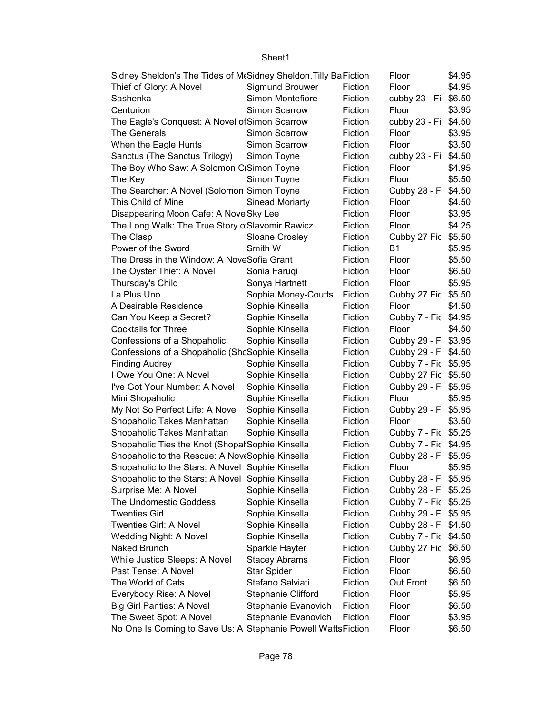| Sidney Sheldon's The Tides of MtSidney Sheldon, Tilly BaFiction<br>Floor<br>\$4.95 |                           |         |                      |        |  |  |
|------------------------------------------------------------------------------------|---------------------------|---------|----------------------|--------|--|--|
| Thief of Glory: A Novel                                                            | Sigmund Brouwer           | Fiction | Floor                | \$4.95 |  |  |
| Sashenka                                                                           | Simon Montefiore          | Fiction | cubby 23 - Fi        | \$6.50 |  |  |
| Centurion                                                                          | Simon Scarrow             | Fiction | Floor                | \$3.95 |  |  |
| The Eagle's Conquest: A Novel of Simon Scarrow                                     |                           | Fiction | cubby 23 - Fi \$4.50 |        |  |  |
| The Generals                                                                       | Simon Scarrow             | Fiction | Floor                | \$3.95 |  |  |
| When the Eagle Hunts                                                               | Simon Scarrow             | Fiction | Floor                | \$3.50 |  |  |
| Sanctus (The Sanctus Trilogy)                                                      | Simon Toyne               | Fiction | cubby 23 - Fi \$4.50 |        |  |  |
| The Boy Who Saw: A Solomon CiSimon Toyne                                           |                           | Fiction | Floor                | \$4.95 |  |  |
| The Key                                                                            | Simon Toyne               | Fiction | Floor                | \$5.50 |  |  |
| The Searcher: A Novel (Solomon Simon Toyne                                         |                           | Fiction | Cubby 28 - F         | \$4.50 |  |  |
| This Child of Mine                                                                 | <b>Sinead Moriarty</b>    | Fiction | Floor                | \$4.50 |  |  |
| Disappearing Moon Cafe: A Nove Sky Lee                                             |                           | Fiction | Floor                | \$3.95 |  |  |
| The Long Walk: The True Story o Slavomir Rawicz                                    |                           | Fiction | Floor                | \$4.25 |  |  |
| The Clasp                                                                          | <b>Sloane Crosley</b>     | Fiction | Cubby 27 Fic \$5.50  |        |  |  |
| Power of the Sword                                                                 | Smith W                   | Fiction | <b>B1</b>            | \$5.95 |  |  |
| The Dress in the Window: A NoveSofia Grant                                         |                           | Fiction | Floor                | \$5.50 |  |  |
| The Oyster Thief: A Novel                                                          | Sonia Faruqi              | Fiction | Floor                | \$6.50 |  |  |
| Thursday's Child                                                                   | Sonya Hartnett            | Fiction | Floor                | \$5.95 |  |  |
| La Plus Uno                                                                        | Sophia Money-Coutts       | Fiction | Cubby 27 Fic \$5.50  |        |  |  |
| A Desirable Residence                                                              | Sophie Kinsella           | Fiction | Floor                | \$4.50 |  |  |
| Can You Keep a Secret?                                                             | Sophie Kinsella           | Fiction | Cubby 7 - Fic \$4.95 |        |  |  |
| <b>Cocktails for Three</b>                                                         | Sophie Kinsella           | Fiction | Floor                | \$4.50 |  |  |
| Confessions of a Shopaholic                                                        | Sophie Kinsella           | Fiction | Cubby 29 - F \$3.95  |        |  |  |
| Confessions of a Shopaholic (ShcSophie Kinsella                                    |                           | Fiction | Cubby 29 - F \$4.50  |        |  |  |
| <b>Finding Audrey</b>                                                              | Sophie Kinsella           | Fiction | Cubby 7 - Fic \$5.95 |        |  |  |
| I Owe You One: A Novel                                                             | Sophie Kinsella           | Fiction | Cubby 27 Fic \$5.50  |        |  |  |
| I've Got Your Number: A Novel                                                      | Sophie Kinsella           | Fiction | Cubby 29 - F \$5.95  |        |  |  |
| Mini Shopaholic                                                                    | Sophie Kinsella           | Fiction | Floor                | \$5.95 |  |  |
| My Not So Perfect Life: A Novel                                                    | Sophie Kinsella           | Fiction | Cubby 29 - F \$5.95  |        |  |  |
| Shopaholic Takes Manhattan                                                         | Sophie Kinsella           | Fiction | Floor                | \$3.50 |  |  |
| Shopaholic Takes Manhattan                                                         | Sophie Kinsella           | Fiction | Cubby 7 - Fic \$5.25 |        |  |  |
| Shopaholic Ties the Knot (Shopal Sophie Kinsella                                   |                           | Fiction | Cubby 7 - Fic \$4.95 |        |  |  |
| Shopaholic to the Rescue: A NovtSophie Kinsella                                    |                           | Fiction | Cubby 28 - F         | \$5.95 |  |  |
| Shopaholic to the Stars: A Novel Sophie Kinsella                                   |                           | Fiction | Floor                | \$5.95 |  |  |
| Shopaholic to the Stars: A Novel Sophie Kinsella                                   |                           | Fiction | Cubby 28 - F \$5.95  |        |  |  |
| Surprise Me: A Novel                                                               | Sophie Kinsella           | Fiction | Cubby 28 - F \$5.25  |        |  |  |
| The Undomestic Goddess                                                             | Sophie Kinsella           | Fiction | Cubby 7 - Fic \$5.25 |        |  |  |
| <b>Twenties Girl</b>                                                               | Sophie Kinsella           | Fiction | Cubby 29 - F \$5.95  |        |  |  |
| Twenties Girl: A Novel                                                             | Sophie Kinsella           | Fiction | Cubby 28 - F \$4.50  |        |  |  |
| Wedding Night: A Novel                                                             | Sophie Kinsella           | Fiction | Cubby 7 - Fic \$4.50 |        |  |  |
| Naked Brunch                                                                       | Sparkle Hayter            | Fiction | Cubby 27 Fic \$6.50  |        |  |  |
| While Justice Sleeps: A Novel                                                      | <b>Stacey Abrams</b>      | Fiction | Floor                | \$6.95 |  |  |
| Past Tense: A Novel                                                                | <b>Star Spider</b>        | Fiction | Floor                | \$6.50 |  |  |
| The World of Cats                                                                  | Stefano Salviati          | Fiction | Out Front            | \$6.50 |  |  |
| Everybody Rise: A Novel                                                            | <b>Stephanie Clifford</b> | Fiction | Floor                | \$5.95 |  |  |
| <b>Big Girl Panties: A Novel</b>                                                   | Stephanie Evanovich       | Fiction | Floor                | \$6.50 |  |  |
| The Sweet Spot: A Novel                                                            | Stephanie Evanovich       | Fiction | Floor                | \$3.95 |  |  |
| No One Is Coming to Save Us: A Stephanie Powell WattsFiction                       |                           |         | Floor                | \$6.50 |  |  |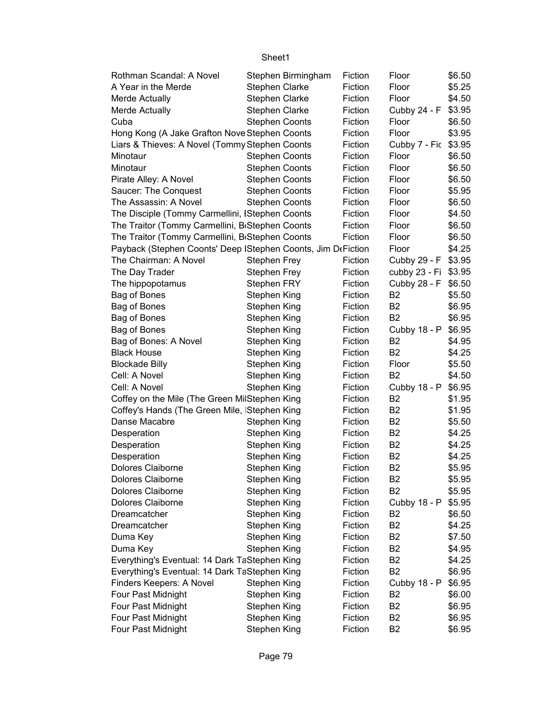| Rothman Scandal: A Novel                                      |                              | Stephen Birmingham | Fiction            | Floor                          | \$6.50           |
|---------------------------------------------------------------|------------------------------|--------------------|--------------------|--------------------------------|------------------|
| A Year in the Merde                                           | <b>Stephen Clarke</b>        |                    | Fiction            | Floor                          | \$5.25           |
| Merde Actually                                                | <b>Stephen Clarke</b>        |                    | Fiction            | Floor                          | \$4.50           |
| Merde Actually                                                | <b>Stephen Clarke</b>        |                    | Fiction            | Cubby 24 - F                   | \$3.95           |
| Cuba                                                          | Stephen Coonts               |                    | Fiction            | Floor                          | \$6.50           |
| Hong Kong (A Jake Grafton Nove Stephen Coonts                 |                              |                    | Fiction            | Floor                          | \$3.95           |
| Liars & Thieves: A Novel (Tommy Stephen Coonts                |                              |                    | Fiction            | Cubby 7 - Fic                  | \$3.95           |
| Minotaur                                                      | <b>Stephen Coonts</b>        |                    | Fiction            | Floor                          | \$6.50           |
| Minotaur                                                      | <b>Stephen Coonts</b>        |                    | Fiction            | Floor                          | \$6.50           |
| Pirate Alley: A Novel                                         | <b>Stephen Coonts</b>        |                    | Fiction            | Floor                          | \$6.50           |
| Saucer: The Conquest                                          | <b>Stephen Coonts</b>        |                    | Fiction            | Floor                          | \$5.95           |
| The Assassin: A Novel                                         | <b>Stephen Coonts</b>        |                    | Fiction            | Floor                          | \$6.50           |
| The Disciple (Tommy Carmellini, IStephen Coonts               |                              |                    | Fiction            | Floor                          | \$4.50           |
| The Traitor (Tommy Carmellini, B <sub>'</sub> Stephen Coonts  |                              |                    | Fiction            | Floor                          | \$6.50           |
| The Traitor (Tommy Carmellini, B <sub>'</sub> Stephen Coonts  |                              |                    | Fiction            | Floor                          | \$6.50           |
| Payback (Stephen Coonts' Deep   Stephen Coonts, Jim DeFiction |                              |                    |                    | Floor                          | \$4.25           |
| The Chairman: A Novel                                         | <b>Stephen Frey</b>          |                    | Fiction            | Cubby 29 - F                   | \$3.95           |
| The Day Trader                                                | <b>Stephen Frey</b>          |                    | Fiction            | cubby 23 - Fi                  | \$3.95           |
| The hippopotamus                                              | Stephen FRY                  |                    | Fiction            | Cubby 28 - F                   | \$6.50           |
| Bag of Bones                                                  | <b>Stephen King</b>          |                    | Fiction            | B <sub>2</sub>                 | \$5.50           |
| Bag of Bones                                                  | Stephen King                 |                    | Fiction            | <b>B2</b>                      | \$6.95           |
| Bag of Bones                                                  | <b>Stephen King</b>          |                    | Fiction            | B <sub>2</sub>                 | \$6.95           |
| Bag of Bones                                                  | <b>Stephen King</b>          |                    | Fiction            | Cubby 18 - P                   | \$6.95           |
| Bag of Bones: A Novel                                         | Stephen King                 |                    | Fiction            | B <sub>2</sub>                 | \$4.95           |
| <b>Black House</b>                                            | Stephen King                 |                    | Fiction            | B <sub>2</sub>                 | \$4.25           |
| <b>Blockade Billy</b>                                         | Stephen King                 |                    | Fiction            | Floor                          | \$5.50           |
| Cell: A Novel                                                 | <b>Stephen King</b>          |                    | Fiction            | <b>B2</b>                      | \$4.50           |
| Cell: A Novel                                                 | Stephen King                 |                    | Fiction            | Cubby 18 - P                   | \$6.95           |
| Coffey on the Mile (The Green MilStephen King                 |                              |                    | Fiction            | B <sub>2</sub>                 | \$1.95           |
| Coffey's Hands (The Green Mile, Stephen King                  |                              |                    | Fiction            | B <sub>2</sub>                 | \$1.95           |
| Danse Macabre                                                 | Stephen King                 |                    | Fiction            | B <sub>2</sub>                 | \$5.50           |
| Desperation                                                   | <b>Stephen King</b>          |                    | Fiction            | B <sub>2</sub>                 | \$4.25           |
| Desperation                                                   | Stephen King                 |                    | Fiction            | B <sub>2</sub>                 | \$4.25           |
| Desperation                                                   | Stephen King                 |                    | Fiction            | B <sub>2</sub>                 | \$4.25           |
| Dolores Claiborne                                             | Stephen King                 |                    | Fiction            | B <sub>2</sub>                 | \$5.95           |
| Dolores Claiborne                                             |                              |                    | Fiction            | B <sub>2</sub>                 | \$5.95           |
| Dolores Claiborne                                             | Stephen King<br>Stephen King |                    | Fiction            | B <sub>2</sub>                 | \$5.95           |
| Dolores Claiborne                                             |                              |                    | Fiction            |                                | \$5.95           |
|                                                               | <b>Stephen King</b>          |                    | Fiction            | Cubby 18 - P<br>B <sub>2</sub> | \$6.50           |
| Dreamcatcher                                                  | <b>Stephen King</b>          |                    | Fiction            | B <sub>2</sub>                 |                  |
| Dreamcatcher                                                  | <b>Stephen King</b>          |                    | Fiction            | B <sub>2</sub>                 | \$4.25<br>\$7.50 |
| Duma Key                                                      | Stephen King                 |                    |                    | B <sub>2</sub>                 |                  |
| Duma Key                                                      | <b>Stephen King</b>          |                    | Fiction            | B <sub>2</sub>                 | \$4.95           |
| Everything's Eventual: 14 Dark TaStephen King                 |                              |                    | Fiction<br>Fiction | B <sub>2</sub>                 | \$4.25           |
| Everything's Eventual: 14 Dark TaStephen King                 |                              |                    |                    |                                | \$6.95           |
| Finders Keepers: A Novel                                      | Stephen King                 |                    | Fiction            | Cubby 18 - P<br>B <sub>2</sub> | \$6.95           |
| Four Past Midnight                                            | Stephen King                 |                    | Fiction            | B <sub>2</sub>                 | \$6.00           |
| Four Past Midnight                                            | Stephen King                 |                    | Fiction            |                                | \$6.95           |
| Four Past Midnight                                            | Stephen King                 |                    | Fiction            | B <sub>2</sub>                 | \$6.95           |
| Four Past Midnight                                            | Stephen King                 |                    | Fiction            | B <sub>2</sub>                 | \$6.95           |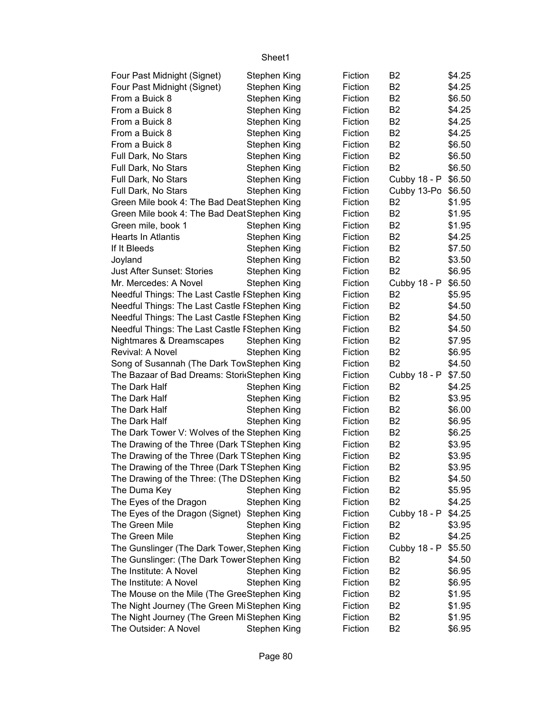| Four Past Midnight (Signet)                   | Stephen King        | Fiction | B <sub>2</sub> | \$4.25 |
|-----------------------------------------------|---------------------|---------|----------------|--------|
| Four Past Midnight (Signet)                   | Stephen King        | Fiction | B <sub>2</sub> | \$4.25 |
| From a Buick 8                                | Stephen King        | Fiction | B <sub>2</sub> | \$6.50 |
| From a Buick 8                                | Stephen King        | Fiction | B <sub>2</sub> | \$4.25 |
| From a Buick 8                                | Stephen King        | Fiction | B <sub>2</sub> | \$4.25 |
| From a Buick 8                                | Stephen King        | Fiction | B <sub>2</sub> | \$4.25 |
| From a Buick 8                                | Stephen King        | Fiction | B <sub>2</sub> | \$6.50 |
| Full Dark, No Stars                           | Stephen King        | Fiction | B <sub>2</sub> | \$6.50 |
| Full Dark, No Stars                           | Stephen King        | Fiction | B <sub>2</sub> | \$6.50 |
| Full Dark, No Stars                           | Stephen King        | Fiction | Cubby 18 - P   | \$6.50 |
| Full Dark, No Stars                           | Stephen King        | Fiction | Cubby 13-Po    | \$6.50 |
| Green Mile book 4: The Bad Deat Stephen King  |                     | Fiction | B <sub>2</sub> | \$1.95 |
| Green Mile book 4: The Bad Deat Stephen King  |                     | Fiction | B <sub>2</sub> | \$1.95 |
| Green mile, book 1                            | Stephen King        | Fiction | B <sub>2</sub> | \$1.95 |
| Hearts In Atlantis                            | Stephen King        | Fiction | B <sub>2</sub> | \$4.25 |
| If It Bleeds                                  | Stephen King        | Fiction | B <sub>2</sub> | \$7.50 |
| Joyland                                       | Stephen King        | Fiction | B <sub>2</sub> | \$3.50 |
| <b>Just After Sunset: Stories</b>             | Stephen King        | Fiction | B <sub>2</sub> | \$6.95 |
| Mr. Mercedes: A Novel                         | Stephen King        | Fiction | Cubby 18 - P   | \$6.50 |
| Needful Things: The Last Castle FStephen King |                     | Fiction | B <sub>2</sub> | \$5.95 |
| Needful Things: The Last Castle FStephen King |                     | Fiction | B <sub>2</sub> | \$4.50 |
| Needful Things: The Last Castle FStephen King |                     | Fiction | B <sub>2</sub> | \$4.50 |
| Needful Things: The Last Castle FStephen King |                     | Fiction | B <sub>2</sub> | \$4.50 |
| Nightmares & Dreamscapes                      | Stephen King        | Fiction | B <sub>2</sub> | \$7.95 |
| Revival: A Novel                              | Stephen King        | Fiction | B <sub>2</sub> | \$6.95 |
| Song of Susannah (The Dark TowStephen King    |                     | Fiction | B <sub>2</sub> | \$4.50 |
| The Bazaar of Bad Dreams: Stori Stephen King  |                     | Fiction | Cubby 18 - P   | \$7.50 |
| The Dark Half                                 | Stephen King        | Fiction | B <sub>2</sub> | \$4.25 |
| The Dark Half                                 | Stephen King        | Fiction | B <sub>2</sub> | \$3.95 |
| The Dark Half                                 | Stephen King        | Fiction | B <sub>2</sub> | \$6.00 |
| The Dark Half                                 | Stephen King        | Fiction | B <sub>2</sub> | \$6.95 |
| The Dark Tower V: Wolves of the Stephen King  |                     | Fiction | B <sub>2</sub> | \$6.25 |
| The Drawing of the Three (Dark TStephen King  |                     | Fiction | B <sub>2</sub> | \$3.95 |
| The Drawing of the Three (Dark TStephen King  |                     | Fiction | B <sub>2</sub> | \$3.95 |
| The Drawing of the Three (Dark TStephen King  |                     | Fiction | B <sub>2</sub> | \$3.95 |
| The Drawing of the Three: (The DStephen King  |                     | Fiction | B <sub>2</sub> | \$4.50 |
| The Duma Key                                  | <b>Stephen King</b> | Fiction | B <sub>2</sub> | \$5.95 |
| The Eyes of the Dragon                        | Stephen King        | Fiction | B <sub>2</sub> | \$4.25 |
| The Eyes of the Dragon (Signet)               | Stephen King        | Fiction | Cubby 18 - P   | \$4.25 |
| The Green Mile                                | Stephen King        | Fiction | B2             | \$3.95 |
| The Green Mile                                | Stephen King        | Fiction | B <sub>2</sub> | \$4.25 |
| The Gunslinger (The Dark Tower, Stephen King  |                     | Fiction | Cubby 18 - P   | \$5.50 |
| The Gunslinger: (The Dark Tower Stephen King  |                     | Fiction | B <sub>2</sub> | \$4.50 |
| The Institute: A Novel                        | Stephen King        | Fiction | B <sub>2</sub> | \$6.95 |
| The Institute: A Novel                        | Stephen King        | Fiction | B <sub>2</sub> | \$6.95 |
| The Mouse on the Mile (The GreeStephen King   |                     | Fiction | B <sub>2</sub> | \$1.95 |
| The Night Journey (The Green Mi Stephen King  |                     | Fiction | B <sub>2</sub> | \$1.95 |
| The Night Journey (The Green Mi Stephen King  |                     | Fiction | B <sub>2</sub> | \$1.95 |
| The Outsider: A Novel                         | Stephen King        | Fiction | B <sub>2</sub> | \$6.95 |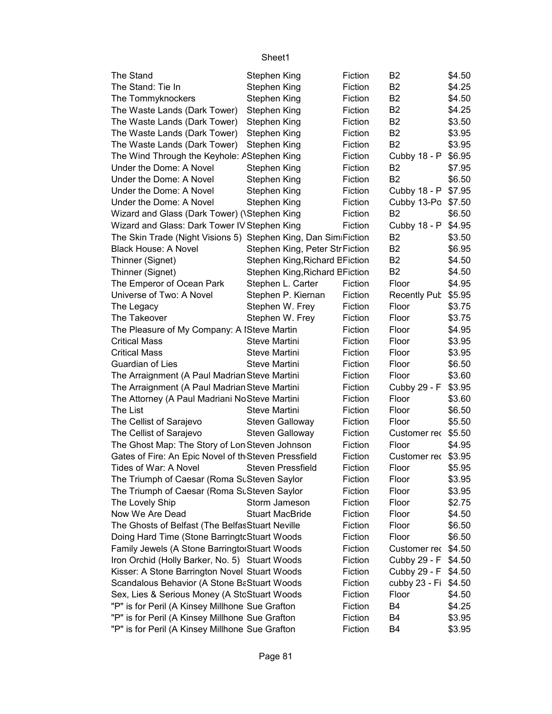| The Stand                                                      | Stephen King                    | Fiction | B2                   | \$4.50 |
|----------------------------------------------------------------|---------------------------------|---------|----------------------|--------|
| The Stand: Tie In                                              | Stephen King                    | Fiction | B <sub>2</sub>       | \$4.25 |
| The Tommyknockers                                              | Stephen King                    | Fiction | <b>B2</b>            | \$4.50 |
| The Waste Lands (Dark Tower)                                   | Stephen King                    | Fiction | <b>B2</b>            | \$4.25 |
| The Waste Lands (Dark Tower)                                   | Stephen King                    | Fiction | B <sub>2</sub>       | \$3.50 |
| The Waste Lands (Dark Tower)                                   | Stephen King                    | Fiction | <b>B2</b>            | \$3.95 |
| The Waste Lands (Dark Tower)                                   | Stephen King                    | Fiction | B <sub>2</sub>       | \$3.95 |
| The Wind Through the Keyhole: AStephen King                    |                                 | Fiction | Cubby 18 - P         | \$6.95 |
| Under the Dome: A Novel                                        | Stephen King                    | Fiction | B <sub>2</sub>       | \$7.95 |
| Under the Dome: A Novel                                        | Stephen King                    | Fiction | <b>B2</b>            | \$6.50 |
| Under the Dome: A Novel                                        | Stephen King                    | Fiction | Cubby 18 - P \$7.95  |        |
| Under the Dome: A Novel                                        | Stephen King                    | Fiction | Cubby 13-Po \$7.50   |        |
| Wizard and Glass (Dark Tower) (\Stephen King                   |                                 | Fiction | B <sub>2</sub>       | \$6.50 |
| Wizard and Glass: Dark Tower IV Stephen King                   |                                 | Fiction | Cubby 18 - P \$4.95  |        |
| The Skin Trade (Night Visions 5) Stephen King, Dan SimiFiction |                                 |         | B <sub>2</sub>       | \$3.50 |
| <b>Black House: A Novel</b>                                    | Stephen King, Peter Str Fiction |         | B <sub>2</sub>       | \$6.95 |
| Thinner (Signet)                                               | Stephen King, Richard BFiction  |         | <b>B2</b>            | \$4.50 |
| Thinner (Signet)                                               | Stephen King, Richard BFiction  |         | <b>B2</b>            | \$4.50 |
| The Emperor of Ocean Park                                      | Stephen L. Carter               | Fiction | Floor                | \$4.95 |
| Universe of Two: A Novel                                       | Stephen P. Kiernan              | Fiction | Recently Pub \$5.95  |        |
| The Legacy                                                     | Stephen W. Frey                 | Fiction | Floor                | \$3.75 |
| The Takeover                                                   | Stephen W. Frey                 | Fiction | Floor                | \$3.75 |
| The Pleasure of My Company: A ISteve Martin                    |                                 | Fiction | Floor                | \$4.95 |
| <b>Critical Mass</b>                                           | Steve Martini                   | Fiction | Floor                | \$3.95 |
| <b>Critical Mass</b>                                           | Steve Martini                   | Fiction | Floor                | \$3.95 |
| Guardian of Lies                                               | Steve Martini                   | Fiction | Floor                | \$6.50 |
| The Arraignment (A Paul Madrian Steve Martini                  |                                 | Fiction | Floor                | \$3.60 |
| The Arraignment (A Paul Madrian Steve Martini                  |                                 | Fiction | Cubby 29 - F         | \$3.95 |
| The Attorney (A Paul Madriani NoSteve Martini                  |                                 | Fiction | Floor                | \$3.60 |
| The List                                                       | Steve Martini                   | Fiction | Floor                | \$6.50 |
| The Cellist of Sarajevo                                        | <b>Steven Galloway</b>          | Fiction | Floor                | \$5.50 |
| The Cellist of Sarajevo                                        | <b>Steven Galloway</b>          | Fiction | Customer rec \$5.50  |        |
| The Ghost Map: The Story of Lon Steven Johnson                 |                                 | Fiction | Floor                | \$4.95 |
| Gates of Fire: An Epic Novel of th Steven Pressfield           |                                 | Fiction | Customer rec \$3.95  |        |
| Tides of War: A Novel                                          | <b>Steven Pressfield</b>        | Fiction | Floor                | \$5.95 |
| The Triumph of Caesar (Roma SuSteven Saylor                    |                                 | Fiction | Floor                | \$3.95 |
| The Triumph of Caesar (Roma SuSteven Saylor                    |                                 | Fiction | Floor                | \$3.95 |
| The Lovely Ship                                                | Storm Jameson                   | Fiction | Floor                | \$2.75 |
| Now We Are Dead                                                | <b>Stuart MacBride</b>          | Fiction | Floor                | \$4.50 |
| The Ghosts of Belfast (The BelfasStuart Neville                |                                 | Fiction | Floor                | \$6.50 |
| Doing Hard Time (Stone Barringtc Stuart Woods                  |                                 | Fiction | Floor                | \$6.50 |
| Family Jewels (A Stone Barringtoi Stuart Woods                 |                                 | Fiction | Customer rec \$4.50  |        |
| Iron Orchid (Holly Barker, No. 5) Stuart Woods                 |                                 | Fiction | Cubby 29 - F \$4.50  |        |
| Kisser: A Stone Barrington Novel Stuart Woods                  |                                 | Fiction | Cubby 29 - F \$4.50  |        |
| Scandalous Behavior (A Stone BaStuart Woods                    |                                 | Fiction | cubby 23 - Fi \$4.50 |        |
| Sex, Lies & Serious Money (A StcStuart Woods                   |                                 | Fiction | Floor                | \$4.50 |
| "P" is for Peril (A Kinsey Millhone Sue Grafton                |                                 | Fiction | B4                   | \$4.25 |
| "P" is for Peril (A Kinsey Millhone Sue Grafton                |                                 | Fiction | B4                   | \$3.95 |
| "P" is for Peril (A Kinsey Millhone Sue Grafton                |                                 | Fiction | B4                   | \$3.95 |
|                                                                |                                 |         |                      |        |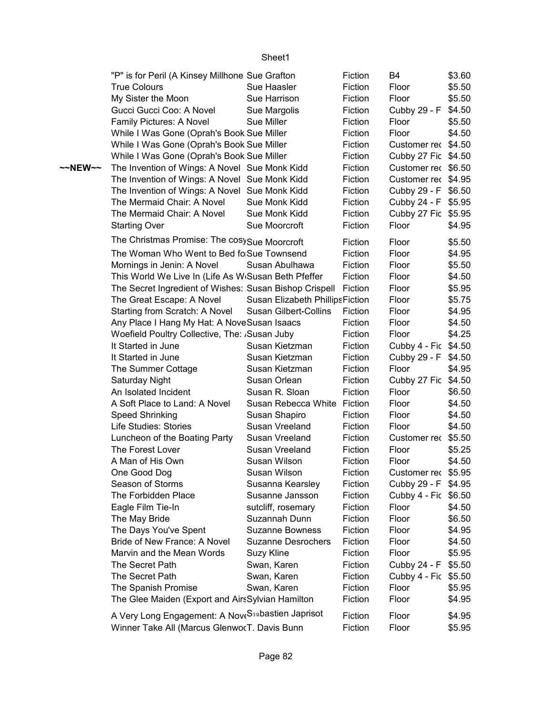|         | "P" is for Peril (A Kinsey Millhone Sue Grafton                  |                                     | Fiction            | B4                                          | \$3.60           |
|---------|------------------------------------------------------------------|-------------------------------------|--------------------|---------------------------------------------|------------------|
|         | <b>True Colours</b>                                              | Sue Haasler                         | Fiction            | Floor                                       | \$5.50           |
|         | My Sister the Moon                                               | Sue Harrison                        | Fiction            | Floor                                       | \$5.50           |
|         | Gucci Gucci Coo: A Novel                                         | Sue Margolis                        | Fiction            | Cubby 29 - F                                | \$4.50           |
|         | Family Pictures: A Novel                                         | Sue Miller                          | Fiction            | Floor                                       | \$5.50           |
|         | While I Was Gone (Oprah's Book Sue Miller                        |                                     | Fiction            | Floor                                       | \$4.50           |
|         | While I Was Gone (Oprah's Book Sue Miller                        |                                     | Fiction            | Customer rec \$4.50                         |                  |
|         | While I Was Gone (Oprah's Book Sue Miller                        |                                     | Fiction            | Cubby 27 Fic \$4.50                         |                  |
| ~~NEW~~ | The Invention of Wings: A Novel Sue Monk Kidd                    |                                     | Fiction            | Customer rec \$6.50                         |                  |
|         | The Invention of Wings: A Novel Sue Monk Kidd                    |                                     | Fiction            | Customer rec \$4.95                         |                  |
|         | The Invention of Wings: A Novel Sue Monk Kidd                    |                                     | Fiction            | Cubby 29 - F \$6.50                         |                  |
|         | The Mermaid Chair: A Novel                                       | Sue Monk Kidd                       | Fiction            | Cubby 24 - F \$5.95                         |                  |
|         | The Mermaid Chair: A Novel                                       | Sue Monk Kidd                       | Fiction            | Cubby 27 Fic \$5.95                         |                  |
|         | <b>Starting Over</b>                                             | Sue Moorcroft                       | Fiction            | Floor                                       | \$4.95           |
|         | The Christmas Promise: The cosy Sue Moorcroft                    |                                     | Fiction            | Floor                                       | \$5.50           |
|         | The Woman Who Went to Bed fo Sue Townsend                        |                                     | Fiction            | Floor                                       | \$4.95           |
|         | Mornings in Jenin: A Novel                                       | Susan Abulhawa                      | Fiction            | Floor                                       | \$5.50           |
|         | This World We Live In (Life As W <sub>'</sub> Susan Beth Pfeffer |                                     | Fiction            | Floor                                       | \$4.50           |
|         | The Secret Ingredient of Wishes: Susan Bishop Crispell           |                                     | Fiction            | Floor                                       | \$5.95           |
|         | The Great Escape: A Novel                                        | Susan Elizabeth PhillipsFiction     |                    | Floor                                       | \$5.75           |
|         | Starting from Scratch: A Novel                                   | <b>Susan Gilbert-Collins</b>        | Fiction            | Floor                                       | \$4.95           |
|         | Any Place I Hang My Hat: A NoveSusan Isaacs                      |                                     | Fiction            | Floor                                       | \$4.50           |
|         | Woefield Poultry Collective, The: Susan Juby                     |                                     | Fiction            | Floor                                       | \$4.25           |
|         | It Started in June                                               | Susan Kietzman                      | Fiction            | Cubby 4 - Fic \$4.50                        |                  |
|         | It Started in June                                               | Susan Kietzman                      | Fiction            | Cubby 29 - F \$4.50                         |                  |
|         |                                                                  | Susan Kietzman                      |                    | Floor                                       | \$4.95           |
|         | The Summer Cottage                                               | Susan Orlean                        | Fiction<br>Fiction |                                             |                  |
|         | Saturday Night<br>An Isolated Incident                           | Susan R. Sloan                      |                    | Cubby 27 Fic<br>Floor                       | \$4.50           |
|         | A Soft Place to Land: A Novel                                    | Susan Rebecca White                 | Fiction            | Floor                                       | \$6.50           |
|         |                                                                  |                                     | Fiction<br>Fiction | Floor                                       | \$4.50           |
|         | Speed Shrinking<br>Life Studies: Stories                         | Susan Shapiro<br>Susan Vreeland     | Fiction            | Floor                                       | \$4.50<br>\$4.50 |
|         |                                                                  | Susan Vreeland                      | Fiction            |                                             |                  |
|         | Luncheon of the Boating Party<br>The Forest Lover                | Susan Vreeland                      | Fiction            | Customer rec \$5.50<br>Floor                |                  |
|         |                                                                  |                                     |                    |                                             | \$5.25           |
|         | A Man of His Own                                                 | Susan Wilson<br>Susan Wilson        | Fiction<br>Fiction | Floor<br>Customer rec \$5.95                | \$4.50           |
|         | One Good Dog<br>Season of Storms                                 |                                     |                    |                                             |                  |
|         | The Forbidden Place                                              | Susanna Kearsley<br>Susanne Jansson | Fiction<br>Fiction | Cubby 29 - F \$4.95<br>Cubby 4 - Fic \$6.50 |                  |
|         |                                                                  |                                     |                    |                                             |                  |
|         | Eagle Film Tie-In                                                | sutcliff, rosemary                  | Fiction            | Floor                                       | \$4.50           |
|         | The May Bride                                                    | Suzannah Dunn                       | Fiction            | Floor                                       | \$6.50           |
|         | The Days You've Spent                                            | <b>Suzanne Bowness</b>              | Fiction            | Floor                                       | \$4.95           |
|         | Bride of New France: A Novel                                     | <b>Suzanne Desrochers</b>           | Fiction            | Floor                                       | \$4.50           |
|         | Marvin and the Mean Words                                        | Suzy Kline                          | Fiction            | Floor                                       | \$5.95           |
|         | The Secret Path                                                  | Swan, Karen                         | Fiction            | Cubby 24 - F                                | \$5.50           |
|         | The Secret Path                                                  | Swan, Karen                         | Fiction            | Cubby 4 - Fic                               | \$5.50           |
|         | The Spanish Promise                                              | Swan, Karen                         | Fiction            | Floor                                       | \$5.95           |
|         | The Glee Maiden (Export and AirsSylvian Hamilton                 |                                     | Fiction            | Floor                                       | \$4.95           |
|         | A Very Long Engagement: A Nove S <sub>30</sub> bastien Japrisot  |                                     | Fiction            | Floor                                       | \$4.95           |
|         | Winner Take All (Marcus GlenworT. Davis Bunn                     |                                     | Fiction            | Floor                                       | \$5.95           |
|         |                                                                  |                                     |                    |                                             |                  |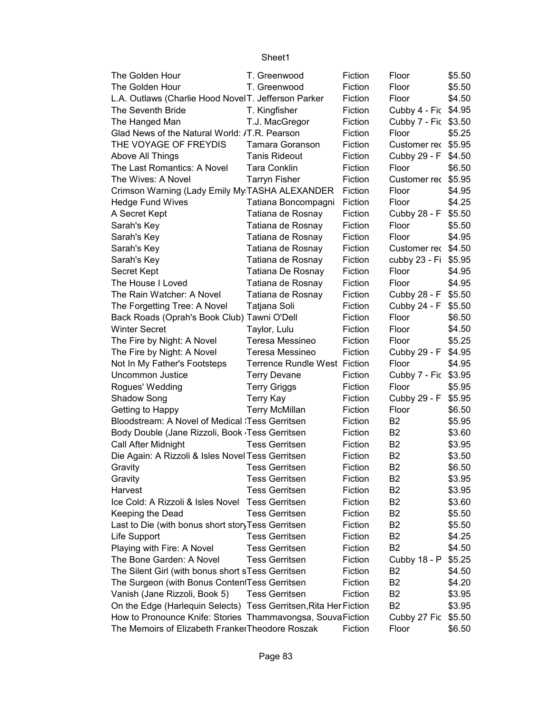| The Golden Hour                                                  | T. Greenwood                        | Fiction | Floor                | \$5.50 |
|------------------------------------------------------------------|-------------------------------------|---------|----------------------|--------|
| The Golden Hour                                                  | T. Greenwood                        | Fiction | Floor                | \$5.50 |
| L.A. Outlaws (Charlie Hood NovelT. Jefferson Parker              |                                     | Fiction | Floor                | \$4.50 |
| The Seventh Bride                                                | T. Kingfisher                       | Fiction | Cubby 4 - Fic \$4.95 |        |
| The Hanged Man                                                   | T.J. MacGregor                      | Fiction | Cubby 7 - Fic \$3.50 |        |
| Glad News of the Natural World: /T.R. Pearson                    |                                     | Fiction | Floor                | \$5.25 |
| THE VOYAGE OF FREYDIS                                            | Tamara Goranson                     | Fiction | Customer rec \$5.95  |        |
| Above All Things                                                 | <b>Tanis Rideout</b>                | Fiction | Cubby 29 - F         | \$4.50 |
| The Last Romantics: A Novel                                      | <b>Tara Conklin</b>                 | Fiction | Floor                | \$6.50 |
| The Wives: A Novel                                               | <b>Tarryn Fisher</b>                | Fiction | Customer rec         | \$5.95 |
| Crimson Warning (Lady Emily My TASHA ALEXANDER                   |                                     | Fiction | Floor                | \$4.95 |
| <b>Hedge Fund Wives</b>                                          | Tatiana Boncompagni                 | Fiction | Floor                | \$4.25 |
| A Secret Kept                                                    | Tatiana de Rosnay                   | Fiction | Cubby 28 - F         | \$5.50 |
| Sarah's Key                                                      | Tatiana de Rosnay                   | Fiction | Floor                | \$5.50 |
| Sarah's Key                                                      | Tatiana de Rosnay                   | Fiction | Floor                | \$4.95 |
| Sarah's Key                                                      | Tatiana de Rosnay                   | Fiction | Customer rec \$4.50  |        |
| Sarah's Key                                                      | Tatiana de Rosnay                   | Fiction | cubby 23 - Fi        | \$5.95 |
| <b>Secret Kept</b>                                               | Tatiana De Rosnay                   | Fiction | Floor                | \$4.95 |
| The House I Loved                                                | Tatiana de Rosnay                   | Fiction | Floor                | \$4.95 |
| The Rain Watcher: A Novel                                        | Tatiana de Rosnay                   | Fiction | Cubby 28 - F \$5.50  |        |
| The Forgetting Tree: A Novel                                     | Tatjana Soli                        | Fiction | Cubby 24 - F         | \$5.50 |
| Back Roads (Oprah's Book Club) Tawni O'Dell                      |                                     | Fiction | Floor                | \$6.50 |
| <b>Winter Secret</b>                                             | Taylor, Lulu                        | Fiction | Floor                | \$4.50 |
| The Fire by Night: A Novel                                       | Teresa Messineo                     | Fiction | Floor                | \$5.25 |
| The Fire by Night: A Novel                                       | Teresa Messineo                     | Fiction | Cubby 29 - F         | \$4.95 |
| Not In My Father's Footsteps                                     | <b>Terrence Rundle West Fiction</b> |         | Floor                | \$4.95 |
| <b>Uncommon Justice</b>                                          | <b>Terry Devane</b>                 | Fiction | Cubby 7 - Fic \$3.95 |        |
| Rogues' Wedding                                                  | <b>Terry Griggs</b>                 | Fiction | Floor                | \$5.95 |
| Shadow Song                                                      | <b>Terry Kay</b>                    | Fiction | Cubby 29 - F         | \$5.95 |
| Getting to Happy                                                 | <b>Terry McMillan</b>               | Fiction | Floor                | \$6.50 |
| Bloodstream: A Novel of Medical 'Tess Gerritsen                  |                                     | Fiction | B <sub>2</sub>       | \$5.95 |
| Body Double (Jane Rizzoli, Book Tess Gerritsen                   |                                     | Fiction | <b>B2</b>            | \$3.60 |
| Call After Midnight                                              | <b>Tess Gerritsen</b>               | Fiction | B <sub>2</sub>       | \$3.95 |
| Die Again: A Rizzoli & Isles Novel Tess Gerritsen                |                                     | Fiction | B <sub>2</sub>       | \$3.50 |
| Gravity                                                          | <b>Tess Gerritsen</b>               | Fiction | B <sub>2</sub>       | \$6.50 |
| Gravity                                                          | <b>Tess Gerritsen</b>               | Fiction | B <sub>2</sub>       | \$3.95 |
| Harvest                                                          | <b>Tess Gerritsen</b>               | Fiction | B <sub>2</sub>       | \$3.95 |
| Ice Cold: A Rizzoli & Isles Novel                                | <b>Tess Gerritsen</b>               | Fiction | B <sub>2</sub>       | \$3.60 |
| Keeping the Dead                                                 | <b>Tess Gerritsen</b>               | Fiction | B <sub>2</sub>       | \$5.50 |
| Last to Die (with bonus short story Tess Gerritsen               |                                     | Fiction | B <sub>2</sub>       | \$5.50 |
| Life Support                                                     | <b>Tess Gerritsen</b>               | Fiction | B <sub>2</sub>       | \$4.25 |
| Playing with Fire: A Novel                                       | <b>Tess Gerritsen</b>               | Fiction | B <sub>2</sub>       | \$4.50 |
| The Bone Garden: A Novel                                         | <b>Tess Gerritsen</b>               | Fiction | Cubby 18 - P         | \$5.25 |
| The Silent Girl (with bonus short sTess Gerritsen                |                                     | Fiction | B <sub>2</sub>       | \$4.50 |
| The Surgeon (with Bonus ContentTess Gerritsen                    |                                     | Fiction | B <sub>2</sub>       | \$4.20 |
| Vanish (Jane Rizzoli, Book 5)                                    | <b>Tess Gerritsen</b>               | Fiction | B <sub>2</sub>       | \$3.95 |
| On the Edge (Harlequin Selects) Tess Gerritsen, Rita Her Fiction |                                     |         | B <sub>2</sub>       | \$3.95 |
| How to Pronounce Knife: Stories Thammavongsa, SouvaFiction       |                                     |         | Cubby 27 Fic         | \$5.50 |
| The Memoirs of Elizabeth FrankerTheodore Roszak                  |                                     | Fiction | Floor                | \$6.50 |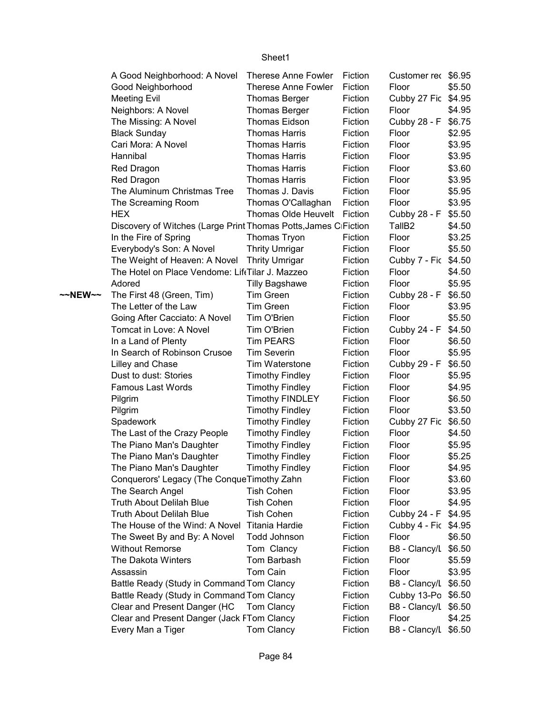|         | A Good Neighborhood: A Novel                                    | Therese Anne Fowler        | Fiction | Customer rec \$6.95  |        |
|---------|-----------------------------------------------------------------|----------------------------|---------|----------------------|--------|
|         | Good Neighborhood                                               | <b>Therese Anne Fowler</b> | Fiction | Floor                | \$5.50 |
|         | <b>Meeting Evil</b>                                             | <b>Thomas Berger</b>       | Fiction | Cubby 27 Fic         | \$4.95 |
|         | Neighbors: A Novel                                              | <b>Thomas Berger</b>       | Fiction | Floor                | \$4.95 |
|         | The Missing: A Novel                                            | <b>Thomas Eidson</b>       | Fiction | Cubby 28 - F         | \$6.75 |
|         | <b>Black Sunday</b>                                             | <b>Thomas Harris</b>       | Fiction | Floor                | \$2.95 |
|         | Cari Mora: A Novel                                              | <b>Thomas Harris</b>       | Fiction | Floor                | \$3.95 |
|         | Hannibal                                                        | <b>Thomas Harris</b>       | Fiction | Floor                | \$3.95 |
|         | Red Dragon                                                      | <b>Thomas Harris</b>       | Fiction | Floor                | \$3.60 |
|         | Red Dragon                                                      | <b>Thomas Harris</b>       | Fiction | Floor                | \$3.95 |
|         | The Aluminum Christmas Tree                                     | Thomas J. Davis            | Fiction | Floor                | \$5.95 |
|         | The Screaming Room                                              | Thomas O'Callaghan         | Fiction | Floor                | \$3.95 |
|         | <b>HEX</b>                                                      | Thomas Olde Heuvelt        | Fiction | Cubby 28 - F         | \$5.50 |
|         | Discovery of Witches (Large Print Thomas Potts, James CiFiction |                            |         | TallB <sub>2</sub>   | \$4.50 |
|         | In the Fire of Spring                                           | Thomas Tryon               | Fiction | Floor                | \$3.25 |
|         | Everybody's Son: A Novel                                        | <b>Thrity Umrigar</b>      | Fiction | Floor                | \$5.50 |
|         | The Weight of Heaven: A Novel                                   | <b>Thrity Umrigar</b>      | Fiction | Cubby 7 - Fic        | \$4.50 |
|         | The Hotel on Place Vendome: LiftTilar J. Mazzeo                 |                            | Fiction | Floor                | \$4.50 |
|         | Adored                                                          | <b>Tilly Bagshawe</b>      | Fiction | Floor                | \$5.95 |
| ~~NEW~~ | The First 48 (Green, Tim)                                       | Tim Green                  | Fiction | Cubby 28 - F         | \$6.50 |
|         | The Letter of the Law                                           | Tim Green                  | Fiction | Floor                | \$3.95 |
|         | Going After Cacciato: A Novel                                   | Tim O'Brien                | Fiction | Floor                | \$5.50 |
|         | Tomcat in Love: A Novel                                         | Tim O'Brien                | Fiction | Cubby 24 - F         | \$4.50 |
|         | In a Land of Plenty                                             | <b>Tim PEARS</b>           | Fiction | Floor                | \$6.50 |
|         | In Search of Robinson Crusoe                                    | <b>Tim Severin</b>         | Fiction | Floor                | \$5.95 |
|         | Lilley and Chase                                                | Tim Waterstone             | Fiction | Cubby 29 - F         | \$6.50 |
|         | Dust to dust: Stories                                           | <b>Timothy Findley</b>     | Fiction | Floor                | \$5.95 |
|         | <b>Famous Last Words</b>                                        | <b>Timothy Findley</b>     | Fiction | Floor                | \$4.95 |
|         | Pilgrim                                                         | <b>Timothy FINDLEY</b>     | Fiction | Floor                | \$6.50 |
|         | Pilgrim                                                         | <b>Timothy Findley</b>     | Fiction | Floor                | \$3.50 |
|         | Spadework                                                       | <b>Timothy Findley</b>     | Fiction | Cubby 27 Fic         | \$6.50 |
|         | The Last of the Crazy People                                    | <b>Timothy Findley</b>     | Fiction | Floor                | \$4.50 |
|         | The Piano Man's Daughter                                        | <b>Timothy Findley</b>     | Fiction | Floor                | \$5.95 |
|         | The Piano Man's Daughter                                        | <b>Timothy Findley</b>     | Fiction | Floor                | \$5.25 |
|         | The Piano Man's Daughter                                        | <b>Timothy Findley</b>     | Fiction | Floor                | \$4.95 |
|         | Conquerors' Legacy (The Conque Timothy Zahn                     |                            | Fiction | Floor                | \$3.60 |
|         | The Search Angel                                                | <b>Tish Cohen</b>          | Fiction | Floor                | \$3.95 |
|         | <b>Truth About Delilah Blue</b>                                 | <b>Tish Cohen</b>          | Fiction | Floor                | \$4.95 |
|         | <b>Truth About Delilah Blue</b>                                 | <b>Tish Cohen</b>          | Fiction | Cubby 24 - F         | \$4.95 |
|         | The House of the Wind: A Novel                                  | <b>Titania Hardie</b>      | Fiction | Cubby 4 - Fic \$4.95 |        |
|         | The Sweet By and By: A Novel                                    | Todd Johnson               | Fiction | Floor                | \$6.50 |
|         | <b>Without Remorse</b>                                          | Tom Clancy                 | Fiction | B8 - Clancy/L        | \$6.50 |
|         | The Dakota Winters                                              | Tom Barbash                | Fiction | Floor                | \$5.59 |
|         | Assassin                                                        | Tom Cain                   | Fiction | Floor                | \$3.95 |
|         | Battle Ready (Study in Command Tom Clancy                       |                            | Fiction | B8 - Clancy/L        | \$6.50 |
|         | Battle Ready (Study in Command Tom Clancy                       |                            | Fiction | Cubby 13-Po          | \$6.50 |
|         | Clear and Present Danger (HC                                    | Tom Clancy                 | Fiction | B8 - Clancy/L        | \$6.50 |
|         | Clear and Present Danger (Jack FTom Clancy                      |                            | Fiction | Floor                | \$4.25 |
|         | Every Man a Tiger                                               | Tom Clancy                 | Fiction | B8 - Clancy/L \$6.50 |        |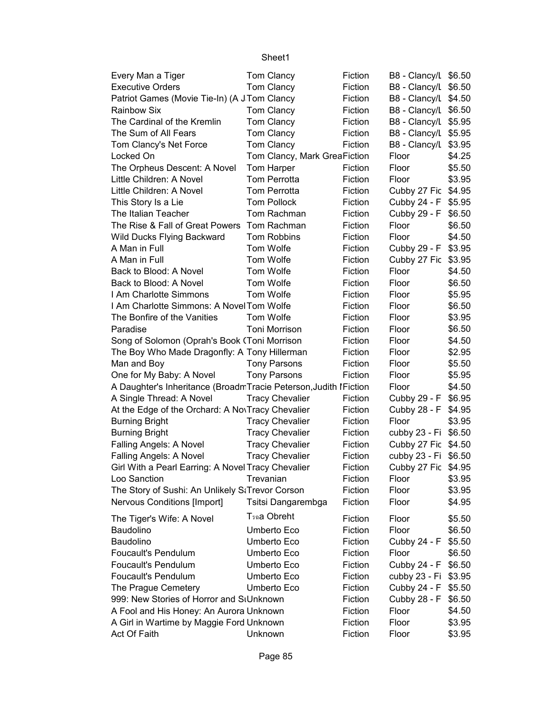| Every Man a Tiger                                                 | Tom Clancy                   | Fiction | B8 - Clancy/L \$6.50 |        |
|-------------------------------------------------------------------|------------------------------|---------|----------------------|--------|
| <b>Executive Orders</b>                                           | Tom Clancy                   | Fiction | B8 - Clancy/L \$6.50 |        |
| Patriot Games (Movie Tie-In) (A J Tom Clancy                      |                              | Fiction | B8 - Clancy/L \$4.50 |        |
| <b>Rainbow Six</b>                                                | Tom Clancy                   | Fiction | B8 - Clancy/L \$6.50 |        |
| The Cardinal of the Kremlin                                       | Tom Clancy                   | Fiction | B8 - Clancy/L \$5.95 |        |
| The Sum of All Fears                                              | Tom Clancy                   | Fiction | B8 - Clancy/L \$5.95 |        |
| Tom Clancy's Net Force                                            | Tom Clancy                   | Fiction | B8 - Clancy/L        | \$3.95 |
| Locked On                                                         | Tom Clancy, Mark GreaFiction |         | Floor                | \$4.25 |
| The Orpheus Descent: A Novel                                      | Tom Harper                   | Fiction | Floor                | \$5.50 |
| Little Children: A Novel                                          | <b>Tom Perrotta</b>          | Fiction | Floor                | \$3.95 |
| Little Children: A Novel                                          | Tom Perrotta                 | Fiction | Cubby 27 Fic \$4.95  |        |
| This Story Is a Lie                                               | <b>Tom Pollock</b>           | Fiction | Cubby 24 - F         | \$5.95 |
| The Italian Teacher                                               | Tom Rachman                  | Fiction | Cubby 29 - F         | \$6.50 |
| The Rise & Fall of Great Powers Tom Rachman                       |                              | Fiction | Floor                | \$6.50 |
| Wild Ducks Flying Backward                                        | Tom Robbins                  | Fiction | Floor                | \$4.50 |
| A Man in Full                                                     | Tom Wolfe                    | Fiction | Cubby 29 - F         | \$3.95 |
| A Man in Full                                                     | Tom Wolfe                    | Fiction | Cubby 27 Fic         | \$3.95 |
| Back to Blood: A Novel                                            | Tom Wolfe                    | Fiction | Floor                | \$4.50 |
| Back to Blood: A Novel                                            | Tom Wolfe                    | Fiction | Floor                | \$6.50 |
| I Am Charlotte Simmons                                            | Tom Wolfe                    | Fiction | Floor                | \$5.95 |
| I Am Charlotte Simmons: A Novel Tom Wolfe                         |                              | Fiction | Floor                | \$6.50 |
| The Bonfire of the Vanities                                       | Tom Wolfe                    | Fiction | Floor                | \$3.95 |
| Paradise                                                          | Toni Morrison                | Fiction | Floor                | \$6.50 |
| Song of Solomon (Oprah's Book (Toni Morrison                      |                              | Fiction | Floor                | \$4.50 |
| The Boy Who Made Dragonfly: A Tony Hillerman                      |                              | Fiction | Floor                | \$2.95 |
| Man and Boy                                                       | <b>Tony Parsons</b>          | Fiction | Floor                | \$5.50 |
| One for My Baby: A Novel                                          | <b>Tony Parsons</b>          | Fiction | Floor                | \$5.95 |
| A Daughter's Inheritance (BroadmTracie Peterson, Judith I Fiction |                              |         | Floor                | \$4.50 |
| A Single Thread: A Novel                                          | <b>Tracy Chevalier</b>       | Fiction | Cubby 29 - F         | \$6.95 |
| At the Edge of the Orchard: A NovTracy Chevalier                  |                              | Fiction | Cubby 28 - F         | \$4.95 |
| <b>Burning Bright</b>                                             | <b>Tracy Chevalier</b>       | Fiction | Floor                | \$3.95 |
| <b>Burning Bright</b>                                             | <b>Tracy Chevalier</b>       | Fiction | cubby 23 - Fi        | \$6.50 |
| Falling Angels: A Novel                                           | <b>Tracy Chevalier</b>       | Fiction | Cubby 27 Fic \$4.50  |        |
| Falling Angels: A Novel                                           | <b>Tracy Chevalier</b>       | Fiction | cubby 23 - Fi \$6.50 |        |
| Girl With a Pearl Earring: A Novel Tracy Chevalier                |                              | Fiction | Cubby 27 Fic \$4.95  |        |
| Loo Sanction                                                      | Trevanian                    | Fiction | Floor                | \$3.95 |
| The Story of Sushi: An Unlikely StTrevor Corson                   |                              | Fiction | Floor                | \$3.95 |
| <b>Nervous Conditions [Import]</b>                                | Tsitsi Dangarembga           | Fiction | Floor                | \$4.95 |
|                                                                   |                              |         |                      |        |
| The Tiger's Wife: A Novel                                         | <b>T</b> รฉa Obreht          | Fiction | Floor                | \$5.50 |
| Baudolino                                                         | Umberto Eco                  | Fiction | Floor                | \$6.50 |
| Baudolino                                                         | Umberto Eco                  | Fiction | Cubby 24 - F         | \$5.50 |
| <b>Foucault's Pendulum</b>                                        | Umberto Eco                  | Fiction | Floor                | \$6.50 |
| <b>Foucault's Pendulum</b>                                        | Umberto Eco                  | Fiction | Cubby 24 - F         | \$6.50 |
| <b>Foucault's Pendulum</b>                                        | Umberto Eco                  | Fiction | cubby 23 - Fi        | \$3.95 |
| The Prague Cemetery                                               | Umberto Eco                  | Fiction | Cubby 24 - F         | \$5.50 |
| 999: New Stories of Horror and StUnknown                          |                              | Fiction | Cubby 28 - F         | \$6.50 |
| A Fool and His Honey: An Aurora Unknown                           |                              | Fiction | Floor                | \$4.50 |
| A Girl in Wartime by Maggie Ford Unknown                          |                              | Fiction | Floor                | \$3.95 |
| Act Of Faith                                                      | Unknown                      | Fiction | Floor                | \$3.95 |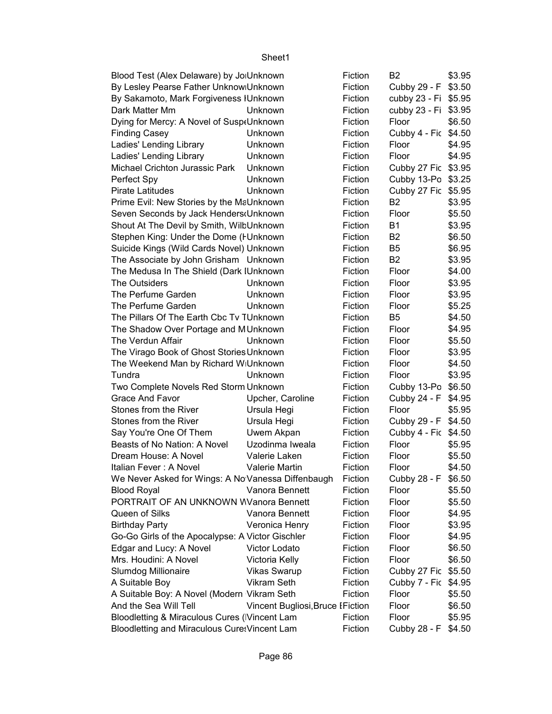| Blood Test (Alex Delaware) by Jo Unknown                   |                                 | Fiction      | B <sub>2</sub>       | \$3.95           |
|------------------------------------------------------------|---------------------------------|--------------|----------------------|------------------|
| By Lesley Pearse Father Unknow Unknown                     |                                 | Fiction      | Cubby 29 - F         | \$3.50           |
| By Sakamoto, Mark Forgiveness IUnknown                     |                                 | Fiction      | cubby 23 - Fi        | \$5.95           |
| Dark Matter Mm                                             | Unknown                         | Fiction      | cubby 23 - Fi        | \$3.95           |
| Dying for Mercy: A Novel of Susp(Unknown                   |                                 | Fiction      | Floor                | \$6.50           |
| <b>Finding Casey</b>                                       | Unknown                         | Fiction      | Cubby 4 - Fic        | \$4.50           |
| Ladies' Lending Library                                    | Unknown                         | Fiction      | Floor                | \$4.95           |
| Ladies' Lending Library                                    | Unknown                         | Fiction      | Floor                | \$4.95           |
| Michael Crichton Jurassic Park                             | Unknown                         | Fiction      | Cubby 27 Fic \$3.95  |                  |
| Perfect Spy                                                | Unknown                         | Fiction      | Cubby 13-Po          | \$3.25           |
| <b>Pirate Latitudes</b>                                    | Unknown                         | Fiction      | Cubby 27 Fic         | \$5.95           |
| Prime Evil: New Stories by the MaUnknown                   |                                 | Fiction      | B <sub>2</sub>       | \$3.95           |
| Seven Seconds by Jack Henders (Unknown                     |                                 | Fiction      | Floor                | \$5.50           |
| Shout At The Devil by Smith, WilbUnknown                   |                                 | Fiction      | <b>B1</b>            | \$3.95           |
| Stephen King: Under the Dome (FUnknown                     |                                 | Fiction      | B <sub>2</sub>       | \$6.50           |
| Suicide Kings (Wild Cards Novel) Unknown                   |                                 | Fiction      | B <sub>5</sub>       | \$6.95           |
| The Associate by John Grisham Unknown                      |                                 | Fiction      | B <sub>2</sub>       | \$3.95           |
| The Medusa In The Shield (Dark IUnknown                    |                                 | Fiction      | Floor                | \$4.00           |
| The Outsiders                                              | Unknown                         | Fiction      | Floor                | \$3.95           |
| The Perfume Garden                                         | Unknown                         | Fiction      | Floor                | \$3.95           |
| The Perfume Garden                                         | Unknown                         | Fiction      | Floor                | \$5.25           |
| The Pillars Of The Earth Cbc Tv TUnknown                   |                                 | Fiction      | B <sub>5</sub>       | \$4.50           |
| The Shadow Over Portage and MUnknown                       | Fiction                         | Floor        | \$4.95               |                  |
| The Verdun Affair                                          | Unknown                         | Fiction      | Floor                | \$5.50           |
| The Virago Book of Ghost Stories Unknown                   |                                 | Fiction      | Floor                | \$3.95           |
| The Weekend Man by Richard WIUnknown                       |                                 | Fiction      | Floor                | \$4.50           |
| Tundra                                                     | Unknown                         | Fiction      | Floor                | \$3.95           |
| Two Complete Novels Red Storm Unknown                      |                                 | Fiction      | Cubby 13-Po          | \$6.50           |
| <b>Grace And Favor</b>                                     | Upcher, Caroline                | Fiction      | Cubby 24 - F         | \$4.95           |
| Stones from the River                                      | Ursula Hegi                     | Fiction      | Floor                | \$5.95           |
| Stones from the River                                      | Ursula Hegi                     | Fiction      | Cubby 29 - F \$4.50  |                  |
| Say You're One Of Them                                     | Uwem Akpan                      | Fiction      | Cubby 4 - Fic \$4.50 |                  |
| Beasts of No Nation: A Novel                               | Uzodinma Iweala                 | Fiction      | Floor                | \$5.95           |
| Dream House: A Novel                                       | Valerie Laken                   | Fiction      | Floor                | \$5.50           |
| Italian Fever: A Novel                                     | Valerie Martin                  | Fiction      | Floor                | \$4.50           |
| We Never Asked for Wings: A No Vanessa Diffenbaugh         |                                 | Fiction      | Cubby 28 - F         | \$6.50           |
| <b>Blood Royal</b>                                         | Vanora Bennett                  | Fiction      | Floor                | \$5.50           |
| PORTRAIT OF AN UNKNOWN WVanora Bennett                     |                                 | Fiction      | Floor                | \$5.50           |
| Queen of Silks                                             | Vanora Bennett                  | Fiction      | Floor                | \$4.95           |
| <b>Birthday Party</b>                                      | Veronica Henry                  | Fiction      | Floor                | \$3.95           |
|                                                            |                                 |              |                      |                  |
| Go-Go Girls of the Apocalypse: A Victor Gischler           |                                 | Fiction      | Floor                | \$4.95           |
| Edgar and Lucy: A Novel<br>Mrs. Houdini: A Novel           | Victor Lodato<br>Victoria Kelly | Fiction      | Floor                | \$6.50<br>\$6.50 |
|                                                            |                                 | Fiction      | Floor                |                  |
| Slumdog Millionaire                                        | <b>Vikas Swarup</b>             | Fiction      | Cubby 27 Fic \$5.50  |                  |
| A Suitable Boy                                             | Vikram Seth                     | Fiction      | Cubby 7 - Fic        | \$4.95           |
| A Suitable Boy: A Novel (Modern Vikram Seth                |                                 | Fiction      | Floor                | \$5.50           |
| And the Sea Will Tell<br>Vincent Bugliosi, Bruce I Fiction |                                 |              | Floor                | \$6.50           |
| Bloodletting & Miraculous Cures (Vincent Lam               |                                 | Fiction      | Floor                | \$5.95           |
| Bloodletting and Miraculous Cure: Vincent Lam              | Fiction                         | Cubby 28 - F | \$4.50               |                  |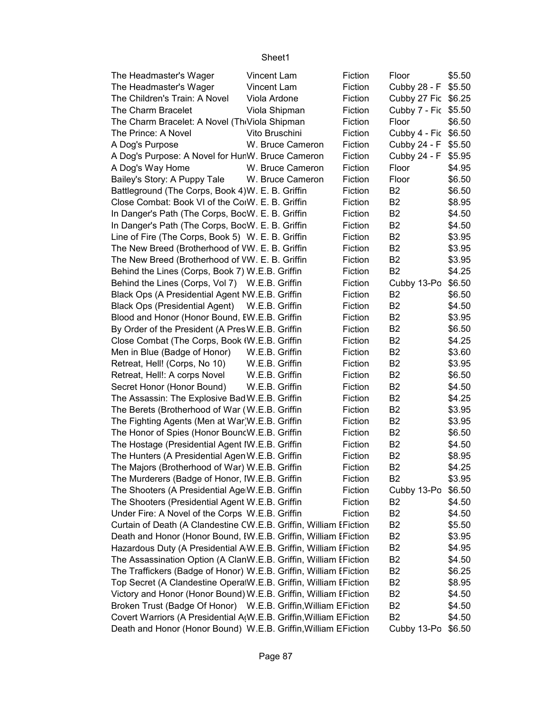| The Headmaster's Wager                                             | Vincent Lam      | Fiction | Floor                | \$5.50 |
|--------------------------------------------------------------------|------------------|---------|----------------------|--------|
| The Headmaster's Wager                                             | Vincent Lam      | Fiction | Cubby 28 - F         | \$5.50 |
| The Children's Train: A Novel                                      | Viola Ardone     | Fiction | Cubby 27 Fic \$6.25  |        |
| The Charm Bracelet                                                 | Viola Shipman    | Fiction | Cubby 7 - Fic \$5.50 |        |
| The Charm Bracelet: A Novel (Th Viola Shipman                      |                  | Fiction | Floor                | \$6.50 |
| The Prince: A Novel                                                | Vito Bruschini   | Fiction | Cubby 4 - Fic \$6.50 |        |
| A Dog's Purpose                                                    | W. Bruce Cameron | Fiction | Cubby 24 - F         | \$5.50 |
| A Dog's Purpose: A Novel for HunW. Bruce Cameron                   |                  | Fiction | Cubby 24 - F         | \$5.95 |
| A Dog's Way Home                                                   | W. Bruce Cameron | Fiction | Floor                | \$4.95 |
| Bailey's Story: A Puppy Tale                                       | W. Bruce Cameron | Fiction | Floor                | \$6.50 |
| Battleground (The Corps, Book 4) W. E. B. Griffin                  |                  | Fiction | B <sub>2</sub>       | \$6.50 |
| Close Combat: Book VI of the CorW. E. B. Griffin                   |                  | Fiction | <b>B2</b>            | \$8.95 |
| In Danger's Path (The Corps, BocW. E. B. Griffin                   |                  | Fiction | B <sub>2</sub>       | \$4.50 |
| In Danger's Path (The Corps, BocW. E. B. Griffin                   |                  | Fiction | B <sub>2</sub>       | \$4.50 |
| Line of Fire (The Corps, Book 5) W. E. B. Griffin                  |                  | Fiction | B <sub>2</sub>       | \$3.95 |
| The New Breed (Brotherhood of VW. E. B. Griffin                    |                  | Fiction | <b>B2</b>            | \$3.95 |
| The New Breed (Brotherhood of VW. E. B. Griffin                    |                  | Fiction | B <sub>2</sub>       | \$3.95 |
| Behind the Lines (Corps, Book 7) W.E.B. Griffin                    |                  | Fiction | <b>B2</b>            | \$4.25 |
| Behind the Lines (Corps, Vol 7) W.E.B. Griffin                     |                  | Fiction | Cubby 13-Po          | \$6.50 |
| Black Ops (A Presidential Agent NW.E.B. Griffin                    |                  | Fiction | B <sub>2</sub>       | \$6.50 |
| <b>Black Ops (Presidential Agent)</b>                              | W.E.B. Griffin   | Fiction | B <sub>2</sub>       | \$4.50 |
| Blood and Honor (Honor Bound, EW.E.B. Griffin                      |                  | Fiction | <b>B2</b>            | \$3.95 |
| By Order of the President (A Pres W.E.B. Griffin                   |                  | Fiction | <b>B2</b>            | \$6.50 |
| Close Combat (The Corps, Book (W.E.B. Griffin                      |                  | Fiction | B <sub>2</sub>       | \$4.25 |
| Men in Blue (Badge of Honor)                                       | W.E.B. Griffin   | Fiction | B <sub>2</sub>       | \$3.60 |
| Retreat, Hell! (Corps, No 10)                                      | W.E.B. Griffin   | Fiction | B <sub>2</sub>       | \$3.95 |
| Retreat, Hell!: A corps Novel                                      | W.E.B. Griffin   | Fiction | <b>B2</b>            | \$6.50 |
| Secret Honor (Honor Bound)                                         | W.E.B. Griffin   | Fiction | <b>B2</b>            | \$4.50 |
| The Assassin: The Explosive BadW.E.B. Griffin                      |                  | Fiction | B <sub>2</sub>       | \$4.25 |
| The Berets (Brotherhood of War (W.E.B. Griffin                     |                  | Fiction | B <sub>2</sub>       | \$3.95 |
| The Fighting Agents (Men at War W.E.B. Griffin                     |                  | Fiction | B <sub>2</sub>       | \$3.95 |
| The Honor of Spies (Honor BouncW.E.B. Griffin                      |                  | Fiction | <b>B2</b>            | \$6.50 |
| The Hostage (Presidential Agent IW.E.B. Griffin                    |                  | Fiction | B <sub>2</sub>       | \$4.50 |
| The Hunters (A Presidential Agen W.E.B. Griffin                    |                  | Fiction | B <sub>2</sub>       | \$8.95 |
| The Majors (Brotherhood of War) W.E.B. Griffin                     |                  | Fiction | B <sub>2</sub>       | \$4.25 |
| The Murderers (Badge of Honor, IW.E.B. Griffin                     |                  | Fiction | B2                   | \$3.95 |
| The Shooters (A Presidential AgeW.E.B. Griffin                     |                  | Fiction | Cubby 13-Po          | \$6.50 |
| The Shooters (Presidential Agent W.E.B. Griffin                    |                  | Fiction | B <sub>2</sub>       | \$4.50 |
| Under Fire: A Novel of the Corps W.E.B. Griffin                    |                  | Fiction | B <sub>2</sub>       | \$4.50 |
| Curtain of Death (A Clandestine CW.E.B. Griffin, William EFiction  |                  |         | B <sub>2</sub>       | \$5.50 |
| Death and Honor (Honor Bound, IW.E.B. Griffin, William EFiction    |                  |         | B <sub>2</sub>       | \$3.95 |
| Hazardous Duty (A Presidential AW.E.B. Griffin, William EFiction   |                  |         | B <sub>2</sub>       | \$4.95 |
| The Assassination Option (A ClanW.E.B. Griffin, William EFiction   |                  |         | B <sub>2</sub>       | \$4.50 |
| The Traffickers (Badge of Honor) W.E.B. Griffin, William EFiction  |                  |         | B <sub>2</sub>       | \$6.25 |
| Top Secret (A Clandestine OperalW.E.B. Griffin, William EFiction   |                  |         | B <sub>2</sub>       | \$8.95 |
| Victory and Honor (Honor Bound) W.E.B. Griffin, William EFiction   |                  |         | B <sub>2</sub>       | \$4.50 |
| Broken Trust (Badge Of Honor) W.E.B. Griffin, William EFiction     |                  |         | B <sub>2</sub>       | \$4.50 |
| Covert Warriors (A Presidential A(W.E.B. Griffin, William EFiction |                  |         | B <sub>2</sub>       | \$4.50 |
| Death and Honor (Honor Bound) W.E.B. Griffin, William EFiction     |                  |         | Cubby 13-Po \$6.50   |        |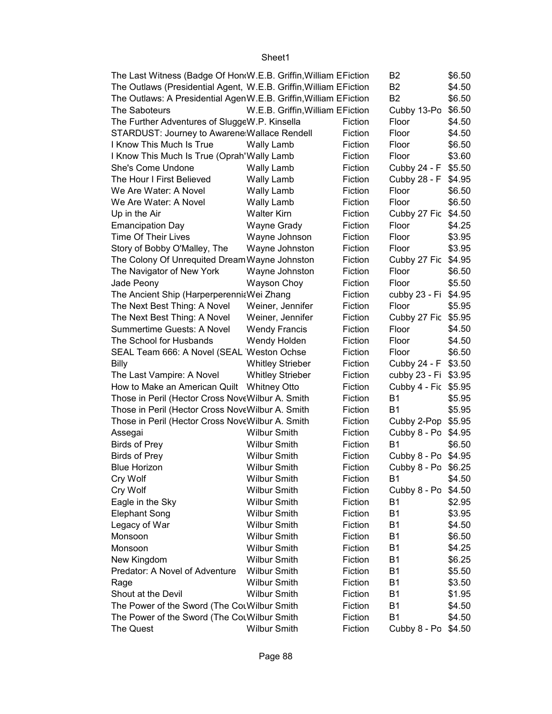| The Last Witness (Badge Of Hon(W.E.B. Griffin, William EFiction   | B2                               | \$6.50  |                      |        |
|-------------------------------------------------------------------|----------------------------------|---------|----------------------|--------|
| The Outlaws (Presidential Agent, W.E.B. Griffin, William EFiction |                                  |         | <b>B2</b>            | \$4.50 |
| The Outlaws: A Presidential AgenW.E.B. Griffin, William EFiction  |                                  |         | <b>B2</b>            | \$6.50 |
| The Saboteurs                                                     | W.E.B. Griffin, William EFiction |         | Cubby 13-Po          | \$6.50 |
| The Further Adventures of SluggeW.P. Kinsella                     |                                  | Fiction | Floor                | \$4.50 |
| STARDUST: Journey to Awarene Wallace Rendell                      |                                  | Fiction | Floor                | \$4.50 |
| I Know This Much Is True                                          | <b>Wally Lamb</b>                | Fiction | Floor                | \$6.50 |
| I Know This Much Is True (Oprah'Wally Lamb                        |                                  | Fiction | Floor                | \$3.60 |
| She's Come Undone                                                 | Wally Lamb                       | Fiction | Cubby 24 - F         | \$5.50 |
| The Hour I First Believed                                         | <b>Wally Lamb</b>                | Fiction | Cubby 28 - F         | \$4.95 |
| We Are Water: A Novel                                             | <b>Wally Lamb</b>                | Fiction | Floor                | \$6.50 |
| We Are Water: A Novel                                             | <b>Wally Lamb</b>                | Fiction | Floor                | \$6.50 |
| Up in the Air                                                     | <b>Walter Kirn</b>               | Fiction | Cubby 27 Fic         | \$4.50 |
| <b>Emancipation Day</b>                                           | Wayne Grady                      | Fiction | Floor                | \$4.25 |
| Time Of Their Lives                                               | Wayne Johnson                    | Fiction | Floor                | \$3.95 |
| Story of Bobby O'Malley, The                                      | Wayne Johnston                   | Fiction | Floor                | \$3.95 |
| The Colony Of Unrequited Dream Wayne Johnston                     |                                  | Fiction | Cubby 27 Fic         | \$4.95 |
| The Navigator of New York                                         | Wayne Johnston                   | Fiction | Floor                | \$6.50 |
| Jade Peony                                                        | Wayson Choy                      | Fiction | Floor                | \$5.50 |
| The Ancient Ship (Harperperennit Wei Zhang                        |                                  | Fiction | cubby 23 - Fi \$4.95 |        |
| The Next Best Thing: A Novel                                      | Weiner, Jennifer                 | Fiction | Floor                | \$5.95 |
| The Next Best Thing: A Novel                                      | Weiner, Jennifer                 | Fiction | Cubby 27 Fic         | \$5.95 |
| Summertime Guests: A Novel                                        | <b>Wendy Francis</b>             | Fiction | Floor                | \$4.50 |
| The School for Husbands                                           | Wendy Holden                     | Fiction | Floor                | \$4.50 |
| SEAL Team 666: A Novel (SEAL Weston Ochse                         |                                  | Fiction | Floor                | \$6.50 |
| Billy                                                             | <b>Whitley Strieber</b>          | Fiction | Cubby 24 - F         | \$3.50 |
| The Last Vampire: A Novel                                         | <b>Whitley Strieber</b>          | Fiction | cubby 23 - Fi        | \$3.95 |
| How to Make an American Quilt  Whitney Otto                       |                                  | Fiction | Cubby 4 - Fic \$5.95 |        |
| Those in Peril (Hector Cross Nove Wilbur A. Smith                 |                                  | Fiction | <b>B1</b>            | \$5.95 |
| Those in Peril (Hector Cross Nove Wilbur A. Smith                 |                                  | Fiction | <b>B1</b>            | \$5.95 |
| Those in Peril (Hector Cross Nove Wilbur A. Smith                 |                                  | Fiction | Cubby 2-Pop \$5.95   |        |
| Assegai                                                           | <b>Wilbur Smith</b>              | Fiction | Cubby 8 - Po \$4.95  |        |
| <b>Birds of Prey</b>                                              | <b>Wilbur Smith</b>              | Fiction | <b>B1</b>            | \$6.50 |
| <b>Birds of Prey</b>                                              | <b>Wilbur Smith</b>              | Fiction | Cubby 8 - Po \$4.95  |        |
| <b>Blue Horizon</b>                                               | <b>Wilbur Smith</b>              | Fiction | Cubby 8 - Po \$6.25  |        |
| Cry Wolf                                                          | <b>Wilbur Smith</b>              | Fiction | <b>B1</b>            | \$4.50 |
| Cry Wolf                                                          | <b>Wilbur Smith</b>              | Fiction | Cubby 8 - Po         | \$4.50 |
| Eagle in the Sky                                                  | <b>Wilbur Smith</b>              | Fiction | <b>B1</b>            | \$2.95 |
| <b>Elephant Song</b>                                              | <b>Wilbur Smith</b>              | Fiction | B <sub>1</sub>       | \$3.95 |
| Legacy of War                                                     | <b>Wilbur Smith</b>              | Fiction | <b>B1</b>            | \$4.50 |
| Monsoon                                                           | <b>Wilbur Smith</b>              | Fiction | <b>B1</b>            | \$6.50 |
| Monsoon                                                           | <b>Wilbur Smith</b>              | Fiction | <b>B1</b>            | \$4.25 |
| New Kingdom                                                       | <b>Wilbur Smith</b>              | Fiction | <b>B1</b>            | \$6.25 |
| Predator: A Novel of Adventure                                    | <b>Wilbur Smith</b>              | Fiction | B1                   | \$5.50 |
| Rage                                                              | <b>Wilbur Smith</b>              | Fiction | <b>B1</b>            | \$3.50 |
| Shout at the Devil                                                | <b>Wilbur Smith</b>              | Fiction | B <sub>1</sub>       | \$1.95 |
| The Power of the Sword (The CouWilbur Smith                       |                                  | Fiction | <b>B1</b>            | \$4.50 |
| The Power of the Sword (The CouWilbur Smith                       |                                  | Fiction | <b>B1</b>            | \$4.50 |
| The Quest                                                         | <b>Wilbur Smith</b>              | Fiction | Cubby 8 - Po         | \$4.50 |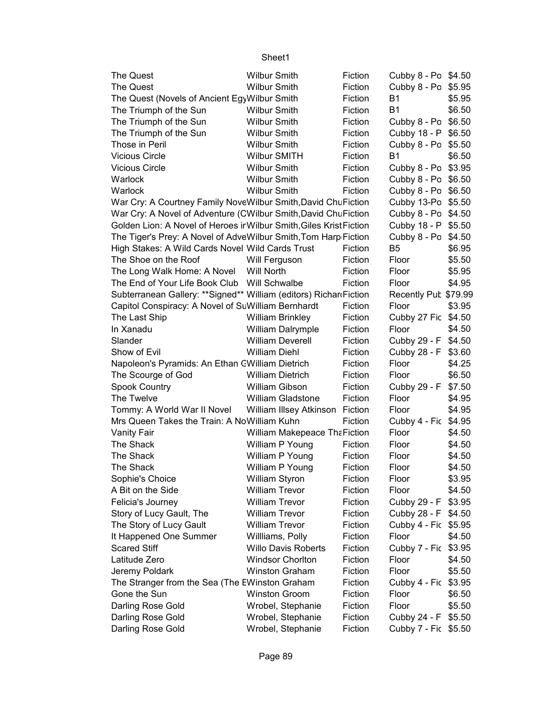| <b>The Quest</b>                                                    | <b>Wilbur Smith</b>             | Fiction | Cubby 8 - Po \$4.50  |        |
|---------------------------------------------------------------------|---------------------------------|---------|----------------------|--------|
| The Quest                                                           | <b>Wilbur Smith</b>             | Fiction | Cubby 8 - Po \$5.95  |        |
| The Quest (Novels of Ancient EgyWilbur Smith                        |                                 | Fiction | <b>B1</b>            | \$5.95 |
| The Triumph of the Sun                                              | <b>Wilbur Smith</b>             | Fiction | <b>B1</b>            | \$6.50 |
| The Triumph of the Sun                                              | <b>Wilbur Smith</b>             | Fiction | Cubby 8 - Po \$6.50  |        |
| The Triumph of the Sun                                              | <b>Wilbur Smith</b>             | Fiction | Cubby 18 - P \$6.50  |        |
| Those in Peril                                                      | <b>Wilbur Smith</b>             | Fiction | Cubby 8 - Po \$5.50  |        |
| <b>Vicious Circle</b>                                               | Wilbur SMITH                    | Fiction | <b>B1</b>            | \$6.50 |
| <b>Vicious Circle</b>                                               | <b>Wilbur Smith</b>             | Fiction | Cubby 8 - Po \$3.95  |        |
| Warlock                                                             | <b>Wilbur Smith</b>             | Fiction | Cubby 8 - Po \$6.50  |        |
| Warlock                                                             | <b>Wilbur Smith</b>             | Fiction | Cubby 8 - Po \$6.50  |        |
| War Cry: A Courtney Family NoveWilbur Smith, David ChuFiction       |                                 |         | Cubby 13-Po \$5.50   |        |
| War Cry: A Novel of Adventure (CWilbur Smith, David ChuFiction      |                                 |         | Cubby 8 - Po \$4.50  |        |
| Golden Lion: A Novel of Heroes ir Wilbur Smith, Giles Krist Fiction |                                 |         | Cubby 18 - P \$5.50  |        |
| The Tiger's Prey: A Novel of AdveWilbur Smith, Tom Harp Fiction     |                                 |         | Cubby 8 - Po \$4.50  |        |
| High Stakes: A Wild Cards Novel Wild Cards Trust                    |                                 | Fiction | B <sub>5</sub>       | \$6.95 |
| The Shoe on the Roof                                                | Will Ferguson                   | Fiction | Floor                | \$5.50 |
| The Long Walk Home: A Novel                                         | Will North                      | Fiction | Floor                | \$5.95 |
| The End of Your Life Book Club  Will Schwalbe                       |                                 | Fiction | Floor                | \$4.95 |
| Subterranean Gallery: **Signed** William (editors) Richar Fiction   |                                 |         | Recently Pub \$79.99 |        |
| Capitol Conspiracy: A Novel of SuWilliam Bernhardt                  |                                 | Fiction | Floor                | \$3.95 |
| The Last Ship                                                       | <b>William Brinkley</b>         | Fiction | Cubby 27 Fic \$4.50  |        |
| In Xanadu                                                           | William Dalrymple               | Fiction | Floor                | \$4.50 |
| Slander                                                             | <b>William Deverell</b>         | Fiction | Cubby 29 - F         | \$4.50 |
| Show of Evil                                                        | <b>William Diehl</b>            | Fiction | Cubby 28 - F         | \$3.60 |
| Napoleon's Pyramids: An Ethan CWilliam Dietrich                     |                                 | Fiction | Floor                | \$4.25 |
| The Scourge of God                                                  | <b>William Dietrich</b>         | Fiction | Floor                | \$6.50 |
| <b>Spook Country</b>                                                | William Gibson                  | Fiction | Cubby 29 - F \$7.50  |        |
| The Twelve                                                          | <b>William Gladstone</b>        | Fiction | Floor                | \$4.95 |
| Tommy: A World War II Novel                                         | William Illsey Atkinson Fiction |         | Floor                | \$4.95 |
| Mrs Queen Takes the Train: A NoWilliam Kuhn                         |                                 | Fiction | Cubby 4 - Fic \$4.95 |        |
| <b>Vanity Fair</b>                                                  | William Makepeace ThaFiction    |         | Floor                | \$4.50 |
| The Shack                                                           | William P Young                 | Fiction | Floor                | \$4.50 |
| The Shack                                                           | William P Young                 | Fiction | Floor                | \$4.50 |
| The Shack                                                           | William P Young                 | Fiction | Floor                | \$4.50 |
| Sophie's Choice                                                     | William Styron                  | Fiction | Floor                | \$3.95 |
| A Bit on the Side                                                   | <b>William Trevor</b>           | Fiction | Floor                | \$4.50 |
| Felicia's Journey                                                   | <b>William Trevor</b>           | Fiction | Cubby 29 - F         | \$3.95 |
| Story of Lucy Gault, The                                            | <b>William Trevor</b>           | Fiction | Cubby 28 - F         | \$4.50 |
| The Story of Lucy Gault                                             | <b>William Trevor</b>           | Fiction | Cubby 4 - Fic \$5.95 |        |
| It Happened One Summer                                              | Willliams, Polly                | Fiction | Floor                | \$4.50 |
| <b>Scared Stiff</b>                                                 | <b>Willo Davis Roberts</b>      | Fiction | Cubby 7 - Fic \$3.95 |        |
| Latitude Zero                                                       | <b>Windsor Chorlton</b>         | Fiction | Floor                | \$4.50 |
| Jeremy Poldark                                                      | Winston Graham                  | Fiction | Floor                | \$5.50 |
| The Stranger from the Sea (The EWinston Graham                      |                                 | Fiction | Cubby 4 - Fic \$3.95 |        |
| Gone the Sun                                                        | <b>Winston Groom</b>            | Fiction | Floor                | \$6.50 |
| Darling Rose Gold                                                   | Wrobel, Stephanie               | Fiction | Floor                | \$5.50 |
| Darling Rose Gold                                                   | Wrobel, Stephanie               | Fiction | Cubby 24 - F         | \$5.50 |
| Darling Rose Gold                                                   | Wrobel, Stephanie               | Fiction | Cubby 7 - Fic \$5.50 |        |